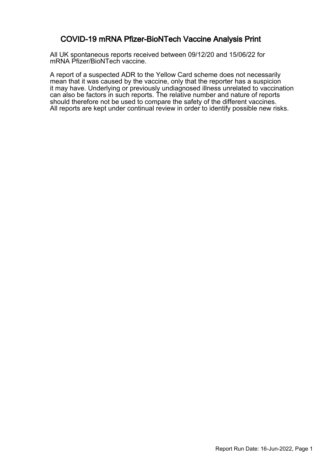#### COVID-19 mRNA Pfizer-BioNTech Vaccine Analysis Print

All UK spontaneous reports received between 09/12/20 and 15/06/22 for mRNA Pfizer/BioNTech vaccine.

A report of a suspected ADR to the Yellow Card scheme does not necessarily mean that it was caused by the vaccine, only that the reporter has a suspicion it may have. Underlying or previously undiagnosed illness unrelated to vaccination can also be factors in such reports. The relative number and nature of reports should therefore not be used to compare the safety of the different vaccines. All reports are kept under continual review in order to identify possible new risks.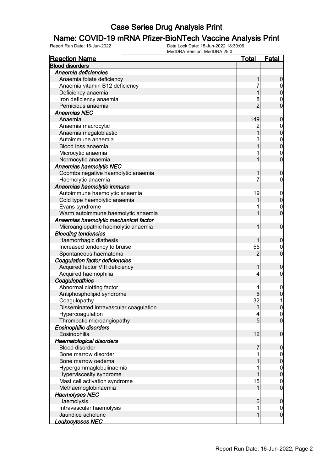# **Name: COVID-19 mRNA Pfizer-BioNTech Vaccine Analysis Print**<br>Report Run Date: 16-Jun-2022<br>Data Lock Date: 15-Jun-2022 18:30:06

| <b>Reaction Name</b>                   | <b>Total</b>    | <b>Fatal</b>                     |
|----------------------------------------|-----------------|----------------------------------|
| <b>Blood disorders</b>                 |                 |                                  |
| Anaemia deficiencies                   |                 |                                  |
| Anaemia folate deficiency              | 1               | $\boldsymbol{0}$                 |
| Anaemia vitamin B12 deficiency         | 7               | $\boldsymbol{0}$                 |
| Deficiency anaemia                     | 1               | $\mathbf 0$                      |
| Iron deficiency anaemia                | 8               | $\mathbf{0}$                     |
| Pernicious anaemia                     | $\overline{2}$  | $\overline{0}$                   |
| <b>Anaemias NEC</b>                    |                 |                                  |
| Anaemia                                | 149             | $\boldsymbol{0}$                 |
| Anaemia macrocytic                     |                 |                                  |
| Anaemia megaloblastic                  | $\overline{1}$  | $0\atop 0$                       |
| Autoimmune anaemia                     | 3               |                                  |
| Blood loss anaemia                     | $\overline{1}$  | $0\atop 0$                       |
| Microcytic anaemia                     | 1               |                                  |
| Normocytic anaemia                     | 1               | $\begin{matrix}0\\0\end{matrix}$ |
| Anaemias haemolytic NEC                |                 |                                  |
| Coombs negative haemolytic anaemia     | 1               | $\mathbf 0$                      |
| Haemolytic anaemia                     | 7               | $\mathbf 0$                      |
| Anaemias haemolytic immune             |                 |                                  |
| Autoimmune haemolytic anaemia          | 19              | $\boldsymbol{0}$                 |
| Cold type haemolytic anaemia           | 1               | $\mathbf 0$                      |
| Evans syndrome                         |                 |                                  |
| Warm autoimmune haemolytic anaemia     | 1               | $\begin{matrix}0\\0\end{matrix}$ |
| Anaemias haemolytic mechanical factor  |                 |                                  |
| Microangiopathic haemolytic anaemia    | 1               | $\boldsymbol{0}$                 |
| <b>Bleeding tendencies</b>             |                 |                                  |
| Haemorrhagic diathesis                 |                 | $\boldsymbol{0}$                 |
| Increased tendency to bruise           | 55              | $\mathbf{0}$                     |
| Spontaneous haematoma                  | 2               | $\overline{0}$                   |
| Coagulation factor deficiencies        |                 |                                  |
| Acquired factor VIII deficiency        | 1               | $\mathbf 0$                      |
| Acquired haemophilia                   | $\overline{4}$  | $\boldsymbol{0}$                 |
| Coagulopathies                         |                 |                                  |
| Abnormal clotting factor               | 4               | $\boldsymbol{0}$                 |
| Antiphospholipid syndrome              |                 | $\overline{0}$                   |
| Coagulopathy                           | 32              | 1                                |
| Disseminated intravascular coagulation | $\mathbf{3}$    | 0                                |
| Hypercoagulation                       | 4               | 0                                |
| Thrombotic microangiopathy             | $5\overline{)}$ | $\overline{0}$                   |
| <b>Eosinophilic disorders</b>          |                 |                                  |
| Eosinophilia                           | 12              | $\boldsymbol{0}$                 |
| Haematological disorders               |                 |                                  |
| <b>Blood disorder</b>                  | 7               | $\boldsymbol{0}$                 |
| Bone marrow disorder                   | 1               | $\overline{0}$                   |
| Bone marrow oedema                     | 1               | $\pmb{0}$                        |
| Hypergammaglobulinaemia                |                 | $\boldsymbol{0}$                 |
| Hyperviscosity syndrome                | 1               | $\mathbf 0$                      |
| Mast cell activation syndrome          | 15              | $\boldsymbol{0}$                 |
| Methaemoglobinaemia                    | 1               | $\mathbf 0$                      |
| <b>Haemolyses NEC</b>                  |                 |                                  |
| Haemolysis                             | 6               | $\mathbf 0$                      |
| Intravascular haemolysis               | 1               | $\overline{0}$                   |
| Jaundice acholuric                     | $\mathbf{1}$    | $\boldsymbol{0}$                 |
| Leukocytoses NEC                       |                 |                                  |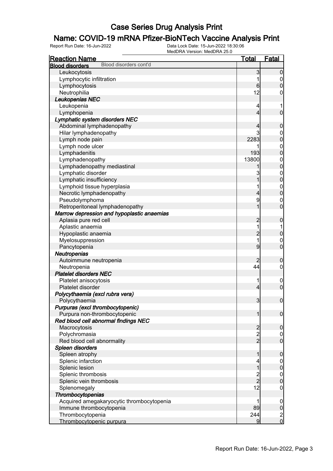## **Name: COVID-19 mRNA Pfizer-BioNTech Vaccine Analysis Print**<br>Report Run Date: 16-Jun-2022<br>Data Lock Date: 15-Jun-2022 18:30:06

| <b>Reaction Name</b>                             | <u>Total</u>                               | <u>Fatal</u>                |
|--------------------------------------------------|--------------------------------------------|-----------------------------|
| Blood disorders cont'd<br><b>Blood disorders</b> |                                            |                             |
| Leukocytosis                                     | 3                                          | $\overline{0}$              |
| Lymphocytic infiltration                         | 1                                          | $\mathbf 0$                 |
| Lymphocytosis                                    | 6                                          | $\overline{0}$              |
| Neutrophilia                                     | 12                                         | 0                           |
| Leukopenias NEC                                  |                                            |                             |
| Leukopenia                                       | 4                                          | 1                           |
| Lymphopenia                                      | 4                                          | $\overline{0}$              |
| Lymphatic system disorders NEC                   |                                            |                             |
| Abdominal lymphadenopathy                        | 4                                          | $\mathbf 0$                 |
| Hilar lymphadenopathy                            | 3                                          | $\mathbf 0$                 |
| Lymph node pain                                  | 2283                                       | $\overline{0}$              |
| Lymph node ulcer                                 |                                            | $\mathbf 0$                 |
| Lymphadenitis                                    | 193                                        | $\overline{0}$              |
| Lymphadenopathy                                  | 13800                                      | $\mathbf{0}$                |
| Lymphadenopathy mediastinal                      |                                            | $\overline{0}$              |
| Lymphatic disorder                               | 3                                          | $\mathbf{0}$                |
| Lymphatic insufficiency                          | 1                                          | $\overline{0}$              |
| Lymphoid tissue hyperplasia                      | 1                                          | $\mathbf{0}$                |
| Necrotic lymphadenopathy                         | 4                                          | $\overline{0}$              |
| Pseudolymphoma                                   | 9                                          | $\mathbf 0$                 |
| Retroperitoneal lymphadenopathy                  | 1                                          | $\overline{0}$              |
| Marrow depression and hypoplastic anaemias       |                                            |                             |
| Aplasia pure red cell                            | $\overline{c}$                             | $\mathbf 0$                 |
| Aplastic anaemia                                 | 1                                          | 1                           |
| Hypoplastic anaemia                              | $\overline{c}$                             | $\mathbf 0$                 |
| Myelosuppression                                 | 1                                          | $\mathbf 0$                 |
| Pancytopenia                                     | 9                                          | $\overline{0}$              |
| Neutropenias                                     |                                            |                             |
| Autoimmune neutropenia                           |                                            | $\mathbf 0$                 |
| Neutropenia                                      | 44                                         | $\mathbf 0$                 |
| <b>Platelet disorders NEC</b>                    |                                            |                             |
| Platelet anisocytosis                            | 1                                          | $\mathbf 0$                 |
| Platelet disorder                                | 4                                          | $\mathbf 0$                 |
| Polycythaemia (excl rubra vera)                  |                                            |                             |
| Polycythaemia                                    | 3                                          | $\mathbf 0$                 |
| Purpuras (excl thrombocytopenic)                 |                                            |                             |
| Purpura non-thrombocytopenic                     | 1                                          | $\boldsymbol{0}$            |
| Red blood cell abnormal findings NEC             |                                            |                             |
| Macrocytosis                                     |                                            | $\mathbf 0$                 |
| Polychromasia                                    | $\begin{array}{c} 2 \\ 2 \\ 2 \end{array}$ | $\overline{0}$              |
| Red blood cell abnormality                       |                                            | $\overline{0}$              |
| Spleen disorders                                 |                                            |                             |
| Spleen atrophy                                   | 1                                          | $\mathbf 0$                 |
| Splenic infarction                               | 4                                          | $\overline{0}$              |
| Splenic lesion                                   | 1                                          | $\boldsymbol{0}$            |
| Splenic thrombosis                               |                                            |                             |
| Splenic vein thrombosis                          | $\frac{2}{2}$                              | $\mathbf{0}$<br>$\mathbf 0$ |
| Splenomegaly                                     | 12                                         | $\boldsymbol{0}$            |
|                                                  |                                            |                             |
| Thrombocytopenias                                | 1                                          |                             |
| Acquired amegakaryocytic thrombocytopenia        | 89                                         | $\boldsymbol{0}$            |
| Immune thrombocytopenia                          |                                            | $\boldsymbol{0}$            |
| Thrombocytopenia                                 | 244                                        | $\frac{2}{0}$               |
| Thrombocytopenic purpura                         | 9                                          |                             |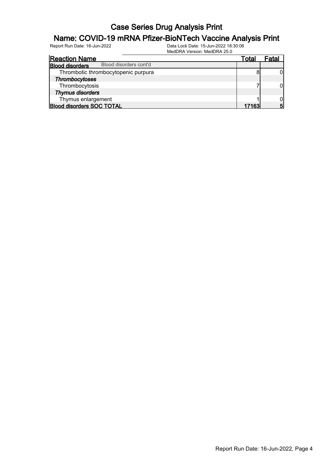## **Name: COVID-19 mRNA Pfizer-BioNTech Vaccine Analysis Print**<br>Report Run Date: 16-Jun-2022<br>Data Lock Date: 15-Jun-2022 18:30:06

| <b>Reaction Name</b>                             | Total | Fatal |
|--------------------------------------------------|-------|-------|
| Blood disorders cont'd<br><b>Blood disorders</b> |       |       |
| Thrombotic thrombocytopenic purpura              |       |       |
| Thrombocytoses                                   |       |       |
| Thrombocytosis                                   |       |       |
| <b>Thymus disorders</b>                          |       |       |
| Thymus enlargement                               |       |       |
| <b>Blood disorders SOC TOTAL</b>                 | 17163 | 5     |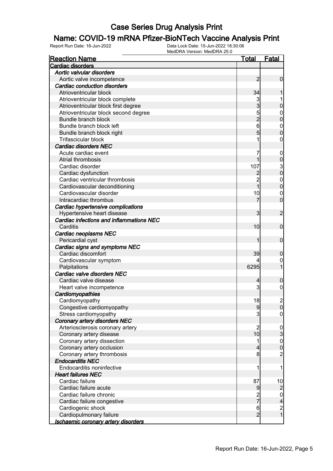#### Name: COVID-19 mRNA Pfizer-BioNTech Vaccine Analysis Print

| <b>Reaction Name</b>                       | <u>Total</u>    | <b>Fatal</b>                          |
|--------------------------------------------|-----------------|---------------------------------------|
| Cardiac disorders                          |                 |                                       |
| Aortic valvular disorders                  |                 |                                       |
| Aortic valve incompetence                  | 2               | 0                                     |
| <b>Cardiac conduction disorders</b>        |                 |                                       |
| Atrioventricular block                     | 34              |                                       |
| Atrioventricular block complete            | 3               |                                       |
| Atrioventricular block first degree        | 3               | 0                                     |
| Atrioventricular block second degree       | 5               | $\mathbf{0}$                          |
| Bundle branch block                        | $\overline{c}$  | 0                                     |
| Bundle branch block left                   | 6               | $\mathbf{0}$                          |
| Bundle branch block right                  | 5               | 0                                     |
| Trifascicular block                        |                 | 0                                     |
| <b>Cardiac disorders NEC</b>               |                 |                                       |
| Acute cardiac event                        | 7               | $\mathbf 0$                           |
| Atrial thrombosis                          |                 | $\mathbf 0$                           |
| Cardiac disorder                           | 107             |                                       |
| Cardiac dysfunction                        |                 | $\frac{3}{0}$                         |
| Cardiac ventricular thrombosis             | $\overline{2}$  | $\mathbf{0}$                          |
| Cardiovascular deconditioning              | 1               | $\mathbf 0$                           |
| Cardiovascular disorder                    | 10              | $\mathbf{0}$                          |
| Intracardiac thrombus                      | 7               | $\overline{0}$                        |
| Cardiac hypertensive complications         |                 |                                       |
| Hypertensive heart disease                 | 3               | $\overline{c}$                        |
| Cardiac infections and inflammations NEC   |                 |                                       |
| Carditis                                   | 10              | $\mathbf 0$                           |
| Cardiac neoplasms NEC                      |                 |                                       |
| Pericardial cyst                           |                 | $\mathbf 0$                           |
| Cardiac signs and symptoms NEC             |                 |                                       |
| Cardiac discomfort                         | 39              | 0                                     |
| Cardiovascular symptom                     |                 | $\mathbf 0$                           |
| Palpitations                               | 6295            |                                       |
| Cardiac valve disorders NEC                |                 |                                       |
| Cardiac valve disease                      | 4               | 0                                     |
| Heart valve incompetence                   | 3               | 0                                     |
| Cardiomyopathies                           |                 |                                       |
| Cardiomyopathy                             | 18              | $\overline{c}$                        |
| Congestive cardiomyopathy                  | 9               | <sup>0</sup>                          |
| Stress cardiomyopathy                      | 3               | $\overline{0}$                        |
| Coronary artery disorders NEC              |                 |                                       |
| Arteriosclerosis coronary artery           | $\overline{c}$  |                                       |
| Coronary artery disease                    | 10              | $\frac{0}{3}$                         |
| Coronary artery dissection                 | 1               | $\mathbf{0}$                          |
| Coronary artery occlusion                  | 4               | $\mathbf 0$                           |
| Coronary artery thrombosis                 | 8               | $\overline{c}$                        |
| <b>Endocarditis NEC</b>                    |                 |                                       |
| Endocarditis noninfective                  | 1               | 1                                     |
| <b>Heart failures NEC</b>                  |                 |                                       |
| Cardiac failure                            | 87              | 10                                    |
| Cardiac failure acute                      | 9               | $\overline{c}$                        |
| Cardiac failure chronic                    |                 | $\overline{0}$                        |
| Cardiac failure congestive                 | $\frac{2}{7}$   | 4                                     |
| Cardiogenic shock                          | $6\phantom{.0}$ |                                       |
| Cardiopulmonary failure                    | $\overline{2}$  | $\begin{array}{c} 2 \\ 1 \end{array}$ |
| <u>Ischaemic coronary artery disorders</u> |                 |                                       |
|                                            |                 |                                       |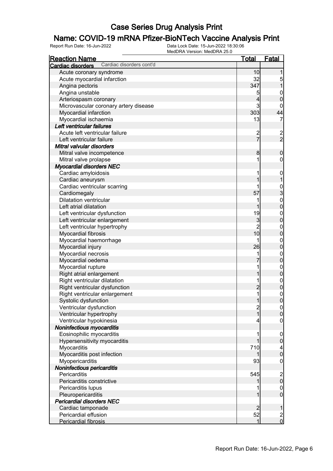## **Name: COVID-19 mRNA Pfizer-BioNTech Vaccine Analysis Print**<br>Report Run Date: 16-Jun-2022<br>Data Lock Date: 15-Jun-2022 18:30:06

| <b>Reaction Name</b>                          | <u>Total</u>   | <b>Fatal</b>                         |
|-----------------------------------------------|----------------|--------------------------------------|
| Cardiac disorders cont'd<br>Cardiac disorders |                |                                      |
| Acute coronary syndrome                       | 10             |                                      |
| Acute myocardial infarction                   | 32             |                                      |
| Angina pectoris                               | 347            | $\frac{5}{1}$                        |
| Angina unstable                               | 5              | $\mathbf{0}$                         |
| Arteriospasm coronary                         | $\overline{4}$ | $\mathbf 0$                          |
| Microvascular coronary artery disease         | $\mathsf{3}$   | 0                                    |
| Myocardial infarction                         | 303            | 44                                   |
| Myocardial ischaemia                          | 13             | 7                                    |
| Left ventricular failures                     |                |                                      |
| Acute left ventricular failure                |                |                                      |
| Left ventricular failure                      | $\frac{2}{7}$  | $\frac{2}{2}$                        |
| Mitral valvular disorders                     |                |                                      |
| Mitral valve incompetence                     | 8              | $\boldsymbol{0}$                     |
| Mitral valve prolapse                         | 1              | $\pmb{0}$                            |
| <b>Myocardial disorders NEC</b>               |                |                                      |
| Cardiac amyloidosis                           | 1              | $\mathbf{0}$                         |
| Cardiac aneurysm                              | 1              | $\overline{1}$                       |
| Cardiac ventricular scarring                  | 1              |                                      |
| Cardiomegaly                                  | 57             |                                      |
| <b>Dilatation ventricular</b>                 | 1              | $\frac{1}{2}$<br>O $\frac{1}{2}$     |
| Left atrial dilatation                        | 1              |                                      |
| Left ventricular dysfunction                  | 19             |                                      |
| Left ventricular enlargement                  | $\overline{3}$ | $\begin{matrix}0\\0\end{matrix}$     |
| Left ventricular hypertrophy                  | $\overline{2}$ |                                      |
| Myocardial fibrosis                           | 10             | $\begin{matrix}0\\0\end{matrix}$     |
| Myocardial haemorrhage                        | 1              |                                      |
| Myocardial injury                             | 26             | $0\atop 0$                           |
| Myocardial necrosis                           | 1              |                                      |
| Myocardial oedema                             |                | $\begin{matrix}0\\0\end{matrix}$     |
| Myocardial rupture                            | 1              |                                      |
| Right atrial enlargement                      | 1              | $0$<br>0                             |
| Right ventricular dilatation                  | 1              |                                      |
| Right ventricular dysfunction                 | $\overline{2}$ | $0$<br>0                             |
| Right ventricular enlargement                 | $\overline{1}$ |                                      |
| Systolic dysfunction                          | $\mathbf 1$    | $\begin{matrix}0\\0\end{matrix}$     |
| Ventricular dysfunction                       |                | 0                                    |
| Ventricular hypertrophy                       | $\frac{2}{1}$  | $\overline{0}$                       |
| Ventricular hypokinesia                       | 4              | $\mathbf 0$                          |
| Noninfectious myocarditis                     |                |                                      |
| Eosinophilic myocarditis                      | 1              | $\boldsymbol{0}$                     |
| Hypersensitivity myocarditis                  | 1              | $\pmb{0}$                            |
| Myocarditis                                   | 710            |                                      |
| Myocarditis post infection                    |                | $\begin{matrix} 4 \\ 0 \end{matrix}$ |
| Myopericarditis                               | 93             | $\boldsymbol{0}$                     |
| Noninfectious pericarditis                    |                |                                      |
| Pericarditis                                  | 545            |                                      |
| Pericarditis constrictive                     |                | $\begin{matrix} 2 \\ 0 \end{matrix}$ |
| Pericarditis lupus                            |                | $\boldsymbol{0}$                     |
| Pleuropericarditis                            | 1              | $\overline{0}$                       |
| <b>Pericardial disorders NEC</b>              |                |                                      |
| Cardiac tamponade                             | $\overline{2}$ | 1                                    |
| Pericardial effusion                          | 52             |                                      |
| Pericardial fibrosis                          | $\mathbf{1}$   | $\frac{2}{0}$                        |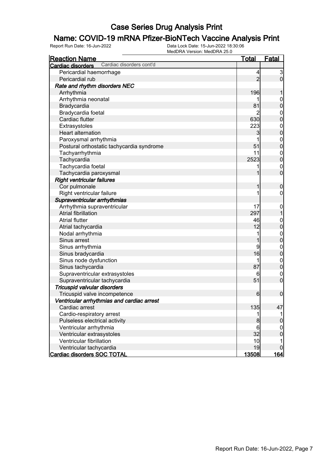# **Name: COVID-19 mRNA Pfizer-BioNTech Vaccine Analysis Print**<br>Report Run Date: 16-Jun-2022<br>Data Lock Date: 15-Jun-2022 18:30:06

| <u>Reaction Name</u>                          | <b>Total</b>    | <b>Fatal</b>     |
|-----------------------------------------------|-----------------|------------------|
| Cardiac disorders cont'd<br>Cardiac disorders |                 |                  |
| Pericardial haemorrhage                       | 4               | $\mathbf{3}$     |
| Pericardial rub                               | $\overline{2}$  | $\overline{0}$   |
| Rate and rhythm disorders NEC                 |                 |                  |
| Arrhythmia                                    | 196             |                  |
| Arrhythmia neonatal                           |                 | $\mathbf 0$      |
| Bradycardia                                   | 81              | $\mathbf 0$      |
| Bradycardia foetal                            | 2               | $\mathbf 0$      |
| Cardiac flutter                               | 630             | $\mathbf 0$      |
| Extrasystoles                                 | 223             | $\boldsymbol{0}$ |
| <b>Heart alternation</b>                      | 3               | $\overline{0}$   |
| Paroxysmal arrhythmia                         | 1               | $\boldsymbol{0}$ |
| Postural orthostatic tachycardia syndrome     | 51              | $\overline{0}$   |
| Tachyarrhythmia                               | 11              | $\boldsymbol{0}$ |
| Tachycardia                                   | 2523            | $\overline{0}$   |
| Tachycardia foetal                            | 1               | $\mathbf 0$      |
| Tachycardia paroxysmal                        | 1               | $\overline{0}$   |
| <b>Right ventricular failures</b>             |                 |                  |
| Cor pulmonale                                 | 1               | $\boldsymbol{0}$ |
| Right ventricular failure                     | 1               | $\boldsymbol{0}$ |
| Supraventricular arrhythmias                  |                 |                  |
| Arrhythmia supraventricular                   | 17              | $\boldsymbol{0}$ |
| Atrial fibrillation                           | 297             | $\overline{1}$   |
| <b>Atrial flutter</b>                         | 46              | $\mathbf{0}$     |
| Atrial tachycardia                            | 12              | $\overline{0}$   |
| Nodal arrhythmia                              | 1               | $\boldsymbol{0}$ |
| Sinus arrest                                  | 1               | $\overline{0}$   |
| Sinus arrhythmia                              | 9               | $\mathbf{0}$     |
| Sinus bradycardia                             | 16              | $\mathbf 0$      |
| Sinus node dysfunction                        | 1               | $\mathbf 0$      |
| Sinus tachycardia                             | 87              | $\pmb{0}$        |
| Supraventricular extrasystoles                | 6               | $\mathbf 0$      |
| Supraventricular tachycardia                  | 51              | $\mathbf 0$      |
| Tricuspid valvular disorders                  |                 |                  |
| Tricuspid valve incompetence                  | 6               | $\mathbf 0$      |
| Ventricular arrhythmias and cardiac arrest    |                 |                  |
| Cardiac arrest                                | 135             | 47               |
| Cardio-respiratory arrest                     | 1               |                  |
| Pulseless electrical activity                 | 8               | $\pmb{0}$        |
| Ventricular arrhythmia                        | $6\phantom{1}6$ | $\mathbf 0$      |
| Ventricular extrasystoles                     | 32              | $\boldsymbol{0}$ |
| Ventricular fibrillation                      | 10              |                  |
| Ventricular tachycardia                       | 19              | $\mathbf 0$      |
| <b>Cardiac disorders SOC TOTAL</b>            | 13508           | <u>164 </u>      |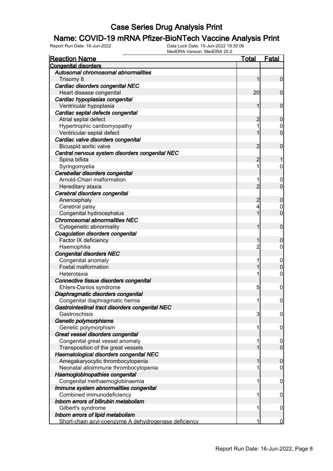## **Name: COVID-19 mRNA Pfizer-BioNTech Vaccine Analysis Print**<br>Report Run Date: 16-Jun-2022<br>Data Lock Date: 15-Jun-2022 18:30:06

| <b>Reaction Name</b>                                 | Total          | <b>Fatal</b>     |
|------------------------------------------------------|----------------|------------------|
| <b>Congenital disorders</b>                          |                |                  |
| Autosomal chromosomal abnormalities                  |                |                  |
| Trisomy 8                                            | 1              | $\mathbf 0$      |
| Cardiac disorders congenital NEC                     |                |                  |
| Heart disease congenital                             | 20             | $\mathbf 0$      |
| Cardiac hypoplasias congenital                       |                |                  |
| Ventricular hypoplasia                               | 1              | $\mathbf 0$      |
| Cardiac septal defects congenital                    |                |                  |
| Atrial septal defect                                 | 2              | 0                |
| Hypertrophic cardiomyopathy                          | 1              | $\boldsymbol{0}$ |
| Ventricular septal defect                            |                | $\overline{0}$   |
| Cardiac valve disorders congenital                   |                |                  |
| Bicuspid aortic valve                                | 2              | $\mathbf 0$      |
| Central nervous system disorders congenital NEC      |                |                  |
| Spina bifida                                         | 2              |                  |
| Syringomyelia                                        | 1              | 0                |
| Cerebellar disorders congenital                      |                |                  |
| Arnold-Chiari malformation                           | 1              | $\overline{0}$   |
| Hereditary ataxia                                    | $\overline{2}$ | $\overline{0}$   |
| Cerebral disorders congenital                        |                |                  |
| Anencephaly                                          | 2              | 0                |
| Cerebral palsy                                       | 4              | $\mathbf 0$      |
| Congenital hydrocephalus                             | 1              | $\overline{0}$   |
| <b>Chromosomal abnormalities NEC</b>                 |                |                  |
| Cytogenetic abnormality                              | 1              | $\mathbf 0$      |
| Coagulation disorders congenital                     |                |                  |
| Factor IX deficiency                                 |                | 0                |
| Haemophilia                                          | $\overline{c}$ | 0                |
| <b>Congenital disorders NEC</b>                      |                |                  |
| Congenital anomaly                                   | 1              | $\overline{0}$   |
| Foetal malformation                                  |                | $\overline{0}$   |
| Heterotaxia                                          | 1              | 0                |
| Connective tissue disorders congenital               |                |                  |
| Ehlers-Danlos syndrome                               | 5              | $\mathbf 0$      |
| Diaphragmatic disorders congenital                   |                |                  |
| Congenital diaphragmatic hernia                      | 1              | $\mathbf 0$      |
| Gastrointestinal tract disorders congenital NEC      |                |                  |
| Gastroschisis                                        | 3              | $\boldsymbol{0}$ |
| Genetic polymorphisms                                |                |                  |
| Genetic polymorphism                                 | 1              | 0                |
| Great vessel disorders congenital                    |                |                  |
| Congenital great vessel anomaly                      | 1              | $\boldsymbol{0}$ |
| Transposition of the great vessels                   |                | $\overline{0}$   |
| Haematological disorders congenital NEC              |                |                  |
| Amegakaryocytic thrombocytopenia                     |                | 0                |
| Neonatal alloimmune thrombocytopenia                 | 1              | 0                |
| Haemoglobinopathies congenital                       |                |                  |
| Congenital methaemoglobinaemia                       | 1              | 0                |
| Immune system abnormalities congenital               |                |                  |
| Combined immunodeficiency                            | 1              | 0                |
| Inborn errors of bilirubin metabolism                |                |                  |
| Gilbert's syndrome                                   | 1              | 0                |
| Inborn errors of lipid metabolism                    |                |                  |
| Short-chain acyl-coenzyme A dehydrogenase deficiency | 1              | $\bf{0}$         |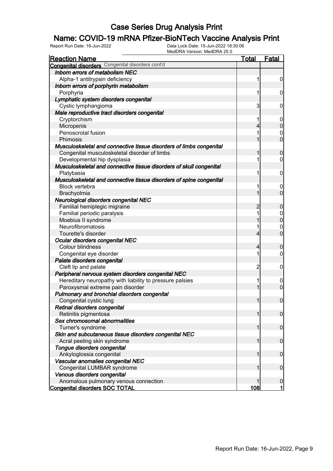#### Name: COVID-19 mRNA Pfizer-BioNTech Vaccine Analysis Print

Report Run Date: 16-Jun-2022 Data Lock Date: 15-Jun-2022 18:30:06

| MedDRA Version: MedDRA 25.0                                         |                |                                  |
|---------------------------------------------------------------------|----------------|----------------------------------|
| <u>Reaction Name</u>                                                | <u>Total</u>   | <b>Fatal</b>                     |
| <b>Congenital disorders</b> Congenital disorders cont'd             |                |                                  |
| Inborn errors of metabolism NEC                                     |                |                                  |
| Alpha-1 antitrypsin deficiency                                      | 1              | $\boldsymbol{0}$                 |
| Inborn errors of porphyrin metabolism                               |                |                                  |
| Porphyria                                                           | 1              | $\boldsymbol{0}$                 |
| Lymphatic system disorders congenital                               |                |                                  |
| Cystic lymphangioma                                                 | 3              | $\mathbf 0$                      |
| Male reproductive tract disorders congenital                        |                |                                  |
| Cryptorchism                                                        | 1              | $\overline{0}$                   |
| Micropenis                                                          | 4              | $\overline{0}$                   |
| Penoscrotal fusion                                                  | 1              | $\overline{0}$                   |
| Phimosis                                                            |                | $\overline{0}$                   |
| Musculoskeletal and connective tissue disorders of limbs congenital |                |                                  |
| Congenital musculoskeletal disorder of limbs                        | 1              | $\mathbf 0$                      |
| Developmental hip dysplasia                                         |                | $\overline{0}$                   |
| Musculoskeletal and connective tissue disorders of skull congenital |                |                                  |
| Platybasia                                                          | 1              | $\mathbf 0$                      |
| Musculoskeletal and connective tissue disorders of spine congenital |                |                                  |
|                                                                     |                |                                  |
| <b>Block vertebra</b>                                               | 1              | $\overline{0}$<br>$\overline{0}$ |
| Brachyolmia                                                         | 1              |                                  |
| Neurological disorders congenital NEC                               |                |                                  |
| Familial hemiplegic migraine                                        | $\overline{2}$ | $\mathbf 0$                      |
| Familial periodic paralysis                                         | 1              | $\overline{0}$                   |
| Moebius II syndrome                                                 |                | $\mathbf 0$                      |
| Neurofibromatosis                                                   | 1              | $\mathbf 0$                      |
| Tourette's disorder                                                 | 4              | $\overline{0}$                   |
| Ocular disorders congenital NEC                                     |                |                                  |
| Colour blindness                                                    | 4              | $\mathbf 0$                      |
| Congenital eye disorder                                             | 1              | $\overline{0}$                   |
| Palate disorders congenital                                         |                |                                  |
| Cleft lip and palate                                                | $\overline{c}$ | $\mathbf 0$                      |
| Peripheral nervous system disorders congenital NEC                  |                |                                  |
| Hereditary neuropathy with liability to pressure palsies            | 1              | $\overline{0}$                   |
| Paroxysmal extreme pain disorder                                    |                | $\overline{0}$                   |
| Pulmonary and bronchial disorders congenital                        |                |                                  |
| Congenital cystic lung                                              |                | $\mathbf 0$                      |
| Retinal disorders congenital                                        |                |                                  |
| Retinitis pigmentosa                                                | 1              | $\overline{0}$                   |
| Sex chromosomal abnormalities                                       |                |                                  |
| Turner's syndrome                                                   | 1              | $\overline{0}$                   |
| Skin and subcutaneous tissue disorders congenital NEC               |                |                                  |
| Acral peeling skin syndrome                                         | 1              | $\overline{0}$                   |
| Tongue disorders congenital                                         |                |                                  |
| Ankyloglossia congenital                                            |                | $\overline{0}$                   |
| Vascular anomalies congenital NEC                                   |                |                                  |
| Congenital LUMBAR syndrome                                          |                | $\overline{0}$                   |
| Venous disorders congenital                                         |                |                                  |
| Anomalous pulmonary venous connection                               |                | $\mathbf 0$                      |
| Congenital disorders SOC TOTAL                                      | 108            | 1                                |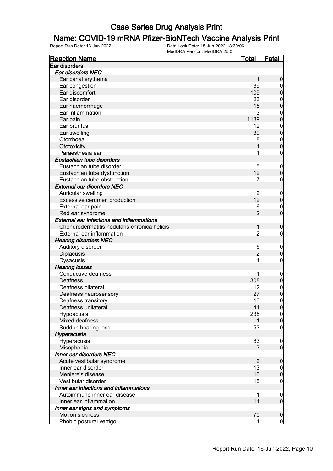## **Name: COVID-19 mRNA Pfizer-BioNTech Vaccine Analysis Print**<br>Report Run Date: 16-Jun-2022<br>Data Lock Date: 15-Jun-2022 18:30:06

| <b>Reaction Name</b>                             | <b>Total</b>         | <b>Fatal</b>                  |
|--------------------------------------------------|----------------------|-------------------------------|
| Ear disorders                                    |                      |                               |
| Ear disorders NEC                                |                      |                               |
| Ear canal erythema                               |                      | $\boldsymbol{0}$              |
| Ear congestion                                   | 39                   | $\overline{0}$                |
| Ear discomfort                                   | 109                  | $\mathbf 0$                   |
| Ear disorder                                     | 23                   | $\mathbf 0$                   |
| Ear haemorrhage                                  | 15                   | $\mathbf 0$                   |
| Ear inflammation                                 | 3                    | $\mathbf{0}$                  |
| Ear pain                                         | 1189                 | $\mathbf 0$                   |
| Ear pruritus                                     | 12                   | $\mathbf{0}$                  |
| Ear swelling                                     | 39                   | $\mathbf 0$                   |
| Otorrhoea                                        | 8                    | $\boldsymbol{0}$              |
| Ototoxicity                                      |                      | $\mathbf 0$                   |
| Paraesthesia ear                                 |                      | $\boldsymbol{0}$              |
| Eustachian tube disorders                        |                      |                               |
| Eustachian tube disorder                         |                      | $\mathbf 0$                   |
| Eustachian tube dysfunction                      | 12                   | $\pmb{0}$                     |
| Eustachian tube obstruction                      | 7                    | $\boldsymbol{0}$              |
| <b>External ear disorders NEC</b>                |                      |                               |
| Auricular swelling                               | $\overline{c}$       | $\mathbf 0$                   |
| Excessive cerumen production                     | 12                   | $\mathbf 0$                   |
| External ear pain                                | 6                    | $\boldsymbol{0}$              |
| Red ear syndrome                                 | $\overline{2}$       | $\overline{0}$                |
| <b>External ear infections and inflammations</b> |                      |                               |
| Chondrodermatitis nodularis chronica helicis     | 1                    | $\boldsymbol{0}$              |
| External ear inflammation                        | $\overline{2}$       | $\mathbf 0$                   |
| <b>Hearing disorders NEC</b>                     |                      |                               |
| Auditory disorder                                | 6                    | $\mathbf 0$                   |
| Diplacusis                                       | $\overline{2}$       | $\pmb{0}$                     |
| Dysacusis                                        |                      | $\boldsymbol{0}$              |
| <b>Hearing losses</b>                            |                      |                               |
| Conductive deafness                              |                      | $\mathbf 0$                   |
| Deafness                                         | 308                  | $\pmb{0}$                     |
| Deafness bilateral                               | 12                   | $\boldsymbol{0}$              |
| Deafness neurosensory                            | 27                   | $\overline{0}$                |
| Deafness transitory                              | 10                   | $\mathbf 0$                   |
| Deafness unilateral                              | 41                   | 0                             |
| Hypoacusis                                       | 235                  | $\overline{0}$                |
| Mixed deafness                                   |                      | $\pmb{0}$                     |
| Sudden hearing loss                              | 53                   | $\mathbf 0$                   |
| Hyperacusia                                      |                      |                               |
| Hyperacusis                                      | 83                   |                               |
| Misophonia                                       | 3                    | $\mathbf 0$<br>$\overline{0}$ |
| Inner ear disorders NEC                          |                      |                               |
|                                                  |                      |                               |
| Acute vestibular syndrome<br>Inner ear disorder  | $\overline{c}$<br>13 | $\boldsymbol{0}$              |
| Meniere's disease                                | 16                   | $\overline{0}$                |
|                                                  |                      | $\mathbf 0$                   |
| Vestibular disorder                              | 15                   | $\mathbf 0$                   |
| Inner ear infections and inflammations           |                      |                               |
| Autoimmune inner ear disease                     | 1                    | $\mathbf 0$                   |
| Inner ear inflammation                           | 11                   | $\mathbf 0$                   |
| Inner ear signs and symptoms                     |                      |                               |
| Motion sickness                                  | 70                   | $\mathbf 0$                   |
| Phobic postural vertigo                          | 1                    | $\overline{0}$                |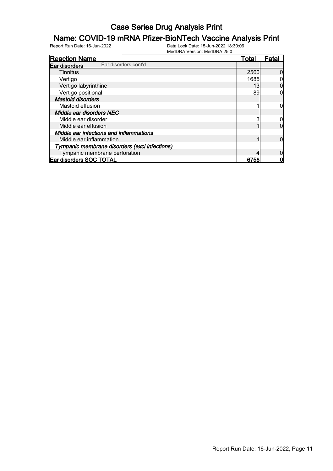## **Name: COVID-19 mRNA Pfizer-BioNTech Vaccine Analysis Print**<br>Report Run Date: 16-Jun-2022<br>Data Lock Date: 15-Jun-2022 18:30:06

| <b>Reaction Name</b>                          | Total | Fata |
|-----------------------------------------------|-------|------|
| Ear disorders cont'd<br>Ear disorders         |       |      |
| Tinnitus                                      | 2560  |      |
| Vertigo                                       | 1685  |      |
| Vertigo labyrinthine                          | 13    |      |
| Vertigo positional                            | 89    |      |
| <b>Mastoid disorders</b>                      |       |      |
| Mastoid effusion                              |       |      |
| Middle ear disorders NEC                      |       |      |
| Middle ear disorder                           |       |      |
| Middle ear effusion                           |       |      |
| Middle ear infections and inflammations       |       |      |
| Middle ear inflammation                       |       |      |
| Tympanic membrane disorders (excl infections) |       |      |
| Tympanic membrane perforation                 |       |      |
| Ear disorders SOC TOTAL                       | 6758  |      |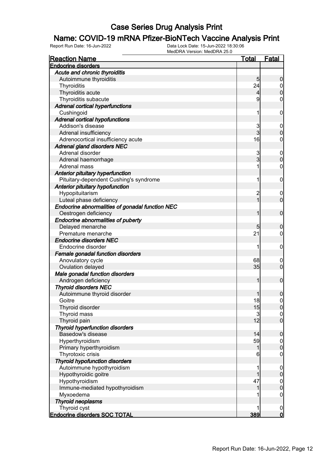## **Name: COVID-19 mRNA Pfizer-BioNTech Vaccine Analysis Print**<br>Report Run Date: 16-Jun-2022<br>Data Lock Date: 15-Jun-2022 18:30:06

| <b>Endocrine disorders</b><br>Acute and chronic thyroiditis<br>Autoimmune thyroiditis<br>5<br>$\boldsymbol{0}$<br>24<br>Thyroiditis<br>$\overline{0}$<br>$\mathbf 0$<br>Thyroiditis acute<br>$\overline{4}$<br>9<br>Thyroiditis subacute<br>$\mathbf 0$<br><b>Adrenal cortical hyperfunctions</b><br>Cushingoid<br>1<br>$\mathbf 0$<br><b>Adrenal cortical hypofunctions</b><br>Addison's disease<br>3<br>$\mathbf 0$<br>$\overline{3}$<br>$\boldsymbol{0}$<br>Adrenal insufficiency<br>16<br>Adrenocortical insufficiency acute<br>$\mathbf 0$<br><b>Adrenal gland disorders NEC</b><br>Adrenal disorder<br>3<br>$\mathbf 0$<br>$\overline{3}$<br>$\mathbf 0$<br>Adrenal haemorrhage<br>$\mathbf 0$<br>1<br>Adrenal mass<br>Anterior pituitary hyperfunction<br>Pituitary-dependent Cushing's syndrome<br>1<br>$\mathbf 0$<br>Anterior pituitary hypofunction<br>Hypopituitarism<br>$\overline{c}$<br>$\boldsymbol{0}$<br>$\overline{1}$<br>$\mathbf 0$<br>Luteal phase deficiency<br>Endocrine abnormalities of gonadal function NEC<br>Oestrogen deficiency<br>1<br>$\boldsymbol{0}$<br>Endocrine abnormalities of puberty |
|-------------------------------------------------------------------------------------------------------------------------------------------------------------------------------------------------------------------------------------------------------------------------------------------------------------------------------------------------------------------------------------------------------------------------------------------------------------------------------------------------------------------------------------------------------------------------------------------------------------------------------------------------------------------------------------------------------------------------------------------------------------------------------------------------------------------------------------------------------------------------------------------------------------------------------------------------------------------------------------------------------------------------------------------------------------------------------------------------------------------------------|
|                                                                                                                                                                                                                                                                                                                                                                                                                                                                                                                                                                                                                                                                                                                                                                                                                                                                                                                                                                                                                                                                                                                               |
|                                                                                                                                                                                                                                                                                                                                                                                                                                                                                                                                                                                                                                                                                                                                                                                                                                                                                                                                                                                                                                                                                                                               |
|                                                                                                                                                                                                                                                                                                                                                                                                                                                                                                                                                                                                                                                                                                                                                                                                                                                                                                                                                                                                                                                                                                                               |
|                                                                                                                                                                                                                                                                                                                                                                                                                                                                                                                                                                                                                                                                                                                                                                                                                                                                                                                                                                                                                                                                                                                               |
|                                                                                                                                                                                                                                                                                                                                                                                                                                                                                                                                                                                                                                                                                                                                                                                                                                                                                                                                                                                                                                                                                                                               |
|                                                                                                                                                                                                                                                                                                                                                                                                                                                                                                                                                                                                                                                                                                                                                                                                                                                                                                                                                                                                                                                                                                                               |
|                                                                                                                                                                                                                                                                                                                                                                                                                                                                                                                                                                                                                                                                                                                                                                                                                                                                                                                                                                                                                                                                                                                               |
|                                                                                                                                                                                                                                                                                                                                                                                                                                                                                                                                                                                                                                                                                                                                                                                                                                                                                                                                                                                                                                                                                                                               |
|                                                                                                                                                                                                                                                                                                                                                                                                                                                                                                                                                                                                                                                                                                                                                                                                                                                                                                                                                                                                                                                                                                                               |
|                                                                                                                                                                                                                                                                                                                                                                                                                                                                                                                                                                                                                                                                                                                                                                                                                                                                                                                                                                                                                                                                                                                               |
|                                                                                                                                                                                                                                                                                                                                                                                                                                                                                                                                                                                                                                                                                                                                                                                                                                                                                                                                                                                                                                                                                                                               |
|                                                                                                                                                                                                                                                                                                                                                                                                                                                                                                                                                                                                                                                                                                                                                                                                                                                                                                                                                                                                                                                                                                                               |
|                                                                                                                                                                                                                                                                                                                                                                                                                                                                                                                                                                                                                                                                                                                                                                                                                                                                                                                                                                                                                                                                                                                               |
|                                                                                                                                                                                                                                                                                                                                                                                                                                                                                                                                                                                                                                                                                                                                                                                                                                                                                                                                                                                                                                                                                                                               |
|                                                                                                                                                                                                                                                                                                                                                                                                                                                                                                                                                                                                                                                                                                                                                                                                                                                                                                                                                                                                                                                                                                                               |
|                                                                                                                                                                                                                                                                                                                                                                                                                                                                                                                                                                                                                                                                                                                                                                                                                                                                                                                                                                                                                                                                                                                               |
|                                                                                                                                                                                                                                                                                                                                                                                                                                                                                                                                                                                                                                                                                                                                                                                                                                                                                                                                                                                                                                                                                                                               |
|                                                                                                                                                                                                                                                                                                                                                                                                                                                                                                                                                                                                                                                                                                                                                                                                                                                                                                                                                                                                                                                                                                                               |
|                                                                                                                                                                                                                                                                                                                                                                                                                                                                                                                                                                                                                                                                                                                                                                                                                                                                                                                                                                                                                                                                                                                               |
|                                                                                                                                                                                                                                                                                                                                                                                                                                                                                                                                                                                                                                                                                                                                                                                                                                                                                                                                                                                                                                                                                                                               |
|                                                                                                                                                                                                                                                                                                                                                                                                                                                                                                                                                                                                                                                                                                                                                                                                                                                                                                                                                                                                                                                                                                                               |
|                                                                                                                                                                                                                                                                                                                                                                                                                                                                                                                                                                                                                                                                                                                                                                                                                                                                                                                                                                                                                                                                                                                               |
|                                                                                                                                                                                                                                                                                                                                                                                                                                                                                                                                                                                                                                                                                                                                                                                                                                                                                                                                                                                                                                                                                                                               |
|                                                                                                                                                                                                                                                                                                                                                                                                                                                                                                                                                                                                                                                                                                                                                                                                                                                                                                                                                                                                                                                                                                                               |
| Delayed menarche<br>5<br>$\boldsymbol{0}$                                                                                                                                                                                                                                                                                                                                                                                                                                                                                                                                                                                                                                                                                                                                                                                                                                                                                                                                                                                                                                                                                     |
| 21<br>Premature menarche<br>$\overline{0}$                                                                                                                                                                                                                                                                                                                                                                                                                                                                                                                                                                                                                                                                                                                                                                                                                                                                                                                                                                                                                                                                                    |
| <b>Endocrine disorders NEC</b>                                                                                                                                                                                                                                                                                                                                                                                                                                                                                                                                                                                                                                                                                                                                                                                                                                                                                                                                                                                                                                                                                                |
| 1<br>Endocrine disorder<br>$\mathbf 0$                                                                                                                                                                                                                                                                                                                                                                                                                                                                                                                                                                                                                                                                                                                                                                                                                                                                                                                                                                                                                                                                                        |
| <b>Female gonadal function disorders</b>                                                                                                                                                                                                                                                                                                                                                                                                                                                                                                                                                                                                                                                                                                                                                                                                                                                                                                                                                                                                                                                                                      |
| 68<br>Anovulatory cycle<br>0                                                                                                                                                                                                                                                                                                                                                                                                                                                                                                                                                                                                                                                                                                                                                                                                                                                                                                                                                                                                                                                                                                  |
| $\mathbf 0$<br>35<br>Ovulation delayed                                                                                                                                                                                                                                                                                                                                                                                                                                                                                                                                                                                                                                                                                                                                                                                                                                                                                                                                                                                                                                                                                        |
| Male gonadal function disorders                                                                                                                                                                                                                                                                                                                                                                                                                                                                                                                                                                                                                                                                                                                                                                                                                                                                                                                                                                                                                                                                                               |
| Androgen deficiency<br>1<br>$\boldsymbol{0}$                                                                                                                                                                                                                                                                                                                                                                                                                                                                                                                                                                                                                                                                                                                                                                                                                                                                                                                                                                                                                                                                                  |
| <b>Thyroid disorders NEC</b>                                                                                                                                                                                                                                                                                                                                                                                                                                                                                                                                                                                                                                                                                                                                                                                                                                                                                                                                                                                                                                                                                                  |
| Autoimmune thyroid disorder<br>0                                                                                                                                                                                                                                                                                                                                                                                                                                                                                                                                                                                                                                                                                                                                                                                                                                                                                                                                                                                                                                                                                              |
| 18<br>$\mathbf 0$<br>Goitre                                                                                                                                                                                                                                                                                                                                                                                                                                                                                                                                                                                                                                                                                                                                                                                                                                                                                                                                                                                                                                                                                                   |
| Thyroid disorder<br>15<br> 0                                                                                                                                                                                                                                                                                                                                                                                                                                                                                                                                                                                                                                                                                                                                                                                                                                                                                                                                                                                                                                                                                                  |
| 3<br>Thyroid mass<br> 0                                                                                                                                                                                                                                                                                                                                                                                                                                                                                                                                                                                                                                                                                                                                                                                                                                                                                                                                                                                                                                                                                                       |
| 12<br>$\overline{0}$<br>Thyroid pain                                                                                                                                                                                                                                                                                                                                                                                                                                                                                                                                                                                                                                                                                                                                                                                                                                                                                                                                                                                                                                                                                          |
| <b>Thyroid hyperfunction disorders</b>                                                                                                                                                                                                                                                                                                                                                                                                                                                                                                                                                                                                                                                                                                                                                                                                                                                                                                                                                                                                                                                                                        |
| Basedow's disease<br>14<br>$\mathbf 0$                                                                                                                                                                                                                                                                                                                                                                                                                                                                                                                                                                                                                                                                                                                                                                                                                                                                                                                                                                                                                                                                                        |
| Hyperthyroidism<br>59                                                                                                                                                                                                                                                                                                                                                                                                                                                                                                                                                                                                                                                                                                                                                                                                                                                                                                                                                                                                                                                                                                         |
| $\overline{0}$<br>$\mathbf 0$<br>Primary hyperthyroidism<br>1                                                                                                                                                                                                                                                                                                                                                                                                                                                                                                                                                                                                                                                                                                                                                                                                                                                                                                                                                                                                                                                                 |
| Thyrotoxic crisis<br>6<br>$\mathbf 0$                                                                                                                                                                                                                                                                                                                                                                                                                                                                                                                                                                                                                                                                                                                                                                                                                                                                                                                                                                                                                                                                                         |
| <b>Thyroid hypofunction disorders</b>                                                                                                                                                                                                                                                                                                                                                                                                                                                                                                                                                                                                                                                                                                                                                                                                                                                                                                                                                                                                                                                                                         |
| Autoimmune hypothyroidism<br>1                                                                                                                                                                                                                                                                                                                                                                                                                                                                                                                                                                                                                                                                                                                                                                                                                                                                                                                                                                                                                                                                                                |
| $\mathbf 0$<br>$\pmb{0}$<br>Hypothyroidic goitre<br>1                                                                                                                                                                                                                                                                                                                                                                                                                                                                                                                                                                                                                                                                                                                                                                                                                                                                                                                                                                                                                                                                         |
| 47<br>Hypothyroidism                                                                                                                                                                                                                                                                                                                                                                                                                                                                                                                                                                                                                                                                                                                                                                                                                                                                                                                                                                                                                                                                                                          |
| $\boldsymbol{0}$<br>$\mathbf 0$<br>Immune-mediated hypothyroidism<br>1                                                                                                                                                                                                                                                                                                                                                                                                                                                                                                                                                                                                                                                                                                                                                                                                                                                                                                                                                                                                                                                        |
| Myxoedema<br>$\mathbf 0$                                                                                                                                                                                                                                                                                                                                                                                                                                                                                                                                                                                                                                                                                                                                                                                                                                                                                                                                                                                                                                                                                                      |
|                                                                                                                                                                                                                                                                                                                                                                                                                                                                                                                                                                                                                                                                                                                                                                                                                                                                                                                                                                                                                                                                                                                               |
| <b>Thyroid neoplasms</b><br>Thyroid cyst<br>1                                                                                                                                                                                                                                                                                                                                                                                                                                                                                                                                                                                                                                                                                                                                                                                                                                                                                                                                                                                                                                                                                 |
| $\mathbf 0$<br><u>o</u><br>389<br><b>Endocrine disorders SOC TOTAL</b>                                                                                                                                                                                                                                                                                                                                                                                                                                                                                                                                                                                                                                                                                                                                                                                                                                                                                                                                                                                                                                                        |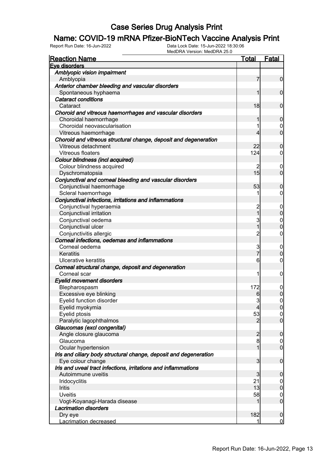## **Name: COVID-19 mRNA Pfizer-BioNTech Vaccine Analysis Print**<br>Report Run Date: 16-Jun-2022<br>Data Lock Date: 15-Jun-2022 18:30:06

| <b>Reaction Name</b>                                                                 | <u>Total</u>   | <b>Fatal</b>     |
|--------------------------------------------------------------------------------------|----------------|------------------|
| Eve disorders                                                                        |                |                  |
| Amblyopic vision impairment                                                          |                |                  |
| Amblyopia                                                                            | 7              | $\mathbf 0$      |
| Anterior chamber bleeding and vascular disorders                                     |                |                  |
| Spontaneous hyphaema                                                                 | 1              | $\mathbf 0$      |
| <b>Cataract conditions</b>                                                           |                |                  |
| Cataract                                                                             | 18             | $\mathbf 0$      |
| Choroid and vitreous haemorrhages and vascular disorders                             |                |                  |
| Choroidal haemorrhage                                                                | 1              | $\mathbf 0$      |
| Choroidal neovascularisation                                                         | 1              | $\overline{0}$   |
| Vitreous haemorrhage                                                                 | 4              | $\overline{0}$   |
| Choroid and vitreous structural change, deposit and degeneration                     |                |                  |
| Vitreous detachment                                                                  | 22             | $\mathbf 0$      |
| <b>Vitreous floaters</b>                                                             | 124            | $\overline{0}$   |
| Colour blindness (incl acquired)                                                     |                |                  |
| Colour blindness acquired                                                            | 2              | 0                |
| Dyschromatopsia                                                                      | 15             | $\overline{0}$   |
| Conjunctival and corneal bleeding and vascular disorders                             |                |                  |
| Conjunctival haemorrhage                                                             | 53             | $\mathbf 0$      |
| Scleral haemorrhage                                                                  |                | $\overline{0}$   |
| Conjunctival infections, irritations and inflammations                               |                |                  |
| Conjunctival hyperaemia                                                              | $\overline{c}$ | $\boldsymbol{0}$ |
| Conjunctival irritation                                                              | $\overline{1}$ | $\pmb{0}$        |
| Conjunctival oedema                                                                  | 3              | $\mathbf{0}$     |
| Conjunctival ulcer                                                                   | $\overline{1}$ | $\mathbf 0$      |
| Conjunctivitis allergic                                                              | $\overline{2}$ | $\overline{0}$   |
| Corneal infections, oedemas and inflammations                                        |                |                  |
| Corneal oedema                                                                       | 3              | $\boldsymbol{0}$ |
| Keratitis                                                                            | $\overline{7}$ | $\boldsymbol{0}$ |
| Ulcerative keratitis                                                                 | 6              | $\overline{0}$   |
| Corneal structural change, deposit and degeneration                                  |                |                  |
| Corneal scar                                                                         | 1              | $\boldsymbol{0}$ |
| <b>Eyelid movement disorders</b>                                                     |                |                  |
| Blepharospasm                                                                        | 172            | $\mathbf 0$      |
| Excessive eye blinking                                                               | 6              | $\mathbf 0$      |
| Eyelid function disorder                                                             | 3              | $\overline{0}$   |
| Eyelid myokymia                                                                      | $\overline{4}$ | 0                |
| Eyelid ptosis                                                                        | 53             | 0                |
| Paralytic lagophthalmos                                                              | $\overline{2}$ | $\overline{0}$   |
| Glaucomas (excl congenital)                                                          |                |                  |
| Angle closure glaucoma                                                               | $\overline{c}$ | $\boldsymbol{0}$ |
| Glaucoma                                                                             | 8              | $\overline{0}$   |
| Ocular hypertension                                                                  | 1              | $\mathbf 0$      |
|                                                                                      |                |                  |
| Iris and ciliary body structural change, deposit and degeneration                    | 3              |                  |
| Eye colour change                                                                    |                | $\boldsymbol{0}$ |
| Iris and uveal tract infections, irritations and inflammations<br>Autoimmune uveitis |                |                  |
|                                                                                      | 3              | $\mathbf 0$      |
| Iridocyclitis                                                                        | 21             | $\overline{0}$   |
| Iritis                                                                               | 13             | $\mathbf 0$      |
| <b>Uveitis</b>                                                                       | 58             | $\boldsymbol{0}$ |
| Vogt-Koyanagi-Harada disease                                                         | 1              | $\overline{0}$   |
| <b>Lacrimation disorders</b>                                                         |                |                  |
| Dry eye                                                                              | 182            | $\mathbf 0$      |
| Lacrimation decreased                                                                | 1              | $\overline{0}$   |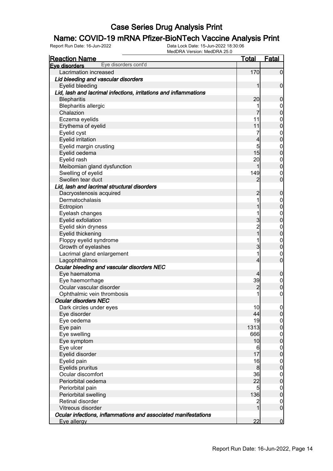# **Name: COVID-19 mRNA Pfizer-BioNTech Vaccine Analysis Print**<br>Report Run Date: 16-Jun-2022<br>Data Lock Date: 15-Jun-2022 18:30:06

| <b>Reaction Name</b>                                             | <b>Total</b>   | <b>Fatal</b>     |
|------------------------------------------------------------------|----------------|------------------|
| Eye disorders cont'd<br>Eve disorders                            |                |                  |
| Lacrimation increased                                            | 170            | $\overline{0}$   |
| Lid bleeding and vascular disorders                              |                |                  |
| Eyelid bleeding                                                  | 1              | $\mathbf 0$      |
| Lid, lash and lacrimal infections, irritations and inflammations |                |                  |
| <b>Blepharitis</b>                                               | 20             | $\mathbf 0$      |
| <b>Blepharitis allergic</b>                                      | 1              | $\boldsymbol{0}$ |
| Chalazion                                                        |                | $\overline{0}$   |
| Eczema eyelids                                                   | 11             | $\mathbf{0}$     |
| Erythema of eyelid                                               | 11             | $\overline{0}$   |
| Eyelid cyst                                                      | 7              | $\mathbf{0}$     |
| Eyelid irritation                                                | 4              | $\overline{0}$   |
| Eyelid margin crusting                                           | 5              | $\boldsymbol{0}$ |
| Eyelid oedema                                                    | 15             | $\overline{0}$   |
| Eyelid rash                                                      | 20             | $\boldsymbol{0}$ |
| Meibomian gland dysfunction                                      | 1              | $\overline{0}$   |
| Swelling of eyelid                                               | 149            | $\mathbf 0$      |
| Swollen tear duct                                                | 2              | $\overline{0}$   |
| Lid, lash and lacrimal structural disorders                      |                |                  |
| Dacryostenosis acquired                                          | $\overline{c}$ | $\boldsymbol{0}$ |
| Dermatochalasis                                                  | 1              | $\boldsymbol{0}$ |
| Ectropion                                                        | 1              | $\overline{0}$   |
| Eyelash changes                                                  | 1              | $\mathbf{0}$     |
| Eyelid exfoliation                                               | 3              | $\overline{0}$   |
| Eyelid skin dryness                                              | $\frac{2}{1}$  | $\mathbf{0}$     |
| Eyelid thickening                                                |                | $\mathbf 0$      |
| Floppy eyelid syndrome                                           | 1              | $\boldsymbol{0}$ |
| Growth of eyelashes                                              | 3              | $\overline{0}$   |
| Lacrimal gland enlargement                                       | 1              | $\mathbf 0$      |
| Lagophthalmos                                                    | 4              | $\overline{0}$   |
| Ocular bleeding and vascular disorders NEC                       |                |                  |
| Eye haematoma                                                    | 4              | $\mathbf 0$      |
| Eye haemorrhage                                                  | 39             | $\boldsymbol{0}$ |
| Ocular vascular disorder                                         | $\overline{c}$ | $\mathbf 0$      |
| Ophthalmic vein thrombosis                                       | 1              | $\mathbf 0$      |
| <b>Ocular disorders NEC</b>                                      |                |                  |
| Dark circles under eyes                                          | 10             | 0                |
| Eye disorder                                                     | 44             | $\overline{0}$   |
| Eye oedema                                                       | 19             | $\boldsymbol{0}$ |
| Eye pain                                                         | 1313           | $\mathbf 0$      |
| Eye swelling                                                     | 666            | $\overline{0}$   |
| Eye symptom                                                      | 10             | $\mathbf 0$      |
| Eye ulcer                                                        | 6              | $\overline{0}$   |
| Eyelid disorder                                                  | 17             | $\mathbf 0$      |
| Eyelid pain                                                      | 16             | $\boldsymbol{0}$ |
| Eyelids pruritus                                                 | 8              | $\mathbf 0$      |
| Ocular discomfort                                                | 36             | $\boldsymbol{0}$ |
| Periorbital oedema                                               | 22             | $\mathbf 0$      |
| Periorbital pain                                                 | 5 <sub>5</sub> | $\overline{0}$   |
| Periorbital swelling                                             | 136            | $\mathbf 0$      |
| Retinal disorder                                                 | $\overline{a}$ | $\boldsymbol{0}$ |
| Vitreous disorder                                                | $\overline{1}$ | $\overline{0}$   |
| Ocular infections, inflammations and associated manifestations   |                |                  |
| Eye allergy                                                      | 22             | $\overline{0}$   |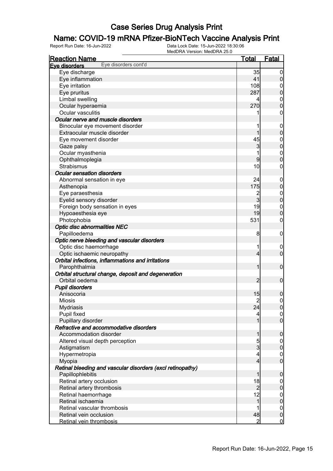## **Name: COVID-19 mRNA Pfizer-BioNTech Vaccine Analysis Print**<br>Report Run Date: 16-Jun-2022<br>Data Lock Date: 15-Jun-2022 18:30:06

| <b>Reaction Name</b>                                       | <u>Total</u>   | <b>Fatal</b>                   |
|------------------------------------------------------------|----------------|--------------------------------|
| Eye disorders cont'd<br>Eve disorders                      |                |                                |
| Eye discharge                                              | 35             | $\boldsymbol{0}$               |
| Eye inflammation                                           | 41             | $\overline{0}$                 |
| Eye irritation                                             | 108            | $\mathbf 0$                    |
| Eye pruritus                                               | 287            | $\mathbf 0$                    |
| Limbal swelling                                            | 4              | $\boldsymbol{0}$               |
| Ocular hyperaemia                                          | 270            | $\overline{0}$                 |
| Ocular vasculitis                                          | 1              | $\mathbf 0$                    |
| Ocular nerve and muscle disorders                          |                |                                |
| Binocular eye movement disorder                            | 1              | $\mathbf 0$                    |
| Extraocular muscle disorder                                |                | $\mathbf 0$                    |
| Eye movement disorder                                      | 45             | $\boldsymbol{0}$               |
| Gaze palsy                                                 | 3              | $\overline{0}$                 |
| Ocular myasthenia                                          |                | $\mathbf{0}$                   |
| Ophthalmoplegia                                            | 9              | $\overline{0}$                 |
| Strabismus                                                 | 10             | $\mathbf 0$                    |
| <b>Ocular sensation disorders</b>                          |                |                                |
| Abnormal sensation in eye                                  | 24             | $\mathbf 0$                    |
| Asthenopia                                                 | 175            | $\boldsymbol{0}$               |
| Eye paraesthesia                                           | $\overline{c}$ | $\mathbf{0}$                   |
| Eyelid sensory disorder                                    | $\mathbf{3}$   | $\overline{0}$                 |
| Foreign body sensation in eyes                             | 19             |                                |
|                                                            | 19             | $\mathbf{0}$<br>$\overline{0}$ |
| Hypoaesthesia eye                                          |                |                                |
| Photophobia                                                | 531            | $\mathbf 0$                    |
| Optic disc abnormalities NEC                               |                |                                |
| Papilloedema                                               | 8              | $\mathbf 0$                    |
| Optic nerve bleeding and vascular disorders                |                |                                |
| Optic disc haemorrhage                                     | 1              | $\mathbf 0$                    |
| Optic ischaemic neuropathy                                 | $\overline{4}$ | $\mathbf 0$                    |
| Orbital infections, inflammations and irritations          |                |                                |
| Parophthalmia                                              | 1              | $\mathbf 0$                    |
| Orbital structural change, deposit and degeneration        |                |                                |
| Orbital oedema                                             | 2              | $\mathbf 0$                    |
| <b>Pupil disorders</b>                                     |                |                                |
| Anisocoria                                                 | 15             | 0                              |
| <b>Miosis</b>                                              | $\overline{c}$ | $\mathsf{O}\xspace$            |
| <b>Mydriasis</b>                                           | 24             | 0                              |
| Pupil fixed                                                | 4              | $\overline{0}$                 |
| Pupillary disorder                                         | 1              | $\overline{0}$                 |
| Refractive and accommodative disorders                     |                |                                |
| Accommodation disorder                                     | 1              | $\mathbf 0$                    |
| Altered visual depth perception                            | $\overline{5}$ | $\overline{0}$                 |
| Astigmatism                                                | $\overline{3}$ | $\boldsymbol{0}$               |
| Hypermetropia                                              | 4              | $\mathbf 0$                    |
| Myopia                                                     | $\overline{4}$ | $\mathbf 0$                    |
| Retinal bleeding and vascular disorders (excl retinopathy) |                |                                |
| Papillophlebitis                                           | 1              | $\mathbf 0$                    |
| Retinal artery occlusion                                   | 18             | $\overline{0}$                 |
| Retinal artery thrombosis                                  | $\overline{2}$ | $\boldsymbol{0}$               |
| Retinal haemorrhage                                        | 12             | $\mathbf 0$                    |
| Retinal ischaemia                                          | 1              | $\mathbf 0$                    |
| Retinal vascular thrombosis                                |                | $\mathbf 0$                    |
| Retinal vein occlusion                                     | 48             | $\pmb{0}$                      |
| Retinal vein thrombosis                                    | $\overline{2}$ | $\overline{0}$                 |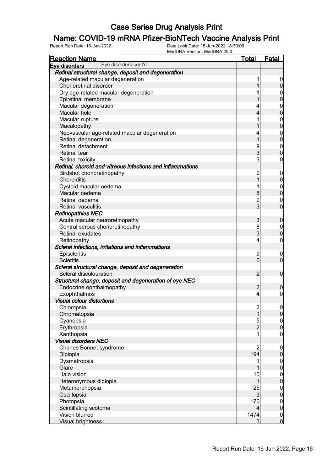## **Name: COVID-19 mRNA Pfizer-BioNTech Vaccine Analysis Print**<br>Report Run Date: 16-Jun-2022<br>Data Lock Date: 15-Jun-2022 18:30:06

| <b>Reaction Name</b>                                       | <u>Total</u>    | <b>Fatal</b>                         |
|------------------------------------------------------------|-----------------|--------------------------------------|
| Eye disorders cont'd<br>Eve disorders                      |                 |                                      |
| Retinal structural change, deposit and degeneration        |                 |                                      |
| Age-related macular degeneration                           |                 | $\overline{0}$                       |
| Chorioretinal disorder                                     |                 | $\mathbf 0$                          |
| Dry age-related macular degeneration                       |                 | $\begin{matrix} 0 \\ 0 \end{matrix}$ |
| Epiretinal membrane                                        |                 |                                      |
| Macular degeneration                                       |                 | $\begin{matrix}0\\0\end{matrix}$     |
| Macular hole                                               | 4               |                                      |
| Macular rupture                                            |                 |                                      |
| Maculopathy                                                |                 | $\begin{matrix}0\\0\end{matrix}$     |
| Neovascular age-related macular degeneration               |                 | $\begin{matrix}0\\0\end{matrix}$     |
| Retinal degeneration                                       | 1               |                                      |
| Retinal detachment                                         | 9               |                                      |
| <b>Retinal tear</b>                                        | 3               | $\begin{matrix} 0 \\ 0 \end{matrix}$ |
| Retinal toxicity                                           | 3               | $\mathbf 0$                          |
| Retinal, choroid and vitreous infections and inflammations |                 |                                      |
| Birdshot chorioretinopathy                                 | $\overline{c}$  | $\boldsymbol{0}$                     |
| Choroiditis                                                | 1               | $\mathbf 0$                          |
| Cystoid macular oedema                                     | 1               |                                      |
| Macular oedema                                             | 8               | $\begin{matrix}0\\0\end{matrix}$     |
| Retinal oedema                                             |                 |                                      |
| <b>Retinal vasculitis</b>                                  | $\frac{2}{3}$   | $\begin{matrix} 0 \\ 0 \end{matrix}$ |
| <b>Retinopathies NEC</b>                                   |                 |                                      |
| Acute macular neuroretinopathy                             | 3               | $\pmb{0}$                            |
| Central serous chorioretinopathy                           | 8               |                                      |
| <b>Retinal exudates</b>                                    | 3               | $0\atop 0$                           |
| Retinopathy                                                | 4               | $\boldsymbol{0}$                     |
| Scleral infections, irritations and inflammations          |                 |                                      |
| Episcleritis                                               | 9               | $\mathbf 0$                          |
| <b>Scleritis</b>                                           | $6 \overline{}$ | $\overline{0}$                       |
| Scleral structural change, deposit and degeneration        |                 |                                      |
| Scleral discolouration                                     | $\overline{2}$  | $\boldsymbol{0}$                     |
| Structural change, deposit and degeneration of eye NEC     |                 |                                      |
| Endocrine ophthalmopathy                                   | $\overline{c}$  | $\boldsymbol{0}$                     |
| Exophthalmos                                               | 4               | $\mathbf 0$                          |
| <b>Visual colour distortions</b>                           |                 |                                      |
| Chloropsia                                                 |                 |                                      |
| Chromatopsia                                               | $\frac{2}{1}$   | $\frac{0}{0}$                        |
| Cyanopsia                                                  |                 |                                      |
| Erythropsia                                                | $\frac{5}{2}$   | $\begin{matrix} 0 \\ 0 \end{matrix}$ |
| Xanthopsia                                                 |                 | $\boldsymbol{0}$                     |
| <b>Visual disorders NEC</b>                                |                 |                                      |
| Charles Bonnet syndrome                                    | 2               |                                      |
| Diplopia                                                   | 194             | $0\atop 0$                           |
| Dysmetropsia                                               | 1               |                                      |
| Glare                                                      |                 | $\begin{matrix}0\\0\end{matrix}$     |
| Halo vision                                                | 10              |                                      |
| Heteronymous diplopia                                      | 1               | $\begin{matrix}0\\0\end{matrix}$     |
| Metamorphopsia                                             | 25              |                                      |
| Oscillopsia                                                | $\mathbf{3}$    | $\begin{matrix}0\\0\end{matrix}$     |
| Photopsia                                                  | 170             |                                      |
| Scintillating scotoma                                      | 4               | $\begin{matrix}0\\0\end{matrix}$     |
| Vision blurred                                             | 1474            |                                      |
| <b>Visual brightness</b>                                   | $\overline{3}$  | $\begin{matrix} 0 \\ 0 \end{matrix}$ |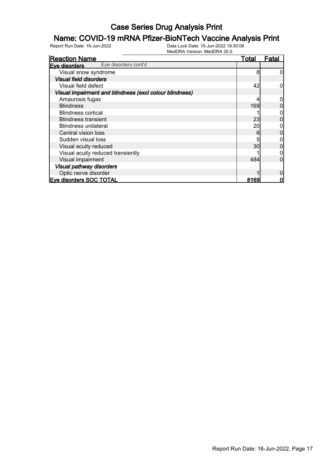## **Name: COVID-19 mRNA Pfizer-BioNTech Vaccine Analysis Print**<br>Report Run Date: 16-Jun-2022<br>Data Lock Date: 15-Jun-2022 18:30:06

| <b>Reaction Name</b>                                    | <b>Total</b> | Fatal |
|---------------------------------------------------------|--------------|-------|
| Eye disorders cont'd<br>Eve disorders                   |              |       |
| Visual snow syndrome                                    | 8            |       |
| <b>Visual field disorders</b>                           |              |       |
| Visual field defect                                     | 42           |       |
| Visual impairment and blindness (excl colour blindness) |              |       |
| Amaurosis fugax                                         |              |       |
| <b>Blindness</b>                                        | 169          |       |
| <b>Blindness cortical</b>                               |              |       |
| <b>Blindness transient</b>                              | 23           |       |
| <b>Blindness unilateral</b>                             | 20           |       |
| Central vision loss                                     | 6            |       |
| Sudden visual loss                                      | 5            |       |
| Visual acuity reduced                                   | 30           |       |
| Visual acuity reduced transiently                       |              |       |
| Visual impairment                                       | 484          |       |
| <b>Visual pathway disorders</b>                         |              |       |
| Optic nerve disorder                                    |              |       |
| <b>Eve disorders SOC TOTAL</b>                          | 8169         |       |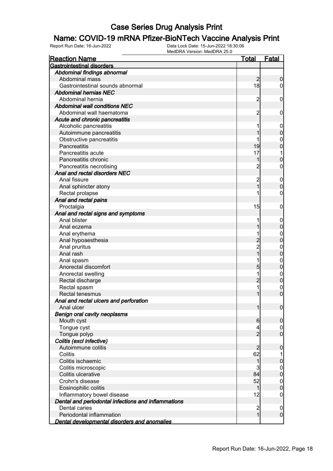## **Name: COVID-19 mRNA Pfizer-BioNTech Vaccine Analysis Print**<br>Report Run Date: 16-Jun-2022<br>Data Lock Date: 15-Jun-2022 18:30:06

| <b>Reaction Name</b>                                | <u>Total</u>                              | <b>Fatal</b>                    |
|-----------------------------------------------------|-------------------------------------------|---------------------------------|
| <b>Gastrointestinal disorders</b>                   |                                           |                                 |
| Abdominal findings abnormal                         |                                           |                                 |
| Abdominal mass                                      | $\overline{2}$                            | $\boldsymbol{0}$                |
| Gastrointestinal sounds abnormal                    | 18                                        | $\overline{0}$                  |
| <b>Abdominal hernias NEC</b>                        |                                           |                                 |
| Abdominal hernia                                    | $\overline{c}$                            | $\mathbf 0$                     |
| <b>Abdominal wall conditions NEC</b>                |                                           |                                 |
| Abdominal wall haematoma                            | $\overline{c}$                            | 0                               |
| Acute and chronic pancreatitis                      |                                           |                                 |
| Alcoholic pancreatitis                              |                                           | $\mathbf 0$                     |
| Autoimmune pancreatitis                             |                                           | $\mathbf 0$                     |
| Obstructive pancreatitis                            |                                           | $\mathbf 0$                     |
| Pancreatitis                                        | 19                                        | $\mathbf 0$                     |
| Pancreatitis acute                                  | 17                                        | 1                               |
| Pancreatitis chronic                                |                                           | $\mathbf 0$                     |
| Pancreatitis necrotising                            | $\overline{c}$                            | 0                               |
| Anal and rectal disorders NEC                       |                                           |                                 |
| Anal fissure                                        | $\overline{\mathbf{c}}$                   | $\mathbf 0$                     |
| Anal sphincter atony                                | $\overline{1}$                            | $\mathbf 0$                     |
| Rectal prolapse                                     |                                           | $\mathbf 0$                     |
| Anal and rectal pains                               |                                           |                                 |
| Proctalgia                                          | 15                                        | $\mathbf 0$                     |
| Anal and rectal signs and symptoms                  |                                           |                                 |
| Anal blister                                        |                                           | $\mathbf 0$                     |
| Anal eczema                                         |                                           | $\mathbf 0$                     |
| Anal erythema                                       |                                           | $\mathbf{0}$                    |
| Anal hypoaesthesia                                  | $\overline{2}$                            | $\mathbf 0$                     |
| Anal pruritus                                       |                                           | $\mathbf{0}$                    |
| Anal rash                                           | 2<br>1                                    | $\mathbf 0$                     |
| Anal spasm                                          |                                           | $\mathbf{0}$                    |
| Anorectal discomfort                                | 5                                         | $\mathbf 0$                     |
| Anorectal swelling                                  | 1                                         | $\mathbf{0}$                    |
| Rectal discharge                                    | $\overline{c}$                            | $\mathbf 0$                     |
| Rectal spasm                                        | 1                                         | $\mathbf{0}$                    |
| Rectal tenesmus                                     | 1                                         | $\overline{0}$                  |
| Anal and rectal ulcers and perforation              |                                           |                                 |
| Anal ulcer                                          | 1                                         | $\overline{0}$                  |
| <b>Benign oral cavity neoplasms</b>                 |                                           |                                 |
| Mouth cyst                                          | $6\phantom{.0}$                           | $\boldsymbol{0}$                |
| Tongue cyst                                         | 4                                         | $\boldsymbol{0}$                |
| Tongue polyp                                        | $\overline{2}$                            | $\mathbf 0$                     |
| Colitis (excl infective)                            |                                           |                                 |
| Autoimmune colitis                                  | $\overline{c}$                            | $\mathbf 0$                     |
| Colitis                                             | 62                                        | 1                               |
| Colitis ischaemic                                   | $\mathbf 1$                               |                                 |
|                                                     |                                           | $\pmb{0}$                       |
| Colitis microscopic<br>Colitis ulcerative           | 3<br>84                                   | $\overline{0}$<br>$\mathbf 0$   |
| Crohn's disease                                     | 52                                        |                                 |
|                                                     | 1                                         | $\overline{0}$<br>$\mathbf 0$   |
| Eosinophilic colitis                                | 12                                        |                                 |
| Inflammatory bowel disease                          |                                           | $\boldsymbol{0}$                |
| Dental and periodontal infections and inflammations |                                           |                                 |
| Dental caries<br>Periodontal inflammation           | $\overline{\mathbf{c}}$<br>$\overline{1}$ | $\boldsymbol{0}$<br>$\mathbf 0$ |
|                                                     |                                           |                                 |
| <u>Dental developmental disorders and anomalies</u> |                                           |                                 |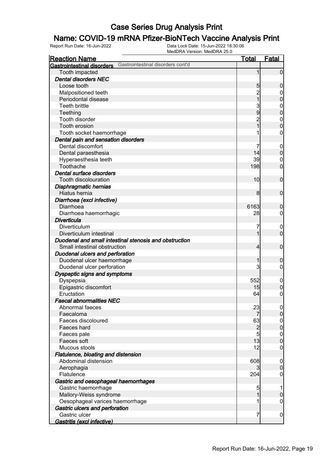## **Name: COVID-19 mRNA Pfizer-BioNTech Vaccine Analysis Print**<br>Report Run Date: 16-Jun-2022<br>Data Lock Date: 15-Jun-2022 18:30:06

| <b>Reaction Name</b>                                                   | <b>Total</b>   | <b>Fatal</b>                    |
|------------------------------------------------------------------------|----------------|---------------------------------|
| Gastrointestinal disorders cont'd<br><b>Gastrointestinal disorders</b> |                |                                 |
| Tooth impacted                                                         | 1              | $\overline{0}$                  |
| <b>Dental disorders NEC</b>                                            |                |                                 |
| Loose tooth                                                            | 5              | $\boldsymbol{0}$                |
| Malpositioned teeth                                                    | $\overline{c}$ | $\boldsymbol{0}$                |
| Periodontal disease                                                    | $\overline{1}$ | $\overline{0}$                  |
| <b>Teeth brittle</b>                                                   | 3              | $\mathbf{0}$                    |
| Teething                                                               | $\overline{9}$ | $\overline{0}$                  |
| Tooth disorder                                                         | $\overline{c}$ | $\mathbf{0}$                    |
| Tooth erosion                                                          | $\overline{1}$ | $\overline{0}$                  |
| Tooth socket haemorrhage                                               |                | 0                               |
| Dental pain and sensation disorders                                    |                |                                 |
| Dental discomfort                                                      |                |                                 |
|                                                                        | 14             | $\mathbf 0$<br>$\boldsymbol{0}$ |
| Dental paraesthesia                                                    | 39             |                                 |
| Hyperaesthesia teeth                                                   |                | $\mathbf 0$                     |
| Toothache                                                              | 198            | $\mathbf 0$                     |
| Dental surface disorders                                               |                |                                 |
| Tooth discolouration                                                   | 10             | $\mathbf 0$                     |
| Diaphragmatic hernias                                                  |                |                                 |
| Hiatus hernia                                                          | 8 <sup>1</sup> | $\overline{0}$                  |
| Diarrhoea (excl infective)                                             |                |                                 |
| Diarrhoea                                                              | 6163           | $\mathbf 0$                     |
| Diarrhoea haemorrhagic                                                 | 28             | 0                               |
| <b>Diverticula</b>                                                     |                |                                 |
| Diverticulum                                                           | 7              | $\mathbf 0$                     |
| Diverticulum intestinal                                                |                | $\overline{0}$                  |
| Duodenal and small intestinal stenosis and obstruction                 |                |                                 |
| Small intestinal obstruction                                           | 4              | $\mathbf 0$                     |
| Duodenal ulcers and perforation                                        |                |                                 |
| Duodenal ulcer haemorrhage                                             |                | $\mathbf 0$                     |
| Duodenal ulcer perforation                                             | 3              | 0                               |
| Dyspeptic signs and symptoms                                           |                |                                 |
| Dyspepsia                                                              | 552            | $\mathbf 0$                     |
| Epigastric discomfort                                                  | 15             | $\pmb{0}$                       |
| Eructation                                                             | 64             | 0                               |
| <b>Faecal abnormalities NEC</b>                                        |                |                                 |
| Abnormal faeces                                                        | 23             | 0                               |
| Faecaloma                                                              | 7              | $\overline{0}$                  |
| Faeces discoloured                                                     | 63             | $\mathbf 0$                     |
| Faeces hard                                                            | $\overline{c}$ | $\overline{0}$                  |
| Faeces pale                                                            | 5              | $\boldsymbol{0}$                |
| Faeces soft                                                            | 13             | $\overline{0}$                  |
| Mucous stools                                                          | 12             | 0                               |
| Flatulence, bloating and distension                                    |                |                                 |
| Abdominal distension                                                   | 608            | $\mathbf 0$                     |
| Aerophagia                                                             | $\overline{3}$ | $\boldsymbol{0}$                |
| Flatulence                                                             | 204            | 0                               |
| Gastric and oesophageal haemorrhages                                   |                |                                 |
| Gastric haemorrhage                                                    | 5              | 1                               |
| Mallory-Weiss syndrome                                                 | 1              | $\boldsymbol{0}$                |
| Oesophageal varices haemorrhage                                        |                | 0                               |
| Gastric ulcers and perforation                                         |                |                                 |
| Gastric ulcer                                                          | 7              | $\boldsymbol{0}$                |
| Gastritis (excl infective)                                             |                |                                 |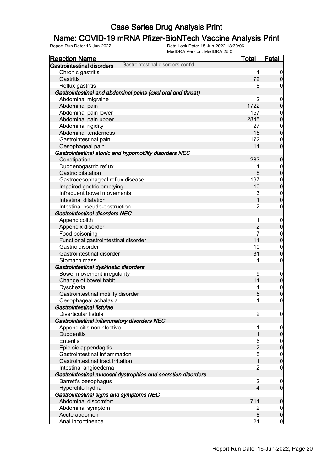## **Name: COVID-19 mRNA Pfizer-BioNTech Vaccine Analysis Print**<br>Report Run Date: 16-Jun-2022<br>Data Lock Date: 15-Jun-2022 18:30:06

| <u>Reaction Name</u>                        |                                                              | <b>Total</b>            | <b>Fatal</b>     |
|---------------------------------------------|--------------------------------------------------------------|-------------------------|------------------|
| <b>Gastrointestinal disorders</b>           | Gastrointestinal disorders cont'd                            |                         |                  |
| Chronic gastritis                           |                                                              | $\vert 4 \vert$         | $\overline{0}$   |
| Gastritis                                   |                                                              | 72                      | $\boldsymbol{0}$ |
| Reflux gastritis                            |                                                              | 8                       | $\boldsymbol{0}$ |
|                                             | Gastrointestinal and abdominal pains (excl oral and throat)  |                         |                  |
| Abdominal migraine                          |                                                              | $\overline{2}$          | $\mathbf 0$      |
| Abdominal pain                              |                                                              | 1722                    | $\pmb{0}$        |
| Abdominal pain lower                        |                                                              | 157                     | $\boldsymbol{0}$ |
| Abdominal pain upper                        |                                                              | 2845                    | $\mathbf 0$      |
| Abdominal rigidity                          |                                                              | 27                      | $\boldsymbol{0}$ |
| Abdominal tenderness                        |                                                              | 15                      | $\mathbf 0$      |
| Gastrointestinal pain                       |                                                              | 172                     | $\mathbf 0$      |
| Oesophageal pain                            |                                                              | 14                      | $\mathbf 0$      |
|                                             | Gastrointestinal atonic and hypomotility disorders NEC       |                         |                  |
| Constipation                                |                                                              | 283                     | $\mathbf 0$      |
| Duodenogastric reflux                       |                                                              | 4                       | $\overline{0}$   |
| Gastric dilatation                          |                                                              | 8 <sup>1</sup>          | $\mathbf 0$      |
| Gastrooesophageal reflux disease            |                                                              | 197                     | $\boldsymbol{0}$ |
| Impaired gastric emptying                   |                                                              | 10                      | $\overline{0}$   |
| Infrequent bowel movements                  |                                                              | 3                       | $\mathbf{0}$     |
| Intestinal dilatation                       |                                                              | 1                       | $\overline{0}$   |
| Intestinal pseudo-obstruction               |                                                              | $\overline{c}$          | $\boldsymbol{0}$ |
| <b>Gastrointestinal disorders NEC</b>       |                                                              |                         |                  |
| Appendicolith                               |                                                              | 1                       | $\mathbf 0$      |
| Appendix disorder                           |                                                              | $\overline{c}$          | $\mathbf 0$      |
| Food poisoning                              |                                                              | $\overline{7}$          | $\boldsymbol{0}$ |
| Functional gastrointestinal disorder        |                                                              | 11                      | $\overline{0}$   |
| Gastric disorder                            |                                                              | 10                      | $\boldsymbol{0}$ |
| Gastrointestinal disorder                   |                                                              | 31                      | $\mathbf 0$      |
| Stomach mass                                |                                                              | 4                       | $\boldsymbol{0}$ |
| Gastrointestinal dyskinetic disorders       |                                                              |                         |                  |
| Bowel movement irregularity                 |                                                              | 9                       | $\mathbf 0$      |
| Change of bowel habit                       |                                                              | 14                      | $\pmb{0}$        |
| Dyschezia                                   |                                                              | 4                       |                  |
| Gastrointestinal motility disorder          |                                                              | 5                       | $0\atop 0$       |
| Oesophageal achalasia                       |                                                              | $\mathbf{1}$            | $\pmb{0}$        |
| Gastrointestinal fistulae                   |                                                              |                         |                  |
| Diverticular fistula                        |                                                              | $\overline{c}$          | $\overline{0}$   |
| Gastrointestinal inflammatory disorders NEC |                                                              |                         |                  |
| Appendicitis noninfective                   |                                                              | 1                       | $\boldsymbol{0}$ |
| <b>Duodenitis</b>                           |                                                              | 1                       | $\pmb{0}$        |
| <b>Enteritis</b>                            |                                                              | 6                       | $\boldsymbol{0}$ |
| Epiploic appendagitis                       |                                                              | $\overline{c}$          | $\overline{0}$   |
| Gastrointestinal inflammation               |                                                              | 5                       | $\boldsymbol{0}$ |
| Gastrointestinal tract irritation           |                                                              | $\overline{1}$          | $\mathbf 0$      |
| Intestinal angioedema                       |                                                              | $\overline{c}$          | $\mathbf 0$      |
|                                             | Gastrointestinal mucosal dystrophies and secretion disorders |                         |                  |
| Barrett's oesophagus                        |                                                              | $\overline{\mathbf{c}}$ | $\boldsymbol{0}$ |
| Hyperchlorhydria                            |                                                              | $\overline{4}$          | $\overline{0}$   |
| Gastrointestinal signs and symptoms NEC     |                                                              |                         |                  |
| Abdominal discomfort                        |                                                              | 714                     | $\mathbf 0$      |
| Abdominal symptom                           |                                                              | 2                       | $\overline{0}$   |
| Acute abdomen                               |                                                              | 8                       | $\pmb{0}$        |
| Anal incontinence                           |                                                              | 24                      | $\overline{0}$   |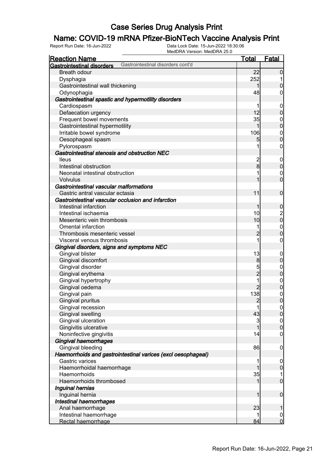## **Name: COVID-19 mRNA Pfizer-BioNTech Vaccine Analysis Print**<br>Report Run Date: 16-Jun-2022<br>Data Lock Date: 15-Jun-2022 18:30:06

| <u>Reaction Name</u>                                                   | <b>Total</b>   | <b>Fatal</b>                           |
|------------------------------------------------------------------------|----------------|----------------------------------------|
| Gastrointestinal disorders cont'd<br><b>Gastrointestinal disorders</b> |                |                                        |
| <b>Breath odour</b>                                                    | 22             | $\overline{0}$                         |
| Dysphagia                                                              | 252            |                                        |
| Gastrointestinal wall thickening                                       | 1              | $\mathbf 0$                            |
| Odynophagia                                                            | 48             | 0                                      |
| Gastrointestinal spastic and hypermotility disorders                   |                |                                        |
| Cardiospasm                                                            |                | $\boldsymbol{0}$                       |
| Defaecation urgency                                                    | 12             | $\boldsymbol{0}$                       |
| Frequent bowel movements                                               | 35             | $\boldsymbol{0}$                       |
| Gastrointestinal hypermotility                                         | 1              | $\overline{0}$                         |
| Irritable bowel syndrome                                               | 106            | $\mathbf{0}$                           |
| Oesophageal spasm                                                      | 5              | $\overline{0}$                         |
| Pylorospasm                                                            | 1              | $\boldsymbol{0}$                       |
| Gastrointestinal stenosis and obstruction NEC                          |                |                                        |
| <b>lleus</b>                                                           | $\overline{c}$ | $\mathbf 0$                            |
| Intestinal obstruction                                                 | $\bf{8}$       | $\boldsymbol{0}$                       |
| Neonatal intestinal obstruction                                        |                | $\mathbf 0$                            |
| <b>Volvulus</b>                                                        |                | $\overline{0}$                         |
| Gastrointestinal vascular malformations                                |                |                                        |
| Gastric antral vascular ectasia                                        | 11             | $\boldsymbol{0}$                       |
| Gastrointestinal vascular occlusion and infarction                     |                |                                        |
| Intestinal infarction                                                  | $\mathbf 1$    | $\mathbf 0$                            |
| Intestinal ischaemia                                                   | 10             |                                        |
| Mesenteric vein thrombosis                                             | 10             | $\begin{bmatrix} 2 \\ 0 \end{bmatrix}$ |
| <b>Omental infarction</b>                                              | 1              | $\mathbf{0}$                           |
| Thrombosis mesenteric vessel                                           | $\overline{2}$ | $\overline{0}$                         |
| Visceral venous thrombosis                                             | 1              | $\boldsymbol{0}$                       |
| Gingival disorders, signs and symptoms NEC                             |                |                                        |
| Gingival blister                                                       | 13             | $\mathbf 0$                            |
| Gingival discomfort                                                    | 8              | $\pmb{0}$                              |
| Gingival disorder                                                      | 5              | $\mathbf{0}$                           |
| Gingival erythema                                                      | $\overline{2}$ | $\overline{0}$                         |
| Gingival hypertrophy                                                   | 1              |                                        |
| Gingival oedema                                                        | $\overline{2}$ | $0\atop 0$                             |
| Gingival pain                                                          | 138            | $\mathbf 0$                            |
| Gingival pruritus                                                      | $\overline{2}$ | $\overline{0}$                         |
| Gingival recession                                                     |                | 0                                      |
| <b>Gingival swelling</b>                                               | 43             | 0                                      |
| Gingival ulceration                                                    | 3              | $\boldsymbol{0}$                       |
| Gingivitis ulcerative                                                  | 1              | $\overline{0}$                         |
| Noninfective gingivitis                                                | 14             | $\boldsymbol{0}$                       |
| Gingival haemorrhages                                                  |                |                                        |
| Gingival bleeding                                                      | 86             | $\mathbf 0$                            |
| Haemorrhoids and gastrointestinal varices (excl oesophageal)           |                |                                        |
| Gastric varices                                                        | 1              | $\mathbf 0$                            |
| Haemorrhoidal haemorrhage                                              |                | $\boldsymbol{0}$                       |
| Haemorrhoids                                                           | 35             | 1                                      |
| Haemorrhoids thrombosed                                                | 1              | $\overline{0}$                         |
| Inguinal hernias                                                       |                |                                        |
| Inguinal hernia                                                        | 1              | $\boldsymbol{0}$                       |
| Intestinal haemorrhages                                                |                |                                        |
| Anal haemorrhage                                                       | 23             | 1                                      |
| Intestinal haemorrhage                                                 |                | $\overline{0}$                         |
| Rectal haemorrhage                                                     | 84             | $\overline{0}$                         |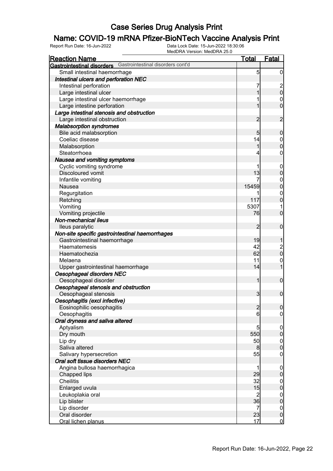## **Name: COVID-19 mRNA Pfizer-BioNTech Vaccine Analysis Print**<br>Report Run Date: 16-Jun-2022<br>Data Lock Date: 15-Jun-2022 18:30:06

| <b>Reaction Name</b>                                                   | <b>Total</b>                           | <b>Fatal</b>                           |
|------------------------------------------------------------------------|----------------------------------------|----------------------------------------|
| Gastrointestinal disorders cont'd<br><b>Gastrointestinal disorders</b> |                                        |                                        |
| Small intestinal haemorrhage                                           | 5                                      | $\boldsymbol{0}$                       |
| Intestinal ulcers and perforation NEC                                  |                                        |                                        |
| Intestinal perforation                                                 |                                        |                                        |
| Large intestinal ulcer                                                 | 1                                      | $\frac{2}{0}$                          |
| Large intestinal ulcer haemorrhage                                     |                                        | $\mathbf 0$                            |
| Large intestine perforation                                            |                                        | $\overline{0}$                         |
| Large intestinal stenosis and obstruction                              |                                        |                                        |
| Large intestinal obstruction                                           | $\overline{2}$                         | $\overline{2}$                         |
| <b>Malabsorption syndromes</b>                                         |                                        |                                        |
| Bile acid malabsorption                                                | 5                                      | $\mathbf 0$                            |
| Coeliac disease                                                        | 14                                     | $\mathbf 0$                            |
| Malabsorption                                                          | 1                                      | $\mathbf 0$                            |
| Steatorrhoea                                                           | 4                                      | $\boldsymbol{0}$                       |
| Nausea and vomiting symptoms                                           |                                        |                                        |
| Cyclic vomiting syndrome                                               |                                        | $\mathbf 0$                            |
| <b>Discoloured vomit</b>                                               | 13                                     | $\mathbf 0$                            |
| Infantile vomiting                                                     |                                        |                                        |
| Nausea                                                                 | 15459                                  | $\mathbf{0}$<br>$\mathbf 0$            |
|                                                                        |                                        |                                        |
| Regurgitation                                                          | 117                                    | $\mathbf 0$                            |
| Retching                                                               |                                        | $\mathbf 0$                            |
| Vomiting                                                               | 5307                                   | 1                                      |
| Vomiting projectile                                                    | 76                                     | $\mathbf 0$                            |
| Non-mechanical ileus                                                   |                                        |                                        |
| lleus paralytic                                                        | $\overline{2}$                         | $\mathbf 0$                            |
| Non-site specific gastrointestinal haemorrhages                        |                                        |                                        |
| Gastrointestinal haemorrhage                                           | 19                                     | 1                                      |
| Haematemesis                                                           | 42                                     | $\begin{bmatrix} 2 \\ 0 \end{bmatrix}$ |
| Haematochezia                                                          | 62                                     |                                        |
| Melaena                                                                | 11                                     | $\boldsymbol{0}$                       |
| Upper gastrointestinal haemorrhage                                     | 14                                     | 1                                      |
| Oesophageal disorders NEC                                              |                                        |                                        |
| Oesophageal disorder                                                   | 1                                      | $\boldsymbol{0}$                       |
| Oesophageal stenosis and obstruction                                   |                                        |                                        |
| Oesophageal stenosis                                                   | $\mathbf{3}$                           | $\mathbf 0$                            |
| Oesophagitis (excl infective)                                          |                                        |                                        |
| Eosinophilic oesophagitis                                              | $\overline{2}$                         | 0                                      |
| Oesophagitis                                                           | $6 \overline{}$                        | $\overline{0}$                         |
| Oral dryness and saliva altered                                        |                                        |                                        |
| Aptyalism                                                              | 5                                      | $\mathbf 0$                            |
| Dry mouth                                                              | 550                                    | $\pmb{0}$                              |
| Lip dry                                                                | 50                                     | $\overline{0}$                         |
| Saliva altered                                                         | 8                                      | $\boldsymbol{0}$                       |
| Salivary hypersecretion                                                | 55                                     | $\mathbf 0$                            |
| Oral soft tissue disorders NEC                                         |                                        |                                        |
| Angina bullosa haemorrhagica                                           | 1                                      | $\mathbf 0$                            |
| Chapped lips                                                           | 29                                     | $\pmb{0}$                              |
| <b>Cheilitis</b>                                                       | 32                                     | $\boldsymbol{0}$                       |
| Enlarged uvula                                                         | 15                                     | $\pmb{0}$                              |
| Leukoplakia oral                                                       |                                        | $\overline{0}$                         |
| Lip blister                                                            | $\begin{array}{c} 2 \\ 36 \end{array}$ | $\pmb{0}$                              |
| Lip disorder                                                           | $\overline{7}$                         | $\overline{0}$                         |
| Oral disorder                                                          | 23                                     | $\pmb{0}$                              |
| Oral lichen planus                                                     | 17                                     | $\overline{0}$                         |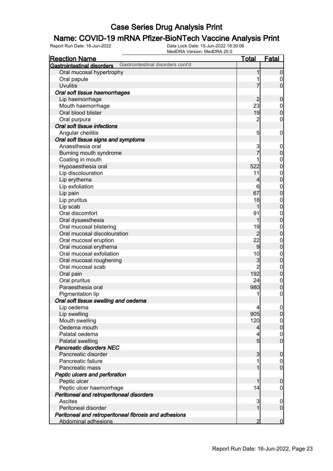## **Name: COVID-19 mRNA Pfizer-BioNTech Vaccine Analysis Print**<br>Report Run Date: 16-Jun-2022<br>Data Lock Date: 15-Jun-2022 18:30:06

| <b>Reaction Name</b>                                                   | <u>Total</u>    | <b>Fatal</b>     |
|------------------------------------------------------------------------|-----------------|------------------|
| Gastrointestinal disorders cont'd<br><b>Gastrointestinal disorders</b> |                 |                  |
| Oral mucosal hypertrophy                                               |                 | $\boldsymbol{0}$ |
| Oral papule                                                            |                 | $\boldsymbol{0}$ |
| <b>Uvulitis</b>                                                        |                 | $\mathbf 0$      |
| Oral soft tissue haemorrhages                                          |                 |                  |
| Lip haemorrhage                                                        | $\overline{c}$  | $\boldsymbol{0}$ |
| Mouth haemorrhage                                                      | 23              | $\boldsymbol{0}$ |
| Oral blood blister                                                     | 19              | $\mathbf 0$      |
| Oral purpura                                                           | $\overline{c}$  | $\boldsymbol{0}$ |
| Oral soft tissue infections                                            |                 |                  |
| Angular cheilitis                                                      | 5               | $\mathbf 0$      |
| Oral soft tissue signs and symptoms                                    |                 |                  |
| Anaesthesia oral                                                       | 3               | $\mathbf 0$      |
| Burning mouth syndrome                                                 | $\overline{7}$  | $\mathbf 0$      |
| Coating in mouth                                                       |                 | $\boldsymbol{0}$ |
| Hypoaesthesia oral                                                     | 522             | $\overline{0}$   |
| Lip discolouration                                                     | 11              | $\mathbf{0}$     |
| Lip erythema                                                           | 4               | $\mathbf 0$      |
| Lip exfoliation                                                        | 6               | $\mathbf{0}$     |
| Lip pain                                                               | 67              | $\overline{0}$   |
| Lip pruritus                                                           | 18              | $\mathbf{0}$     |
| Lip scab                                                               | 1               | $\mathbf 0$      |
| Oral discomfort                                                        | 91              | $\mathbf{0}$     |
| Oral dysaesthesia                                                      | 1               | $\mathbf 0$      |
| Oral mucosal blistering                                                | 19              | $\boldsymbol{0}$ |
| Oral mucosal discolouration                                            | $\overline{2}$  | $\mathbf 0$      |
| Oral mucosal eruption                                                  | 22              | $\boldsymbol{0}$ |
| Oral mucosal erythema                                                  | $\overline{9}$  | $\mathbf 0$      |
| Oral mucosal exfoliation                                               | 10              | $\mathbf{0}$     |
| Oral mucosal roughening                                                | 3               | $\mathbf 0$      |
| Oral mucosal scab                                                      | $\overline{2}$  | $\boldsymbol{0}$ |
| Oral pain                                                              | 192             | $\mathbf 0$      |
| Oral pruritus                                                          | 24              | $\mathbf{0}$     |
| Paraesthesia oral                                                      | 980             | $\mathbf 0$      |
| Pigmentation lip                                                       | 1               | $\mathbf 0$      |
| Oral soft tissue swelling and oedema                                   |                 |                  |
| Lip oedema                                                             | $\vert 4 \vert$ | $\overline{0}$   |
| Lip swelling                                                           | 905             | $\overline{0}$   |
| Mouth swelling                                                         | 120             | $\mathbf 0$      |
| Oedema mouth                                                           | $\overline{4}$  | $\mathbf 0$      |
| Palatal oedema                                                         | 4               | $\mathbf 0$      |
| Palatal swelling                                                       | 5 <sub>5</sub>  | $\overline{0}$   |
| <b>Pancreatic disorders NEC</b>                                        |                 |                  |
| Pancreatic disorder                                                    | 3               | $\mathbf 0$      |
| Pancreatic failure                                                     |                 | $\overline{0}$   |
| Pancreatic mass                                                        | 1               | $\mathbf 0$      |
| Peptic ulcers and perforation                                          |                 |                  |
| Peptic ulcer                                                           | 1               | $\mathbf 0$      |
| Peptic ulcer haemorrhage                                               | 14              | $\boldsymbol{0}$ |
| Peritoneal and retroperitoneal disorders                               |                 |                  |
| Ascites                                                                | 3               | $\mathbf 0$      |
| Peritoneal disorder                                                    | 1               | $\mathbf 0$      |
| Peritoneal and retroperitoneal fibrosis and adhesions                  |                 |                  |
| Abdominal adhesions                                                    | $\overline{2}$  | $\mathbf 0$      |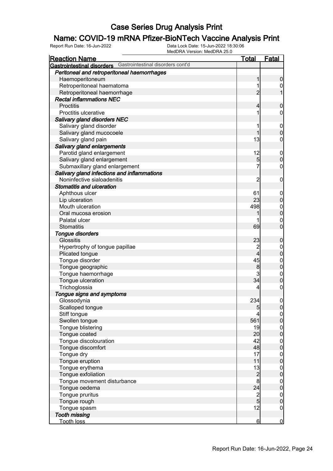## **Name: COVID-19 mRNA Pfizer-BioNTech Vaccine Analysis Print**<br>Report Run Date: 16-Jun-2022<br>Data Lock Date: 15-Jun-2022 18:30:06

| <b>Reaction Name</b>                                         | <b>Total</b>    | Fatal                                |
|--------------------------------------------------------------|-----------------|--------------------------------------|
| Gastrointestinal disorders Gastrointestinal disorders cont'd |                 |                                      |
| Peritoneal and retroperitoneal haemorrhages                  |                 |                                      |
| Haemoperitoneum                                              |                 | $\boldsymbol{0}$                     |
| Retroperitoneal haematoma                                    |                 | 0                                    |
| Retroperitoneal haemorrhage                                  | $\overline{2}$  |                                      |
| <b>Rectal inflammations NEC</b>                              |                 |                                      |
| <b>Proctitis</b>                                             | 4               | $\boldsymbol{0}$                     |
| Proctitis ulcerative                                         |                 | 0                                    |
| <b>Salivary gland disorders NEC</b>                          |                 |                                      |
| Salivary gland disorder                                      |                 | $\mathbf 0$                          |
| Salivary gland mucocoele                                     |                 | $\mathbf 0$                          |
| Salivary gland pain                                          | 13              | 0                                    |
| Salivary gland enlargements                                  |                 |                                      |
| Parotid gland enlargement                                    | 12              | $\mathbf 0$                          |
| Salivary gland enlargement                                   | 5               | $\mathbf 0$                          |
| Submaxillary gland enlargement                               | 7               | $\mathbf 0$                          |
| Salivary gland infections and inflammations                  |                 |                                      |
| Noninfective sialoadenitis                                   | $\overline{c}$  | $\mathbf 0$                          |
| <b>Stomatitis and ulceration</b>                             |                 |                                      |
| Aphthous ulcer                                               | 61              | $\mathbf 0$                          |
| Lip ulceration                                               | 23              | $\boldsymbol{0}$                     |
| Mouth ulceration                                             | 498             | $\boldsymbol{0}$                     |
| Oral mucosa erosion                                          |                 | $\mathbf 0$                          |
| Palatal ulcer                                                |                 | $\mathbf 0$                          |
| <b>Stomatitis</b>                                            | 69              | $\mathbf 0$                          |
| <b>Tongue disorders</b>                                      |                 |                                      |
| <b>Glossitis</b>                                             | 23              | $\boldsymbol{0}$                     |
| Hypertrophy of tongue papillae                               | $\overline{c}$  | $\boldsymbol{0}$                     |
| Plicated tongue                                              | $\overline{4}$  | $\mathbf 0$                          |
| Tongue disorder                                              | 45              | $\boldsymbol{0}$                     |
| Tongue geographic                                            | 8               | $\mathbf 0$                          |
| Tongue haemorrhage                                           | 3               | $\boldsymbol{0}$                     |
| Tongue ulceration                                            | 34              | $\mathbf 0$                          |
| Trichoglossia                                                | 4               | $\boldsymbol{0}$                     |
| Tongue signs and symptoms                                    |                 |                                      |
| Glossodynia                                                  | 234             | $\mathbf 0$                          |
| Scalloped tongue                                             | $\overline{5}$  | 0                                    |
| Stiff tongue                                                 |                 | $\Omega$                             |
| Swollen tongue                                               | 561             | $\overline{0}$                       |
| Tongue blistering                                            | 19              |                                      |
| Tongue coated                                                | 20              | $\begin{matrix} 0 \\ 0 \end{matrix}$ |
| Tongue discolouration                                        | 42              |                                      |
| Tongue discomfort                                            | 48              | $\begin{matrix} 0 \\ 0 \end{matrix}$ |
| Tongue dry                                                   | 17              |                                      |
| Tongue eruption                                              | 11              | $0\atop 0$                           |
| Tongue erythema                                              | 13              |                                      |
| Tongue exfoliation                                           | $\overline{c}$  | $\begin{matrix} 0 \\ 0 \end{matrix}$ |
| Tongue movement disturbance                                  | 8               |                                      |
| Tongue oedema                                                | 24              | $\begin{matrix} 0 \\ 0 \end{matrix}$ |
| Tongue pruritus                                              |                 |                                      |
| Tongue rough                                                 | $\frac{2}{5}$   | $\begin{matrix} 0 \\ 0 \end{matrix}$ |
| Tongue spasm                                                 | 12              | $\mathbf 0$                          |
| <b>Tooth missing</b>                                         |                 |                                      |
| <b>Tooth loss</b>                                            | $6 \overline{}$ | $\overline{0}$                       |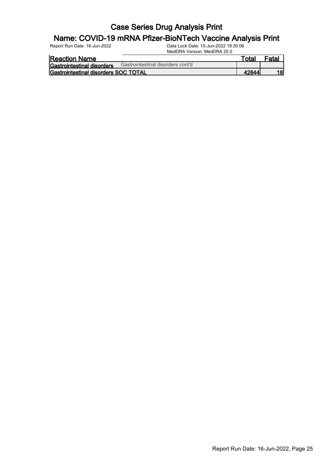## **Name: COVID-19 mRNA Pfizer-BioNTech Vaccine Analysis Print**<br>Report Run Date: 16-Jun-2022<br>Data Lock Date: 15-Jun-2022 18:30:06

| <b>Reaction Name</b>                         |                                   | Total | <sup>=</sup> ata. |
|----------------------------------------------|-----------------------------------|-------|-------------------|
| <b>Gastrointestinal disorders</b>            | Gastrointestinal disorders cont'd |       |                   |
| <b>IGastrointestinal disorders SOC TOTAL</b> |                                   |       | 18                |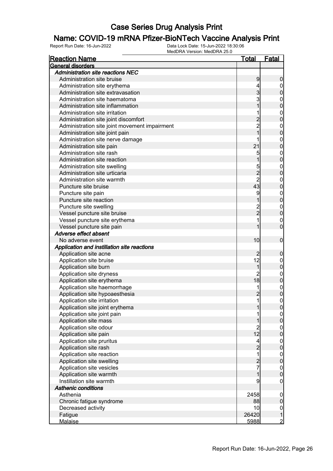## **Name: COVID-19 mRNA Pfizer-BioNTech Vaccine Analysis Print**<br>Report Run Date: 16-Jun-2022<br>Data Lock Date: 15-Jun-2022 18:30:06

| <b>Reaction Name</b>                          | <u>Total</u>   | <b>Fatal</b>                         |
|-----------------------------------------------|----------------|--------------------------------------|
| General disorders                             |                |                                      |
| <b>Administration site reactions NEC</b>      |                |                                      |
| Administration site bruise                    | 9              | $\boldsymbol{0}$                     |
| Administration site erythema                  | 4              | $\mathbf{0}$                         |
| Administration site extravasation             | 3              | $\mathbf 0$                          |
| Administration site haematoma                 | 3              | $\mathbf{0}$                         |
| Administration site inflammation              |                | $\overline{0}$                       |
| Administration site irritation                | 1              | $\mathbf{0}$                         |
| Administration site joint discomfort          | 2<br>2         | $\overline{0}$                       |
| Administration site joint movement impairment |                | $\mathbf{0}$                         |
| Administration site joint pain                | $\overline{1}$ | $\overline{0}$                       |
| Administration site nerve damage              |                | $\mathbf{0}$                         |
| Administration site pain                      | 21             | $\overline{0}$                       |
| Administration site rash                      | 5              | $\mathbf{0}$                         |
| Administration site reaction                  | 1              | $\overline{0}$                       |
| Administration site swelling                  |                | $\mathbf{0}$                         |
| Administration site urticaria                 | 5<br>2<br>2    | $\overline{0}$                       |
| Administration site warmth                    |                | $\mathbf{0}$                         |
| Puncture site bruise                          | 43             | $\overline{0}$                       |
| Puncture site pain                            | 9              |                                      |
| Puncture site reaction                        |                | 0<br>0                               |
| Puncture site swelling                        |                |                                      |
| Vessel puncture site bruise                   | 2<br>2         | $0\atop 0$                           |
| Vessel puncture site erythema                 | 1              | $\mathbf{0}$                         |
| Vessel puncture site pain                     | 1              | $\overline{0}$                       |
| Adverse effect absent                         |                |                                      |
| No adverse event                              | 10             | $\mathbf 0$                          |
| Application and instillation site reactions   |                |                                      |
| Application site acne                         | $\overline{c}$ | $\mathbf 0$                          |
| Application site bruise                       | 12             | $\mathbf{0}$                         |
| Application site burn                         | $\mathbf 1$    | $\overline{0}$                       |
| Application site dryness                      | $\overline{2}$ |                                      |
| Application site erythema                     | 18             | $\begin{matrix}0\\0\end{matrix}$     |
| Application site haemorrhage                  | 1              | $\mathbf{0}$                         |
| Application site hypoaesthesia                | $\overline{2}$ | $\overline{0}$                       |
| Application site irritation                   | $\mathbf{1}$   | $\mathbf 0$                          |
| Application site joint erythema               | 11             | 0                                    |
| Application site joint pain                   | 1              | $\overline{0}$                       |
| Application site mass                         | 1              | $\boldsymbol{0}$                     |
| Application site odour                        | $\overline{2}$ |                                      |
| Application site pain                         | 12             | $0$<br>0                             |
| Application site pruritus                     | $\overline{4}$ |                                      |
| Application site rash                         | $\frac{2}{1}$  | $0$<br>0                             |
| Application site reaction                     |                |                                      |
| Application site swelling                     | $\frac{2}{7}$  | $0$<br>0                             |
| Application site vesicles                     |                |                                      |
| Application site warmth                       | $\mathbf{1}$   | $\begin{matrix} 0 \\ 0 \end{matrix}$ |
| Instillation site warmth                      | 9              | $\boldsymbol{0}$                     |
| <b>Asthenic conditions</b>                    |                |                                      |
| Asthenia                                      | 2458           | $\boldsymbol{0}$                     |
| Chronic fatigue syndrome                      | 88             | $\pmb{0}$                            |
| Decreased activity                            | 10             | $\overline{0}$                       |
| Fatigue                                       | 26420          | $\mathbf{1}$                         |
| <b>Malaise</b>                                | 5988           | $\overline{2}$                       |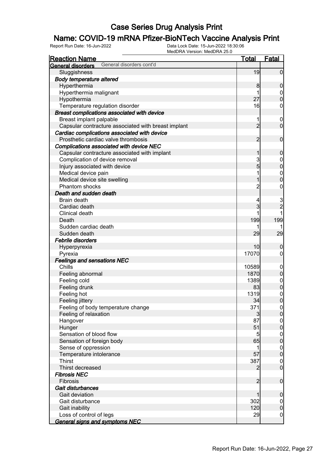# **Name: COVID-19 mRNA Pfizer-BioNTech Vaccine Analysis Print**<br>Report Run Date: 16-Jun-2022<br>Data Lock Date: 15-Jun-2022 18:30:06

| <b>Reaction Name</b>                                | <u>Total</u>   | <b>Fatal</b>                         |
|-----------------------------------------------------|----------------|--------------------------------------|
| General disorders cont'd<br>General disorders       |                |                                      |
| Sluggishness                                        | 19             | $\overline{0}$                       |
| <b>Body temperature altered</b>                     |                |                                      |
| Hyperthermia                                        | 8              | $\mathbf 0$                          |
| Hyperthermia malignant                              | 1              | $\mathbf 0$                          |
| Hypothermia                                         | 27             | $\overline{0}$                       |
| Temperature regulation disorder                     | 16             | $\mathbf 0$                          |
| Breast complications associated with device         |                |                                      |
| Breast implant palpable                             | 1              | $\boldsymbol{0}$                     |
| Capsular contracture associated with breast implant | $\overline{2}$ | $\mathbf 0$                          |
| Cardiac complications associated with device        |                |                                      |
| Prosthetic cardiac valve thrombosis                 | $\overline{c}$ | $\mathbf 0$                          |
| Complications associated with device NEC            |                |                                      |
| Capsular contracture associated with implant        | 1              | $\boldsymbol{0}$                     |
| Complication of device removal                      | 3              |                                      |
| Injury associated with device                       | 5              | $0\atop 0$                           |
| Medical device pain                                 | 1              | $\begin{matrix}0\\0\end{matrix}$     |
| Medical device site swelling                        | 1              |                                      |
| Phantom shocks                                      | $\overline{2}$ | $\mathbf 0$                          |
| Death and sudden death                              |                |                                      |
| Brain death                                         | 4              |                                      |
| Cardiac death                                       | 3              | $\frac{3}{2}$                        |
| Clinical death                                      |                |                                      |
| Death                                               | 199            | 199                                  |
| Sudden cardiac death                                |                |                                      |
| Sudden death                                        | 29             | 29                                   |
| <b>Febrile disorders</b>                            |                |                                      |
| Hyperpyrexia                                        | 10             | $\boldsymbol{0}$                     |
| Pyrexia                                             | 17070          | $\overline{0}$                       |
| <b>Feelings and sensations NEC</b>                  |                |                                      |
| Chills                                              | 10589          | $\boldsymbol{0}$                     |
| Feeling abnormal                                    | 1870           | $\mathbf 0$                          |
| Feeling cold                                        | 1389           | $\begin{matrix} 0 \\ 0 \end{matrix}$ |
| Feeling drunk                                       | 83             |                                      |
| Feeling hot                                         | 1319           | $\begin{matrix} 0 \\ 0 \end{matrix}$ |
| Feeling jittery                                     | 34             |                                      |
| Feeling of body temperature change                  | 371            | $\Omega$                             |
| Feeling of relaxation                               | $\overline{3}$ | $\overline{0}$                       |
| Hangover                                            | 87             | $\overline{0}$                       |
| Hunger                                              | 51             | $\mathbf 0$                          |
| Sensation of blood flow                             | 5              | $\boldsymbol{0}$                     |
| Sensation of foreign body                           | 65             | $\mathbf 0$                          |
| Sense of oppression                                 | 1              | $\boldsymbol{0}$                     |
| Temperature intolerance                             | 57             | $\mathbf 0$                          |
| <b>Thirst</b>                                       | 387            | $\boldsymbol{0}$                     |
| Thirst decreased                                    | 2              | $\mathbf 0$                          |
| <b>Fibrosis NEC</b>                                 |                |                                      |
| Fibrosis                                            | $\overline{2}$ | $\boldsymbol{0}$                     |
| Gait disturbances                                   |                |                                      |
| Gait deviation                                      | 1              | $\mathbf 0$                          |
| Gait disturbance                                    | 302            | $\overline{0}$                       |
| Gait inability                                      | 120            | $\pmb{0}$                            |
| Loss of control of legs                             | 29             | $\overline{0}$                       |
| <b>General signs and symptoms NEC</b>               |                |                                      |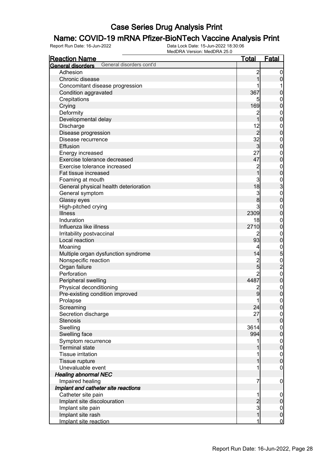## **Name: COVID-19 mRNA Pfizer-BioNTech Vaccine Analysis Print**<br>Report Run Date: 16-Jun-2022<br>Data Lock Date: 15-Jun-2022 18:30:06

| <b>Reaction Name</b>                          | <u>Total</u>   | <b>Fatal</b>                            |
|-----------------------------------------------|----------------|-----------------------------------------|
| General disorders cont'd<br>General disorders |                |                                         |
| Adhesion                                      | $\overline{c}$ | $\overline{0}$                          |
| Chronic disease                               | 1              | $\pmb{0}$                               |
| Concomitant disease progression               |                | 1                                       |
| Condition aggravated                          | 367            | $\mathbf 0$                             |
| Crepitations                                  |                | $\boldsymbol{0}$                        |
| Crying                                        | 169            | $\overline{0}$                          |
| Deformity                                     | $\overline{c}$ | $\boldsymbol{0}$                        |
| Developmental delay                           | 1              | $\mathbf 0$                             |
| Discharge                                     | 12             | $\boldsymbol{0}$                        |
| Disease progression                           | $\overline{2}$ | $\mathbf 0$                             |
| Disease recurrence                            | 32             | $\boldsymbol{0}$                        |
| Effusion                                      | $\overline{3}$ | $\mathbf 0$                             |
| Energy increased                              | 27             |                                         |
| Exercise tolerance decreased                  | 47             | $0\atop 0$                              |
| Exercise tolerance increased                  |                |                                         |
| Fat tissue increased                          | 2<br>1         | $0$<br>0                                |
| Foaming at mouth                              | 3              |                                         |
| General physical health deterioration         | 18             | $\begin{array}{c}\n0 \\ 0\n\end{array}$ |
| General symptom                               | 3              |                                         |
|                                               | 8              |                                         |
| Glassy eyes                                   | 3              |                                         |
| High-pitched crying                           | 2309           | $\boldsymbol{0}$                        |
| <b>Illness</b>                                |                | $\mathbf 0$                             |
| Induration                                    | 18             | $\mathbf{0}$                            |
| Influenza like illness                        | 2710           | $\mathbf 0$                             |
| Irritability postvaccinal                     | 2              | $\mathbf{0}$                            |
| Local reaction                                | 93             | $\mathbf 0$                             |
| Moaning                                       | 4              | 0<br>0<br>0<br>0<br>0<br>0              |
| Multiple organ dysfunction syndrome           | 14             |                                         |
| Nonspecific reaction                          | 2<br>5         |                                         |
| Organ failure                                 |                |                                         |
| Perforation                                   | $\overline{2}$ |                                         |
| Peripheral swelling                           | 4487           |                                         |
| Physical deconditioning                       | $\overline{c}$ | $0\atop 0$                              |
| Pre-existing condition improved               | 9              |                                         |
| Prolapse                                      | 1              | $\overline{0}$                          |
| Screaming                                     | 24             | 0                                       |
| Secretion discharge                           | 27             | $\overline{0}$                          |
| <b>Stenosis</b>                               | 1              | $\pmb{0}$                               |
| Swelling                                      | 3614           | $\boldsymbol{0}$                        |
| Swelling face                                 | 994            | $\overline{0}$                          |
| Symptom recurrence                            | 1              | $\boldsymbol{0}$                        |
| <b>Terminal state</b>                         |                | $\mathbf 0$                             |
| <b>Tissue irritation</b>                      | 1              | $\boldsymbol{0}$                        |
| Tissue rupture                                | 1              | $\mathbf 0$                             |
| Unevaluable event                             | 1              | $\mathbf 0$                             |
| <b>Healing abnormal NEC</b>                   |                |                                         |
| Impaired healing                              | 7              | $\mathbf 0$                             |
| Implant and catheter site reactions           |                |                                         |
| Catheter site pain                            | 1              | $\mathbf 0$                             |
| Implant site discolouration                   |                | $\pmb{0}$                               |
| Implant site pain                             | $\frac{2}{3}$  | $\boldsymbol{0}$                        |
| Implant site rash                             | $\mathbf{1}$   | $\mathbf 0$                             |
| Implant site reaction                         | 1              | $\overline{0}$                          |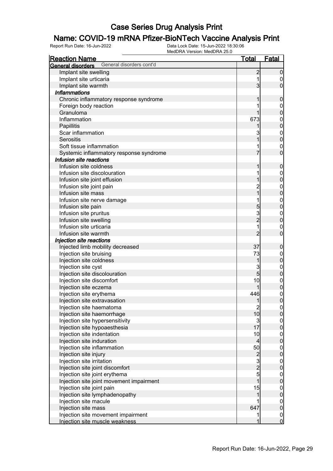## **Name: COVID-19 mRNA Pfizer-BioNTech Vaccine Analysis Print**<br>Report Run Date: 16-Jun-2022<br>Data Lock Date: 15-Jun-2022 18:30:06

| <u>Reaction Name</u>                                 | <u>Total</u>                               | <b>Fatal</b>                         |
|------------------------------------------------------|--------------------------------------------|--------------------------------------|
| General disorders cont'd<br><b>General disorders</b> |                                            |                                      |
| Implant site swelling                                | $\overline{c}$                             | $\boldsymbol{0}$                     |
| Implant site urticaria                               | 1                                          | $\overline{0}$                       |
| Implant site warmth                                  | 3                                          | $\mathbf 0$                          |
| <b>Inflammations</b>                                 |                                            |                                      |
| Chronic inflammatory response syndrome               | 1                                          | $\mathbf 0$                          |
| Foreign body reaction                                |                                            | $\mathbf{0}$                         |
| Granuloma                                            | 1                                          | $\mathbf 0$                          |
| Inflammation                                         | 673                                        | $\mathbf{0}$                         |
| Papillitis                                           |                                            | $\mathbf 0$                          |
| Scar inflammation                                    | 3                                          |                                      |
| Serositis                                            | 1                                          | $0\atop 0$                           |
| Soft tissue inflammation                             |                                            | $\mathbf{0}$                         |
| Systemic inflammatory response syndrome              | 7                                          | $\overline{0}$                       |
| Infusion site reactions                              |                                            |                                      |
| Infusion site coldness                               | 1                                          | $\boldsymbol{0}$                     |
| Infusion site discolouration                         | 1                                          | $\mathbf{0}$                         |
| Infusion site joint effusion                         |                                            | $\overline{0}$                       |
| Infusion site joint pain                             | $\overline{c}$                             | $\mathbf{0}$                         |
| Infusion site mass                                   | $\overline{1}$                             | $\mathbf 0$                          |
| Infusion site nerve damage                           | 1                                          | $\mathbf{0}$                         |
| Infusion site pain                                   | 5                                          | $\mathbf{0}$                         |
| Infusion site pruritus                               |                                            | $\mathbf{0}$                         |
| Infusion site swelling                               | 3<br>2                                     | $\mathbf 0$                          |
| Infusion site urticaria                              | 1                                          | $\mathbf{0}$                         |
| Infusion site warmth                                 | $\overline{2}$                             | $\overline{0}$                       |
| Injection site reactions                             |                                            |                                      |
| Injected limb mobility decreased                     | 37                                         | $\mathbf 0$                          |
| Injection site bruising                              | 73                                         | $\mathbf{0}$                         |
| Injection site coldness                              | 1                                          | $\overline{0}$                       |
| Injection site cyst                                  | 3                                          | $\mathbf{0}$                         |
| Injection site discolouration                        | $\overline{5}$                             | $\mathbf 0$                          |
| Injection site discomfort                            | 10                                         | $\mathbf{0}$                         |
| Injection site eczema                                | 1                                          | $\mathbf{0}$                         |
| Injection site erythema                              | 446                                        | $\mathbf{0}$                         |
| Injection site extravasation                         | 1                                          | $\overline{0}$                       |
| Injection site haematoma                             |                                            | 0                                    |
| Injection site haemorrhage                           | $\begin{bmatrix} 2 \\ 10 \end{bmatrix}$    | $\overline{0}$                       |
| Injection site hypersensitivity                      |                                            |                                      |
| Injection site hypoaesthesia                         | $\begin{array}{c} 3 \\ 17 \end{array}$     | $\begin{matrix} 0 \\ 0 \end{matrix}$ |
| Injection site indentation                           | 10                                         |                                      |
| Injection site induration                            | $\overline{4}$                             | $\begin{matrix} 0 \\ 0 \end{matrix}$ |
| Injection site inflammation                          | 50                                         |                                      |
| Injection site injury                                |                                            | $0$<br>0                             |
| Injection site irritation                            |                                            |                                      |
| Injection site joint discomfort                      | $\begin{array}{c}\n 2 \\  5\n \end{array}$ | $\begin{matrix} 0 \\ 0 \end{matrix}$ |
| Injection site joint erythema                        |                                            | $\boldsymbol{0}$                     |
| Injection site joint movement impairment             | $\overline{1}$                             | $\overline{0}$                       |
| Injection site joint pain                            | 15                                         | $\boldsymbol{0}$                     |
| Injection site lymphadenopathy                       | 1                                          | $\overline{0}$                       |
| Injection site macule                                |                                            | $\boldsymbol{0}$                     |
| Injection site mass                                  | 647                                        | $\overline{0}$                       |
| Injection site movement impairment                   |                                            |                                      |
| Injection site muscle weakness                       | 1                                          | $\frac{0}{0}$                        |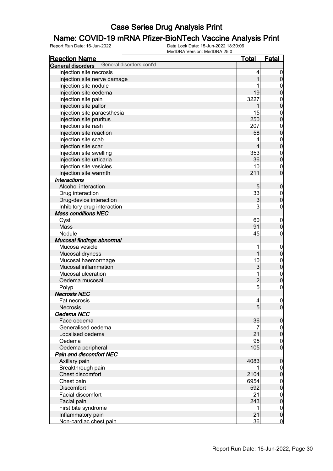## **Name: COVID-19 mRNA Pfizer-BioNTech Vaccine Analysis Print**<br>Report Run Date: 16-Jun-2022<br>Data Lock Date: 15-Jun-2022 18:30:06

| <u>Reaction Name</u>                          | <u>Total</u>             | <u>Fatal</u>                         |
|-----------------------------------------------|--------------------------|--------------------------------------|
| General disorders cont'd<br>General disorders |                          |                                      |
| Injection site necrosis                       | 4                        | $\overline{0}$                       |
| Injection site nerve damage                   | 1                        | $\pmb{0}$                            |
| Injection site nodule                         |                          | $\boldsymbol{0}$                     |
| Injection site oedema                         | 19                       | $\overline{0}$                       |
| Injection site pain                           | 3227                     |                                      |
| Injection site pallor                         | 1                        | $0$<br>0                             |
| Injection site paraesthesia                   | 15                       |                                      |
| Injection site pruritus                       | 250                      | $0\atop 0$                           |
| Injection site rash                           | 207                      |                                      |
| Injection site reaction                       | 58                       | $0\atop 0$                           |
| Injection site scab                           | 4                        |                                      |
| Injection site scar                           | 4                        | $0\atop 0$                           |
| Injection site swelling                       | 353                      |                                      |
| Injection site urticaria                      | 36                       | $0\atop 0$                           |
| Injection site vesicles                       | 10                       | $\boldsymbol{0}$                     |
| Injection site warmth                         | 211                      | $\overline{0}$                       |
| <b>Interactions</b>                           |                          |                                      |
| Alcohol interaction                           | 5                        | $\pmb{0}$                            |
| Drug interaction                              | 33                       |                                      |
| Drug-device interaction                       | 3                        | $0\atop 0$                           |
| Inhibitory drug interaction                   | 3                        | $\mathbf 0$                          |
| <b>Mass conditions NEC</b>                    |                          |                                      |
| Cyst                                          | 60                       |                                      |
| Mass                                          | 91                       | $\boldsymbol{0}$<br>$\mathbf 0$      |
| Nodule                                        | 45                       | $\mathsf{O}\xspace$                  |
| Mucosal findings abnormal                     |                          |                                      |
| Mucosa vesicle                                | 1                        |                                      |
| Mucosal dryness                               | 1                        | $\boldsymbol{0}$<br>$\mathbf 0$      |
| Mucosal haemorrhage                           | 10                       |                                      |
| Mucosal inflammation                          | 3                        | $0$<br>0                             |
| Mucosal ulceration                            | 1                        |                                      |
|                                               | $\overline{c}$           | $\begin{matrix} 0 \\ 0 \end{matrix}$ |
| Oedema mucosal                                | $\mathbf{5}$             |                                      |
| Polyp                                         |                          | $\mathbf 0$                          |
| <b>Necrosis NEC</b>                           |                          |                                      |
| <b>Fat necrosis</b>                           | $\overline{\mathcal{L}}$ | $\mathbf 0$                          |
| Necrosis                                      | 5 <sub>5</sub>           | 0                                    |
| Oedema NEC                                    |                          |                                      |
| Face oedema                                   | 36                       | $\mathbf 0$                          |
| Generalised oedema                            | 7                        | $\overline{0}$                       |
| Localised oedema                              | 21                       | $\mathbf 0$                          |
| Oedema                                        | 95                       | $\boldsymbol{0}$                     |
| Oedema peripheral                             | 105                      | $\overline{0}$                       |
| Pain and discomfort NEC                       |                          |                                      |
| Axillary pain                                 | 4083                     | $\pmb{0}$                            |
| Breakthrough pain                             |                          | $\boldsymbol{0}$                     |
| Chest discomfort                              | 2104                     | $\mathbf 0$                          |
| Chest pain                                    | 6954                     | $\boldsymbol{0}$                     |
| Discomfort                                    | 592                      | $\mathbf 0$                          |
| Facial discomfort                             | 21                       | $\boldsymbol{0}$                     |
| Facial pain                                   | 243                      | $\mathbf 0$                          |
| First bite syndrome                           | 1                        | $\boldsymbol{0}$                     |
| Inflammatory pain                             | 21                       | $\mathbf 0$                          |
| Non-cardiac chest pain                        | 36                       | $\overline{0}$                       |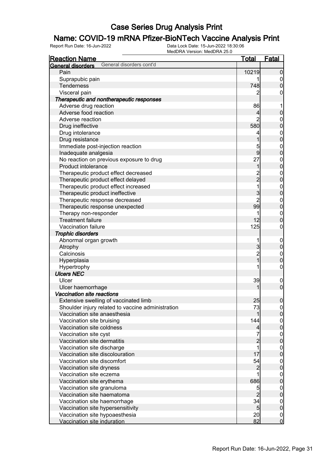## **Name: COVID-19 mRNA Pfizer-BioNTech Vaccine Analysis Print**<br>Report Run Date: 16-Jun-2022<br>Data Lock Date: 15-Jun-2022 18:30:06

| <b>Reaction Name</b>                                          | <u>Total</u>        | <u>Fatal</u>                       |
|---------------------------------------------------------------|---------------------|------------------------------------|
| General disorders cont'd<br>General disorders                 |                     |                                    |
| Pain                                                          | 10219               | $\boldsymbol{0}$                   |
| Suprapubic pain                                               |                     | $\overline{0}$                     |
| <b>Tenderness</b>                                             | 748                 | $\overline{0}$                     |
| Visceral pain                                                 | 2                   | 0                                  |
| Therapeutic and nontherapeutic responses                      |                     |                                    |
| Adverse drug reaction                                         | 86                  | 1                                  |
| Adverse food reaction                                         | 4                   | 0                                  |
| Adverse reaction                                              | 2                   | $\mathbf 0$                        |
| Drug ineffective                                              | 580                 | $\mathbf 0$                        |
| Drug intolerance                                              | 4                   |                                    |
| Drug resistance                                               | 1                   | $\begin{matrix}0\\0\end{matrix}$   |
| Immediate post-injection reaction                             | 5                   | $\mathbf{0}$                       |
| Inadequate analgesia                                          | 9                   | $\overline{0}$                     |
| No reaction on previous exposure to drug                      | 27                  |                                    |
| Product intolerance                                           | 1                   | $0\atop 0$                         |
| Therapeutic product effect decreased                          |                     |                                    |
| Therapeutic product effect delayed                            | $\frac{2}{2}$       | $\begin{matrix}0\\0\end{matrix}$   |
| Therapeutic product effect increased                          | $\overline{1}$      |                                    |
| Therapeutic product ineffective                               | 3                   | $\begin{matrix}0\\0\end{matrix}$   |
| Therapeutic response decreased                                | $\overline{2}$      |                                    |
| Therapeutic response unexpected                               | 99                  | $\begin{matrix}0\\0\end{matrix}$   |
| Therapy non-responder                                         | 1                   | $\mathbf{0}$                       |
| <b>Treatment failure</b>                                      | 12                  | $\overline{0}$                     |
| Vaccination failure                                           | 125                 | $\mathbf 0$                        |
| <b>Trophic disorders</b>                                      |                     |                                    |
| Abnormal organ growth                                         | 1                   | $\mathbf 0$                        |
| Atrophy                                                       | 3                   | $\mathbf 0$                        |
| Calcinosis                                                    |                     | $\mathbf{0}$                       |
| Hyperplasia                                                   | $\frac{2}{1}$       | $\overline{0}$                     |
| Hypertrophy                                                   | 1                   | $\mathbf 0$                        |
| <b>Ulcers NEC</b>                                             |                     |                                    |
| Ulcer                                                         | 39                  | $\boldsymbol{0}$                   |
| Ulcer haemorrhage                                             |                     | $\mathbf 0$                        |
| Vaccination site reactions                                    |                     |                                    |
| Extensive swelling of vaccinated limb                         | 25                  | $\pmb{0}$                          |
| Shoulder injury related to vaccine administration             | 73                  | 0                                  |
| Vaccination site anaesthesia                                  |                     | $\overline{0}$                     |
| Vaccination site bruising                                     | 144                 | $\mathbf 0$                        |
| Vaccination site coldness                                     | $\overline{4}$      | $\overline{0}$                     |
| Vaccination site cyst                                         | $\overline{7}$      | $\mathbf 0$                        |
| Vaccination site dermatitis                                   | $\overline{c}$      | $\overline{0}$                     |
| Vaccination site discharge                                    | 1                   | $\mathbf 0$                        |
| Vaccination site discolouration                               | 17                  | $\overline{0}$                     |
| Vaccination site discomfort                                   | 54                  |                                    |
| Vaccination site dryness                                      | $\overline{c}$      | $\boldsymbol{0}$<br>$\overline{0}$ |
| Vaccination site eczema                                       |                     |                                    |
|                                                               | 686                 | $\mathbf 0$<br>$\overline{0}$      |
| Vaccination site erythema                                     |                     |                                    |
| Vaccination site granuloma                                    | 5<br>$\overline{2}$ | $\mathbf 0$                        |
| Vaccination site haematoma                                    |                     | $\overline{0}$                     |
| Vaccination site haemorrhage                                  | 34                  | $\boldsymbol{0}$                   |
| Vaccination site hypersensitivity                             | 5                   | $\pmb{0}$                          |
|                                                               |                     |                                    |
| Vaccination site hypoaesthesia<br>Vaccination site induration | 20<br>82            | $\boldsymbol{0}$<br>$\mathbf 0$    |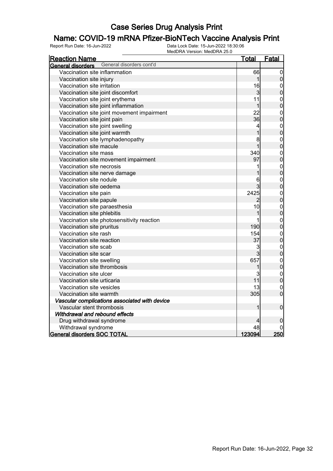## **Name: COVID-19 mRNA Pfizer-BioNTech Vaccine Analysis Print**<br>Report Run Date: 16-Jun-2022<br>Data Lock Date: 15-Jun-2022 18:30:06

| <b>Reaction Name</b>                                 | <u>Total</u>   | Fatal                                |
|------------------------------------------------------|----------------|--------------------------------------|
| General disorders cont'd<br><b>General disorders</b> |                |                                      |
| Vaccination site inflammation                        | 66             | $\mathbf 0$                          |
| Vaccination site injury                              | $\mathbf 1$    | $\mathbf 0$                          |
| Vaccination site irritation                          | 16             |                                      |
| Vaccination site joint discomfort                    | 3              | $0\atop 0$                           |
| Vaccination site joint erythema                      | 11             |                                      |
| Vaccination site joint inflammation                  | $\mathbf 1$    | $\begin{matrix}0\\0\end{matrix}$     |
| Vaccination site joint movement impairment           | 22             |                                      |
| Vaccination site joint pain                          | 36             | $\begin{matrix} 0 \\ 0 \end{matrix}$ |
| Vaccination site joint swelling                      | 4              | $\begin{matrix}0\\0\end{matrix}$     |
| Vaccination site joint warmth                        | 1              |                                      |
| Vaccination site lymphadenopathy                     | 8              | $\begin{matrix} 0 \\ 0 \end{matrix}$ |
| Vaccination site macule                              | $\overline{1}$ |                                      |
| Vaccination site mass                                | 340            |                                      |
| Vaccination site movement impairment                 | 97             | $\begin{matrix}0\\0\end{matrix}$     |
| Vaccination site necrosis                            | 1              |                                      |
| Vaccination site nerve damage                        |                | $0\atop 0$                           |
| Vaccination site nodule                              | 6              | $\begin{matrix}0\\0\end{matrix}$     |
| Vaccination site oedema                              | 3              |                                      |
| Vaccination site pain                                | 2425           |                                      |
| Vaccination site papule                              | $\overline{2}$ | $0\atop 0$                           |
| Vaccination site paraesthesia                        | 10             | $\begin{matrix}0\\0\end{matrix}$     |
| Vaccination site phlebitis                           | 1              |                                      |
| Vaccination site photosensitivity reaction           |                |                                      |
| Vaccination site pruritus                            | 190            | $0\atop 0$                           |
| Vaccination site rash                                | 154            | $\begin{matrix}0\\0\end{matrix}$     |
| Vaccination site reaction                            | 37             |                                      |
| Vaccination site scab                                | 3              |                                      |
| Vaccination site scar                                | $\overline{3}$ | $0\atop 0$                           |
| Vaccination site swelling                            | 657            | $\begin{matrix}0\\0\end{matrix}$     |
| Vaccination site thrombosis                          | 1              |                                      |
| Vaccination site ulcer                               | 3              | $0\atop 0$                           |
| Vaccination site urticaria                           | 11             |                                      |
| Vaccination site vesicles                            | 13             | $\mathbf{0}$                         |
| Vaccination site warmth                              | 305            | $\overline{0}$                       |
| Vascular complications associated with device        |                |                                      |
| Vascular stent thrombosis                            | 1              | $\mathbf 0$                          |
| Withdrawal and rebound effects                       |                |                                      |
| Drug withdrawal syndrome                             | 4              | 0                                    |
| Withdrawal syndrome                                  | 48             |                                      |
| <b>General disorders SOC TOTAL</b>                   | 123094         | 250                                  |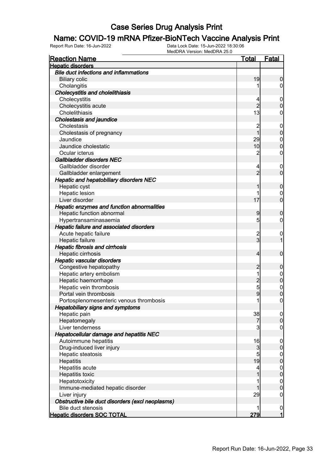## **Name: COVID-19 mRNA Pfizer-BioNTech Vaccine Analysis Print**<br>Report Run Date: 16-Jun-2022<br>Data Lock Date: 15-Jun-2022 18:30:06

| <b>Reaction Name</b>                             | <u>Total</u>            | Fatal                   |
|--------------------------------------------------|-------------------------|-------------------------|
| <b>Hepatic disorders</b>                         |                         |                         |
| <b>Bile duct infections and inflammations</b>    |                         |                         |
| <b>Biliary colic</b>                             | 19                      | 0                       |
| Cholangitis                                      | 1                       | 0                       |
| <b>Cholecystitis and cholelithiasis</b>          |                         |                         |
| Cholecystitis                                    | 4                       | $\mathbf 0$             |
| Cholecystitis acute                              | $\overline{2}$          | 0                       |
| Cholelithiasis                                   | 13                      | 0                       |
| <b>Cholestasis and jaundice</b>                  |                         |                         |
| Cholestasis                                      | $\overline{c}$          | $\overline{0}$          |
| Cholestasis of pregnancy                         | 1                       | 0                       |
| Jaundice                                         | 29                      | $\mathbf{0}$            |
| Jaundice cholestatic                             | 10                      | 0                       |
| Ocular icterus                                   | $\overline{c}$          | 0                       |
| Gallbladder disorders NEC                        |                         |                         |
| Gallbladder disorder                             | 4                       | $\boldsymbol{0}$        |
| Gallbladder enlargement                          | $\overline{2}$          | $\overline{0}$          |
| Hepatic and hepatobiliary disorders NEC          |                         |                         |
| Hepatic cyst                                     |                         | 0                       |
| Hepatic lesion                                   | 1                       | 0                       |
| Liver disorder                                   | 17                      | 0                       |
| Hepatic enzymes and function abnormalities       |                         |                         |
| Hepatic function abnormal                        | 9                       | 0                       |
| Hypertransaminasaemia                            | 5                       | 0                       |
| Hepatic failure and associated disorders         |                         |                         |
| Acute hepatic failure                            | $\overline{\mathbf{c}}$ | $\mathbf 0$             |
| Hepatic failure                                  | 3                       |                         |
| <b>Hepatic fibrosis and cirrhosis</b>            |                         |                         |
| Hepatic cirrhosis                                | 4                       | $\mathbf 0$             |
| <b>Hepatic vascular disorders</b>                |                         |                         |
| Congestive hepatopathy                           | 2                       | 0                       |
| Hepatic artery embolism                          | 1                       | $\mathbf 0$             |
| Hepatic haemorrhage                              | $\overline{2}$          | 0                       |
| Hepatic vein thrombosis                          | 5                       | $\mathbf{0}$            |
| Portal vein thrombosis                           | 9                       | $\overline{0}$          |
| Portosplenomesenteric venous thrombosis          | 1                       | 0                       |
| <b>Hepatobiliary signs and symptoms</b>          |                         |                         |
| Hepatic pain                                     | 38                      | $\overline{0}$          |
| Hepatomegaly                                     | 7                       | $\overline{0}$          |
| Liver tenderness                                 | 3                       | $\mathbf 0$             |
| Hepatocellular damage and hepatitis NEC          |                         |                         |
| Autoimmune hepatitis                             | 16                      | $\mathbf 0$             |
| Drug-induced liver injury                        | 3                       | $\mathbf 0$             |
| Hepatic steatosis                                | 5                       | $\mathbf 0$             |
| Hepatitis                                        | 19                      | $\overline{0}$          |
| Hepatitis acute                                  | 4                       | $\boldsymbol{0}$        |
| Hepatitis toxic                                  |                         | $\mathbf 0$             |
| Hepatotoxicity                                   | 1                       | $\mathbf 0$             |
| Immune-mediated hepatic disorder                 |                         | 0                       |
| Liver injury                                     | 29                      | $\mathbf 0$             |
| Obstructive bile duct disorders (excl neoplasms) |                         |                         |
| Bile duct stenosis                               |                         | $\mathbf 0$             |
| <b>Hepatic disorders SOC TOTAL</b>               | 279                     | $\overline{\mathbf{1}}$ |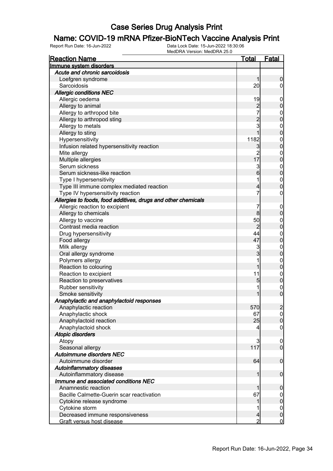## **Name: COVID-19 mRNA Pfizer-BioNTech Vaccine Analysis Print**<br>Report Run Date: 16-Jun-2022<br>Data Lock Date: 15-Jun-2022 18:30:06

| <b>Reaction Name</b>                                          | <b>Total</b>    | <b>Fatal</b>     |
|---------------------------------------------------------------|-----------------|------------------|
| Immune system disorders                                       |                 |                  |
| Acute and chronic sarcoidosis                                 |                 |                  |
| Loefgren syndrome                                             | 1               | $\boldsymbol{0}$ |
| Sarcoidosis                                                   | 20              | $\overline{0}$   |
| <b>Allergic conditions NEC</b>                                |                 |                  |
| Allergic oedema                                               | 19              | $\boldsymbol{0}$ |
| Allergy to animal                                             |                 | $\boldsymbol{0}$ |
| Allergy to arthropod bite                                     | $\frac{2}{7}$   | $\mathbf 0$      |
| Allergy to arthropod sting                                    |                 | $\mathbf 0$      |
| Allergy to metals                                             | $\frac{2}{3}$   | $\mathbf 0$      |
| Allergy to sting                                              | $\mathbf{1}$    | $\mathbf 0$      |
| Hypersensitivity                                              | 1182            | $\mathbf 0$      |
| Infusion related hypersensitivity reaction                    | $\mathbf{3}$    | $\mathbf 0$      |
| Mite allergy                                                  |                 | $\mathbf 0$      |
| Multiple allergies                                            | $\frac{2}{17}$  | $\mathbf 0$      |
| Serum sickness                                                | 3               | $\mathbf 0$      |
| Serum sickness-like reaction                                  | $6\overline{6}$ | $\mathbf 0$      |
| Type I hypersensitivity                                       | 1               | $\mathbf 0$      |
| Type III immune complex mediated reaction                     | $\overline{4}$  | $\mathbf 0$      |
| Type IV hypersensitivity reaction                             | 7               | 0                |
| Allergies to foods, food additives, drugs and other chemicals |                 |                  |
| Allergic reaction to excipient                                | 7               | $\boldsymbol{0}$ |
| Allergy to chemicals                                          | 8               | $\boldsymbol{0}$ |
| Allergy to vaccine                                            | 50              | $\mathbf 0$      |
| Contrast media reaction                                       | $\overline{c}$  | $\mathbf 0$      |
| Drug hypersensitivity                                         | 44              | $\mathbf 0$      |
| Food allergy                                                  | 47              | $\boldsymbol{0}$ |
| Milk allergy                                                  | 3               | $\mathbf 0$      |
| Oral allergy syndrome                                         | $\overline{3}$  | $\boldsymbol{0}$ |
| Polymers allergy                                              |                 | $\mathbf 0$      |
| Reaction to colouring                                         | 1               | $\boldsymbol{0}$ |
| Reaction to excipient                                         | 11              | $\boldsymbol{0}$ |
| Reaction to preservatives                                     | 5               | $\pmb{0}$        |
| Rubber sensitivity                                            | 1               | $\boldsymbol{0}$ |
| Smoke sensitivity                                             | 1               | $\mathbf 0$      |
| Anaphylactic and anaphylactoid responses                      |                 |                  |
| Anaphylactic reaction                                         | 570             | $\overline{2}$   |
| Anaphylactic shock                                            | 67              | 0                |
| Anaphylactoid reaction                                        | 25              | $\mathbf 0$      |
| Anaphylactoid shock                                           | 4               | $\mathbf 0$      |
| <b>Atopic disorders</b>                                       |                 |                  |
| Atopy                                                         | 3               | $\mathbf 0$      |
| Seasonal allergy                                              | 117             | $\overline{0}$   |
| Autoimmune disorders NEC                                      |                 |                  |
| Autoimmune disorder                                           | 64              | $\boldsymbol{0}$ |
| <b>Autoinflammatory diseases</b>                              |                 |                  |
| Autoinflammatory disease                                      | 1               | $\boldsymbol{0}$ |
| Immune and associated conditions NEC                          |                 |                  |
| Anamnestic reaction                                           |                 | $\mathbf 0$      |
| Bacille Calmette-Guerin scar reactivation                     | 67              | $\overline{0}$   |
| Cytokine release syndrome                                     |                 | $\pmb{0}$        |
| Cytokine storm                                                |                 | $\overline{0}$   |
| Decreased immune responsiveness                               | $\overline{4}$  | $\pmb{0}$        |
| Graft versus host disease                                     | $\overline{2}$  | $\overline{0}$   |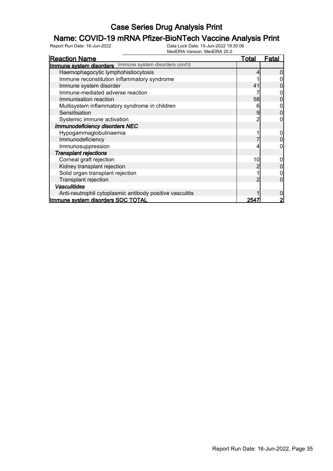## **Name: COVID-19 mRNA Pfizer-BioNTech Vaccine Analysis Print**<br>Report Run Date: 16-Jun-2022<br>Data Lock Date: 15-Jun-2022 18:30:06

| <b>Reaction Name</b>                                     | <u>Total</u> | Fatal |
|----------------------------------------------------------|--------------|-------|
| Immune system disorders Immune system disorders cont'd   |              |       |
| Haemophagocytic lymphohistiocytosis                      |              |       |
| Immune reconstitution inflammatory syndrome              |              |       |
| Immune system disorder                                   | 41           |       |
| Immune-mediated adverse reaction                         |              |       |
| Immunisation reaction                                    | 58           |       |
| Multisystem inflammatory syndrome in children            | 6            |       |
| Sensitisation                                            | 9            |       |
| Systemic immune activation                               |              |       |
| Immunodeficiency disorders NEC                           |              |       |
| Hypogammaglobulinaemia                                   |              |       |
| Immunodeficiency                                         |              |       |
| Immunosuppression                                        |              |       |
| <b>Transplant rejections</b>                             |              |       |
| Corneal graft rejection                                  | 10           |       |
| Kidney transplant rejection                              |              |       |
| Solid organ transplant rejection                         |              |       |
| <b>Transplant rejection</b>                              | っ            |       |
| <b>Vasculitides</b>                                      |              |       |
| Anti-neutrophil cytoplasmic antibody positive vasculitis |              |       |
| Immune system disorders SOC TOTAL                        | 254          |       |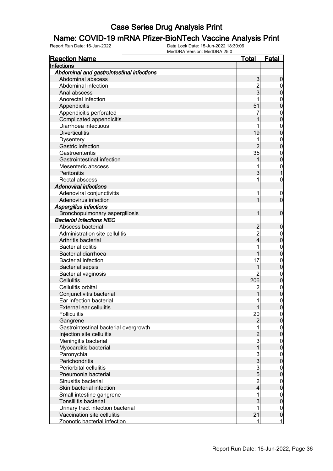## **Name: COVID-19 mRNA Pfizer-BioNTech Vaccine Analysis Print**<br>Report Run Date: 16-Jun-2022<br>Data Lock Date: 15-Jun-2022 18:30:06

| <b>Reaction Name</b>                      | <u>Total</u>   | Fatal            |
|-------------------------------------------|----------------|------------------|
| Infections                                |                |                  |
| Abdominal and gastrointestinal infections |                |                  |
| Abdominal abscess                         | 3              | 0                |
| Abdominal infection                       | $\overline{2}$ | 0                |
| Anal abscess                              | 3              | 0                |
| Anorectal infection                       |                | 0                |
| Appendicitis                              | 51             | 0                |
| Appendicitis perforated                   | 7              | 0                |
| Complicated appendicitis                  |                | 0                |
| Diarrhoea infectious                      |                | 0                |
| <b>Diverticulitis</b>                     | 19             | 0                |
| <b>Dysentery</b>                          | 1              | 0                |
| Gastric infection                         |                | 0                |
| Gastroenteritis                           | 35             | $\mathbf{0}$     |
| Gastrointestinal infection                |                | 0                |
| Mesenteric abscess                        |                | $\mathbf 0$      |
| Peritonitis                               | 3              |                  |
| Rectal abscess                            |                | 0                |
| <b>Adenoviral infections</b>              |                |                  |
| Adenoviral conjunctivitis                 | 1              | 0                |
| Adenovirus infection                      |                | 0                |
| <b>Aspergillus infections</b>             |                |                  |
| Bronchopulmonary aspergillosis            |                |                  |
|                                           |                | 0                |
| <b>Bacterial infections NEC</b>           |                |                  |
| Abscess bacterial                         | 2              | 0                |
| Administration site cellulitis            | $\overline{c}$ | 0                |
| Arthritis bacterial                       | 4              | 0                |
| <b>Bacterial colitis</b>                  |                | $\mathbf 0$      |
| <b>Bacterial diarrhoea</b>                |                | 0                |
| <b>Bacterial infection</b>                | 17             | $\mathbf 0$      |
| <b>Bacterial sepsis</b>                   |                | 0                |
| <b>Bacterial vaginosis</b>                | 2              | 0                |
| <b>Cellulitis</b>                         | 206            | 0                |
| Cellulitis orbital                        | 2              | $\mathbf{0}$     |
| Conjunctivitis bacterial                  |                | 0                |
| Ear infection bacterial                   | 1              | 0                |
| External ear cellulitis                   |                | $\Omega$         |
| <b>Folliculitis</b>                       | 20             | $\overline{0}$   |
| Gangrene                                  | 2              | 0                |
| Gastrointestinal bacterial overgrowth     | 1              | $\boldsymbol{0}$ |
| Injection site cellulitis                 | $\overline{2}$ | $\overline{0}$   |
| Meningitis bacterial                      | 3              | $\mathbf 0$      |
| Myocarditis bacterial                     | 1              | $\overline{0}$   |
| Paronychia                                | 3<br>3         | $\mathbf 0$      |
| Perichondritis                            |                | 0                |
| Periorbital cellulitis                    | 3              | $\mathbf 0$      |
| Pneumonia bacterial                       | $\overline{5}$ | 0                |
| Sinusitis bacterial                       | $\overline{2}$ | $\mathbf 0$      |
| Skin bacterial infection                  | 4              | 0                |
| Small intestine gangrene                  | 1              | $\mathbf 0$      |
| Tonsillitis bacterial                     | 3              | $\mathbf 0$      |
| Urinary tract infection bacterial         |                | $\mathbf{0}$     |
| Vaccination site cellulitis               | 21             | $\overline{0}$   |
| Zoonotic bacterial infection              | 1              | $\overline{1}$   |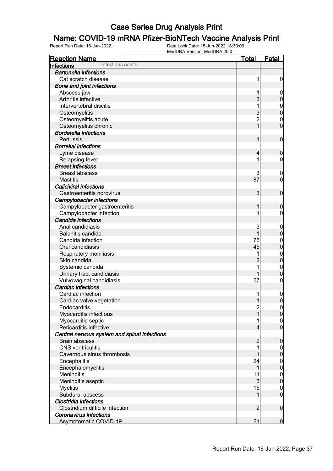# **Name: COVID-19 mRNA Pfizer-BioNTech Vaccine Analysis Print**<br>Report Run Date: 16-Jun-2022<br>Data Lock Date: 15-Jun-2022 18:30:06

| <b>Reaction Name</b>                         | <b>Total</b>   | Fatal                      |
|----------------------------------------------|----------------|----------------------------|
| Infections cont'd<br>Infections              |                |                            |
| <b>Bartonella infections</b>                 |                |                            |
| Cat scratch disease                          | 1              | $\mathbf 0$                |
| <b>Bone and joint infections</b>             |                |                            |
| Abscess jaw                                  |                | $\mathbf 0$                |
| Arthritis infective                          | $\overline{3}$ | $\pmb{0}$                  |
| Intervertebral discitis                      |                | $\mathbf 0$                |
| Osteomyelitis                                | 3              | $\mathbf 0$                |
| Osteomyelitis acute                          | $\overline{c}$ | 0                          |
| Osteomyelitis chronic                        | 1              | $\overline{0}$             |
| <b>Bordetella infections</b>                 |                |                            |
| Pertussis                                    | 1              | $\mathbf 0$                |
| <b>Borrelial infections</b>                  |                |                            |
| Lyme disease                                 | 4              | $\mathbf 0$                |
| Relapsing fever                              |                | 0                          |
| <b>Breast infections</b>                     |                |                            |
| <b>Breast abscess</b>                        | 3              | $\boldsymbol{0}$           |
| <b>Mastitis</b>                              | 87             | $\overline{0}$             |
| <b>Caliciviral infections</b>                |                |                            |
| Gastroenteritis norovirus                    | $\overline{3}$ | $\mathbf 0$                |
| Campylobacter infections                     |                |                            |
| Campylobacter gastroenteritis                | 1              | $\boldsymbol{0}$           |
| Campylobacter infection                      |                | 0                          |
| Candida infections                           |                |                            |
| Anal candidiasis                             | 3              |                            |
| Balanitis candida                            | $\mathbf{1}$   | $\mathbf 0$<br>$\mathbf 0$ |
| Candida infection                            | 75             |                            |
| Oral candidiasis                             | 45             | $\mathbf 0$<br>$\mathbf 0$ |
|                                              |                |                            |
| Respiratory moniliasis                       |                | $\mathbf{0}$               |
| Skin candida                                 | $\overline{2}$ | $\mathbf 0$                |
| Systemic candida                             |                | $\mathbf 0$                |
| Urinary tract candidiasis                    |                | $\mathbf 0$                |
| Vulvovaginal candidiasis                     | 57             | 0                          |
| <b>Cardiac infections</b>                    |                |                            |
| Cardiac infection                            |                | 0                          |
| Cardiac valve vegetation                     | $\mathbf{1}$   | $\overline{0}$             |
| Endocarditis                                 | $\overline{c}$ | 0                          |
| Myocarditis infectious                       | $\overline{1}$ | 0                          |
| Myocarditis septic                           |                | $\overline{0}$             |
| Pericarditis infective                       | 4              | $\overline{0}$             |
| Central nervous system and spinal infections |                |                            |
| <b>Brain abscess</b>                         | $\overline{2}$ | $\boldsymbol{0}$           |
| <b>CNS</b> ventriculitis                     |                | $\overline{0}$             |
| Cavernous sinus thrombosis                   |                | $\mathbf 0$                |
| Encephalitis                                 | 24             | $\boldsymbol{0}$           |
| Encephalomyelitis                            | 1              | $\mathbf 0$                |
| Meningitis                                   | 11             | $\boldsymbol{0}$           |
| Meningitis aseptic                           | 3              | $\mathbf 0$                |
| <b>Myelitis</b>                              | 15             | $\mathbf 0$                |
| Subdural abscess                             | 1              | $\overline{0}$             |
| Clostridia infections                        |                |                            |
| Clostridium difficile infection              | $\overline{2}$ | $\mathbf 0$                |
| <b>Coronavirus infections</b>                |                |                            |
| <b>Asymptomatic COVID-19</b>                 | 21             | $\mathbf 0$                |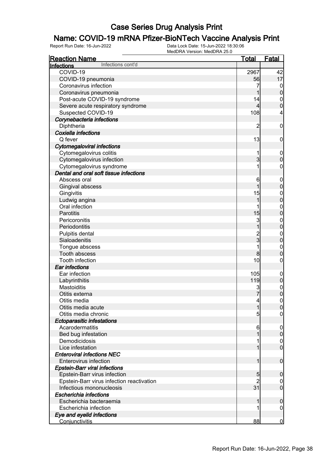## **Name: COVID-19 mRNA Pfizer-BioNTech Vaccine Analysis Print**<br>Report Run Date: 16-Jun-2022<br>Data Lock Date: 15-Jun-2022 18:30:06

| <b>Reaction Name</b>                      | <u>Total</u>            | <b>Fatal</b>                     |
|-------------------------------------------|-------------------------|----------------------------------|
| Infections cont'd<br>Infections           |                         |                                  |
| COVID-19                                  | 2967                    | 42                               |
| COVID-19 pneumonia                        | 56                      | 17                               |
| Coronavirus infection                     |                         | $\overline{0}$                   |
| Coronavirus pneumonia                     | 1                       | $\pmb{0}$                        |
| Post-acute COVID-19 syndrome              | 14                      | $\overline{0}$                   |
| Severe acute respiratory syndrome         | 4                       | $\overline{0}$                   |
| Suspected COVID-19                        | 108                     | 4                                |
| Corynebacteria infections                 |                         |                                  |
| Diphtheria                                | $\overline{c}$          | $\boldsymbol{0}$                 |
| Coxiella infections                       |                         |                                  |
| Q fever                                   | 13                      | $\boldsymbol{0}$                 |
| <b>Cytomegaloviral infections</b>         |                         |                                  |
| Cytomegalovirus colitis                   | 1                       | $\boldsymbol{0}$                 |
| Cytomegalovirus infection                 | $\overline{3}$          | $\mathbf 0$                      |
| Cytomegalovirus syndrome                  | 1                       | $\pmb{0}$                        |
| Dental and oral soft tissue infections    |                         |                                  |
| Abscess oral                              | 6                       | $\boldsymbol{0}$                 |
| Gingival abscess                          | 1                       | $\overline{0}$                   |
| Gingivitis                                | 15                      | $\mathbf{0}$                     |
| Ludwig angina                             | 1                       | $\overline{0}$                   |
| Oral infection                            |                         | $\mathbf{0}$                     |
| Parotitis                                 | 15                      | $\overline{0}$                   |
| Pericoronitis                             | 3                       | $\mathbf{0}$                     |
| Periodontitis                             | $\overline{1}$          | $\overline{0}$                   |
| Pulpitis dental                           |                         |                                  |
| Sialoadenitis                             | $\frac{2}{3}$           | $\begin{matrix}0\\0\end{matrix}$ |
| Tongue abscess                            | 1                       | $\mathbf{0}$                     |
| Tooth abscess                             | 8                       | $\mathbf 0$                      |
| Tooth infection                           | 10                      | $\mathbf 0$                      |
| Ear infections                            |                         |                                  |
| Ear infection                             | 105                     |                                  |
| Labyrinthitis                             | 119                     | $\boldsymbol{0}$<br>$\pmb{0}$    |
| Mastoiditis                               | 3                       |                                  |
| Otitis externa                            |                         | $0$<br>0                         |
| Otitis media                              | $\overline{\mathbf{r}}$ | $\overline{0}$                   |
| Otitis media acute                        | $\mathbf{1}$            | 0                                |
| Otitis media chronic                      | 5                       | $\overline{0}$                   |
| <b>Ectoparasitic infestations</b>         |                         |                                  |
| Acarodermatitis                           | 6                       | $\mathbf 0$                      |
| Bed bug infestation                       |                         | $\boldsymbol{0}$                 |
| Demodicidosis                             |                         | $\overline{0}$                   |
| Lice infestation                          | 1                       | $\overline{0}$                   |
| <b>Enteroviral infections NEC</b>         |                         |                                  |
| Enterovirus infection                     | 1                       | $\boldsymbol{0}$                 |
| <b>Epstein-Barr viral infections</b>      |                         |                                  |
| Epstein-Barr virus infection              | 5                       | $\boldsymbol{0}$                 |
| Epstein-Barr virus infection reactivation | $\overline{c}$          |                                  |
| Infectious mononucleosis                  | 31                      | 0<br>$\overline{0}$              |
| Escherichia infections                    |                         |                                  |
| Escherichia bacteraemia                   | 1                       | $\mathbf 0$                      |
| Escherichia infection                     |                         | $\overline{0}$                   |
| Eye and eyelid infections                 |                         |                                  |
|                                           |                         |                                  |
| Conjunctivitis                            | 88                      | $\overline{0}$                   |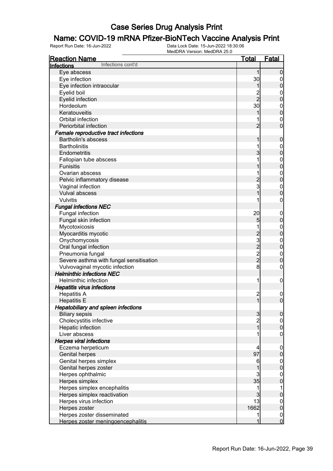# **Name: COVID-19 mRNA Pfizer-BioNTech Vaccine Analysis Print**<br>Report Run Date: 16-Jun-2022<br>Data Lock Date: 15-Jun-2022 18:30:06

| <b>Reaction Name</b>                       | <b>Total</b>            | <b>Fatal</b>     |
|--------------------------------------------|-------------------------|------------------|
| Infections cont'd<br>Infections            |                         |                  |
| Eye abscess                                | $\mathbf{1}$            | $\boldsymbol{0}$ |
| Eye infection                              | 30                      | 0                |
| Eye infection intraocular                  | 1                       | $\boldsymbol{0}$ |
| Eyelid boil                                |                         | 0                |
| Eyelid infection                           | 2<br>2                  | $\pmb{0}$        |
| Hordeolum                                  | 30                      | 0                |
| Keratouveitis                              |                         | $\mathbf 0$      |
| Orbital infection                          |                         | 0                |
| Periorbital infection                      | $\overline{2}$          | $\overline{0}$   |
| Female reproductive tract infections       |                         |                  |
| <b>Bartholin's abscess</b>                 |                         | $\mathbf 0$      |
| <b>Bartholinitis</b>                       |                         | $\mathbf 0$      |
| Endometritis                               | 3                       | $\mathbf 0$      |
|                                            |                         |                  |
| Fallopian tube abscess<br><b>Funisitis</b> |                         | $\mathbf 0$      |
|                                            |                         | $\mathbf 0$      |
| Ovarian abscess                            |                         | $\mathbf 0$      |
| Pelvic inflammatory disease                | 2<br>3                  | $\mathbf 0$      |
| Vaginal infection                          |                         | $\mathbf 0$      |
| <b>Vulval abscess</b>                      |                         | $\boldsymbol{0}$ |
| Vulvitis                                   |                         | 0                |
| <b>Fungal infections NEC</b>               |                         |                  |
| Fungal infection                           | 20                      | $\mathbf 0$      |
| Fungal skin infection                      | 5                       | $\pmb{0}$        |
| Mycotoxicosis                              |                         | $\mathbf 0$      |
| Myocarditis mycotic                        |                         | $\mathbf 0$      |
| Onychomycosis                              | 2322                    | $\mathbf 0$      |
| Oral fungal infection                      |                         | $\mathbf 0$      |
| Pneumonia fungal                           |                         | $\mathbf 0$      |
| Severe asthma with fungal sensitisation    |                         | $\boldsymbol{0}$ |
| Vulvovaginal mycotic infection             | 8                       | 0                |
| <b>Helminthic infections NEC</b>           |                         |                  |
| <b>Helminthic infection</b>                | 1                       | $\mathbf 0$      |
| <b>Hepatitis virus infections</b>          |                         |                  |
| <b>Hepatitis A</b>                         | $\overline{\mathbf{c}}$ | $\mathbf 0$      |
| <b>Hepatitis E</b>                         | $\mathbf{1}$            | $\boldsymbol{0}$ |
| <b>Hepatobiliary and spleen infections</b> |                         |                  |
| <b>Biliary sepsis</b>                      | $\mathbf{3}$            | $\overline{0}$   |
| Cholecystitis infective                    | 2<br>1                  | $\overline{0}$   |
| Hepatic infection                          |                         | $\overline{0}$   |
| Liver abscess                              |                         | $\mathbf 0$      |
| <b>Herpes viral infections</b>             |                         |                  |
| Eczema herpeticum                          | 4                       | $\mathbf 0$      |
| <b>Genital herpes</b>                      | 97                      | $\pmb{0}$        |
| Genital herpes simplex                     | 6                       |                  |
| Genital herpes zoster                      |                         | $0\atop 0$       |
| Herpes ophthalmic                          | 3                       | $\mathbf{0}$     |
| Herpes simplex                             | 35                      | $\overline{0}$   |
| Herpes simplex encephalitis                | 1                       | 1                |
| Herpes simplex reactivation                | 3                       | $\pmb{0}$        |
| Herpes virus infection                     | 13                      | $\overline{0}$   |
| Herpes zoster                              | 1662                    | $\mathbf 0$      |
| Herpes zoster disseminated                 | 1                       | $\boldsymbol{0}$ |
| Herpes zoster meningoencephalitis          | 1                       | $\mathbf 0$      |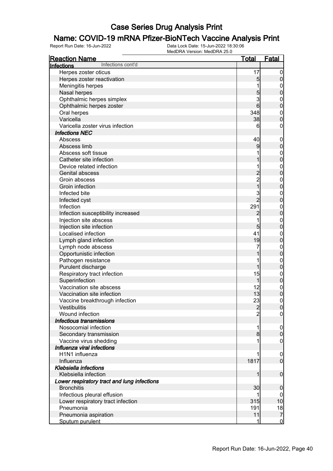# **Name: COVID-19 mRNA Pfizer-BioNTech Vaccine Analysis Print**<br>Report Run Date: 16-Jun-2022<br>Data Lock Date: 15-Jun-2022 18:30:06

| <b>Reaction Name</b>                        | <b>Total</b>        | <b>Fatal</b>                       |
|---------------------------------------------|---------------------|------------------------------------|
| Infections cont'd<br>Infections             |                     |                                    |
| Herpes zoster oticus                        | 17                  | $\mathbf 0$                        |
| Herpes zoster reactivation                  | 5                   | $\pmb{0}$                          |
| Meningitis herpes                           |                     | $\boldsymbol{0}$                   |
| Nasal herpes                                | $\overline{5}$      | $\overline{0}$                     |
| Ophthalmic herpes simplex                   | 3                   | $\mathbf{0}$                       |
| Ophthalmic herpes zoster                    | 6                   | $\mathbf 0$                        |
| Oral herpes                                 | 348                 | $\boldsymbol{0}$                   |
| Varicella                                   | 38                  | $\mathbf 0$                        |
| Varicella zoster virus infection            | 6                   | 0                                  |
| <b>Infections NEC</b>                       |                     |                                    |
| Abscess                                     | 40                  | $\mathbf 0$                        |
| Abscess limb                                | 9                   | $\pmb{0}$                          |
| Abscess soft tissue                         |                     | $\boldsymbol{0}$                   |
| Catheter site infection                     |                     | $\overline{0}$                     |
| Device related infection                    |                     |                                    |
| Genital abscess                             | $\overline{c}$      | $\boldsymbol{0}$<br>$\overline{0}$ |
| Groin abscess                               | $\overline{c}$      |                                    |
| Groin infection                             | $\frac{1}{1}$       | $\mathbf{0}$<br>$\overline{0}$     |
| Infected bite                               |                     |                                    |
|                                             | 3<br>$\overline{2}$ | $\mathbf{0}$<br>$\mathbf 0$        |
| Infected cyst                               |                     |                                    |
| Infection                                   | 291                 | $\boldsymbol{0}$                   |
| Infection susceptibility increased          | $\overline{c}$      | $\overline{0}$                     |
| Injection site abscess                      | 1                   | $\mathbf{0}$                       |
| Injection site infection                    | $5\overline{)}$     | $\mathbf 0$                        |
| Localised infection                         | 41                  | $\mathbf{0}$                       |
| Lymph gland infection                       | 19                  | $\pmb{0}$                          |
| Lymph node abscess                          | 7                   | $\boldsymbol{0}$                   |
| Opportunistic infection                     |                     | $\mathbf 0$                        |
| Pathogen resistance                         |                     | $\mathbf{0}$                       |
| Purulent discharge                          | 1                   | $\mathbf 0$                        |
| Respiratory tract infection                 | 15                  | $\boldsymbol{0}$                   |
| Superinfection                              | 1                   | $\mathbf 0$                        |
| Vaccination site abscess                    | 12                  | $\boldsymbol{0}$                   |
| Vaccination site infection                  | 13                  | $\overline{0}$                     |
| Vaccine breakthrough infection              | 23                  | $\mathbf 0$                        |
| Vestibulitis                                | $\overline{2}$      | 0                                  |
| Wound infection                             | $\overline{2}$      | $\overline{0}$                     |
| Infectious transmissions                    |                     |                                    |
| Nosocomial infection                        | 1                   | $\overline{0}$                     |
| Secondary transmission                      | 8                   | $\boldsymbol{0}$                   |
| Vaccine virus shedding                      |                     | $\mathbf 0$                        |
| Influenza viral infections                  |                     |                                    |
| H1N1 influenza                              |                     | $\boldsymbol{0}$                   |
| Influenza                                   | 1817                | $\overline{0}$                     |
| <b>Klebsiella infections</b>                |                     |                                    |
| Klebsiella infection                        | 1                   | $\boldsymbol{0}$                   |
| Lower respiratory tract and lung infections |                     |                                    |
| <b>Bronchitis</b>                           | 30                  | $\mathbf 0$                        |
| Infectious pleural effusion                 |                     | 0                                  |
| Lower respiratory tract infection           | 315                 | 10                                 |
| Pneumonia                                   | 191                 | 18                                 |
| Pneumonia aspiration                        | 11                  | $\overline{7}$                     |
| Sputum purulent                             | 1                   | $\overline{0}$                     |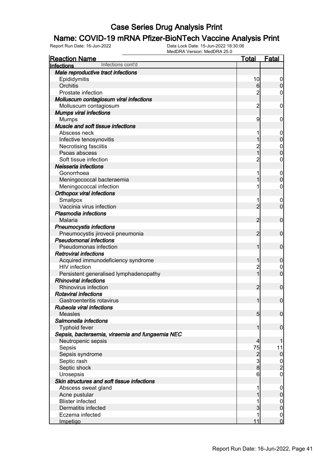# **Name: COVID-19 mRNA Pfizer-BioNTech Vaccine Analysis Print**<br>Report Run Date: 16-Jun-2022<br>Data Lock Date: 15-Jun-2022 18:30:06

| <b>Reaction Name</b>                            | <b>Total</b>   | <b>Fatal</b>     |
|-------------------------------------------------|----------------|------------------|
| Infections cont'd<br>Infections                 |                |                  |
| Male reproductive tract infections              |                |                  |
| Epididymitis                                    | 10             | 0                |
| Orchitis                                        | 6              | $\pmb{0}$        |
| Prostate infection                              | $\overline{c}$ | 0                |
| Molluscum contagiosum viral infections          |                |                  |
| Molluscum contagiosum                           | $\overline{2}$ | $\mathbf 0$      |
| <b>Mumps viral infections</b>                   |                |                  |
| <b>Mumps</b>                                    | 9              | 0                |
| Muscle and soft tissue infections               |                |                  |
| Abscess neck                                    |                | $\mathbf 0$      |
| Infective tenosynovitis                         | 1              | $\pmb{0}$        |
| Necrotising fasciitis                           | 2<br>1         | $\boldsymbol{0}$ |
| Psoas abscess                                   |                | $\mathbf 0$      |
| Soft tissue infection                           | $\overline{c}$ | $\mathbf 0$      |
| Neisseria infections                            |                |                  |
| Gonorrhoea                                      |                | $\mathbf 0$      |
| Meningococcal bacteraemia                       |                | $\mathbf 0$      |
| Meningococcal infection                         |                | $\boldsymbol{0}$ |
| <b>Orthopox viral infections</b>                |                |                  |
| Smallpox                                        |                | $\mathbf 0$      |
| Vaccinia virus infection                        | $\overline{2}$ | $\mathbf 0$      |
| <b>Plasmodia infections</b>                     |                |                  |
| Malaria                                         | $\overline{2}$ | $\mathbf 0$      |
| <b>Pneumocystis infections</b>                  |                |                  |
| Pneumocystis jirovecii pneumonia                | $\overline{2}$ | $\mathbf 0$      |
| <b>Pseudomonal infections</b>                   |                |                  |
| Pseudomonas infection                           | 1              | $\mathbf 0$      |
| <b>Retroviral infections</b>                    |                |                  |
| Acquired immunodeficiency syndrome              | 1              | $\boldsymbol{0}$ |
| <b>HIV</b> infection                            | $\overline{c}$ | $\boldsymbol{0}$ |
| Persistent generalised lymphadenopathy          | $\overline{1}$ | $\mathbf 0$      |
| <b>Rhinoviral infections</b>                    |                |                  |
| Rhinovirus infection                            | $\overline{2}$ | $\boldsymbol{0}$ |
| <b>Rotaviral infections</b>                     |                |                  |
| Gastroenteritis rotavirus                       | $\mathbf{1}$   | $\boldsymbol{0}$ |
| Rubeola viral infections                        |                |                  |
| <b>Measles</b>                                  | 5 <sub>5</sub> | $\mathbf 0$      |
| Salmonella infections                           |                |                  |
| <b>Typhoid fever</b>                            | 1              | $\mathbf 0$      |
| Sepsis, bacteraemia, viraemia and fungaemia NEC |                |                  |
| Neutropenic sepsis                              | $\overline{4}$ | 1                |
| Sepsis                                          | 75             | 11               |
| Sepsis syndrome                                 |                | $\overline{0}$   |
| Septic rash                                     | $\frac{2}{3}$  |                  |
| Septic shock                                    | $\overline{8}$ | $\frac{0}{2}$    |
| Urosepsis                                       | 6              | $\overline{0}$   |
| Skin structures and soft tissue infections      |                |                  |
| Abscess sweat gland                             |                | $\mathbf 0$      |
| Acne pustular                                   |                | $\pmb{0}$        |
| <b>Blister infected</b>                         |                | $\overline{0}$   |
| Dermatitis infected                             | 3              | $\mathbf 0$      |
| Eczema infected                                 | 1              | $\boldsymbol{0}$ |
| Impetigo                                        | 11             | $\overline{0}$   |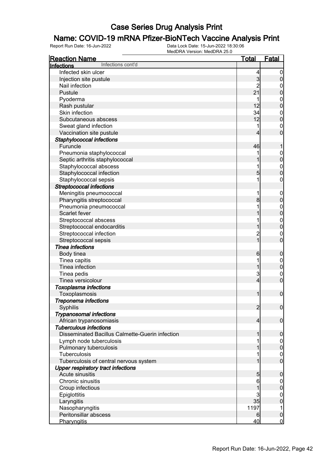## **Name: COVID-19 mRNA Pfizer-BioNTech Vaccine Analysis Print**<br>Report Run Date: 16-Jun-2022<br>Data Lock Date: 15-Jun-2022 18:30:06

| <b>Reaction Name</b>                            | <u>Total</u>   | <b>Fatal</b>                     |
|-------------------------------------------------|----------------|----------------------------------|
| Infections cont'd<br>Infections                 |                |                                  |
| Infected skin ulcer                             | 4              | $\boldsymbol{0}$                 |
| Injection site pustule                          | $\overline{3}$ | $\pmb{0}$                        |
| Nail infection                                  | $\overline{2}$ | $\mathbf{0}$                     |
| Pustule                                         | 21             | $\mathbf 0$                      |
| Pyoderma                                        | 1              |                                  |
| Rash pustular                                   | 12             | $\begin{matrix}0\\0\end{matrix}$ |
| Skin infection                                  | 34             |                                  |
| Subcutaneous abscess                            | 12             | $\begin{matrix}0\\0\end{matrix}$ |
|                                                 | 1              |                                  |
| Sweat gland infection                           |                | $\begin{matrix}0\\0\end{matrix}$ |
| Vaccination site pustule                        | 4              |                                  |
| Staphylococcal infections                       |                |                                  |
| Furuncle                                        | 46             | 1                                |
| Pneumonia staphylococcal                        | 1              | $0\atop 0$                       |
| Septic arthritis staphylococcal                 | 1              |                                  |
| Staphylococcal abscess                          | 1              | $\begin{matrix}0\\0\end{matrix}$ |
| Staphylococcal infection                        | 5              |                                  |
| Staphylococcal sepsis                           | 1              | $\mathbf 0$                      |
| <b>Streptococcal infections</b>                 |                |                                  |
| Meningitis pneumococcal                         | 1              | $\boldsymbol{0}$                 |
| Pharyngitis streptococcal                       | 8              | $\overline{0}$                   |
| Pneumonia pneumococcal                          | 1              |                                  |
| Scarlet fever                                   | 1              | $0\atop 0$                       |
| Streptococcal abscess                           | 1              |                                  |
| Streptococcal endocarditis                      | 1              | $\begin{matrix}0\\0\end{matrix}$ |
| Streptococcal infection                         | $\overline{c}$ | $\mathbf{0}$                     |
| Streptococcal sepsis                            | $\overline{1}$ | $\overline{0}$                   |
| <b>Tinea infections</b>                         |                |                                  |
| Body tinea                                      | 6              | $\boldsymbol{0}$                 |
| Tinea capitis                                   | 1              |                                  |
| Tinea infection                                 | 1              | $0\atop 0$                       |
| Tinea pedis                                     | 3              |                                  |
| Tinea versicolour                               | $\overline{4}$ | $\mathbf{0}$<br>$\overline{0}$   |
|                                                 |                |                                  |
| <b>Toxoplasma infections</b>                    |                | $\mathbf 0$                      |
| Toxoplasmosis                                   | 1              |                                  |
| Treponema infections                            |                |                                  |
| Syphilis                                        | $\overline{2}$ | 0                                |
| <b>Trypanosomal infections</b>                  |                |                                  |
| African trypanosomiasis                         | $\overline{4}$ | $\overline{0}$                   |
| <b>Tuberculous infections</b>                   |                |                                  |
| Disseminated Bacillus Calmette-Guerin infection | 1              | $\mathbf 0$                      |
| Lymph node tuberculosis                         | 1              | $\mathbf 0$                      |
| Pulmonary tuberculosis                          | 1              | $\pmb{0}$                        |
| Tuberculosis                                    | 1              | $\boldsymbol{0}$                 |
| Tuberculosis of central nervous system          | 1              | $\overline{0}$                   |
| <b>Upper respiratory tract infections</b>       |                |                                  |
| Acute sinusitis                                 | 5              | $\mathbf 0$                      |
| Chronic sinusitis                               | 6              | $\mathbf 0$                      |
| Croup infectious                                | 1              | $\mathbf 0$                      |
| Epiglottitis                                    | 3              | $\mathbf 0$                      |
| Laryngitis                                      | 35             | $\overline{0}$                   |
| Nasopharyngitis                                 | 1197           | 1                                |
| Peritonsillar abscess                           | 6              | $\pmb{0}$                        |
| Pharyngitis                                     | 40             | $\overline{0}$                   |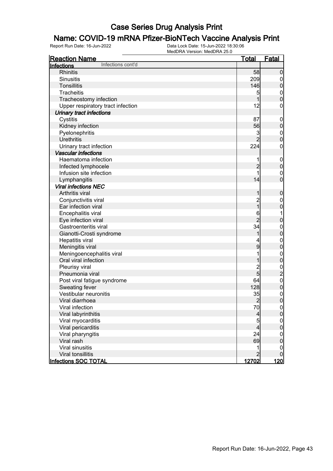## **Name: COVID-19 mRNA Pfizer-BioNTech Vaccine Analysis Print**<br>Report Run Date: 16-Jun-2022<br>Data Lock Date: 15-Jun-2022 18:30:06

| <b>Reaction Name</b>              | <u>Total</u>   | <b>Fatal</b>                               |
|-----------------------------------|----------------|--------------------------------------------|
| Infections cont'd<br>Infections   |                |                                            |
| <b>Rhinitis</b>                   | 58             | $\mathbf 0$                                |
| <b>Sinusitis</b>                  | 209            | $\boldsymbol{0}$                           |
| Tonsillitis                       | 146            | $\mathbf 0$                                |
| Tracheitis                        | 5              |                                            |
| Tracheostomy infection            | 1              | $\begin{matrix}0\\0\end{matrix}$           |
| Upper respiratory tract infection | 12             | $\pmb{0}$                                  |
| Urinary tract infections          |                |                                            |
| Cystitis                          | 87             | $\mathbf{0}$                               |
| Kidney infection                  | 56             | $\mathbf 0$                                |
| Pyelonephritis                    | 3              |                                            |
| <b>Urethritis</b>                 | $\overline{2}$ | $\begin{matrix}0\\0\end{matrix}$           |
| Urinary tract infection           | 224            | $\pmb{0}$                                  |
| <b>Vascular infections</b>        |                |                                            |
| Haematoma infection               | 1              |                                            |
| Infected lymphocele               | $\overline{2}$ | $0\atop 0$                                 |
| Infusion site infection           | 1              |                                            |
| Lymphangitis                      | 14             | $\begin{matrix}0\\0\end{matrix}$           |
| <b>Viral infections NEC</b>       |                |                                            |
| Arthritis viral                   | 1              | $\pmb{0}$                                  |
| Conjunctivitis viral              | $\overline{c}$ | $\mathbf{0}$                               |
| Ear infection viral               | $\overline{1}$ | $\overline{0}$                             |
| Encephalitis viral                | 6              | 1                                          |
| Eye infection viral               | $\overline{2}$ | $\mathbf 0$                                |
| Gastroenteritis viral             | 34             |                                            |
| Gianotti-Crosti syndrome          | 1              | $\begin{matrix}0\\0\end{matrix}$           |
| Hepatitis viral                   | 4              |                                            |
| Meningitis viral                  | 9              | $\begin{matrix}0\\0\end{matrix}$           |
| Meningoencephalitis viral         | 1              |                                            |
| Oral viral infection              | 1              | $\begin{matrix}0\\0\end{matrix}$           |
| Pleurisy viral                    | $\overline{2}$ |                                            |
| Pneumonia viral                   | $\overline{5}$ |                                            |
| Post viral fatigue syndrome       | 64             |                                            |
| Sweating fever                    | 128            | $\begin{array}{c} 0 \\ 2 \\ 0 \end{array}$ |
| Vestibular neuronitis             | 35             |                                            |
| Viral diarrhoea                   | $\overline{2}$ | $0\atop 0$                                 |
| Viral infection                   | 70             | 0                                          |
| Viral labyrinthitis               | $\overline{a}$ | $\overline{0}$                             |
| Viral myocarditis                 | $\overline{5}$ | $\mathbf{0}$                               |
| Viral pericarditis                | $\overline{4}$ | $\overline{0}$                             |
| Viral pharyngitis                 | 24             | $\mathbf{0}$                               |
| Viral rash                        | 69             | $\mathbf 0$                                |
| Viral sinusitis                   | 1              | 0                                          |
| Viral tonsillitis                 | $\overline{2}$ | 0                                          |
| <b>Infections SOC TOTAL</b>       | 12702          | <u>120 </u>                                |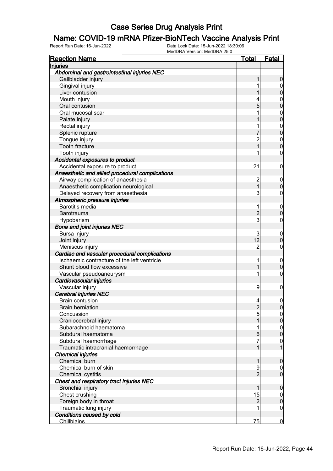## **Name: COVID-19 mRNA Pfizer-BioNTech Vaccine Analysis Print**<br>Report Run Date: 16-Jun-2022<br>Data Lock Date: 15-Jun-2022 18:30:06

| Abdominal and gastrointestinal injuries NEC<br>Gallbladder injury<br>0<br>Gingival injury<br>0<br>Liver contusion<br>0<br>Mouth injury<br>0<br>Oral contusion<br>5<br>0<br>Oral mucosal scar<br>0<br>0<br>Palate injury<br>Rectal injury<br>0<br>0<br>Splenic rupture<br>Tongue injury<br>2<br>$\mathbf{0}$<br>O<br><b>Tooth fracture</b><br>Tooth injury<br>0<br>Accidental exposures to product<br>Accidental exposure to product<br>21<br>0<br>Anaesthetic and allied procedural complications<br>Airway complication of anaesthesia<br>2<br>0<br>$\overline{1}$<br>Anaesthetic complication neurological<br>0<br>3<br>Delayed recovery from anaesthesia<br>0<br>Atmospheric pressure injuries<br><b>Barotitis media</b><br>1<br>0<br>$\overline{2}$<br><b>Barotrauma</b><br>0<br>3<br>Hypobarism<br>0<br><b>Bone and joint injuries NEC</b><br>3<br>Bursa injury<br>0<br>12<br>Joint injury<br>0<br>$\overline{c}$<br>Meniscus injury<br>0<br>Cardiac and vascular procedural complications<br>Ischaemic contracture of the left ventricle<br>1<br>0<br>Shunt blood flow excessive<br>0<br>Vascular pseudoaneurysm<br>1<br>0<br>Cardiovascular injuries<br>Vascular injury<br>9<br>0<br><b>Cerebral injuries NEC</b><br><b>Brain contusion</b><br>4<br>0<br><b>Brain herniation</b><br>U<br>∠<br>$\overline{5}$<br>Concussion<br>$\overline{0}$<br>Craniocerebral injury<br>0<br>Subarachnoid haematoma<br>1<br>$\boldsymbol{0}$<br>0<br>Subdural haematoma<br>6<br>7<br>Subdural haemorrhage<br>$\mathbf{0}$<br>Traumatic intracranial haemorrhage<br><b>Chemical injuries</b><br><b>Chemical burn</b><br>0<br>Chemical burn of skin<br>9<br>$\mathbf 0$<br>$\mathbf 0$<br>$\overline{2}$<br><b>Chemical cystitis</b><br>Chest and respiratory tract injuries NEC<br><b>Bronchial injury</b><br>0<br>Chest crushing<br>15<br>$\mathbf 0$<br>Foreign body in throat<br>$\overline{2}$<br>$\mathbf{0}$<br>Traumatic lung injury<br>1<br>$\mathbf 0$<br>Conditions caused by cold<br>75<br><b>Chillblains</b><br>$\bf{0}$ | <b>Reaction Name</b> | <u>Total</u> | <b>Fatal</b> |
|-----------------------------------------------------------------------------------------------------------------------------------------------------------------------------------------------------------------------------------------------------------------------------------------------------------------------------------------------------------------------------------------------------------------------------------------------------------------------------------------------------------------------------------------------------------------------------------------------------------------------------------------------------------------------------------------------------------------------------------------------------------------------------------------------------------------------------------------------------------------------------------------------------------------------------------------------------------------------------------------------------------------------------------------------------------------------------------------------------------------------------------------------------------------------------------------------------------------------------------------------------------------------------------------------------------------------------------------------------------------------------------------------------------------------------------------------------------------------------------------------------------------------------------------------------------------------------------------------------------------------------------------------------------------------------------------------------------------------------------------------------------------------------------------------------------------------------------------------------------------------------------------------------------------------------------------------------------------------------------------------------------------------------|----------------------|--------------|--------------|
|                                                                                                                                                                                                                                                                                                                                                                                                                                                                                                                                                                                                                                                                                                                                                                                                                                                                                                                                                                                                                                                                                                                                                                                                                                                                                                                                                                                                                                                                                                                                                                                                                                                                                                                                                                                                                                                                                                                                                                                                                             | Injuries             |              |              |
|                                                                                                                                                                                                                                                                                                                                                                                                                                                                                                                                                                                                                                                                                                                                                                                                                                                                                                                                                                                                                                                                                                                                                                                                                                                                                                                                                                                                                                                                                                                                                                                                                                                                                                                                                                                                                                                                                                                                                                                                                             |                      |              |              |
|                                                                                                                                                                                                                                                                                                                                                                                                                                                                                                                                                                                                                                                                                                                                                                                                                                                                                                                                                                                                                                                                                                                                                                                                                                                                                                                                                                                                                                                                                                                                                                                                                                                                                                                                                                                                                                                                                                                                                                                                                             |                      |              |              |
|                                                                                                                                                                                                                                                                                                                                                                                                                                                                                                                                                                                                                                                                                                                                                                                                                                                                                                                                                                                                                                                                                                                                                                                                                                                                                                                                                                                                                                                                                                                                                                                                                                                                                                                                                                                                                                                                                                                                                                                                                             |                      |              |              |
|                                                                                                                                                                                                                                                                                                                                                                                                                                                                                                                                                                                                                                                                                                                                                                                                                                                                                                                                                                                                                                                                                                                                                                                                                                                                                                                                                                                                                                                                                                                                                                                                                                                                                                                                                                                                                                                                                                                                                                                                                             |                      |              |              |
|                                                                                                                                                                                                                                                                                                                                                                                                                                                                                                                                                                                                                                                                                                                                                                                                                                                                                                                                                                                                                                                                                                                                                                                                                                                                                                                                                                                                                                                                                                                                                                                                                                                                                                                                                                                                                                                                                                                                                                                                                             |                      |              |              |
|                                                                                                                                                                                                                                                                                                                                                                                                                                                                                                                                                                                                                                                                                                                                                                                                                                                                                                                                                                                                                                                                                                                                                                                                                                                                                                                                                                                                                                                                                                                                                                                                                                                                                                                                                                                                                                                                                                                                                                                                                             |                      |              |              |
|                                                                                                                                                                                                                                                                                                                                                                                                                                                                                                                                                                                                                                                                                                                                                                                                                                                                                                                                                                                                                                                                                                                                                                                                                                                                                                                                                                                                                                                                                                                                                                                                                                                                                                                                                                                                                                                                                                                                                                                                                             |                      |              |              |
|                                                                                                                                                                                                                                                                                                                                                                                                                                                                                                                                                                                                                                                                                                                                                                                                                                                                                                                                                                                                                                                                                                                                                                                                                                                                                                                                                                                                                                                                                                                                                                                                                                                                                                                                                                                                                                                                                                                                                                                                                             |                      |              |              |
|                                                                                                                                                                                                                                                                                                                                                                                                                                                                                                                                                                                                                                                                                                                                                                                                                                                                                                                                                                                                                                                                                                                                                                                                                                                                                                                                                                                                                                                                                                                                                                                                                                                                                                                                                                                                                                                                                                                                                                                                                             |                      |              |              |
|                                                                                                                                                                                                                                                                                                                                                                                                                                                                                                                                                                                                                                                                                                                                                                                                                                                                                                                                                                                                                                                                                                                                                                                                                                                                                                                                                                                                                                                                                                                                                                                                                                                                                                                                                                                                                                                                                                                                                                                                                             |                      |              |              |
|                                                                                                                                                                                                                                                                                                                                                                                                                                                                                                                                                                                                                                                                                                                                                                                                                                                                                                                                                                                                                                                                                                                                                                                                                                                                                                                                                                                                                                                                                                                                                                                                                                                                                                                                                                                                                                                                                                                                                                                                                             |                      |              |              |
|                                                                                                                                                                                                                                                                                                                                                                                                                                                                                                                                                                                                                                                                                                                                                                                                                                                                                                                                                                                                                                                                                                                                                                                                                                                                                                                                                                                                                                                                                                                                                                                                                                                                                                                                                                                                                                                                                                                                                                                                                             |                      |              |              |
|                                                                                                                                                                                                                                                                                                                                                                                                                                                                                                                                                                                                                                                                                                                                                                                                                                                                                                                                                                                                                                                                                                                                                                                                                                                                                                                                                                                                                                                                                                                                                                                                                                                                                                                                                                                                                                                                                                                                                                                                                             |                      |              |              |
|                                                                                                                                                                                                                                                                                                                                                                                                                                                                                                                                                                                                                                                                                                                                                                                                                                                                                                                                                                                                                                                                                                                                                                                                                                                                                                                                                                                                                                                                                                                                                                                                                                                                                                                                                                                                                                                                                                                                                                                                                             |                      |              |              |
|                                                                                                                                                                                                                                                                                                                                                                                                                                                                                                                                                                                                                                                                                                                                                                                                                                                                                                                                                                                                                                                                                                                                                                                                                                                                                                                                                                                                                                                                                                                                                                                                                                                                                                                                                                                                                                                                                                                                                                                                                             |                      |              |              |
|                                                                                                                                                                                                                                                                                                                                                                                                                                                                                                                                                                                                                                                                                                                                                                                                                                                                                                                                                                                                                                                                                                                                                                                                                                                                                                                                                                                                                                                                                                                                                                                                                                                                                                                                                                                                                                                                                                                                                                                                                             |                      |              |              |
|                                                                                                                                                                                                                                                                                                                                                                                                                                                                                                                                                                                                                                                                                                                                                                                                                                                                                                                                                                                                                                                                                                                                                                                                                                                                                                                                                                                                                                                                                                                                                                                                                                                                                                                                                                                                                                                                                                                                                                                                                             |                      |              |              |
|                                                                                                                                                                                                                                                                                                                                                                                                                                                                                                                                                                                                                                                                                                                                                                                                                                                                                                                                                                                                                                                                                                                                                                                                                                                                                                                                                                                                                                                                                                                                                                                                                                                                                                                                                                                                                                                                                                                                                                                                                             |                      |              |              |
|                                                                                                                                                                                                                                                                                                                                                                                                                                                                                                                                                                                                                                                                                                                                                                                                                                                                                                                                                                                                                                                                                                                                                                                                                                                                                                                                                                                                                                                                                                                                                                                                                                                                                                                                                                                                                                                                                                                                                                                                                             |                      |              |              |
|                                                                                                                                                                                                                                                                                                                                                                                                                                                                                                                                                                                                                                                                                                                                                                                                                                                                                                                                                                                                                                                                                                                                                                                                                                                                                                                                                                                                                                                                                                                                                                                                                                                                                                                                                                                                                                                                                                                                                                                                                             |                      |              |              |
|                                                                                                                                                                                                                                                                                                                                                                                                                                                                                                                                                                                                                                                                                                                                                                                                                                                                                                                                                                                                                                                                                                                                                                                                                                                                                                                                                                                                                                                                                                                                                                                                                                                                                                                                                                                                                                                                                                                                                                                                                             |                      |              |              |
|                                                                                                                                                                                                                                                                                                                                                                                                                                                                                                                                                                                                                                                                                                                                                                                                                                                                                                                                                                                                                                                                                                                                                                                                                                                                                                                                                                                                                                                                                                                                                                                                                                                                                                                                                                                                                                                                                                                                                                                                                             |                      |              |              |
|                                                                                                                                                                                                                                                                                                                                                                                                                                                                                                                                                                                                                                                                                                                                                                                                                                                                                                                                                                                                                                                                                                                                                                                                                                                                                                                                                                                                                                                                                                                                                                                                                                                                                                                                                                                                                                                                                                                                                                                                                             |                      |              |              |
|                                                                                                                                                                                                                                                                                                                                                                                                                                                                                                                                                                                                                                                                                                                                                                                                                                                                                                                                                                                                                                                                                                                                                                                                                                                                                                                                                                                                                                                                                                                                                                                                                                                                                                                                                                                                                                                                                                                                                                                                                             |                      |              |              |
|                                                                                                                                                                                                                                                                                                                                                                                                                                                                                                                                                                                                                                                                                                                                                                                                                                                                                                                                                                                                                                                                                                                                                                                                                                                                                                                                                                                                                                                                                                                                                                                                                                                                                                                                                                                                                                                                                                                                                                                                                             |                      |              |              |
|                                                                                                                                                                                                                                                                                                                                                                                                                                                                                                                                                                                                                                                                                                                                                                                                                                                                                                                                                                                                                                                                                                                                                                                                                                                                                                                                                                                                                                                                                                                                                                                                                                                                                                                                                                                                                                                                                                                                                                                                                             |                      |              |              |
|                                                                                                                                                                                                                                                                                                                                                                                                                                                                                                                                                                                                                                                                                                                                                                                                                                                                                                                                                                                                                                                                                                                                                                                                                                                                                                                                                                                                                                                                                                                                                                                                                                                                                                                                                                                                                                                                                                                                                                                                                             |                      |              |              |
|                                                                                                                                                                                                                                                                                                                                                                                                                                                                                                                                                                                                                                                                                                                                                                                                                                                                                                                                                                                                                                                                                                                                                                                                                                                                                                                                                                                                                                                                                                                                                                                                                                                                                                                                                                                                                                                                                                                                                                                                                             |                      |              |              |
|                                                                                                                                                                                                                                                                                                                                                                                                                                                                                                                                                                                                                                                                                                                                                                                                                                                                                                                                                                                                                                                                                                                                                                                                                                                                                                                                                                                                                                                                                                                                                                                                                                                                                                                                                                                                                                                                                                                                                                                                                             |                      |              |              |
|                                                                                                                                                                                                                                                                                                                                                                                                                                                                                                                                                                                                                                                                                                                                                                                                                                                                                                                                                                                                                                                                                                                                                                                                                                                                                                                                                                                                                                                                                                                                                                                                                                                                                                                                                                                                                                                                                                                                                                                                                             |                      |              |              |
|                                                                                                                                                                                                                                                                                                                                                                                                                                                                                                                                                                                                                                                                                                                                                                                                                                                                                                                                                                                                                                                                                                                                                                                                                                                                                                                                                                                                                                                                                                                                                                                                                                                                                                                                                                                                                                                                                                                                                                                                                             |                      |              |              |
|                                                                                                                                                                                                                                                                                                                                                                                                                                                                                                                                                                                                                                                                                                                                                                                                                                                                                                                                                                                                                                                                                                                                                                                                                                                                                                                                                                                                                                                                                                                                                                                                                                                                                                                                                                                                                                                                                                                                                                                                                             |                      |              |              |
|                                                                                                                                                                                                                                                                                                                                                                                                                                                                                                                                                                                                                                                                                                                                                                                                                                                                                                                                                                                                                                                                                                                                                                                                                                                                                                                                                                                                                                                                                                                                                                                                                                                                                                                                                                                                                                                                                                                                                                                                                             |                      |              |              |
|                                                                                                                                                                                                                                                                                                                                                                                                                                                                                                                                                                                                                                                                                                                                                                                                                                                                                                                                                                                                                                                                                                                                                                                                                                                                                                                                                                                                                                                                                                                                                                                                                                                                                                                                                                                                                                                                                                                                                                                                                             |                      |              |              |
|                                                                                                                                                                                                                                                                                                                                                                                                                                                                                                                                                                                                                                                                                                                                                                                                                                                                                                                                                                                                                                                                                                                                                                                                                                                                                                                                                                                                                                                                                                                                                                                                                                                                                                                                                                                                                                                                                                                                                                                                                             |                      |              |              |
|                                                                                                                                                                                                                                                                                                                                                                                                                                                                                                                                                                                                                                                                                                                                                                                                                                                                                                                                                                                                                                                                                                                                                                                                                                                                                                                                                                                                                                                                                                                                                                                                                                                                                                                                                                                                                                                                                                                                                                                                                             |                      |              |              |
|                                                                                                                                                                                                                                                                                                                                                                                                                                                                                                                                                                                                                                                                                                                                                                                                                                                                                                                                                                                                                                                                                                                                                                                                                                                                                                                                                                                                                                                                                                                                                                                                                                                                                                                                                                                                                                                                                                                                                                                                                             |                      |              |              |
|                                                                                                                                                                                                                                                                                                                                                                                                                                                                                                                                                                                                                                                                                                                                                                                                                                                                                                                                                                                                                                                                                                                                                                                                                                                                                                                                                                                                                                                                                                                                                                                                                                                                                                                                                                                                                                                                                                                                                                                                                             |                      |              |              |
|                                                                                                                                                                                                                                                                                                                                                                                                                                                                                                                                                                                                                                                                                                                                                                                                                                                                                                                                                                                                                                                                                                                                                                                                                                                                                                                                                                                                                                                                                                                                                                                                                                                                                                                                                                                                                                                                                                                                                                                                                             |                      |              |              |
|                                                                                                                                                                                                                                                                                                                                                                                                                                                                                                                                                                                                                                                                                                                                                                                                                                                                                                                                                                                                                                                                                                                                                                                                                                                                                                                                                                                                                                                                                                                                                                                                                                                                                                                                                                                                                                                                                                                                                                                                                             |                      |              |              |
|                                                                                                                                                                                                                                                                                                                                                                                                                                                                                                                                                                                                                                                                                                                                                                                                                                                                                                                                                                                                                                                                                                                                                                                                                                                                                                                                                                                                                                                                                                                                                                                                                                                                                                                                                                                                                                                                                                                                                                                                                             |                      |              |              |
|                                                                                                                                                                                                                                                                                                                                                                                                                                                                                                                                                                                                                                                                                                                                                                                                                                                                                                                                                                                                                                                                                                                                                                                                                                                                                                                                                                                                                                                                                                                                                                                                                                                                                                                                                                                                                                                                                                                                                                                                                             |                      |              |              |
|                                                                                                                                                                                                                                                                                                                                                                                                                                                                                                                                                                                                                                                                                                                                                                                                                                                                                                                                                                                                                                                                                                                                                                                                                                                                                                                                                                                                                                                                                                                                                                                                                                                                                                                                                                                                                                                                                                                                                                                                                             |                      |              |              |
|                                                                                                                                                                                                                                                                                                                                                                                                                                                                                                                                                                                                                                                                                                                                                                                                                                                                                                                                                                                                                                                                                                                                                                                                                                                                                                                                                                                                                                                                                                                                                                                                                                                                                                                                                                                                                                                                                                                                                                                                                             |                      |              |              |
|                                                                                                                                                                                                                                                                                                                                                                                                                                                                                                                                                                                                                                                                                                                                                                                                                                                                                                                                                                                                                                                                                                                                                                                                                                                                                                                                                                                                                                                                                                                                                                                                                                                                                                                                                                                                                                                                                                                                                                                                                             |                      |              |              |
|                                                                                                                                                                                                                                                                                                                                                                                                                                                                                                                                                                                                                                                                                                                                                                                                                                                                                                                                                                                                                                                                                                                                                                                                                                                                                                                                                                                                                                                                                                                                                                                                                                                                                                                                                                                                                                                                                                                                                                                                                             |                      |              |              |
|                                                                                                                                                                                                                                                                                                                                                                                                                                                                                                                                                                                                                                                                                                                                                                                                                                                                                                                                                                                                                                                                                                                                                                                                                                                                                                                                                                                                                                                                                                                                                                                                                                                                                                                                                                                                                                                                                                                                                                                                                             |                      |              |              |
|                                                                                                                                                                                                                                                                                                                                                                                                                                                                                                                                                                                                                                                                                                                                                                                                                                                                                                                                                                                                                                                                                                                                                                                                                                                                                                                                                                                                                                                                                                                                                                                                                                                                                                                                                                                                                                                                                                                                                                                                                             |                      |              |              |
|                                                                                                                                                                                                                                                                                                                                                                                                                                                                                                                                                                                                                                                                                                                                                                                                                                                                                                                                                                                                                                                                                                                                                                                                                                                                                                                                                                                                                                                                                                                                                                                                                                                                                                                                                                                                                                                                                                                                                                                                                             |                      |              |              |
|                                                                                                                                                                                                                                                                                                                                                                                                                                                                                                                                                                                                                                                                                                                                                                                                                                                                                                                                                                                                                                                                                                                                                                                                                                                                                                                                                                                                                                                                                                                                                                                                                                                                                                                                                                                                                                                                                                                                                                                                                             |                      |              |              |
|                                                                                                                                                                                                                                                                                                                                                                                                                                                                                                                                                                                                                                                                                                                                                                                                                                                                                                                                                                                                                                                                                                                                                                                                                                                                                                                                                                                                                                                                                                                                                                                                                                                                                                                                                                                                                                                                                                                                                                                                                             |                      |              |              |
|                                                                                                                                                                                                                                                                                                                                                                                                                                                                                                                                                                                                                                                                                                                                                                                                                                                                                                                                                                                                                                                                                                                                                                                                                                                                                                                                                                                                                                                                                                                                                                                                                                                                                                                                                                                                                                                                                                                                                                                                                             |                      |              |              |
|                                                                                                                                                                                                                                                                                                                                                                                                                                                                                                                                                                                                                                                                                                                                                                                                                                                                                                                                                                                                                                                                                                                                                                                                                                                                                                                                                                                                                                                                                                                                                                                                                                                                                                                                                                                                                                                                                                                                                                                                                             |                      |              |              |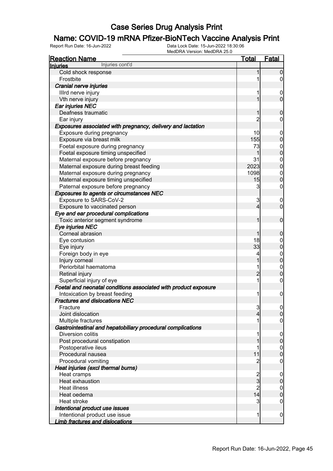# **Name: COVID-19 mRNA Pfizer-BioNTech Vaccine Analysis Print**<br>Report Run Date: 16-Jun-2022<br>Data Lock Date: 15-Jun-2022 18:30:06

| <b>Reaction Name</b>                                            | Total          | <b>Fatal</b>                     |
|-----------------------------------------------------------------|----------------|----------------------------------|
| Injuries cont'd<br><b>Injuries</b>                              |                |                                  |
| Cold shock response                                             |                | $\boldsymbol{0}$                 |
| Frostbite                                                       |                | $\overline{0}$                   |
| Cranial nerve injuries                                          |                |                                  |
| Illrd nerve injury                                              | 1              | $\mathbf 0$                      |
| Vth nerve injury                                                | 1              | $\mathbf 0$                      |
| Ear injuries NEC                                                |                |                                  |
| Deafness traumatic                                              | 1              | $\boldsymbol{0}$                 |
| Ear injury                                                      | 2              | $\mathbf 0$                      |
| Exposures associated with pregnancy, delivery and lactation     |                |                                  |
| Exposure during pregnancy                                       | 10             | $\mathbf 0$                      |
| Exposure via breast milk                                        | 155            | $\mathbf 0$                      |
| Foetal exposure during pregnancy                                | 73             |                                  |
| Foetal exposure timing unspecified                              | 1              | $0\atop 0$                       |
| Maternal exposure before pregnancy                              | 31             |                                  |
| Maternal exposure during breast feeding                         | 2023           | $\begin{matrix}0\\0\end{matrix}$ |
| Maternal exposure during pregnancy                              | 1098           |                                  |
| Maternal exposure timing unspecified                            | 15             | $\begin{matrix}0\\0\end{matrix}$ |
| Paternal exposure before pregnancy                              | 3              | $\mathbf 0$                      |
| Exposures to agents or circumstances NEC                        |                |                                  |
| Exposure to SARS-CoV-2                                          | 3              | $\mathbf 0$                      |
| Exposure to vaccinated person                                   | $\overline{4}$ | $\overline{0}$                   |
| Eye and ear procedural complications                            |                |                                  |
| Toxic anterior segment syndrome                                 | 1              | $\mathbf 0$                      |
| Eye injuries NEC                                                |                |                                  |
| Corneal abrasion                                                | 1              | $\boldsymbol{0}$                 |
| Eye contusion                                                   | 18             | $\boldsymbol{0}$                 |
| Eye injury                                                      | 33             | $\mathbf 0$                      |
| Foreign body in eye                                             | 4              |                                  |
| Injury corneal                                                  | 1              | $0\atop 0$                       |
| Periorbital haematoma                                           | 1              |                                  |
| Retinal injury                                                  | $\overline{2}$ | $\begin{matrix}0\\0\end{matrix}$ |
| Superficial injury of eye                                       | 1              | $\pmb{0}$                        |
| Foetal and neonatal conditions associated with product exposure |                |                                  |
| Intoxication by breast feeding                                  | 1              | $\boldsymbol{0}$                 |
| <b>Fractures and dislocations NEC</b>                           |                |                                  |
| Fracture                                                        | 3              | 0                                |
| Joint dislocation                                               | 4              | $\mathbf 0$                      |
| Multiple fractures                                              |                | $\mathbf 0$                      |
| Gastrointestinal and hepatobiliary procedural complications     |                |                                  |
| Diversion colitis                                               |                | $\mathbf 0$                      |
| Post procedural constipation                                    |                | $\pmb{0}$                        |
| Postoperative ileus                                             | 1              | $\boldsymbol{0}$                 |
| Procedural nausea                                               | 11             | $\overline{0}$                   |
| Procedural vomiting                                             | 2              | $\mathbf 0$                      |
| Heat injuries (excl thermal burns)                              |                |                                  |
| Heat cramps                                                     |                | $\mathbf 0$                      |
| Heat exhaustion                                                 | $rac{2}{3}$    | $\pmb{0}$                        |
| <b>Heat illness</b>                                             | $\overline{2}$ | $\boldsymbol{0}$                 |
| Heat oedema                                                     | 14             | $\mathbf 0$                      |
| Heat stroke                                                     | 3              | $\mathbf 0$                      |
| Intentional product use issues                                  |                |                                  |
| Intentional product use issue                                   | 1              | $\mathbf 0$                      |
| <b>Limb fractures and dislocations</b>                          |                |                                  |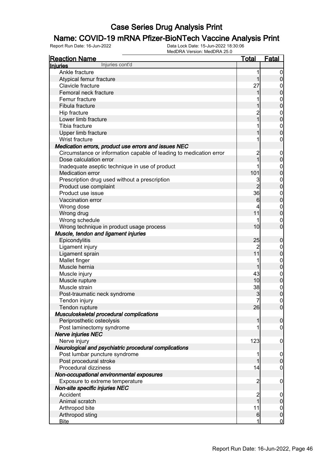# **Name: COVID-19 mRNA Pfizer-BioNTech Vaccine Analysis Print**<br>Report Run Date: 16-Jun-2022<br>Data Lock Date: 15-Jun-2022 18:30:06

| <b>Reaction Name</b>                                                  | Total               | <b>Fatal</b>                       |
|-----------------------------------------------------------------------|---------------------|------------------------------------|
| Injuries cont'd<br><b>Injuries</b>                                    |                     |                                    |
| Ankle fracture                                                        | 1                   | $\mathbf 0$                        |
| Atypical femur fracture                                               | 1                   | $\boldsymbol{0}$                   |
| Clavicle fracture                                                     | 27                  | $\mathbf 0$                        |
| Femoral neck fracture                                                 | 1                   | $\mathbf 0$                        |
| Femur fracture                                                        |                     | $\boldsymbol{0}$                   |
| Fibula fracture                                                       |                     | $\mathbf 0$                        |
| Hip fracture                                                          | $\overline{c}$      | $\boldsymbol{0}$                   |
| Lower limb fracture                                                   | $\overline{1}$      | $\mathbf 0$                        |
| Tibia fracture                                                        |                     | $\mathbf{0}$                       |
| Upper limb fracture                                                   |                     | $\overline{0}$                     |
| Wrist fracture                                                        |                     | $\boldsymbol{0}$                   |
| Medication errors, product use errors and issues NEC                  |                     |                                    |
| Circumstance or information capable of leading to medication error    | $\overline{c}$      | $\mathbf 0$                        |
| Dose calculation error                                                | 1                   | $\pmb{0}$                          |
| Inadequate aseptic technique in use of product                        |                     | $\boldsymbol{0}$                   |
| <b>Medication error</b>                                               | 101                 | $\mathbf 0$                        |
| Prescription drug used without a prescription                         | 3                   | $\mathbf{0}$                       |
| Product use complaint                                                 | $\overline{2}$      | $\mathbf 0$                        |
| Product use issue                                                     | 36                  | $\boldsymbol{0}$                   |
| Vaccination error                                                     | $6 \overline{}$     | $\mathbf 0$                        |
| Wrong dose                                                            |                     | $\boldsymbol{0}$                   |
| Wrong drug                                                            | 11                  | $\mathbf 0$                        |
| Wrong schedule                                                        | 1                   | $\mathbf 0$                        |
| Wrong technique in product usage process                              | 10                  | $\overline{0}$                     |
| Muscle, tendon and ligament injuries                                  |                     |                                    |
| Epicondylitis                                                         | 25                  | $\mathbf 0$                        |
| Ligament injury                                                       | $\overline{c}$      | $\boldsymbol{0}$                   |
| Ligament sprain                                                       | 11                  | $\mathbf 0$                        |
| Mallet finger                                                         | 1                   |                                    |
| Muscle hernia                                                         | 1                   | $\boldsymbol{0}$<br>$\mathbf 0$    |
| Muscle injury                                                         | 43                  |                                    |
| Muscle rupture                                                        | 10                  | $\mathbf{0}$<br>$\mathbf 0$        |
| Muscle strain                                                         | 38                  |                                    |
| Post-traumatic neck syndrome                                          |                     | $\boldsymbol{0}$<br>$\overline{0}$ |
|                                                                       | 3<br>$\overline{7}$ | $\pmb{0}$                          |
| Tendon injury                                                         | 26                  |                                    |
| Tendon rupture                                                        |                     | $\overline{0}$                     |
| Musculoskeletal procedural complications<br>Periprosthetic osteolysis | 1                   |                                    |
|                                                                       |                     | $\mathbf 0$                        |
| Post laminectomy syndrome                                             |                     | $\mathbf 0$                        |
| <b>Nerve injuries NEC</b>                                             | 123                 |                                    |
| Nerve injury                                                          |                     | $\mathbf 0$                        |
| Neurological and psychiatric procedural complications                 |                     |                                    |
| Post lumbar puncture syndrome                                         |                     | $\mathbf 0$                        |
| Post procedural stroke                                                | 1                   | $\pmb{0}$                          |
| Procedural dizziness                                                  | 14                  | $\mathbf 0$                        |
| Non-occupational environmental exposures                              |                     |                                    |
| Exposure to extreme temperature                                       | $\overline{c}$      | $\mathbf 0$                        |
| Non-site specific injuries NEC                                        |                     |                                    |
| Accident                                                              | $\overline{c}$      | $\mathbf 0$                        |
| Animal scratch                                                        | 1                   | $\pmb{0}$                          |
| Arthropod bite                                                        | 11                  | $\boldsymbol{0}$                   |
| Arthropod sting                                                       | $6 \,$              | $\pmb{0}$                          |
| <b>Bite</b>                                                           | 1                   | $\overline{0}$                     |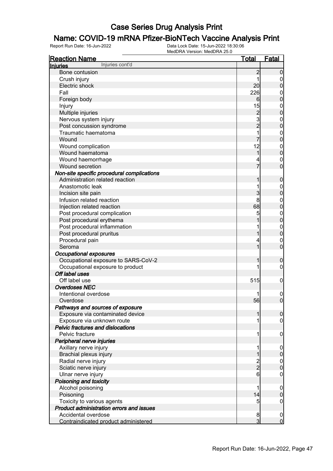# **Name: COVID-19 mRNA Pfizer-BioNTech Vaccine Analysis Print**<br>Report Run Date: 16-Jun-2022<br>Data Lock Date: 15-Jun-2022 18:30:06

| <b>Reaction Name</b>                            | <b>Total</b>                               | <b>Fatal</b>                    |
|-------------------------------------------------|--------------------------------------------|---------------------------------|
| Injuries cont'd<br>Injuries                     |                                            |                                 |
| Bone contusion                                  | $\overline{c}$                             | $\boldsymbol{0}$                |
| Crush injury                                    | 1                                          | $\overline{0}$                  |
| Electric shock                                  | 20                                         | $\mathbf 0$                     |
| Fall                                            | 226                                        | $\mathbf{0}$                    |
| Foreign body                                    | 6                                          | $\mathbf 0$                     |
| Injury                                          | 15                                         | $\mathbf{0}$                    |
| Multiple injuries                               |                                            | $\mathbf 0$                     |
| Nervous system injury                           |                                            | $\mathbf{0}$                    |
| Post concussion syndrome                        | $\begin{array}{c} 2 \\ 3 \\ 2 \end{array}$ | $\mathbf 0$                     |
| Traumatic haematoma                             | 1                                          | $\mathbf{0}$                    |
| Wound                                           |                                            | $\mathbf 0$                     |
| Wound complication                              | 12                                         | $\mathbf{0}$                    |
| Wound haematoma                                 | 1                                          | $\mathbf 0$                     |
| Wound haemorrhage                               |                                            | $\mathbf{0}$                    |
| Wound secretion                                 | 7                                          | $\overline{0}$                  |
| Non-site specific procedural complications      |                                            |                                 |
| Administration related reaction                 | 1                                          | $\boldsymbol{0}$                |
| Anastomotic leak                                | 1                                          |                                 |
|                                                 | 3                                          | $\boldsymbol{0}$<br>$\mathbf 0$ |
| Incision site pain<br>Infusion related reaction | 8                                          |                                 |
|                                                 | 68                                         | $\mathbf{0}$                    |
| Injection related reaction                      |                                            | $\mathbf 0$                     |
| Post procedural complication                    | 5                                          | $\mathbf{0}$                    |
| Post procedural erythema                        |                                            | $\mathbf 0$                     |
| Post procedural inflammation                    |                                            | $\mathbf{0}$                    |
| Post procedural pruritus                        | 1                                          | $\mathbf 0$                     |
| Procedural pain                                 | 4                                          | $\mathbf{0}$                    |
| Seroma                                          | 1                                          | $\overline{0}$                  |
| <b>Occupational exposures</b>                   |                                            |                                 |
| Occupational exposure to SARS-CoV-2             | 1                                          | $\boldsymbol{0}$                |
| Occupational exposure to product                | 1                                          | $\boldsymbol{0}$                |
| Off label uses                                  |                                            |                                 |
| Off label use                                   | 515                                        | $\mathbf 0$                     |
| <b>Overdoses NEC</b>                            |                                            |                                 |
| Intentional overdose                            |                                            | $\mathbf 0$                     |
| Overdose                                        | 56                                         | $\overline{0}$                  |
| Pathways and sources of exposure                |                                            |                                 |
| Exposure via contaminated device                | 1                                          | $\boldsymbol{0}$                |
| Exposure via unknown route                      | 1                                          | $\overline{0}$                  |
| <b>Pelvic fractures and dislocations</b>        |                                            |                                 |
| Pelvic fracture                                 | 1                                          | $\mathbf 0$                     |
| Peripheral nerve injuries                       |                                            |                                 |
| Axillary nerve injury                           | 1                                          | $\mathbf 0$                     |
| Brachial plexus injury                          | 1                                          | $\pmb{0}$                       |
| Radial nerve injury                             |                                            | $\boldsymbol{0}$                |
| Sciatic nerve injury                            | $\frac{2}{2}$                              | $\overline{0}$                  |
| Ulnar nerve injury                              | 6                                          | $\boldsymbol{0}$                |
| Poisoning and toxicity                          |                                            |                                 |
| Alcohol poisoning                               | 1                                          | $\boldsymbol{0}$                |
| Poisoning                                       | 14                                         | $\boldsymbol{0}$                |
| Toxicity to various agents                      | 5                                          | $\mathbf 0$                     |
| Product administration errors and issues        |                                            |                                 |
| Accidental overdose                             | 8                                          | $\mathbf 0$                     |
| Contraindicated product administered            | $\overline{3}$                             | $\overline{0}$                  |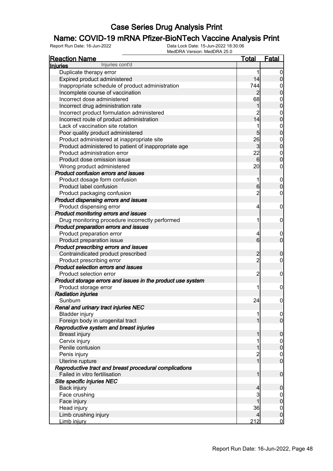## **Name: COVID-19 mRNA Pfizer-BioNTech Vaccine Analysis Print**<br>Report Run Date: 16-Jun-2022<br>Data Lock Date: 15-Jun-2022 18:30:06

| <b>Reaction Name</b>                                        | <u>Total</u>   | <b>Fatal</b>                         |
|-------------------------------------------------------------|----------------|--------------------------------------|
| Injuries cont'd<br><b>Injuries</b>                          |                |                                      |
| Duplicate therapy error                                     | 1              | $\boldsymbol{0}$                     |
| Expired product administered                                | 14             | $\overline{0}$                       |
| Inappropriate schedule of product administration            | 744            | $\mathbf{0}$                         |
| Incomplete course of vaccination                            | $\overline{2}$ | $\mathbf 0$                          |
| Incorrect dose administered                                 | 68             | $\mathbf{0}$                         |
| Incorrect drug administration rate                          | 1              | $\overline{0}$                       |
| Incorrect product formulation administered                  | $\overline{2}$ | $\mathbf{0}$                         |
| Incorrect route of product administration                   | 14             | $\overline{0}$                       |
| Lack of vaccination site rotation                           | 1              | $\mathbf{0}$                         |
| Poor quality product administered                           | 5              | $\overline{0}$                       |
| Product administered at inappropriate site                  | 26             |                                      |
| Product administered to patient of inappropriate age        | 3              | $0\atop 0$                           |
| Product administration error                                | 22             | $\mathbf{0}$                         |
| Product dose omission issue                                 | 6              | $\overline{0}$                       |
| Wrong product administered                                  | 20             | $\mathbf 0$                          |
| <b>Product confusion errors and issues</b>                  |                |                                      |
| Product dosage form confusion                               | 1              |                                      |
| Product label confusion                                     | 6              | $\boldsymbol{0}$<br>$\mathbf 0$      |
| Product packaging confusion                                 | $\overline{2}$ | $\mathbf 0$                          |
| Product dispensing errors and issues                        |                |                                      |
|                                                             |                |                                      |
| Product dispensing error                                    | 4              | $\boldsymbol{0}$                     |
| Product monitoring errors and issues                        |                |                                      |
| Drug monitoring procedure incorrectly performed             | 1              | $\boldsymbol{0}$                     |
| Product preparation errors and issues                       |                |                                      |
| Product preparation error                                   | 4              | $\mathbf 0$                          |
| Product preparation issue                                   | 6              | $\overline{0}$                       |
| Product prescribing errors and issues                       |                |                                      |
| Contraindicated product prescribed                          | $\overline{c}$ | $\mathbf 0$                          |
| Product prescribing error                                   | $\overline{2}$ | $\mathbf 0$                          |
| Product selection errors and issues                         |                |                                      |
| Product selection error                                     | $\overline{c}$ | $\boldsymbol{0}$                     |
| Product storage errors and issues in the product use system |                |                                      |
| Product storage error                                       | 1              | $\boldsymbol{0}$                     |
| <b>Radiation injuries</b>                                   |                |                                      |
| Sunburn                                                     | 24             | $\boldsymbol{0}$                     |
| Renal and urinary tract injuries NEC                        |                |                                      |
| <b>Bladder injury</b>                                       | 1              | $\begin{matrix} 0 \\ 0 \end{matrix}$ |
| Foreign body in urogenital tract                            | $\mathbf{1}$   |                                      |
| Reproductive system and breast injuries                     |                |                                      |
| <b>Breast injury</b>                                        | 1              | $\boldsymbol{0}$                     |
| Cervix injury                                               | 1              | $\overline{0}$                       |
| Penile contusion                                            | 1              | $\pmb{0}$                            |
| Penis injury                                                | $\frac{2}{1}$  | $\begin{matrix} 0 \\ 0 \end{matrix}$ |
| Uterine rupture                                             |                |                                      |
| Reproductive tract and breast procedural complications      |                |                                      |
| Failed in vitro fertilisation                               | $\mathbf{1}$   | $\boldsymbol{0}$                     |
| Site specific injuries NEC                                  |                |                                      |
| Back injury                                                 | $\overline{4}$ | $\mathbf 0$                          |
| Face crushing                                               | 3              | $\mathbf 0$                          |
| Face injury                                                 | 1              | $\pmb{0}$                            |
| Head injury                                                 | 36             | $\boldsymbol{0}$                     |
| Limb crushing injury                                        | $\overline{4}$ | $\mathbf 0$                          |
| Limb injury                                                 | 212            | $\overline{0}$                       |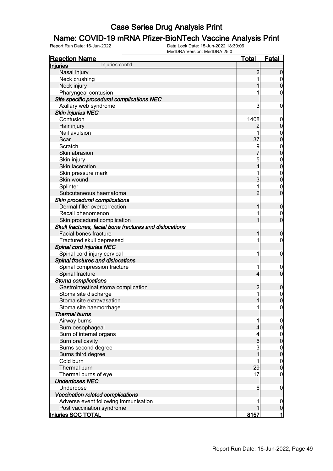## **Name: COVID-19 mRNA Pfizer-BioNTech Vaccine Analysis Print**<br>Report Run Date: 16-Jun-2022<br>Data Lock Date: 15-Jun-2022 18:30:06

| <u>Reaction Name</u>                                    | <b>Total</b>   | <b>Fatal</b>     |
|---------------------------------------------------------|----------------|------------------|
| Injuries cont'd<br><b>Injuries</b>                      |                |                  |
| Nasal injury                                            | $\overline{2}$ | $\boldsymbol{0}$ |
| Neck crushing                                           |                | 0                |
| Neck injury                                             |                | $\boldsymbol{0}$ |
| Pharyngeal contusion                                    |                | 0                |
| Site specific procedural complications NEC              |                |                  |
| Axillary web syndrome                                   | 3              | $\mathbf 0$      |
| <b>Skin injuries NEC</b>                                |                |                  |
| Contusion                                               | 1408           | $\mathbf 0$      |
| Hair injury                                             | 2              | $\pmb{0}$        |
| Nail avulsion                                           | 1              | $\mathbf 0$      |
| Scar                                                    | 37             | $\mathbf 0$      |
| Scratch                                                 | 9              | $\mathbf 0$      |
| Skin abrasion                                           |                | $\mathbf 0$      |
| Skin injury                                             | 5              | $\mathbf 0$      |
| Skin laceration                                         | 4              | $\mathbf 0$      |
| Skin pressure mark                                      | 1              | $\mathbf 0$      |
| Skin wound                                              | 3              | $\mathbf 0$      |
| Splinter                                                | 1              | 0                |
| Subcutaneous haematoma                                  | $\overline{2}$ | $\mathbf 0$      |
| Skin procedural complications                           |                |                  |
| Dermal filler overcorrection                            | 1              | $\mathbf 0$      |
| Recall phenomenon                                       |                | 0                |
| Skin procedural complication                            |                | $\overline{0}$   |
| Skull fractures, facial bone fractures and dislocations |                |                  |
| <b>Facial bones fracture</b>                            | 1              | $\boldsymbol{0}$ |
| Fractured skull depressed                               | 1              | 0                |
| Spinal cord injuries NEC                                |                |                  |
| Spinal cord injury cervical                             | 1              | $\mathbf 0$      |
| Spinal fractures and dislocations                       |                |                  |
| Spinal compression fracture                             | 1              | $\mathbf 0$      |
| Spinal fracture                                         | $\overline{4}$ | $\mathbf 0$      |
| Stoma complications                                     |                |                  |
| Gastrointestinal stoma complication                     | $\overline{c}$ | $\mathbf 0$      |
| Stoma site discharge                                    | 1              | $\mathbf{0}$     |
| Stoma site extravasation                                | $\overline{1}$ | $\overline{0}$   |
| Stoma site haemorrhage                                  | 1              | 0                |
| <b>Thermal burns</b>                                    |                |                  |
| Airway burns                                            | 1              | $\mathbf 0$      |
| Burn oesophageal                                        | 4              | $\pmb{0}$        |
| Burn of internal organs                                 | 4              |                  |
| Burn oral cavity                                        | $6\phantom{.}$ | $0\atop 0$       |
| Burns second degree                                     | 3              |                  |
| Burns third degree                                      | 1              | $0$<br>0         |
| Cold burn                                               | 1              |                  |
| Thermal burn                                            | 29             | $0\atop 0$       |
| Thermal burns of eye                                    | 17             | $\mathbf 0$      |
| <b>Underdoses NEC</b>                                   |                |                  |
| Underdose                                               | 6              | $\mathbf 0$      |
| Vaccination related complications                       |                |                  |
| Adverse event following immunisation                    |                | $\mathbf 0$      |
| Post vaccination syndrome                               |                | $\pmb{0}$        |
| Injuries SOC TOTAL                                      | 8157           | $\mathbf{1}$     |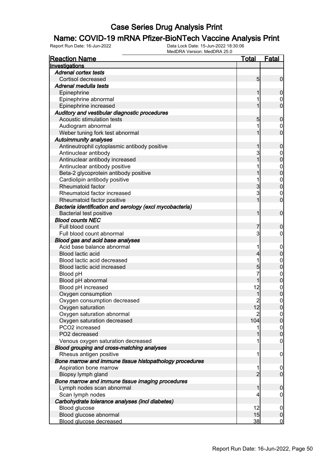## **Name: COVID-19 mRNA Pfizer-BioNTech Vaccine Analysis Print**<br>Report Run Date: 16-Jun-2022<br>Data Lock Date: 15-Jun-2022 18:30:06

| <b>Reaction Name</b>                                     | <u>Total</u>    | <u>Fatal</u>     |
|----------------------------------------------------------|-----------------|------------------|
| Investigations                                           |                 |                  |
| <b>Adrenal cortex tests</b>                              |                 |                  |
| Cortisol decreased                                       | $5\overline{)}$ | $\overline{0}$   |
| Adrenal medulla tests                                    |                 |                  |
| Epinephrine                                              | 1               | $\mathbf 0$      |
| Epinephrine abnormal                                     | 1               | $\boldsymbol{0}$ |
| Epinephrine increased                                    | 1               | $\overline{0}$   |
| Auditory and vestibular diagnostic procedures            |                 |                  |
| Acoustic stimulation tests                               | 5               | $\mathbf 0$      |
| Audiogram abnormal                                       | 1               | $\mathbf 0$      |
| Weber tuning fork test abnormal                          | 1               | $\overline{0}$   |
| <b>Autoimmunity analyses</b>                             |                 |                  |
| Antineutrophil cytoplasmic antibody positive             | 1               | $\mathbf 0$      |
| Antinuclear antibody                                     | 3               | $\boldsymbol{0}$ |
| Antinuclear antibody increased                           | 1               | $\mathbf 0$      |
| Antinuclear antibody positive                            |                 | $\mathbf{0}$     |
| Beta-2 glycoprotein antibody positive                    |                 | $\mathbf 0$      |
| Cardiolipin antibody positive                            | 1               | $\mathbf{0}$     |
| Rheumatoid factor                                        | 3               | $\overline{0}$   |
| Rheumatoid factor increased                              | 3               | $\mathbf 0$      |
| Rheumatoid factor positive                               | 1               | $\overline{0}$   |
| Bacteria identification and serology (excl mycobacteria) |                 |                  |
| <b>Bacterial test positive</b>                           | 1               | $\mathbf 0$      |
| <b>Blood counts NEC</b>                                  |                 |                  |
| Full blood count                                         | 7               | $\mathbf 0$      |
| Full blood count abnormal                                | $\mathbf{3}$    | $\mathbf 0$      |
| <b>Blood gas and acid base analyses</b>                  |                 |                  |
| Acid base balance abnormal                               | 1               | $\mathbf 0$      |
| Blood lactic acid                                        | 4               | $\mathbf 0$      |
| Blood lactic acid decreased                              | 1               | $\mathbf{0}$     |
| Blood lactic acid increased                              | 5               | $\overline{0}$   |
| Blood pH                                                 | 7               |                  |
| Blood pH abnormal                                        | 1               | $0\atop 0$       |
| Blood pH increased                                       | 12              | $\mathbf{0}$     |
| Oxygen consumption                                       | 1               | $\overline{0}$   |
| Oxygen consumption decreased                             | $\overline{c}$  | $\mathbf 0$      |
| Oxygen saturation                                        | 12              | 0                |
| Oxygen saturation abnormal                               | $\overline{2}$  | $\overline{0}$   |
| Oxygen saturation decreased                              | 104             | $\overline{0}$   |
| PCO2 increased                                           | 1               | $\overline{0}$   |
| PO2 decreased                                            |                 | $\overline{0}$   |
| Venous oxygen saturation decreased                       | 1               | $\boldsymbol{0}$ |
| Blood grouping and cross-matching analyses               |                 |                  |
| Rhesus antigen positive                                  | 1               | $\overline{0}$   |
| Bone marrow and immune tissue histopathology procedures  |                 |                  |
| Aspiration bone marrow                                   | 1               | $\overline{0}$   |
| Biopsy lymph gland                                       | $\overline{2}$  | $\overline{0}$   |
| Bone marrow and immune tissue imaging procedures         |                 |                  |
| Lymph nodes scan abnormal                                | 1               | $\mathbf 0$      |
| Scan lymph nodes                                         | 4               | $\mathbf 0$      |
| Carbohydrate tolerance analyses (incl diabetes)          |                 |                  |
| Blood glucose                                            | 12 <sup>1</sup> | $\overline{0}$   |
| Blood glucose abnormal                                   | 15              | $\boldsymbol{0}$ |
| <b>Blood glucose decreased</b>                           | 38              | <u>0</u>         |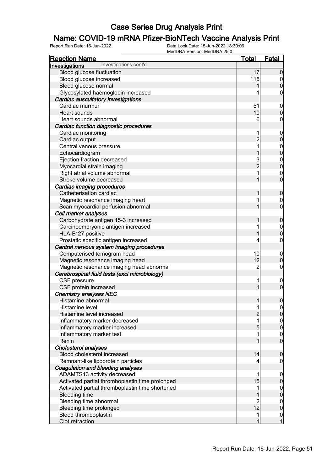## **Name: COVID-19 mRNA Pfizer-BioNTech Vaccine Analysis Print**<br>Report Run Date: 16-Jun-2022<br>Data Lock Date: 15-Jun-2022 18:30:06

| <b>Reaction Name</b>                            | <u>Total</u>   | <b>Fatal</b>                         |
|-------------------------------------------------|----------------|--------------------------------------|
| Investigations cont'd<br><b>Investigations</b>  |                |                                      |
| Blood glucose fluctuation                       | 17             | $\overline{0}$                       |
| Blood glucose increased                         | 115            | $\overline{0}$                       |
| Blood glucose normal                            |                | $\mathbf 0$                          |
| Glycosylated haemoglobin increased              |                | $\boldsymbol{0}$                     |
| Cardiac auscultatory investigations             |                |                                      |
| Cardiac murmur                                  | 51             | $\mathbf 0$                          |
| Heart sounds                                    | 10             | $\mathbf 0$                          |
| Heart sounds abnormal                           | 6              | $\boldsymbol{0}$                     |
| Cardiac function diagnostic procedures          |                |                                      |
| Cardiac monitoring                              | 1              | $\mathbf 0$                          |
| Cardiac output                                  | $\overline{c}$ | $\mathbf 0$                          |
| Central venous pressure                         | 1              |                                      |
| Echocardiogram                                  | 1              | $0\atop 0$                           |
| Ejection fraction decreased                     |                |                                      |
| Myocardial strain imaging                       | $\frac{3}{2}$  | $0$ 0                                |
| Right atrial volume abnormal                    | 1              |                                      |
| Stroke volume decreased                         | 1              | $\begin{matrix}0\\0\end{matrix}$     |
| Cardiac imaging procedures                      |                |                                      |
| Catheterisation cardiac                         | 1              |                                      |
|                                                 | 1              | $\boldsymbol{0}$                     |
| Magnetic resonance imaging heart                | 1              | $\boldsymbol{0}$<br>$\overline{0}$   |
| Scan myocardial perfusion abnormal              |                |                                      |
| Cell marker analyses                            |                |                                      |
| Carbohydrate antigen 15-3 increased             | 1              | $\boldsymbol{0}$                     |
| Carcinoembryonic antigen increased              | 1              | $0\atop 0$                           |
| HLA-B*27 positive                               | 1              |                                      |
| Prostatic specific antigen increased            | 4              | $\pmb{0}$                            |
| Central nervous system imaging procedures       |                |                                      |
| Computerised tomogram head                      | 10             | $\mathbf 0$                          |
| Magnetic resonance imaging head                 | 12             | $\mathbf 0$                          |
| Magnetic resonance imaging head abnormal        | $\overline{2}$ | $\boldsymbol{0}$                     |
| Cerebrospinal fluid tests (excl microbiology)   |                |                                      |
| CSF pressure                                    | 1              | $\mathbf 0$                          |
| CSF protein increased                           | 1              | $\boldsymbol{0}$                     |
| <b>Chemistry analyses NEC</b>                   |                |                                      |
| Histamine abnormal                              | 1              | $\boldsymbol{0}$                     |
| Histamine level                                 | 1              | 이                                    |
| Histamine level increased                       | $\overline{c}$ | $\overline{0}$                       |
| Inflammatory marker decreased                   | 1              | $0$ 0                                |
| Inflammatory marker increased                   | 5              |                                      |
| Inflammatory marker test                        | 1              | $\begin{matrix} 0 \\ 0 \end{matrix}$ |
| Renin                                           |                |                                      |
| Cholesterol analyses                            |                |                                      |
| Blood cholesterol increased                     | 14             | $\boldsymbol{0}$                     |
| Remnant-like lipoprotein particles              | 4              | 0                                    |
| Coagulation and bleeding analyses               |                |                                      |
| ADAMTS13 activity decreased                     | 1              | $\mathbf 0$                          |
| Activated partial thromboplastin time prolonged | 15             | $\pmb{0}$                            |
| Activated partial thromboplastin time shortened | 1              |                                      |
| <b>Bleeding time</b>                            |                | $0$<br>0                             |
| Bleeding time abnormal                          | $\overline{c}$ |                                      |
| Bleeding time prolonged                         | 12             | $0\atop 0$                           |
| Blood thromboplastin                            | 1              |                                      |
| Clot retraction                                 | 1              | $\begin{matrix} 0 \\ 1 \end{matrix}$ |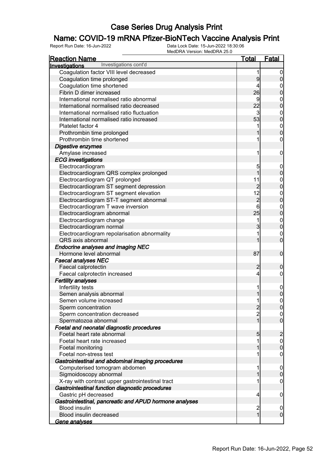# **Name: COVID-19 mRNA Pfizer-BioNTech Vaccine Analysis Print**<br>Report Run Date: 16-Jun-2022<br>Data Lock Date: 15-Jun-2022 18:30:06

| <b>Reaction Name</b>                                   | <u>Total</u>   | <b>Fatal</b>     |
|--------------------------------------------------------|----------------|------------------|
| Investigations cont'd<br>Investigations                |                |                  |
| Coagulation factor VIII level decreased                | 1              | $\mathbf 0$      |
| Coagulation time prolonged                             | 9              | $\overline{0}$   |
| Coagulation time shortened                             | 4              | $\mathbf{0}$     |
| Fibrin D dimer increased                               | 26             | $\overline{0}$   |
| International normalised ratio abnormal                | 9              |                  |
| International normalised ratio decreased               | 22             | $0\atop 0$       |
| International normalised ratio fluctuation             | 3              |                  |
| International normalised ratio increased               | 53             | $0\atop 0$       |
| Platelet factor 4                                      |                |                  |
| Prothrombin time prolonged                             |                | $0\atop 0$       |
| Prothrombin time shortened                             |                | 0                |
| Digestive enzymes                                      |                |                  |
| Amylase increased                                      | 1              | $\mathbf 0$      |
| <b>ECG</b> investigations                              |                |                  |
| Electrocardiogram                                      | 5              | $\boldsymbol{0}$ |
| Electrocardiogram QRS complex prolonged                | $\overline{1}$ | $\mathbf 0$      |
| Electrocardiogram QT prolonged                         | 11             |                  |
| Electrocardiogram ST segment depression                | $\overline{2}$ | $0\atop 0$       |
| Electrocardiogram ST segment elevation                 | 12             |                  |
| Electrocardiogram ST-T segment abnormal                | $\overline{c}$ | $0\atop 0$       |
| Electrocardiogram T wave inversion                     | 6              |                  |
| Electrocardiogram abnormal                             | 25             | $0\atop 0$       |
| Electrocardiogram change                               | 1              |                  |
| Electrocardiogram normal                               | 3              | $0\atop 0$       |
| Electrocardiogram repolarisation abnormality           |                | $\mathbf{0}$     |
| QRS axis abnormal                                      |                | $\overline{0}$   |
| <b>Endocrine analyses and imaging NEC</b>              |                |                  |
| Hormone level abnormal                                 | 87             | $\mathbf 0$      |
| <b>Faecal analyses NEC</b>                             |                |                  |
| Faecal calprotectin                                    | $\overline{2}$ | $\mathbf 0$      |
| Faecal calprotectin increased                          | $\overline{4}$ | 0                |
| <b>Fertility analyses</b>                              |                |                  |
| Infertility tests                                      | 1              | $\boldsymbol{0}$ |
| Semen analysis abnormal                                |                | $\overline{0}$   |
| Semen volume increased                                 | 1              | 0                |
| Sperm concentration                                    | $\overline{2}$ | 0                |
| Sperm concentration decreased                          | $\overline{2}$ | $\overline{0}$   |
| Spermatozoa abnormal                                   | 1              | $\overline{0}$   |
| Foetal and neonatal diagnostic procedures              |                |                  |
| Foetal heart rate abnormal                             | 5              | $\overline{c}$   |
| Foetal heart rate increased                            |                | $\boldsymbol{0}$ |
| Foetal monitoring                                      |                | $\pmb{0}$        |
| Foetal non-stress test                                 |                | $\mathbf 0$      |
| Gastrointestinal and abdominal imaging procedures      |                |                  |
| Computerised tomogram abdomen                          | 1              | $\mathbf 0$      |
| Sigmoidoscopy abnormal                                 |                | $\pmb{0}$        |
| X-ray with contrast upper gastrointestinal tract       |                | 0                |
| Gastrointestinal function diagnostic procedures        |                |                  |
| Gastric pH decreased                                   | 4              | $\mathbf 0$      |
| Gastrointestinal, pancreatic and APUD hormone analyses |                |                  |
| <b>Blood insulin</b>                                   | 2              | 0                |
| Blood insulin decreased                                | 1              | $\overline{0}$   |
| <u>Gene analyses</u>                                   |                |                  |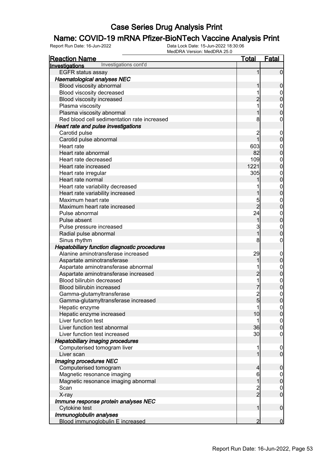## **Name: COVID-19 mRNA Pfizer-BioNTech Vaccine Analysis Print**<br>Report Run Date: 16-Jun-2022<br>Data Lock Date: 15-Jun-2022 18:30:06

| <u>Reaction Name</u>                           | <u>Total</u>   | <b>Fatal</b>                         |
|------------------------------------------------|----------------|--------------------------------------|
| Investigations cont'd<br><b>Investigations</b> |                |                                      |
| <b>EGFR</b> status assay                       | 1              | $\overline{0}$                       |
| <b>Haematological analyses NEC</b>             |                |                                      |
| Blood viscosity abnormal                       | 1              | $\boldsymbol{0}$                     |
| Blood viscosity decreased                      | 1              | $\boldsymbol{0}$                     |
| Blood viscosity increased                      | $\overline{2}$ | $\overline{0}$                       |
| Plasma viscosity                               |                | $\mathbf{0}$                         |
| Plasma viscosity abnormal                      |                | $\overline{0}$                       |
| Red blood cell sedimentation rate increased    | 8              | $\boldsymbol{0}$                     |
| Heart rate and pulse investigations            |                |                                      |
| Carotid pulse                                  | $\overline{c}$ | $\boldsymbol{0}$                     |
| Carotid pulse abnormal                         | $\overline{1}$ | $\mathbf 0$                          |
| Heart rate                                     | 603            | $\mathbf{0}$                         |
| Heart rate abnormal                            | 82             | $\overline{0}$                       |
| Heart rate decreased                           | 109            | $\mathbf{0}$                         |
| Heart rate increased                           | 1221           | $\overline{0}$                       |
| Heart rate irregular                           | 305            |                                      |
| Heart rate normal                              |                | $0$<br>0                             |
| Heart rate variability decreased               |                | $\mathbf{0}$                         |
| Heart rate variability increased               |                | $\overline{0}$                       |
| Maximum heart rate                             | 5              | $\mathbf{0}$                         |
| Maximum heart rate increased                   | $\overline{2}$ | $\overline{0}$                       |
| Pulse abnormal                                 | 24             | $\mathbf{0}$                         |
| Pulse absent                                   | 1              | $\overline{0}$                       |
| Pulse pressure increased                       | 3              | $\mathbf{0}$                         |
| Radial pulse abnormal                          | $\overline{1}$ | $\overline{0}$                       |
| Sinus rhythm                                   | 8              | $\mathbf 0$                          |
| Hepatobiliary function diagnostic procedures   |                |                                      |
| Alanine aminotransferase increased             | 29             | $\boldsymbol{0}$                     |
| Aspartate aminotransferase                     | 1              | $\pmb{0}$                            |
| Aspartate aminotransferase abnormal            |                | $\mathbf{0}$                         |
| Aspartate aminotransferase increased           | $\overline{c}$ | $\mathbf 0$                          |
| Blood bilirubin decreased                      | 1              |                                      |
| Blood bilirubin increased                      |                | $0$ 0                                |
| Gamma-glutamyltransferase                      |                | $\mathbf{0}$                         |
| Gamma-glutamyltransferase increased            | $\frac{2}{5}$  | $\overline{0}$                       |
| Hepatic enzyme                                 | 11             | 0                                    |
| Hepatic enzyme increased                       | 10             | $\overline{0}$                       |
| Liver function test                            | 1              |                                      |
| Liver function test abnormal                   | 36             | $\begin{matrix} 0 \\ 0 \end{matrix}$ |
| Liver function test increased                  | 30             | $\boldsymbol{0}$                     |
| <b>Hepatobiliary imaging procedures</b>        |                |                                      |
| Computerised tomogram liver                    | 1              | $\boldsymbol{0}$                     |
| Liver scan                                     | 1              | $\overline{0}$                       |
| Imaging procedures NEC                         |                |                                      |
| Computerised tomogram                          | $\overline{4}$ | $\boldsymbol{0}$                     |
| Magnetic resonance imaging                     | 6              | $\overline{0}$                       |
| Magnetic resonance imaging abnormal            | 1              | $\mathbf 0$                          |
| Scan                                           |                |                                      |
| X-ray                                          | $\frac{2}{2}$  | $\begin{matrix} 0 \\ 0 \end{matrix}$ |
| Immune response protein analyses NEC           |                |                                      |
| Cytokine test                                  | 1              | $\boldsymbol{0}$                     |
| Immunoglobulin analyses                        |                |                                      |
| Blood immunoglobulin E increased               | 2              | $\overline{0}$                       |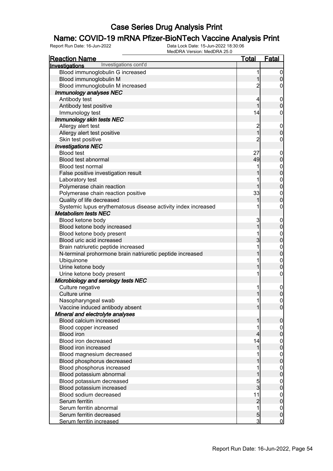# **Name: COVID-19 mRNA Pfizer-BioNTech Vaccine Analysis Print**<br>Report Run Date: 16-Jun-2022<br>Data Lock Date: 15-Jun-2022 18:30:06

| <u>Reaction Name</u>                                          | <b>Total</b>            | <b>Fatal</b>                     |
|---------------------------------------------------------------|-------------------------|----------------------------------|
| Investigations cont'd<br>Investigations                       |                         |                                  |
| Blood immunoglobulin G increased                              | 1                       | $\overline{0}$                   |
| Blood immunoglobulin M                                        | 1                       | $\boldsymbol{0}$                 |
| Blood immunoglobulin M increased                              | 2                       | 0                                |
| Immunology analyses NEC                                       |                         |                                  |
| Antibody test                                                 | 4                       | $\mathbf 0$                      |
| Antibody test positive                                        | $\overline{1}$          | $\boldsymbol{0}$                 |
| Immunology test                                               | 14                      | $\mathbf 0$                      |
| Immunology skin tests NEC                                     |                         |                                  |
| Allergy alert test                                            | $\overline{\mathbf{c}}$ | $\mathbf 0$                      |
| Allergy alert test positive                                   | $\overline{1}$          | $\mathbf 0$                      |
| Skin test positive                                            | $\overline{c}$          | $\boldsymbol{0}$                 |
| <b>Investigations NEC</b>                                     |                         |                                  |
| <b>Blood test</b>                                             | 27                      | $\mathbf 0$                      |
| Blood test abnormal                                           | 49                      | $\mathbf 0$                      |
| <b>Blood test normal</b>                                      |                         |                                  |
| False positive investigation result                           |                         | $0\atop 0$                       |
| Laboratory test                                               |                         |                                  |
| Polymerase chain reaction                                     | 1                       | $\begin{matrix}0\\0\end{matrix}$ |
| Polymerase chain reaction positive                            | 33                      | $\mathbf{0}$                     |
| Quality of life decreased                                     |                         | $\overline{0}$                   |
| Systemic lupus erythematosus disease activity index increased | 1                       | $\boldsymbol{0}$                 |
| <b>Metabolism tests NEC</b>                                   |                         |                                  |
| Blood ketone body                                             | 3                       | $\mathbf 0$                      |
| Blood ketone body increased                                   | 1                       | $\mathbf 0$                      |
| Blood ketone body present                                     |                         |                                  |
| Blood uric acid increased                                     | 3                       | $0$ 0                            |
| Brain natriuretic peptide increased                           | 1                       |                                  |
| N-terminal prohormone brain natriuretic peptide increased     |                         | $0\atop 0$                       |
| Ubiquinone                                                    |                         | $\mathbf{0}$                     |
| Urine ketone body                                             |                         | $\mathbf 0$                      |
| Urine ketone body present                                     | 1                       | $\boldsymbol{0}$                 |
| Microbiology and serology tests NEC                           |                         |                                  |
| Culture negative                                              | 1                       | $\boldsymbol{0}$                 |
| Culture urine                                                 | 1                       | $\overline{0}$                   |
| Nasopharyngeal swab                                           | 1                       | $\mathbf 0$                      |
| Vaccine induced antibody absent                               | $\mathbf{1}$            | 0                                |
| Mineral and electrolyte analyses                              |                         |                                  |
| Blood calcium increased                                       | 1                       | $\boldsymbol{0}$                 |
| Blood copper increased                                        |                         | 0                                |
| <b>Blood iron</b>                                             | 4                       | $\pmb{0}$                        |
| Blood iron decreased                                          | 14                      | $\mathbf{0}$                     |
| <b>Blood iron increased</b>                                   | 1                       | $\overline{0}$                   |
| Blood magnesium decreased                                     |                         | $\mathbf{0}$                     |
| Blood phosphorus decreased                                    |                         | $\overline{0}$                   |
| Blood phosphorus increased                                    |                         | $\mathbf 0$                      |
| Blood potassium abnormal                                      |                         | $\overline{0}$                   |
| Blood potassium decreased                                     | 5                       | $\mathbf 0$                      |
| Blood potassium increased                                     | 3                       | $\mathbf 0$                      |
| Blood sodium decreased                                        | 11                      | $\mathbf 0$                      |
| Serum ferritin                                                | $\overline{c}$          | $\overline{0}$                   |
| Serum ferritin abnormal                                       | 1                       | $\mathbf 0$                      |
| Serum ferritin decreased                                      | $\overline{5}$          | $\pmb{0}$                        |
| Serum ferritin increased                                      | 3                       | $\mathbf 0$                      |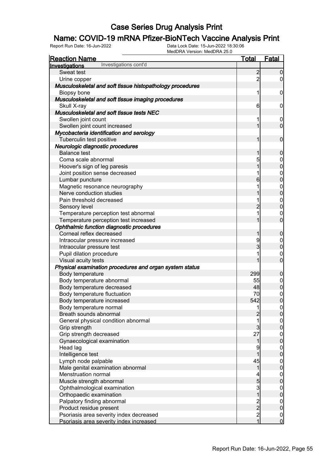## **Name: COVID-19 mRNA Pfizer-BioNTech Vaccine Analysis Print**<br>Report Run Date: 16-Jun-2022<br>Data Lock Date: 15-Jun-2022 18:30:06

| <b>Reaction Name</b>                                      | Total                                            | <u>Fatal</u>                         |
|-----------------------------------------------------------|--------------------------------------------------|--------------------------------------|
| Investigations cont'd<br>Investigations                   |                                                  |                                      |
| Sweat test                                                | $\overline{2}$                                   | $\Omega$                             |
| Urine copper                                              | $\overline{2}$                                   | $\overline{0}$                       |
| Musculoskeletal and soft tissue histopathology procedures |                                                  |                                      |
| Biopsy bone                                               | 1                                                | 0                                    |
| Musculoskeletal and soft tissue imaging procedures        |                                                  |                                      |
| Skull X-ray                                               | $6 \overline{}$                                  | 0                                    |
| Musculoskeletal and soft tissue tests NEC                 |                                                  |                                      |
| Swollen joint count                                       | 1                                                | $\mathbf 0$                          |
| Swollen joint count increased                             | 1                                                | $\mathbf 0$                          |
| Mycobacteria identification and serology                  |                                                  |                                      |
| Tuberculin test positive                                  | 1                                                | $\mathbf 0$                          |
| Neurologic diagnostic procedures                          |                                                  |                                      |
| <b>Balance test</b>                                       | 1                                                | $\mathbf 0$                          |
| Coma scale abnormal                                       | 5                                                | $\mathbf 0$                          |
| Hoover's sign of leg paresis                              | 1                                                | $\overline{0}$                       |
| Joint position sense decreased                            | 1                                                | $\mathbf{0}$                         |
| Lumbar puncture                                           | 6                                                | $\overline{0}$                       |
| Magnetic resonance neurography                            | 1                                                | $\mathbf{0}$                         |
| Nerve conduction studies                                  |                                                  | $\overline{0}$                       |
| Pain threshold decreased                                  | 1                                                | $\mathbf{0}$                         |
| Sensory level                                             | $\overline{2}$                                   | $\overline{0}$                       |
| Temperature perception test abnormal                      | 1                                                | $\mathbf 0$                          |
| Temperature perception test increased                     | 1                                                | $\overline{0}$                       |
| Ophthalmic function diagnostic procedures                 |                                                  |                                      |
| Corneal reflex decreased                                  | 1                                                | $\mathbf 0$                          |
| Intraocular pressure increased                            | 9                                                | $\mathbf{0}$                         |
| Intraocular pressure test                                 | 3                                                | $\overline{0}$                       |
| Pupil dilation procedure                                  | 1                                                | $\mathbf 0$                          |
| Visual acuity tests                                       |                                                  | $\overline{0}$                       |
| Physical examination procedures and organ system status   |                                                  |                                      |
| Body temperature                                          | 299                                              | $\mathbf 0$                          |
| Body temperature abnormal                                 | 55                                               |                                      |
| Body temperature decreased                                | 48                                               | $0\atop 0$                           |
| Body temperature fluctuation                              | 70                                               |                                      |
| Body temperature increased                                | 542                                              | $\begin{matrix}0\\0\end{matrix}$     |
| Body temperature normal                                   | 1                                                | 이                                    |
| Breath sounds abnormal                                    | $\overline{c}$                                   | $\overline{0}$                       |
| General physical condition abnormal                       | 1                                                | $\overline{0}$                       |
| Grip strength                                             | $\mathbf{3}$                                     | $\boldsymbol{0}$                     |
| Grip strength decreased                                   | 27                                               | $\mathbf 0$                          |
| Gynaecological examination                                | 1                                                | $\overline{0}$                       |
| Head lag                                                  | 9                                                | $\mathbf{0}$                         |
| Intelligence test                                         |                                                  | $\overline{0}$                       |
| Lymph node palpable                                       | 45                                               | $\mathbf{0}$                         |
| Male genital examination abnormal                         | 1                                                | $\overline{0}$                       |
| <b>Menstruation normal</b>                                | 4                                                | $\mathbf{0}$                         |
| Muscle strength abnormal                                  | 5                                                | $\mathbf 0$                          |
| Ophthalmological examination                              | $\mathbf{3}$                                     | $\mathbf{0}$                         |
| Orthopaedic examination                                   | $\overline{1}$                                   | $\mathbf 0$                          |
| Palpatory finding abnormal                                |                                                  | $\boldsymbol{0}$                     |
| Product residue present                                   |                                                  | $\mathbf 0$                          |
| Psoriasis area severity index decreased                   | $\begin{array}{c}\n 2 \\  2 \\  1\n \end{array}$ |                                      |
| Psoriasis area severity index increased                   |                                                  | $\begin{matrix} 0 \\ 0 \end{matrix}$ |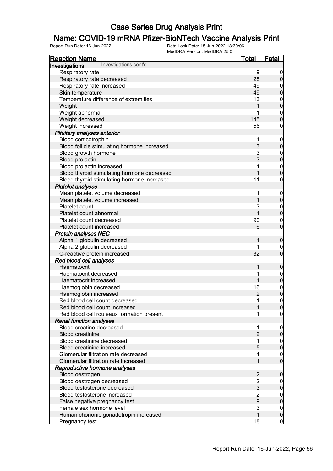# **Name: COVID-19 mRNA Pfizer-BioNTech Vaccine Analysis Print**<br>Report Run Date: 16-Jun-2022<br>Data Lock Date: 15-Jun-2022 18:30:06

| <b>Reaction Name</b>                                      | <u>Total</u>                   | <u>Fatal</u>                         |
|-----------------------------------------------------------|--------------------------------|--------------------------------------|
| Investigations cont'd<br>Investigations                   |                                |                                      |
| Respiratory rate                                          | 9                              | $\overline{0}$                       |
| Respiratory rate decreased                                | 28                             | $\overline{0}$                       |
| Respiratory rate increased                                | 49                             | $\boldsymbol{0}$                     |
| Skin temperature                                          | 49                             | $\overline{0}$                       |
| Temperature difference of extremities                     | 13                             |                                      |
| Weight                                                    | 1                              | $0$ 0                                |
| Weight abnormal                                           |                                |                                      |
| Weight decreased                                          | 145                            | $\begin{matrix} 0 \\ 0 \end{matrix}$ |
| Weight increased                                          | 56                             | $\boldsymbol{0}$                     |
| Pituitary analyses anterior                               |                                |                                      |
| Blood corticotrophin                                      | 1                              | $\boldsymbol{0}$                     |
| Blood follicle stimulating hormone increased              |                                | $\mathbf 0$                          |
| Blood growth hormone                                      | 3<br>3<br>3                    |                                      |
| <b>Blood prolactin</b>                                    |                                | $0$ 0                                |
| Blood prolactin increased                                 | 4                              |                                      |
| Blood thyroid stimulating hormone decreased               | $\overline{1}$                 | $\begin{matrix}0\\0\end{matrix}$     |
| Blood thyroid stimulating hormone increased               | 11                             | $\pmb{0}$                            |
| <b>Platelet analyses</b>                                  |                                |                                      |
| Mean platelet volume decreased                            | 1                              | $\boldsymbol{0}$                     |
| Mean platelet volume increased                            | 1                              | $\mathbf 0$                          |
| Platelet count                                            | 3                              |                                      |
| Platelet count abnormal                                   | $\overline{1}$                 | $0\atop 0$                           |
| Platelet count decreased                                  | 90                             |                                      |
| Platelet count increased                                  | 6                              | $\mathbf{0}$<br>$\overline{0}$       |
| <b>Protein analyses NEC</b>                               |                                |                                      |
| Alpha 1 globulin decreased                                | 1                              |                                      |
| Alpha 2 globulin decreased                                |                                | $\boldsymbol{0}$                     |
| C-reactive protein increased                              | 32                             | $\boldsymbol{0}$<br>$\overline{0}$   |
| Red blood cell analyses                                   |                                |                                      |
| Haematocrit                                               | 1                              |                                      |
| Haematocrit decreased                                     | 1                              | $\boldsymbol{0}$                     |
| Haematocrit increased                                     | 1                              | $0$ 0                                |
|                                                           | 16                             |                                      |
| Haemoglobin decreased<br>Haemoglobin increased            |                                | $0$<br>0                             |
| Red blood cell count decreased                            | $\overline{c}$<br>$\mathbf{1}$ | $\mathbf 0$                          |
| Red blood cell count increased                            | 1                              |                                      |
| Red blood cell rouleaux formation present                 |                                | 0 <br>$\overline{0}$                 |
| <b>Renal function analyses</b>                            |                                |                                      |
| Blood creatine decreased                                  | 1                              |                                      |
| <b>Blood creatinine</b>                                   | $\overline{c}$                 | $\mathbf 0$<br>$\pmb{0}$             |
| Blood creatinine decreased                                | 1                              |                                      |
| Blood creatinine increased                                | 5                              | $\boldsymbol{0}$<br>$\overline{0}$   |
| Glomerular filtration rate decreased                      | 4                              |                                      |
| Glomerular filtration rate increased                      | 1                              | $\mathbf{0}$<br>$\overline{0}$       |
| Reproductive hormone analyses                             |                                |                                      |
| Blood oestrogen                                           |                                | $\mathbf 0$                          |
| Blood oestrogen decreased                                 |                                |                                      |
| Blood testosterone decreased                              | $\frac{2}{3}$                  | $\overline{0}$<br>$\pmb{0}$          |
| Blood testosterone increased                              |                                |                                      |
|                                                           | $\frac{2}{9}$                  | $\boldsymbol{0}$<br>$\overline{0}$   |
| False negative pregnancy test<br>Female sex hormone level | 3                              |                                      |
| Human chorionic gonadotropin increased                    | 1                              | $\boldsymbol{0}$<br>$\pmb{0}$        |
| Pregnancy test                                            | 18                             | $\overline{0}$                       |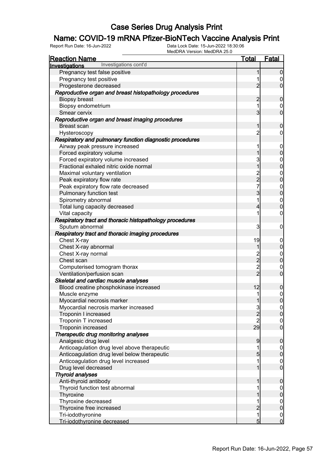## **Name: COVID-19 mRNA Pfizer-BioNTech Vaccine Analysis Print**<br>Report Run Date: 16-Jun-2022<br>Data Lock Date: 15-Jun-2022 18:30:06

| <b>Reaction Name</b>                                     | <b>Total</b>                                 | <b>Fatal</b>                         |
|----------------------------------------------------------|----------------------------------------------|--------------------------------------|
| Investigations cont'd<br>Investigations                  |                                              |                                      |
| Pregnancy test false positive                            | 1                                            | $\boldsymbol{0}$                     |
| Pregnancy test positive                                  | 1                                            | $\begin{matrix} 0 \\ 0 \end{matrix}$ |
| Progesterone decreased                                   | $\overline{2}$                               |                                      |
| Reproductive organ and breast histopathology procedures  |                                              |                                      |
| Biopsy breast                                            | $\overline{c}$                               | $\pmb{0}$                            |
| Biopsy endometrium                                       | 1                                            | $\begin{matrix} 0 \\ 0 \end{matrix}$ |
| Smear cervix                                             | 3                                            |                                      |
| Reproductive organ and breast imaging procedures         |                                              |                                      |
| Breast scan                                              | 1                                            | $\boldsymbol{0}$                     |
| Hysteroscopy                                             | $\overline{2}$                               | $\boldsymbol{0}$                     |
| Respiratory and pulmonary function diagnostic procedures |                                              |                                      |
| Airway peak pressure increased                           | 1                                            | $0\atop 0$                           |
| Forced expiratory volume                                 | 1                                            |                                      |
| Forced expiratory volume increased                       | 3                                            | $0$<br>0                             |
| Fractional exhaled nitric oxide normal                   | $\overline{1}$                               |                                      |
| Maximal voluntary ventilation                            | $\frac{2}{2}$                                | $\begin{matrix} 0 \\ 0 \end{matrix}$ |
| Peak expiratory flow rate                                |                                              |                                      |
| Peak expiratory flow rate decreased                      | $\overline{7}$                               | $0$<br>0                             |
| Pulmonary function test                                  | 3                                            |                                      |
| Spirometry abnormal                                      | 1                                            | $\begin{matrix}0\\0\end{matrix}$     |
| Total lung capacity decreased                            | 4                                            |                                      |
| Vital capacity                                           | 1                                            | $\mathbf 0$                          |
| Respiratory tract and thoracic histopathology procedures |                                              |                                      |
| Sputum abnormal                                          | 3                                            | $\mathbf 0$                          |
| Respiratory tract and thoracic imaging procedures        |                                              |                                      |
| Chest X-ray                                              | 19                                           | $0\atop 0$                           |
| Chest X-ray abnormal                                     | 1                                            |                                      |
| Chest X-ray normal                                       | $\begin{array}{c}\n2 \\ 2 \\ 2\n\end{array}$ | $\begin{matrix}0\\0\end{matrix}$     |
| Chest scan                                               |                                              |                                      |
| Computerised tomogram thorax                             |                                              | $\begin{matrix} 0 \\ 0 \end{matrix}$ |
| Ventilation/perfusion scan                               |                                              |                                      |
| Skeletal and cardiac muscle analyses                     |                                              |                                      |
| Blood creatine phosphokinase increased                   | 12                                           | $\pmb{0}$                            |
| Muscle enzyme                                            | 1                                            | $\begin{matrix} 0 \\ 0 \end{matrix}$ |
| Myocardial necrosis marker                               | 1                                            |                                      |
| Myocardial necrosis marker increased                     | $\frac{3}{2}$                                | $\begin{matrix} 0 \\ 0 \end{matrix}$ |
| Troponin I increased                                     |                                              |                                      |
| Troponin T increased                                     | $\overline{2}$                               | $\begin{matrix} 0 \\ 0 \end{matrix}$ |
| Troponin increased                                       | 29                                           |                                      |
| Therapeutic drug monitoring analyses                     |                                              |                                      |
| Analgesic drug level                                     | 9                                            | $\mathbf 0$                          |
| Anticoagulation drug level above therapeutic             | 1                                            | $\begin{matrix} 0 \\ 0 \end{matrix}$ |
| Anticoagulation drug level below therapeutic             | 5                                            |                                      |
| Anticoagulation drug level increased                     | 1                                            | $\begin{matrix} 0 \\ 0 \end{matrix}$ |
| Drug level decreased                                     | 1                                            |                                      |
| <b>Thyroid analyses</b>                                  |                                              |                                      |
| Anti-thyroid antibody                                    | 1                                            | $\mathbf 0$                          |
| Thyroid function test abnormal                           |                                              | $\begin{matrix} 0 \\ 0 \end{matrix}$ |
| Thyroxine                                                |                                              |                                      |
| Thyroxine decreased                                      | 1                                            | $\begin{matrix}0\\0\end{matrix}$     |
| Thyroxine free increased                                 | $\overline{c}$                               |                                      |
| Tri-iodothyronine                                        | $\overline{1}$                               | $\begin{matrix} 0 \\ 0 \end{matrix}$ |
| Tri-iodothyronine decreased                              | $5\overline{)}$                              |                                      |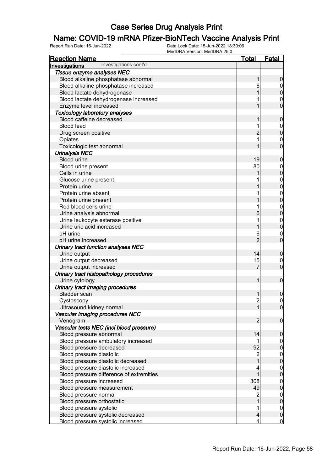## **Name: COVID-19 mRNA Pfizer-BioNTech Vaccine Analysis Print**<br>Report Run Date: 16-Jun-2022<br>Data Lock Date: 15-Jun-2022 18:30:06

| <b>Reaction Name</b>                                                           | <u>Total</u>   | <u>Fatal</u>                         |
|--------------------------------------------------------------------------------|----------------|--------------------------------------|
| Investigations cont'd<br>Investigations                                        |                |                                      |
| Tissue enzyme analyses NEC                                                     |                |                                      |
| Blood alkaline phosphatase abnormal                                            | 1              | $\boldsymbol{0}$                     |
| Blood alkaline phosphatase increased                                           | 6              |                                      |
| Blood lactate dehydrogenase                                                    | 1              | $0\atop 0$                           |
| Blood lactate dehydrogenase increased                                          |                | $\mathbf{0}$                         |
| Enzyme level increased                                                         | 1              | $\overline{0}$                       |
| <b>Toxicology laboratory analyses</b>                                          |                |                                      |
| Blood caffeine decreased                                                       | 1              | $\mathbf 0$                          |
| <b>Blood lead</b>                                                              | 1              |                                      |
| Drug screen positive                                                           | $\overline{2}$ | $\begin{matrix}0\\0\end{matrix}$     |
| Opiates                                                                        | 1              |                                      |
| Toxicologic test abnormal                                                      | 1              | $\begin{matrix}0\\0\end{matrix}$     |
| <b>Urinalysis NEC</b>                                                          |                |                                      |
| <b>Blood urine</b>                                                             | 19             | $\mathbf 0$                          |
| Blood urine present                                                            | 80             |                                      |
| Cells in urine                                                                 | 1              | $0\atop 0$                           |
| Glucose urine present                                                          | 1              |                                      |
| Protein urine                                                                  | 1              | $\begin{matrix}0\\0\end{matrix}$     |
| Protein urine absent                                                           | 1              |                                      |
| Protein urine present                                                          | 1              | $\begin{matrix}0\\0\end{matrix}$     |
| Red blood cells urine                                                          | 1              |                                      |
| Urine analysis abnormal                                                        | 6              | $\begin{matrix}0\\0\end{matrix}$     |
| Urine leukocyte esterase positive                                              | 1              |                                      |
| Urine uric acid increased                                                      | 1              | $\begin{matrix}0\\0\end{matrix}$     |
| pH urine                                                                       | 6              |                                      |
| pH urine increased                                                             | $\overline{2}$ | $\begin{matrix}0\\0\end{matrix}$     |
| Urinary tract function analyses NEC                                            |                |                                      |
| Urine output                                                                   | 14             | $\mathbf 0$                          |
| Urine output decreased                                                         | 15             |                                      |
| Urine output increased                                                         | 7              | $\mathbf{0}$<br>$\overline{0}$       |
| Urinary tract histopathology procedures                                        |                |                                      |
| Urine cytology                                                                 | 1              | $\boldsymbol{0}$                     |
| Urinary tract imaging procedures                                               |                |                                      |
| <b>Bladder</b> scan                                                            | 1              | 0                                    |
| Cystoscopy                                                                     | $\overline{2}$ | $\mathbf 0$                          |
| Ultrasound kidney normal                                                       | 1              | $\overline{0}$                       |
| Vascular imaging procedures NEC                                                |                |                                      |
| Venogram                                                                       | $\overline{2}$ | $\overline{0}$                       |
| Vascular tests NEC (incl blood pressure)                                       |                |                                      |
| Blood pressure abnormal                                                        | 14             | $\mathbf 0$                          |
| Blood pressure ambulatory increased                                            | 1              |                                      |
| Blood pressure decreased                                                       | 92             | $\boldsymbol{0}$<br>$\overline{0}$   |
| Blood pressure diastolic                                                       | $\overline{2}$ |                                      |
|                                                                                | $\mathbf{1}$   | $\begin{matrix} 0 \\ 0 \end{matrix}$ |
| Blood pressure diastolic decreased                                             |                |                                      |
| Blood pressure diastolic increased<br>Blood pressure difference of extremities | 4<br>1         | $\begin{matrix} 0 \\ 0 \end{matrix}$ |
|                                                                                | 308            |                                      |
| Blood pressure increased                                                       | 49             | $\mathbf{0}$<br>$\overline{0}$       |
| Blood pressure measurement                                                     |                |                                      |
| Blood pressure normal                                                          | 2              | $\boldsymbol{0}$                     |
| Blood pressure orthostatic                                                     | 1              | $\mathbf 0$                          |
| Blood pressure systolic                                                        | 1              | $\boldsymbol{0}$                     |
| Blood pressure systolic decreased                                              | $\overline{4}$ | $\pmb{0}$                            |
| Blood pressure systolic increased                                              | 1              | $\overline{0}$                       |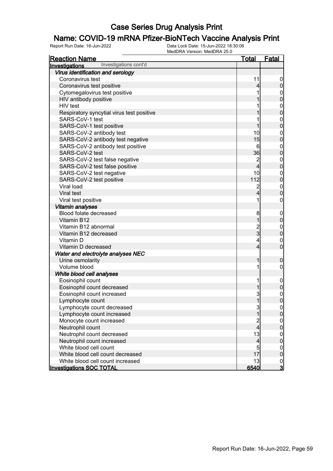# **Name: COVID-19 mRNA Pfizer-BioNTech Vaccine Analysis Print**<br>Report Run Date: 16-Jun-2022<br>Data Lock Date: 15-Jun-2022 18:30:06

| <b>Reaction Name</b>                      | <u>Total</u>            | Fatal                                |
|-------------------------------------------|-------------------------|--------------------------------------|
| Investigations cont'd<br>Investigations   |                         |                                      |
| Virus identification and serology         |                         |                                      |
| Coronavirus test                          | 11                      | $\overline{0}$                       |
| Coronavirus test positive                 | 4                       | $\overline{0}$                       |
| Cytomegalovirus test positive             |                         |                                      |
| HIV antibody positive                     |                         | $0\atop 0$                           |
| HIV test                                  |                         |                                      |
| Respiratory syncytial virus test positive |                         | $0\atop 0$                           |
| SARS-CoV-1 test                           |                         |                                      |
| SARS-CoV-1 test positive                  |                         | $\begin{matrix} 0 \\ 0 \end{matrix}$ |
| SARS-CoV-2 antibody test                  | 10                      | $\boldsymbol{0}$                     |
| SARS-CoV-2 antibody test negative         | 15                      | $\overline{0}$                       |
| SARS-CoV-2 antibody test positive         | 6                       |                                      |
| SARS-CoV-2 test                           | 36                      | 0                                    |
| SARS-CoV-2 test false negative            | $\overline{\mathbf{c}}$ |                                      |
| SARS-CoV-2 test false positive            | 4                       | 0                                    |
| SARS-CoV-2 test negative                  | 10                      |                                      |
| SARS-CoV-2 test positive                  | 112                     | 0                                    |
| Viral load                                | $\overline{\mathbf{c}}$ |                                      |
| Viral test                                | 4                       | $\begin{matrix} 0 \\ 0 \end{matrix}$ |
| Viral test positive                       | 1                       | $\boldsymbol{0}$                     |
| Vitamin analyses                          |                         |                                      |
| Blood folate decreased                    | 8                       | $\mathbf 0$                          |
| Vitamin B12                               | $\overline{1}$          | $\overline{0}$                       |
| Vitamin B12 abnormal                      |                         | $\boldsymbol{0}$                     |
| Vitamin B12 decreased                     | $\frac{2}{3}$           | $\overline{0}$                       |
| Vitamin D                                 | 4                       | $\mathbf 0$                          |
| Vitamin D decreased                       | 4                       | $\overline{0}$                       |
| Water and electrolyte analyses NEC        |                         |                                      |
| Urine osmolarity                          | 1                       | $\boldsymbol{0}$                     |
| Volume blood                              | 1                       | $\boldsymbol{0}$                     |
| White blood cell analyses                 |                         |                                      |
| Eosinophil count                          | 1                       | $\mathbf 0$                          |
| Eosinophil count decreased                | 1                       | 0                                    |
| Eosinophil count increased                | 3                       | $\mathbf{0}$                         |
| Lymphocyte count                          | $\mathbf{1}$            | $\overline{0}$                       |
| Lymphocyte count decreased                | 3                       | 0                                    |
| Lymphocyte count increased                | $\overline{1}$          | 0                                    |
| Monocyte count increased                  |                         |                                      |
| Neutrophil count                          | 2<br>4                  | $\begin{matrix} 0 \\ 0 \end{matrix}$ |
| Neutrophil count decreased                | 13                      |                                      |
| Neutrophil count increased                | 4                       | $\begin{matrix} 0 \\ 0 \end{matrix}$ |
| White blood cell count                    | 5                       | $\overline{0}$                       |
| White blood cell count decreased          | 17                      | $\overline{0}$                       |
| White blood cell count increased          | 13                      |                                      |
| <b>Investigations SOC TOTAL</b>           | 6540                    | $\frac{0}{3}$                        |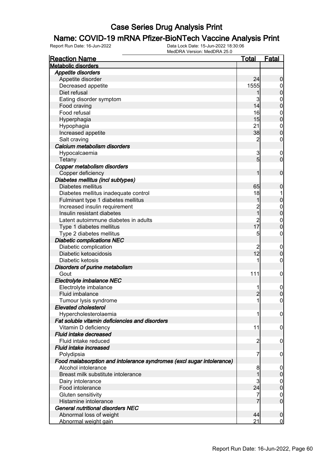# **Name: COVID-19 mRNA Pfizer-BioNTech Vaccine Analysis Print**<br>Report Run Date: 16-Jun-2022<br>Data Lock Date: 15-Jun-2022 18:30:06

| <b>Metabolic disorders</b><br><b>Appetite disorders</b>               |                                  |
|-----------------------------------------------------------------------|----------------------------------|
|                                                                       |                                  |
|                                                                       |                                  |
| 24<br>Appetite disorder                                               | $\boldsymbol{0}$                 |
| 1555<br>Decreased appetite                                            | $\mathbf 0$                      |
| Diet refusal                                                          | $\mathbf 0$                      |
| 3<br>Eating disorder symptom                                          | $\boldsymbol{0}$                 |
| 14<br>Food craving                                                    | $\overline{0}$                   |
| 16<br>Food refusal                                                    | $\boldsymbol{0}$                 |
| 15<br>Hyperphagia                                                     | $\overline{0}$                   |
| 21<br>Hypophagia                                                      | $\boldsymbol{0}$                 |
| 38<br>Increased appetite                                              | $\overline{0}$                   |
| Salt craving<br>2                                                     | $\mathbf 0$                      |
| Calcium metabolism disorders                                          |                                  |
| Hypocalcaemia<br>3                                                    | $\mathbf 0$                      |
| $5\overline{)}$<br>Tetany                                             | $\mathbf 0$                      |
| Copper metabolism disorders                                           |                                  |
| Copper deficiency<br>1                                                | $\mathbf 0$                      |
| Diabetes mellitus (incl subtypes)                                     |                                  |
| Diabetes mellitus<br>65                                               | $\boldsymbol{0}$                 |
| 18<br>Diabetes mellitus inadequate control                            |                                  |
| Fulminant type 1 diabetes mellitus<br>1                               | $\mathbf 0$                      |
| Increased insulin requirement                                         |                                  |
| 2<br>1<br>Insulin resistant diabetes                                  | $\begin{matrix}0\\0\end{matrix}$ |
| Latent autoimmune diabetes in adults                                  | $\boldsymbol{0}$                 |
| $\frac{2}{17}$<br>Type 1 diabetes mellitus                            | $\mathbf 0$                      |
| 5<br>Type 2 diabetes mellitus                                         | $\mathbf 0$                      |
| <b>Diabetic complications NEC</b>                                     |                                  |
| Diabetic complication<br>2                                            | $\mathbf 0$                      |
| 12<br>Diabetic ketoacidosis                                           | $\mathbf 0$                      |
| Diabetic ketosis                                                      | 0                                |
| Disorders of purine metabolism                                        |                                  |
| 111<br>Gout                                                           | $\mathbf 0$                      |
| Electrolyte imbalance NEC                                             |                                  |
| Electrolyte imbalance                                                 | $\mathbf 0$                      |
| $\overline{c}$<br>Fluid imbalance                                     | $\overline{0}$                   |
| $\mathbf{1}$<br>Tumour lysis syndrome                                 | $\overline{0}$                   |
| <b>Elevated cholesterol</b>                                           |                                  |
| Hypercholesterolaemia<br>1                                            | $\overline{0}$                   |
| Fat soluble vitamin deficiencies and disorders                        |                                  |
| Vitamin D deficiency<br>11                                            | $\mathbf 0$                      |
| Fluid intake decreased                                                |                                  |
| Fluid intake reduced<br>$\overline{2}$                                | $\mathbf 0$                      |
| Fluid intake increased                                                |                                  |
| 7<br>Polydipsia                                                       | $\mathbf 0$                      |
| Food malabsorption and intolerance syndromes (excl sugar intolerance) |                                  |
| Alcohol intolerance<br>8                                              | 0                                |
| Breast milk substitute intolerance                                    | $\mathbf 0$                      |
| 3<br>Dairy intolerance                                                | $\boldsymbol{0}$                 |
| 24<br>Food intolerance                                                | $\overline{0}$                   |
| Gluten sensitivity                                                    | $\mathbf 0$                      |
| Histamine intolerance                                                 | $\overline{0}$                   |
| General nutritional disorders NEC                                     |                                  |
| 44                                                                    |                                  |
| Abnormal loss of weight<br>21<br>Abnormal weight gain                 | $\mathbf 0$<br>$\overline{0}$    |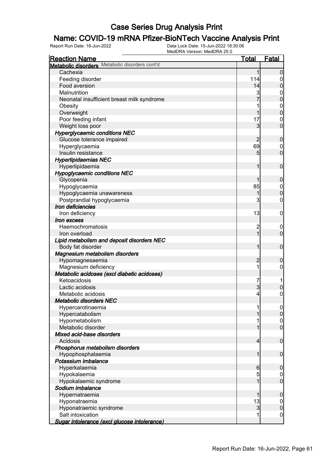## **Name: COVID-19 mRNA Pfizer-BioNTech Vaccine Analysis Print**<br>Report Run Date: 16-Jun-2022<br>Data Lock Date: 15-Jun-2022 18:30:06

Data Lock Date: 15-Jun-2022 18:30:06 MedDRA Version: MedDRA 25.0

| <b>Reaction Name</b>                           | <b>Total</b>        | Fatal                      |
|------------------------------------------------|---------------------|----------------------------|
| Metabolic disorders Metabolic disorders cont'd |                     |                            |
| Cachexia                                       | 1                   | $\overline{0}$             |
| Feeding disorder                               | 114                 | 0                          |
| Food aversion                                  | 14                  | $\mathbf 0$                |
| Malnutrition                                   | 3                   | 0                          |
| Neonatal insufficient breast milk syndrome     |                     | $\mathbf 0$                |
| Obesity                                        |                     | $\mathbf 0$                |
| Overweight                                     |                     | $\mathbf 0$                |
| Poor feeding infant                            | 17                  | 0                          |
| Weight loss poor                               | 3                   | $\mathbf 0$                |
| <b>Hyperglycaemic conditions NEC</b>           |                     |                            |
| Glucose tolerance impaired                     | 2                   | $\boldsymbol{0}$           |
| Hyperglycaemia                                 | 69                  | 0                          |
| Insulin resistance                             | 5                   | $\mathbf 0$                |
| <b>Hyperlipidaemias NEC</b>                    |                     |                            |
| Hyperlipidaemia                                |                     | $\mathbf 0$                |
| <b>Hypoglycaemic conditions NEC</b>            |                     |                            |
| Glycopenia                                     |                     | $\boldsymbol{0}$           |
| Hypoglycaemia                                  | 85                  | $\mathbf 0$                |
| Hypoglycaemia unawareness                      |                     | $\mathbf 0$                |
| Postprandial hypoglycaemia                     | 3                   | 0                          |
| Iron deficiencies                              |                     |                            |
| Iron deficiency                                | 13                  | $\mathbf 0$                |
| <i><b>Iron excess</b></i>                      |                     |                            |
| Haemochromatosis                               |                     |                            |
|                                                | $\overline{c}$<br>1 | $\mathbf 0$<br>$\mathbf 0$ |
| Iron overload                                  |                     |                            |
| Lipid metabolism and deposit disorders NEC     |                     |                            |
| Body fat disorder                              | 1                   | $\mathbf 0$                |
| Magnesium metabolism disorders                 |                     |                            |
| Hypomagnesaemia                                | 2                   | $\boldsymbol{0}$           |
| Magnesium deficiency                           | 1                   | 0                          |
| Metabolic acidoses (excl diabetic acidoses)    |                     |                            |
| Ketoacidosis                                   | 7                   |                            |
| Lactic acidosis                                | $\overline{3}$      | $\boldsymbol{0}$           |
| Metabolic acidosis                             | 4                   | $\boldsymbol{0}$           |
| <b>Metabolic disorders NEC</b>                 |                     |                            |
| Hypercarotinaemia                              |                     | $\overline{0}$             |
| Hypercatabolism                                |                     | $\overline{0}$             |
| Hypometabolism                                 |                     | $\overline{0}$             |
| Metabolic disorder                             |                     | $\overline{0}$             |
| Mixed acid-base disorders                      |                     |                            |
| Acidosis                                       | 4                   | $\mathbf 0$                |
| Phosphorus metabolism disorders                |                     |                            |
| Hypophosphataemia                              | 1                   | $\mathbf 0$                |
| Potassium imbalance                            |                     |                            |
| Hyperkalaemia                                  | 6                   | $\boldsymbol{0}$           |
| Hypokalaemia                                   | 5                   | 0                          |
| Hypokalaemic syndrome                          | 1                   | $\overline{0}$             |
| Sodium imbalance                               |                     |                            |
| Hypernatraemia                                 |                     | $\boldsymbol{0}$           |
| Hyponatraemia                                  | 13                  | $\mathbf 0$                |
| Hyponatraemic syndrome                         | 3                   | $\mathbf 0$                |
| Salt intoxication                              | 1                   | $\mathbf 0$                |
| Sugar intolerance (excl glucose intolerance)   |                     |                            |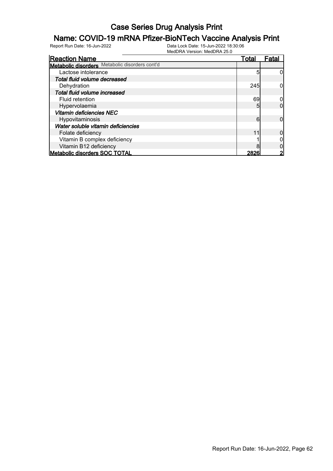## **Name: COVID-19 mRNA Pfizer-BioNTech Vaccine Analysis Print**<br>Report Run Date: 16-Jun-2022<br>Data Lock Date: 15-Jun-2022 18:30:06

| <b>Reaction Name</b>                           | <u>Total</u> | Fatal |
|------------------------------------------------|--------------|-------|
| Metabolic disorders Metabolic disorders cont'd |              |       |
| Lactose intolerance                            | 5            |       |
| Total fluid volume decreased                   |              |       |
| Dehydration                                    | 245          |       |
| Total fluid volume increased                   |              |       |
| Fluid retention                                | 69           |       |
| Hypervolaemia                                  | 5            |       |
| Vitamin deficiencies NEC                       |              |       |
| Hypovitaminosis                                | 6            |       |
| Water soluble vitamin deficiencies             |              |       |
| Folate deficiency                              | 11           |       |
| Vitamin B complex deficiency                   |              |       |
| Vitamin B12 deficiency                         |              |       |
| <b>Metabolic disorders SOC TOTAL</b>           | 2826         |       |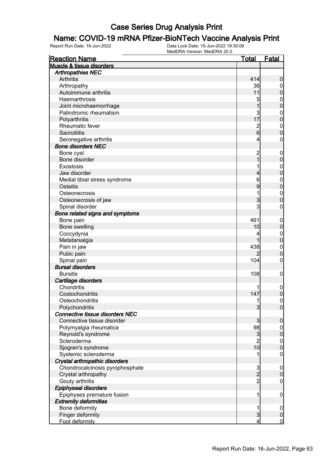## **Name: COVID-19 mRNA Pfizer-BioNTech Vaccine Analysis Print**<br>Report Run Date: 16-Jun-2022<br>Data Lock Date: 15-Jun-2022 18:30:06

Data Lock Date: 15-Jun-2022 18:30:06 MedDRA Version: MedDRA 25.0

| <b>Reaction Name</b>                   | <b>Total</b>    | <b>Fatal</b>     |
|----------------------------------------|-----------------|------------------|
| <b>Muscle &amp; tissue disorders</b>   |                 |                  |
| <b>Arthropathies NEC</b>               |                 |                  |
| Arthritis                              | 414             | $\boldsymbol{0}$ |
| Arthropathy                            | 36              | $\boldsymbol{0}$ |
| Autoimmune arthritis                   | 11              | $\pmb{0}$        |
| Haemarthrosis                          | 5               | $\mathbf 0$      |
| Joint microhaemorrhage                 | 1               | $\mathbf 0$      |
| Palindromic rheumatism                 | 3               | $\mathbf 0$      |
| Polyarthritis                          | 17              | $\mathbf 0$      |
| Rheumatic fever                        |                 | $\mathbf 0$      |
| <b>Sacroiliitis</b>                    | $\frac{2}{6}$   | $\mathbf 0$      |
| Seronegative arthritis                 | 4               | 0                |
| <b>Bone disorders NEC</b>              |                 |                  |
| Bone cyst                              | $\overline{c}$  | $\boldsymbol{0}$ |
| Bone disorder                          | 1               | $\mathbf 0$      |
| Exostosis                              |                 | $\mathbf 0$      |
| Jaw disorder                           | 4               | $\mathbf 0$      |
| Medial tibial stress syndrome          | 6               | $\mathbf 0$      |
| Osteitis                               | 9               | $\mathbf 0$      |
| Osteonecrosis                          |                 | $\mathbf 0$      |
| Osteonecrosis of jaw                   | 3               | $\boldsymbol{0}$ |
| Spinal disorder                        | 3               | 0                |
| Bone related signs and symptoms        |                 |                  |
| Bone pain                              | 461             | $\mathbf 0$      |
| Bone swelling                          | 10              | $\mathbf 0$      |
| Coccydynia                             |                 | $\mathbf 0$      |
| Metatarsalgia                          |                 | $\mathbf 0$      |
| Pain in jaw                            | 438             | $\mathbf 0$      |
| Pubic pain                             |                 | $\boldsymbol{0}$ |
| Spinal pain                            | 104             | 0                |
| <b>Bursal disorders</b>                |                 |                  |
| <b>Bursitis</b>                        | 108             | $\mathbf 0$      |
| Cartilage disorders                    |                 |                  |
| Chondritis                             |                 | $\mathbf 0$      |
| Costochondritis                        | 147             | $\pmb{0}$        |
| Osteochondritis                        | 11              | $\boldsymbol{0}$ |
| Polychondritis                         | $\overline{3}$  | $\mathbf 0$      |
| <b>Connective tissue disorders NEC</b> |                 |                  |
| Connective tissue disorder             | 3               | $\mathbf 0$      |
| Polymyalgia rheumatica                 | 98              | $\overline{0}$   |
| Reynold's syndrome                     | $\mathbf{3}$    | $\pmb{0}$        |
| Scleroderma                            | $\overline{c}$  | $\overline{0}$   |
| Sjogren's syndrome                     | 10 <sup>1</sup> | $\mathbf 0$      |
| Systemic scleroderma                   |                 | $\mathbf 0$      |
| Crystal arthropathic disorders         |                 |                  |
| Chondrocalcinosis pyrophosphate        |                 | $\mathbf 0$      |
| Crystal arthropathy                    | $\frac{3}{2}$   | $\boldsymbol{0}$ |
| Gouty arthritis                        | $\overline{c}$  | $\boldsymbol{0}$ |
| Epiphyseal disorders                   |                 |                  |
| Epiphyses premature fusion             | 1               | $\mathbf 0$      |
| <b>Extremity deformities</b>           |                 |                  |
| Bone deformity                         | 1               | $\overline{0}$   |
| Finger deformity                       | 3               | $\pmb{0}$        |
| Foot deformity                         | 4               | $\mathbf 0$      |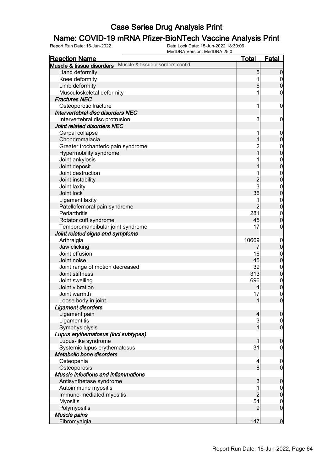# **Name: COVID-19 mRNA Pfizer-BioNTech Vaccine Analysis Print**<br>Report Run Date: 16-Jun-2022<br>Data Lock Date: 15-Jun-2022 18:30:06

| <b>Reaction Name</b>                                          | <u>Total</u>   | Fatal                              |
|---------------------------------------------------------------|----------------|------------------------------------|
| Muscle & tissue disorders cont'd<br>Muscle & tissue disorders |                |                                    |
| Hand deformity                                                | 5              | $\boldsymbol{0}$                   |
| Knee deformity                                                |                | $\overline{0}$                     |
| Limb deformity                                                | $6 \,$         | $\mathbf 0$                        |
| Musculoskeletal deformity                                     |                | 0                                  |
| <b>Fractures NEC</b>                                          |                |                                    |
| Osteoporotic fracture                                         | 1              | $\mathbf 0$                        |
| Intervertebral disc disorders NEC                             |                |                                    |
| Intervertebral disc protrusion                                | 3              | $\mathbf 0$                        |
| Joint related disorders NEC                                   |                |                                    |
| Carpal collapse                                               |                | $\mathbf 0$                        |
| Chondromalacia                                                |                | $\mathbf 0$                        |
| Greater trochanteric pain syndrome                            | $\overline{c}$ |                                    |
| Hypermobility syndrome                                        | $\overline{1}$ | $\boldsymbol{0}$<br>$\overline{0}$ |
| Joint ankylosis                                               |                |                                    |
| Joint deposit                                                 |                | $0\atop 0$                         |
| Joint destruction                                             |                |                                    |
| Joint instability                                             | $\overline{c}$ | $\mathbf{0}$<br>$\overline{0}$     |
|                                                               | 3              |                                    |
| Joint laxity<br>Joint lock                                    | 36             | $\mathbf{0}$<br>$\overline{0}$     |
|                                                               |                |                                    |
| Ligament laxity                                               |                | $0\atop 0$                         |
| Patellofemoral pain syndrome                                  | $\overline{2}$ |                                    |
| Periarthritis                                                 | 281            | $\mathbf{0}$                       |
| Rotator cuff syndrome                                         | 45             | $\overline{0}$                     |
| Temporomandibular joint syndrome                              | 17             | 0                                  |
| Joint related signs and symptoms                              |                |                                    |
| Arthralgia                                                    | 10669          | $\mathbf 0$                        |
| Jaw clicking                                                  | 7              | $\mathbf 0$                        |
| Joint effusion                                                | 16             | $\boldsymbol{0}$                   |
| Joint noise                                                   | 45             | $\mathbf 0$                        |
| Joint range of motion decreased                               | 39             | $\boldsymbol{0}$                   |
| Joint stiffness                                               | 313            | $\mathbf 0$                        |
| Joint swelling                                                | 696            | $\boldsymbol{0}$                   |
| Joint vibration                                               | 4              | $\overline{0}$                     |
| Joint warmth                                                  | 17             | $\mathbf 0$                        |
| Loose body in joint                                           | $\mathbf{1}$   | $\overline{0}$                     |
| <b>Ligament disorders</b>                                     |                |                                    |
| Ligament pain                                                 | $\overline{4}$ | 0                                  |
| Ligamentitis                                                  | 3              | $\overline{0}$                     |
| Symphysiolysis                                                | 1              | $\overline{0}$                     |
| Lupus erythematosus (incl subtypes)                           |                |                                    |
| Lupus-like syndrome                                           |                | $\mathbf 0$                        |
| Systemic lupus erythematosus                                  | 31             | 0                                  |
| Metabolic bone disorders                                      |                |                                    |
| Osteopenia                                                    | 4              | $\mathbf 0$                        |
| Osteoporosis                                                  | 8 <sup>1</sup> | $\overline{0}$                     |
| Muscle infections and inflammations                           |                |                                    |
| Antisynthetase syndrome                                       | 3              | $\boldsymbol{0}$                   |
| Autoimmune myositis                                           |                | $\mathbf 0$                        |
| Immune-mediated myositis                                      | $\overline{2}$ | $\mathbf 0$                        |
| <b>Myositis</b>                                               | 54             | $\mathbf 0$                        |
| Polymyositis                                                  | 9              | $\overline{0}$                     |
| Muscle pains                                                  |                |                                    |
| Fibromyalgia                                                  | 147            | $\overline{0}$                     |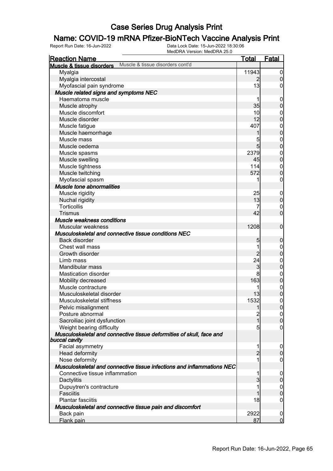# **Name: COVID-19 mRNA Pfizer-BioNTech Vaccine Analysis Print**<br>Report Run Date: 16-Jun-2022<br>Data Lock Date: 15-Jun-2022 18:30:06

| <u>Reaction Name</u>                                                   | <b>Total</b>    | <b>Fatal</b>     |
|------------------------------------------------------------------------|-----------------|------------------|
| Muscle & tissue disorders cont'd<br>Muscle & tissue disorders          |                 |                  |
| Myalgia                                                                | 11943           | $\overline{0}$   |
| Myalgia intercostal                                                    | $\overline{2}$  | $\boldsymbol{0}$ |
| Myofascial pain syndrome                                               | 13              | 0                |
| Muscle related signs and symptoms NEC                                  |                 |                  |
| Haematoma muscle                                                       |                 | $\mathbf 0$      |
| Muscle atrophy                                                         | 35              | $\mathbf 0$      |
| Muscle discomfort                                                      | 10 <sub>l</sub> | $\mathbf{0}$     |
| Muscle disorder                                                        | 12              | $\mathbf 0$      |
| Muscle fatigue                                                         | 407             | $\mathbf{0}$     |
| Muscle haemorrhage                                                     | 1               | $\overline{0}$   |
| Muscle mass                                                            | 5               | $\mathbf{0}$     |
| Muscle oedema                                                          | $5\overline{)}$ | $\mathbf 0$      |
| Muscle spasms                                                          | 2379            | $\mathbf{0}$     |
| Muscle swelling                                                        | 45              | $\mathbf 0$      |
| Muscle tightness                                                       | 114             | $\mathbf{0}$     |
| Muscle twitching                                                       | 572             | $\mathbf 0$      |
| Myofascial spasm                                                       | 1               | $\boldsymbol{0}$ |
| Muscle tone abnormalities                                              |                 |                  |
| Muscle rigidity                                                        | 25              | $\mathbf 0$      |
| Nuchal rigidity                                                        | 13              | $\pmb{0}$        |
| Torticollis                                                            | 7               | $\boldsymbol{0}$ |
| <b>Trismus</b>                                                         | 42              | $\mathbf 0$      |
| Muscle weakness conditions                                             |                 |                  |
| Muscular weakness                                                      | 1208            | $\boldsymbol{0}$ |
| Musculoskeletal and connective tissue conditions NEC                   |                 |                  |
| Back disorder                                                          | 5               | $\boldsymbol{0}$ |
| Chest wall mass                                                        | 1               | $\mathbf{0}$     |
| Growth disorder                                                        | $\overline{2}$  | $\mathbf 0$      |
| Limb mass                                                              | 24              | $\mathbf{0}$     |
| Mandibular mass                                                        | 3               | $\mathbf 0$      |
| <b>Mastication disorder</b>                                            | 8               | $\mathbf{0}$     |
| Mobility decreased                                                     | 163             | $\mathbf 0$      |
| Muscle contracture                                                     | 1               | $\mathbf{0}$     |
| Musculoskeletal disorder                                               | 13              | $\overline{0}$   |
| Musculoskeletal stiffness                                              | 1532            | $\mathbf 0$      |
| Pelvic misalignment                                                    | $\mathbf{1}$    | 0                |
| Posture abnormal                                                       | $\overline{c}$  | $\overline{0}$   |
| Sacroiliac joint dysfunction                                           | $\overline{1}$  | $\pmb{0}$        |
| Weight bearing difficulty                                              | $\overline{5}$  | $\overline{0}$   |
| Musculoskeletal and connective tissue deformities of skull, face and   |                 |                  |
| buccal cavity                                                          |                 |                  |
| Facial asymmetry                                                       | 1               | $\boldsymbol{0}$ |
| Head deformity                                                         | $\overline{2}$  | $\mathbf 0$      |
| Nose deformity                                                         | 1               | 0                |
| Musculoskeletal and connective tissue infections and inflammations NEC |                 |                  |
| Connective tissue inflammation                                         | 1               | $\boldsymbol{0}$ |
| Dactylitis                                                             | $\overline{3}$  | $\boldsymbol{0}$ |
| Dupuytren's contracture                                                | 1               | $\mathbf 0$      |
| <b>Fasciitis</b>                                                       |                 | $\mathbf 0$      |
| <b>Plantar fasciitis</b>                                               | 18              | $\boldsymbol{0}$ |
| Musculoskeletal and connective tissue pain and discomfort              |                 |                  |
| Back pain                                                              | 2922            | $\mathbf 0$      |
| Flank pain                                                             | 87              | $\overline{0}$   |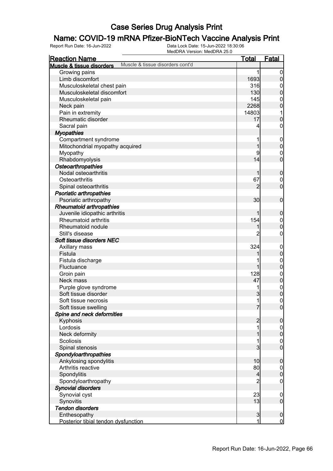# **Name: COVID-19 mRNA Pfizer-BioNTech Vaccine Analysis Print**<br>Report Run Date: 16-Jun-2022<br>Data Lock Date: 15-Jun-2022 18:30:06

| <b>Reaction Name</b>                                  |                                  | <u>Total</u>   | <b>Fatal</b>                         |
|-------------------------------------------------------|----------------------------------|----------------|--------------------------------------|
| Muscle & tissue disorders                             | Muscle & tissue disorders cont'd |                |                                      |
| Growing pains                                         |                                  |                | $\mathbf 0$                          |
| Limb discomfort                                       |                                  | 1693           | $\pmb{0}$                            |
| Musculoskeletal chest pain                            |                                  | 316            | $\mathbf{0}$                         |
| Musculoskeletal discomfort                            |                                  | 130            | $\overline{0}$                       |
| Musculoskeletal pain                                  |                                  | 145            | $\mathbf{0}$                         |
| Neck pain                                             |                                  | 2268           | $\overline{0}$                       |
| Pain in extremity                                     |                                  | 14803          | 1                                    |
| Rheumatic disorder                                    |                                  | 17             | $\mathbf 0$                          |
| Sacral pain                                           |                                  | 4              | 0                                    |
| <b>Myopathies</b>                                     |                                  |                |                                      |
| Compartment syndrome                                  |                                  |                | $\boldsymbol{0}$                     |
| Mitochondrial myopathy acquired                       |                                  | 1              | $\mathbf 0$                          |
| Myopathy                                              |                                  | 9              | $\mathbf 0$                          |
| Rhabdomyolysis                                        |                                  | 14             | $\overline{0}$                       |
| Osteoarthropathies                                    |                                  |                |                                      |
| Nodal osteoarthritis                                  |                                  | 1              | $\boldsymbol{0}$                     |
| Osteoarthritis                                        |                                  | 67             | $\mathbf 0$                          |
| Spinal osteoarthritis                                 |                                  | $\overline{2}$ | $\overline{0}$                       |
| <b>Psoriatic arthropathies</b>                        |                                  |                |                                      |
| Psoriatic arthropathy                                 |                                  | 30             | $\mathbf 0$                          |
| <b>Rheumatoid arthropathies</b>                       |                                  |                |                                      |
|                                                       |                                  |                |                                      |
| Juvenile idiopathic arthritis<br>Rheumatoid arthritis |                                  |                | $\boldsymbol{0}$                     |
|                                                       |                                  | 154            | $\boldsymbol{0}$                     |
| Rheumatoid nodule                                     |                                  |                | $\overline{0}$                       |
| Still's disease                                       |                                  | 2              | 0                                    |
| Soft tissue disorders NEC                             |                                  |                |                                      |
| Axillary mass                                         |                                  | 324            | $\boldsymbol{0}$                     |
| Fistula                                               |                                  |                | $\mathbf 0$                          |
| Fistula discharge                                     |                                  |                | $\mathbf{0}$                         |
| Fluctuance                                            |                                  | 1              | $\overline{0}$                       |
| Groin pain                                            |                                  | 128            | $0\atop 0$                           |
| Neck mass                                             |                                  | 47             |                                      |
| Purple glove syndrome                                 |                                  | 1              | $\begin{matrix} 0 \\ 0 \end{matrix}$ |
| Soft tissue disorder                                  |                                  | 3              |                                      |
| Soft tissue necrosis                                  |                                  | 1              | $\mathbf 0$                          |
| Soft tissue swelling                                  |                                  | 7              | $\boldsymbol{0}$                     |
| Spine and neck deformities                            |                                  |                |                                      |
| Kyphosis                                              |                                  | $\overline{2}$ | $\mathbf 0$                          |
| Lordosis                                              |                                  |                | $\overline{0}$                       |
| Neck deformity                                        |                                  |                | $\mathbf 0$                          |
| Scoliosis                                             |                                  |                | $\overline{0}$                       |
| Spinal stenosis                                       |                                  | 3              | $\overline{0}$                       |
| Spondyloarthropathies                                 |                                  |                |                                      |
| Ankylosing spondylitis                                |                                  | 10             | $\boldsymbol{0}$                     |
| Arthritis reactive                                    |                                  | 80             | $\overline{0}$                       |
| Spondylitis                                           |                                  | 4              | $\pmb{0}$                            |
| Spondyloarthropathy                                   |                                  | $\overline{2}$ | $\mathbf 0$                          |
| <b>Synovial disorders</b>                             |                                  |                |                                      |
| Synovial cyst                                         |                                  | 23             | $\boldsymbol{0}$                     |
| Synovitis                                             |                                  | 13             | $\overline{0}$                       |
| <b>Tendon disorders</b>                               |                                  |                |                                      |
| Enthesopathy                                          |                                  | $\mathbf{3}$   | $\mathbf 0$                          |
| Posterior tibial tendon dysfunction                   |                                  | 1              | $\mathbf 0$                          |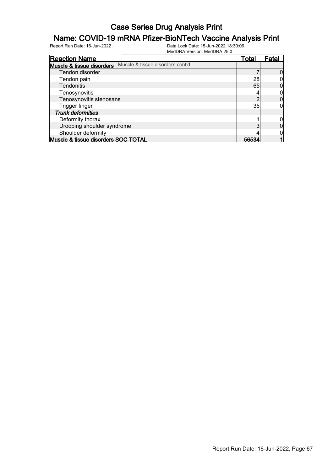# **Name: COVID-19 mRNA Pfizer-BioNTech Vaccine Analysis Print**<br>Report Run Date: 16-Jun-2022<br>Data Lock Date: 15-Jun-2022 18:30:06

| <b>Reaction Name</b>                |                                  | Total | Fatal |
|-------------------------------------|----------------------------------|-------|-------|
| Muscle & tissue disorders           | Muscle & tissue disorders cont'd |       |       |
| Tendon disorder                     |                                  |       |       |
| Tendon pain                         |                                  | 28    |       |
| <b>Tendonitis</b>                   |                                  | 65    |       |
| Tenosynovitis                       |                                  |       |       |
| Tenosynovitis stenosans             |                                  |       |       |
| Trigger finger                      |                                  | 35    |       |
| <b>Trunk deformities</b>            |                                  |       |       |
| Deformity thorax                    |                                  |       |       |
| Drooping shoulder syndrome          |                                  |       |       |
| Shoulder deformity                  |                                  |       |       |
| Muscle & tissue disorders SOC TOTAL |                                  | 565.  |       |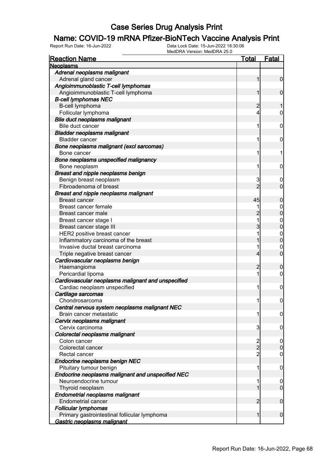## **Name: COVID-19 mRNA Pfizer-BioNTech Vaccine Analysis Print**<br>Report Run Date: 16-Jun-2022<br>Data Lock Date: 15-Jun-2022 18:30:06

| <b>Reaction Name</b>                               | Total          | <b>Fatal</b>     |
|----------------------------------------------------|----------------|------------------|
| <b>Neoplasms</b>                                   |                |                  |
| Adrenal neoplasms malignant                        |                |                  |
| Adrenal gland cancer                               |                | 0                |
| Angioimmunoblastic T-cell lymphomas                |                |                  |
| Angioimmunoblastic T-cell lymphoma                 |                | 0                |
| <b>B-cell lymphomas NEC</b>                        |                |                  |
| B-cell lymphoma                                    | 2              |                  |
| Follicular lymphoma                                | 4              | 0                |
| Bile duct neoplasms malignant                      |                |                  |
| Bile duct cancer                                   | 1              | 0                |
| <b>Bladder neoplasms malignant</b>                 |                |                  |
| <b>Bladder cancer</b>                              | 1              | 0                |
| Bone neoplasms malignant (excl sarcomas)           |                |                  |
| Bone cancer                                        | 1              | 1                |
| Bone neoplasms unspecified malignancy              |                |                  |
| Bone neoplasm                                      | 1              | 0                |
| Breast and nipple neoplasms benign                 |                |                  |
| Benign breast neoplasm                             | 3              | 0                |
| Fibroadenoma of breast                             | $\overline{c}$ | 0                |
| Breast and nipple neoplasms malignant              |                |                  |
| <b>Breast cancer</b>                               | 45             | 0                |
| Breast cancer female                               |                | 0                |
| Breast cancer male                                 |                | 0                |
| Breast cancer stage I                              | 1              | 0                |
| Breast cancer stage III                            |                | 0                |
| HER2 positive breast cancer                        |                | 0                |
| Inflammatory carcinoma of the breast               |                | 0                |
| Invasive ductal breast carcinoma                   |                | 0                |
| Triple negative breast cancer                      | 4              | 0                |
| Cardiovascular neoplasms benign                    |                |                  |
| Haemangioma                                        | 2              | 0                |
| Pericardial lipoma                                 | 1              | 0                |
| Cardiovascular neoplasms malignant and unspecified |                |                  |
| Cardiac neoplasm unspecified                       | 1              | 0                |
| Cartilage sarcomas                                 |                |                  |
| Chondrosarcoma                                     | 1              | 0                |
| Central nervous system neoplasms malignant NEC     |                |                  |
| Brain cancer metastatic                            | 1              | $\boldsymbol{0}$ |
| Cervix neoplasms malignant                         |                |                  |
| Cervix carcinoma                                   | 3              | 0                |
| Colorectal neoplasms malignant                     |                |                  |
| Colon cancer                                       | $\frac{2}{2}$  | $\boldsymbol{0}$ |
| Colorectal cancer                                  |                | $\mathbf 0$      |
| Rectal cancer                                      | 2              | $\mathbf 0$      |
| Endocrine neoplasms benign NEC                     |                |                  |
| Pituitary tumour benign                            | 1              | 0                |
| Endocrine neoplasms malignant and unspecified NEC  |                |                  |
| Neuroendocrine tumour                              | 1              | 0                |
| Thyroid neoplasm                                   |                | $\mathbf 0$      |
| Endometrial neoplasms malignant                    |                |                  |
| <b>Endometrial cancer</b>                          | 2              | $\mathbf 0$      |
| <b>Follicular lymphomas</b>                        |                |                  |
| Primary gastrointestinal follicular lymphoma       | 1              | $\boldsymbol{0}$ |
| <u>Gastric neoplasms malignant</u>                 |                |                  |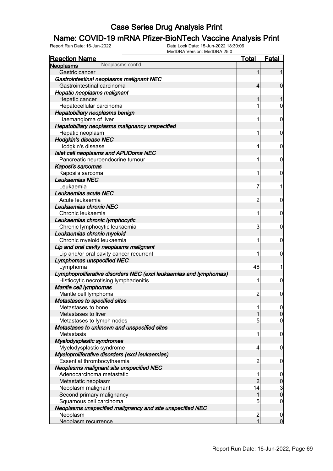# **Name: COVID-19 mRNA Pfizer-BioNTech Vaccine Analysis Print**<br>Report Run Date: 16-Jun-2022<br>Data Lock Date: 15-Jun-2022 18:30:06

| <b>Reaction Name</b>                                              | <b>Total</b>   | <b>Fatal</b>                               |
|-------------------------------------------------------------------|----------------|--------------------------------------------|
| Neoplasms cont'd<br><b>Neoplasms</b>                              |                |                                            |
| Gastric cancer                                                    | 1              |                                            |
| Gastrointestinal neoplasms malignant NEC                          |                |                                            |
| Gastrointestinal carcinoma                                        | 4              | $\mathbf 0$                                |
| <b>Hepatic neoplasms malignant</b>                                |                |                                            |
| Hepatic cancer                                                    |                | 1                                          |
| Hepatocellular carcinoma                                          |                | 0                                          |
| Hepatobiliary neoplasms benign                                    |                |                                            |
| Haemangioma of liver                                              | 1              | $\mathbf 0$                                |
| Hepatobiliary neoplasms malignancy unspecified                    |                |                                            |
| Hepatic neoplasm                                                  | 1              | $\mathbf 0$                                |
| <b>Hodgkin's disease NEC</b>                                      |                |                                            |
| Hodgkin's disease                                                 | 4              | $\mathbf 0$                                |
| Islet cell neoplasms and APUDoma NEC                              |                |                                            |
| Pancreatic neuroendocrine tumour                                  | 1              | $\mathbf 0$                                |
| Kaposi's sarcomas                                                 |                |                                            |
| Kaposi's sarcoma                                                  | 1              | $\mathbf 0$                                |
| Leukaemias NEC                                                    |                |                                            |
| Leukaemia                                                         | 7              | 1                                          |
| Leukaemias acute NEC                                              |                |                                            |
| Acute leukaemia                                                   | 2              | $\mathbf 0$                                |
| Leukaemias chronic NEC                                            |                |                                            |
| Chronic leukaemia                                                 | 1              | $\mathbf 0$                                |
| Leukaemias chronic lymphocytic                                    |                |                                            |
| Chronic lymphocytic leukaemia                                     | 3              | $\mathbf 0$                                |
| Leukaemias chronic myeloid                                        |                |                                            |
| Chronic myeloid leukaemia                                         | 1              | $\mathbf 0$                                |
| Lip and oral cavity neoplasms malignant                           |                |                                            |
| Lip and/or oral cavity cancer recurrent                           | 1              | 0                                          |
| <b>Lymphomas unspecified NEC</b>                                  |                |                                            |
| Lymphoma                                                          | 48             | 1                                          |
| Lymphoproliferative disorders NEC (excl leukaemias and lymphomas) |                |                                            |
| Histiocytic necrotising lymphadenitis                             | 1              | $\mathbf 0$                                |
| Mantle cell lymphomas                                             |                |                                            |
| Mantle cell lymphoma                                              | $\overline{c}$ | $\mathbf 0$                                |
| Metastases to specified sites                                     |                |                                            |
| Metastases to bone                                                | 1              | 0                                          |
| Metastases to liver                                               | 1              | $\mathbf 0$                                |
| Metastases to lymph nodes                                         | 5              | $\mathbf 0$                                |
| Metastases to unknown and unspecified sites                       |                |                                            |
| Metastasis                                                        | 1              | $\mathbf 0$                                |
| Myelodysplastic syndromes                                         |                |                                            |
| Myelodysplastic syndrome                                          | 4              | $\mathbf 0$                                |
| Myeloproliferative disorders (excl leukaemias)                    |                |                                            |
| Essential thrombocythaemia                                        | $\overline{2}$ | $\mathbf 0$                                |
| Neoplasms malignant site unspecified NEC                          |                |                                            |
| Adenocarcinoma metastatic                                         | 1              | $\mathbf 0$                                |
| Metastatic neoplasm                                               | $\overline{c}$ |                                            |
| Neoplasm malignant                                                | 14             | $\begin{array}{c} 0 \\ 3 \\ 0 \end{array}$ |
| Second primary malignancy                                         | 1              |                                            |
| Squamous cell carcinoma                                           | 5              | $\mathbf 0$                                |
| Neoplasms unspecified malignancy and site unspecified NEC         |                |                                            |
| Neoplasm                                                          | $\frac{2}{1}$  | $\mathbf 0$                                |
| Neoplasm recurrence                                               |                | $\overline{0}$                             |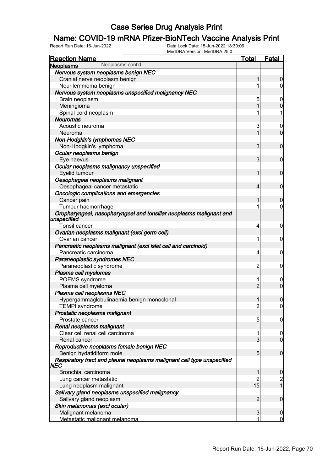# **Name: COVID-19 mRNA Pfizer-BioNTech Vaccine Analysis Print**<br>Report Run Date: 16-Jun-2022<br>Data Lock Date: 15-Jun-2022 18:30:06

| <u>Reaction Name</u>                                                               | <u>Total</u>   | Fatal                                 |
|------------------------------------------------------------------------------------|----------------|---------------------------------------|
| Neoplasms cont'd<br><b>Neoplasms</b>                                               |                |                                       |
| Nervous system neoplasms benign NEC                                                |                |                                       |
| Cranial nerve neoplasm benign                                                      | 1              | 0                                     |
| Neurilemmoma benign                                                                | 1              | 0                                     |
| Nervous system neoplasms unspecified malignancy NEC                                |                |                                       |
| Brain neoplasm                                                                     | 5              | 0                                     |
| Meningioma                                                                         | 1              | $\mathbf 0$                           |
| Spinal cord neoplasm                                                               | 1              | 1                                     |
| <b>Neuromas</b>                                                                    |                |                                       |
| Acoustic neuroma                                                                   | 3              | 0                                     |
| Neuroma                                                                            | 1              | $\mathbf 0$                           |
| Non-Hodgkin's lymphomas NEC                                                        |                |                                       |
| Non-Hodgkin's lymphoma                                                             | 3              | $\boldsymbol{0}$                      |
| Ocular neoplasms benign                                                            |                |                                       |
| Eye naevus                                                                         | 3              | $\boldsymbol{0}$                      |
| Ocular neoplasms malignancy unspecified                                            |                |                                       |
| Eyelid tumour                                                                      | 1              | $\boldsymbol{0}$                      |
| Oesophageal neoplasms malignant                                                    |                |                                       |
| Oesophageal cancer metastatic                                                      | $\overline{4}$ | $\boldsymbol{0}$                      |
| Oncologic complications and emergencies                                            |                |                                       |
| Cancer pain                                                                        | 1              | 0                                     |
| Tumour haemorrhage                                                                 | 1              | $\overline{0}$                        |
| Oropharyngeal, nasopharyngeal and tonsillar neoplasms malignant and<br>unspecified |                |                                       |
| <b>Tonsil cancer</b>                                                               | 4              | $\mathbf 0$                           |
| Ovarian neoplasms malignant (excl germ cell)                                       |                |                                       |
| Ovarian cancer                                                                     | 1              | 0                                     |
| Pancreatic neoplasms malignant (excl islet cell and carcinoid)                     |                |                                       |
| Pancreatic carcinoma                                                               | 4              | 0                                     |
| Paraneoplastic syndromes NEC                                                       |                |                                       |
| Paraneoplastic syndrome                                                            | $\overline{c}$ | 0                                     |
| Plasma cell myelomas                                                               |                |                                       |
| POEMS syndrome                                                                     | 1              | $\mathbf 0$                           |
| Plasma cell myeloma                                                                | $\overline{2}$ | $\mathbf 0$                           |
| Plasma cell neoplasms NEC                                                          |                |                                       |
| Hypergammaglobulinaemia benign monoclonal                                          | 1              | $\mathbf 0$                           |
| <b>TEMPI syndrome</b>                                                              | 2              | $\overline{0}$                        |
| Prostatic neoplasms malignant                                                      |                |                                       |
| Prostate cancer                                                                    | 5              | 0                                     |
| Renal neoplasms malignant                                                          |                |                                       |
| Clear cell renal cell carcinoma                                                    | 1              | $\boldsymbol{0}$                      |
| Renal cancer                                                                       | $\overline{3}$ | $\mathbf 0$                           |
| Reproductive neoplasms female benign NEC                                           |                |                                       |
| Benign hydatidiform mole                                                           | 5 <sub>5</sub> | $\mathbf 0$                           |
| Respiratory tract and pleural neoplasms malignant cell type unspecified<br>NEC     |                |                                       |
| Bronchial carcinoma                                                                | 1              | $\boldsymbol{0}$                      |
| Lung cancer metastatic                                                             | $\overline{2}$ | $\begin{array}{c} 2 \\ 1 \end{array}$ |
| Lung neoplasm malignant                                                            | 15             |                                       |
| Salivary gland neoplasms unspecified malignancy                                    |                |                                       |
| Salivary gland neoplasm                                                            | 2              | $\overline{0}$                        |
| Skin melanomas (excl ocular)                                                       |                |                                       |
| Malignant melanoma                                                                 | 3              | $\boldsymbol{0}$                      |
| Metastatic malignant melanoma                                                      | 1              | 0                                     |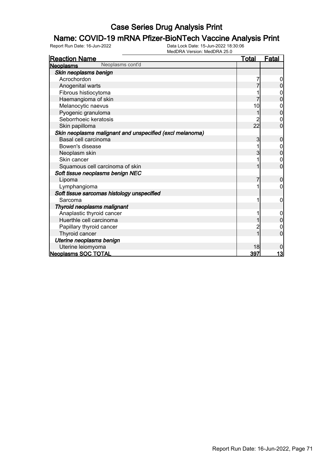# **Name: COVID-19 mRNA Pfizer-BioNTech Vaccine Analysis Print**<br>Report Run Date: 16-Jun-2022<br>Data Lock Date: 15-Jun-2022 18:30:06

| <b>Reaction Name</b>                                     | <u>Total</u> | <b>Fatal</b>   |
|----------------------------------------------------------|--------------|----------------|
| Neoplasms cont'd<br><b>Neoplasms</b>                     |              |                |
| Skin neoplasms benign                                    |              |                |
| Acrochordon                                              |              |                |
| Anogenital warts                                         |              | 0              |
| Fibrous histiocytoma                                     |              | 0              |
| Haemangioma of skin                                      |              | $\overline{0}$ |
| Melanocytic naevus                                       | 10           | 0              |
| Pyogenic granuloma                                       |              | $\overline{0}$ |
| Seborrhoeic keratosis                                    |              | 0              |
| Skin papilloma                                           | 22           | $\overline{0}$ |
| Skin neoplasms malignant and unspecified (excl melanoma) |              |                |
| Basal cell carcinoma                                     | 3            | 0              |
| Bowen's disease                                          |              |                |
| Neoplasm skin                                            | 3            | 0              |
| Skin cancer                                              |              | $\mathbf 0$    |
| Squamous cell carcinoma of skin                          |              | 0              |
| Soft tissue neoplasms benign NEC                         |              |                |
| Lipoma                                                   |              | 0              |
| Lymphangioma                                             |              | 0              |
| Soft tissue sarcomas histology unspecified               |              |                |
| Sarcoma                                                  | 1            | 0              |
| Thyroid neoplasms malignant                              |              |                |
| Anaplastic thyroid cancer                                |              | 0              |
| Huerthle cell carcinoma                                  |              | $\overline{0}$ |
| Papillary thyroid cancer                                 | 2            | 0              |
| Thyroid cancer                                           |              | $\overline{0}$ |
| Uterine neoplasms benign                                 |              |                |
| Uterine leiomyoma                                        | 18           | 0              |
| Neoplasms SOC TOTAL                                      | 397          | 13             |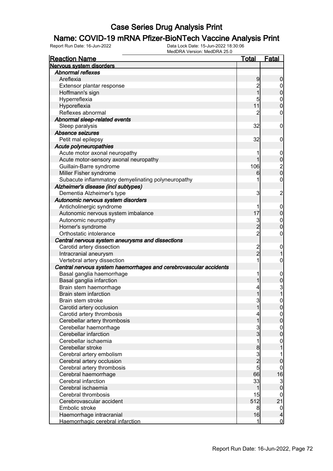## **Name: COVID-19 mRNA Pfizer-BioNTech Vaccine Analysis Print**<br>Report Run Date: 16-Jun-2022<br>Data Lock Date: 15-Jun-2022 18:30:06

| <b>Reaction Name</b>                                              | Total          | <b>Fatal</b>     |
|-------------------------------------------------------------------|----------------|------------------|
| Nervous system disorders                                          |                |                  |
| <b>Abnormal reflexes</b>                                          |                |                  |
| Areflexia                                                         | 9              | 0                |
| Extensor plantar response                                         | $\overline{c}$ | $\mathbf 0$      |
| Hoffmann's sign                                                   | 1              | 0                |
| Hyperreflexia                                                     | 5              | $\mathbf{0}$     |
| Hyporeflexia                                                      | 11             | $\overline{0}$   |
| Reflexes abnormal                                                 | 2              | 0                |
| Abnormal sleep-related events                                     |                |                  |
| Sleep paralysis                                                   | 32             | $\mathbf 0$      |
| Absence seizures                                                  |                |                  |
| Petit mal epilepsy                                                | 32             | 0                |
| Acute polyneuropathies                                            |                |                  |
| Acute motor axonal neuropathy                                     | 1              | $\overline{0}$   |
| Acute motor-sensory axonal neuropathy                             |                | 0                |
| Guillain-Barre syndrome                                           | 106            |                  |
| Miller Fisher syndrome                                            | 6              | $\frac{2}{0}$    |
| Subacute inflammatory demyelinating polyneuropathy                | 1              | 0                |
| Alzheimer's disease (incl subtypes)                               |                |                  |
| Dementia Alzheimer's type                                         | 3              | $\overline{c}$   |
| Autonomic nervous system disorders                                |                |                  |
|                                                                   |                |                  |
| Anticholinergic syndrome                                          | 17             | $\overline{0}$   |
| Autonomic nervous system imbalance                                |                | 0                |
| Autonomic neuropathy                                              | 3              | $\mathbf{0}$     |
| Horner's syndrome                                                 | $\overline{2}$ | 0                |
| Orthostatic intolerance                                           | $\overline{2}$ | 0                |
| Central nervous system aneurysms and dissections                  |                |                  |
| Carotid artery dissection                                         | $\overline{c}$ | $\mathbf 0$      |
| Intracranial aneurysm                                             | $\overline{2}$ |                  |
| Vertebral artery dissection                                       | 1              | 0                |
| Central nervous system haemorrhages and cerebrovascular accidents |                |                  |
| Basal ganglia haemorrhage                                         | 1              | $\overline{0}$   |
| Basal ganglia infarction                                          |                | $\mathbf 0$      |
| Brain stem haemorrhage                                            | 4              | $\frac{3}{1}$    |
| Brain stem infarction                                             |                |                  |
| Brain stem stroke                                                 | 3              | $\mathbf{0}$     |
| Carotid artery occlusion                                          | 11             | <sup>0</sup>     |
| Carotid artery thrombosis                                         | 4              | $\overline{0}$   |
| Cerebellar artery thrombosis                                      | 1              | $\overline{0}$   |
| Cerebellar haemorrhage                                            | $\overline{3}$ | $\mathbf 0$      |
| Cerebellar infarction                                             | $\overline{3}$ | $\boldsymbol{0}$ |
| Cerebellar ischaemia                                              | 1              | $\boldsymbol{0}$ |
| Cerebellar stroke                                                 | 8              |                  |
| Cerebral artery embolism                                          | $\overline{3}$ | 1                |
| Cerebral artery occlusion                                         | $\overline{2}$ | 0                |
| Cerebral artery thrombosis                                        | $\mathbf{5}$   | 0                |
| Cerebral haemorrhage                                              | 66             | 16               |
| Cerebral infarction                                               | 33             | 3                |
| Cerebral ischaemia                                                | 1              | $\mathbf 0$      |
| Cerebral thrombosis                                               | 15             | 0                |
| Cerebrovascular accident                                          | 512            | 21               |
| Embolic stroke                                                    | 8              | $\boldsymbol{0}$ |
| Haemorrhage intracranial                                          | 16             | 4                |
| Haemorrhagic cerebral infarction                                  | 1              | $\mathbf 0$      |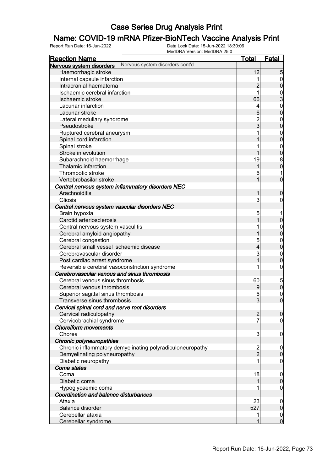#### Name: COVID-19 mRNA Pfizer-BioNTech Vaccine Analysis Print

Report Run Date: 16-Jun-2022 Data Lock Date: 15-Jun-2022 18:30:06

| MedDRA Version: MedDRA 25.0                                 |                         |                     |
|-------------------------------------------------------------|-------------------------|---------------------|
| <b>Reaction Name</b>                                        | <u>Total</u>            | Fatal               |
| Nervous system disorders cont'd<br>Nervous system disorders |                         |                     |
| Haemorrhagic stroke                                         | 12                      | 5                   |
| Internal capsule infarction                                 |                         | $\overline{0}$      |
| Intracranial haematoma                                      | $\overline{2}$          | $\overline{0}$      |
| Ischaemic cerebral infarction                               | 1                       | $\frac{0}{3}$       |
| Ischaemic stroke                                            | 66                      |                     |
| Lacunar infarction                                          | 4                       | $\boldsymbol{0}$    |
| Lacunar stroke                                              | 6                       | $\overline{0}$      |
| Lateral medullary syndrome                                  | 2<br>3                  | $\boldsymbol{0}$    |
| Pseudostroke                                                |                         | $\overline{0}$      |
| Ruptured cerebral aneurysm                                  |                         | $0\atop 0$          |
| Spinal cord infarction                                      |                         |                     |
| Spinal stroke                                               |                         | $\boldsymbol{0}$    |
| Stroke in evolution                                         |                         | $\mathbf 0$         |
| Subarachnoid haemorrhage                                    | 19                      | $\boldsymbol{8}$    |
| Thalamic infarction                                         | 1                       | $\overline{0}$      |
| Thrombotic stroke                                           | 6                       | 1                   |
| Vertebrobasilar stroke                                      | 1                       | $\overline{0}$      |
| Central nervous system inflammatory disorders NEC           |                         |                     |
| Arachnoiditis                                               | 1                       | $\mathbf 0$         |
| Gliosis                                                     | 3                       | 0                   |
| Central nervous system vascular disorders NEC               |                         |                     |
| Brain hypoxia                                               | 5                       | 1                   |
| Carotid arteriosclerosis                                    | 1                       | $\overline{0}$      |
| Central nervous system vasculitis                           |                         | $\overline{0}$      |
| Cerebral amyloid angiopathy                                 |                         | $\overline{0}$      |
| Cerebral congestion                                         | 5                       | $\boldsymbol{0}$    |
| Cerebral small vessel ischaemic disease                     | 4                       | $\overline{0}$      |
| Cerebrovascular disorder                                    | 3                       | $\boldsymbol{0}$    |
| Post cardiac arrest syndrome                                | 1                       | $\overline{0}$      |
| Reversible cerebral vasoconstriction syndrome               |                         | $\boldsymbol{0}$    |
| Cerebrovascular venous and sinus thrombosis                 |                         |                     |
| Cerebral venous sinus thrombosis                            | 60                      | $\overline{5}$      |
| Cerebral venous thrombosis                                  | 9                       | 0                   |
| Superior sagittal sinus thrombosis                          | 6                       | $\mathbf 0$         |
| Transverse sinus thrombosis                                 | 3                       | $\overline{0}$      |
| Cervical spinal cord and nerve root disorders               |                         |                     |
| Cervical radiculopathy                                      | $\overline{2}$          | $\overline{0}$      |
| Cervicobrachial syndrome                                    | 7                       | $\overline{0}$      |
| <b>Choreiform movements</b>                                 |                         |                     |
| Chorea                                                      | 3                       | $\boldsymbol{0}$    |
| Chronic polyneuropathies                                    |                         |                     |
| Chronic inflammatory demyelinating polyradiculoneuropathy   | $\overline{\mathbf{c}}$ | $\boldsymbol{0}$    |
| Demyelinating polyneuropathy                                | $\overline{2}$          | $\overline{0}$      |
| Diabetic neuropathy                                         |                         | $\overline{0}$      |
| Coma states                                                 |                         |                     |
| Coma                                                        | 18                      | $\mathbf 0$         |
| Diabetic coma                                               |                         | $\mathbf 0$         |
| Hypoglycaemic coma                                          |                         | 0                   |
| Coordination and balance disturbances                       |                         |                     |
| Ataxia                                                      | 23                      | $\boldsymbol{0}$    |
| Balance disorder                                            | 527                     | $\mathsf{O}\xspace$ |
| Cerebellar ataxia                                           |                         | 0                   |
| Cerebellar syndrome                                         |                         | $\overline{0}$      |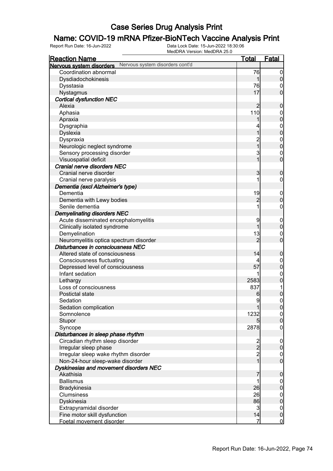## **Name: COVID-19 mRNA Pfizer-BioNTech Vaccine Analysis Print**<br>Report Run Date: 16-Jun-2022<br>Data Lock Date: 15-Jun-2022 18:30:06

| <b>Reaction Name</b>                                                    | <u>Total</u>                     | Fatal                              |
|-------------------------------------------------------------------------|----------------------------------|------------------------------------|
| Nervous system disorders cont'd<br>Nervous system disorders             |                                  |                                    |
| Coordination abnormal                                                   | 76                               | $\overline{0}$                     |
| Dysdiadochokinesis                                                      | 1                                | $\overline{0}$                     |
| Dysstasia                                                               | 76                               | 0                                  |
| Nystagmus                                                               | 17                               | $\overline{0}$                     |
| <b>Cortical dysfunction NEC</b>                                         |                                  |                                    |
| Alexia                                                                  | $\overline{2}$                   | $\boldsymbol{0}$                   |
| Aphasia                                                                 | 110                              | $\mathbf 0$                        |
| Apraxia                                                                 |                                  | $\overline{0}$                     |
| Dysgraphia                                                              |                                  | $\boldsymbol{0}$                   |
| Dyslexia                                                                |                                  | $\overline{0}$                     |
| Dyspraxia                                                               | 2<br>1                           | $\boldsymbol{0}$                   |
| Neurologic neglect syndrome                                             |                                  | $\overline{0}$                     |
| Sensory processing disorder                                             | 3                                | $\mathbf 0$                        |
| Visuospatial deficit                                                    | 1                                | $\mathbf 0$                        |
| Cranial nerve disorders NEC                                             |                                  |                                    |
| Cranial nerve disorder                                                  | 3                                | $\boldsymbol{0}$                   |
| Cranial nerve paralysis                                                 |                                  | 0                                  |
| Dementia (excl Alzheimer's type)                                        |                                  |                                    |
| Dementia                                                                | 19                               | $\mathbf 0$                        |
| Dementia with Lewy bodies                                               | $\overline{c}$                   | $\mathbf 0$                        |
| Senile dementia                                                         |                                  | $\mathbf 0$                        |
| <b>Demyelinating disorders NEC</b>                                      |                                  |                                    |
| Acute disseminated encephalomyelitis                                    | 9                                | $\mathbf 0$                        |
| Clinically isolated syndrome                                            |                                  | $\boldsymbol{0}$                   |
| Demyelination                                                           | 13                               | $\mathbf 0$                        |
| Neuromyelitis optica spectrum disorder                                  | $\overline{2}$                   | $\mathbf 0$                        |
| Disturbances in consciousness NEC                                       |                                  |                                    |
| Altered state of consciousness                                          | 14                               | $\boldsymbol{0}$                   |
| <b>Consciousness fluctuating</b>                                        | 4                                | $\mathbf 0$                        |
| Depressed level of consciousness                                        | 57                               | $\pmb{0}$                          |
| Infant sedation                                                         |                                  | $\boldsymbol{0}$                   |
| Lethargy                                                                | 2583                             | $\pmb{0}$                          |
| Loss of consciousness                                                   | 837                              |                                    |
| Postictal state                                                         | 6                                | $\overline{0}$                     |
| Sedation                                                                | 9                                | $\mathbf 0$                        |
| Sedation complication                                                   |                                  | 0                                  |
| Somnolence                                                              | 1232                             | 0                                  |
| Stupor                                                                  | 5                                | $\overline{0}$                     |
| Syncope                                                                 | 2878                             | $\mathbf 0$                        |
| Disturbances in sleep phase rhythm                                      |                                  |                                    |
| Circadian rhythm sleep disorder                                         | $\frac{2}{2}$                    | $\overline{0}$<br>$\overline{0}$   |
| Irregular sleep phase                                                   |                                  |                                    |
| Irregular sleep wake rhythm disorder<br>Non-24-hour sleep-wake disorder | $\overline{c}$<br>$\overline{1}$ | $\boldsymbol{0}$<br>$\overline{0}$ |
| Dyskinesias and movement disorders NEC                                  |                                  |                                    |
| Akathisia                                                               | 7                                | $\boldsymbol{0}$                   |
| <b>Ballismus</b>                                                        | 1                                |                                    |
| Bradykinesia                                                            | 26                               | $\overline{0}$<br>$\mathbf 0$      |
| Clumsiness                                                              | 26                               |                                    |
| Dyskinesia                                                              | 86                               | $\boldsymbol{0}$<br>$\overline{0}$ |
| Extrapyramidal disorder                                                 | $\overline{3}$                   | $\overline{0}$                     |
| Fine motor skill dysfunction                                            | 14                               | $\mathbf 0$                        |
| Foetal movement disorder                                                | $\overline{7}$                   | $\overline{0}$                     |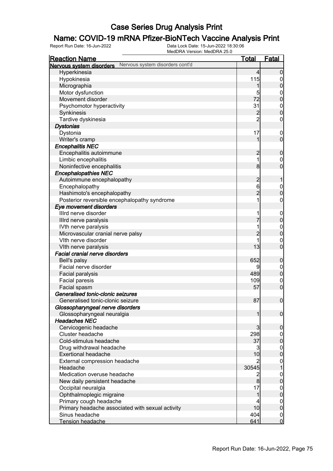## **Name: COVID-19 mRNA Pfizer-BioNTech Vaccine Analysis Print**<br>Report Run Date: 16-Jun-2022<br>Data Lock Date: 15-Jun-2022 18:30:06

| <b>Reaction Name</b>                                        | <u>Total</u>   | <b>Fatal</b>     |
|-------------------------------------------------------------|----------------|------------------|
| Nervous system disorders cont'd<br>Nervous system disorders |                |                  |
| Hyperkinesia                                                | $\overline{4}$ | $\mathbf 0$      |
| Hypokinesia                                                 | 115            | $\overline{0}$   |
| Micrographia                                                | 1              | $\pmb{0}$        |
| Motor dysfunction                                           | 5              | $\boldsymbol{0}$ |
| Movement disorder                                           | 72             | $\mathbf 0$      |
| Psychomotor hyperactivity                                   | 31             | $\boldsymbol{0}$ |
| Synkinesis                                                  | $\overline{c}$ | $\overline{0}$   |
| Tardive dyskinesia                                          | $\overline{2}$ | $\boldsymbol{0}$ |
| <b>Dystonias</b>                                            |                |                  |
| Dystonia                                                    | 17             | $\boldsymbol{0}$ |
| Writer's cramp                                              | 1              | $\mathbf 0$      |
| <b>Encephalitis NEC</b>                                     |                |                  |
| Encephalitis autoimmune                                     | $\overline{c}$ | $\boldsymbol{0}$ |
| Limbic encephalitis                                         | 1              | $\boldsymbol{0}$ |
| Noninfective encephalitis                                   | 8 <sup>1</sup> | $\overline{0}$   |
| <b>Encephalopathies NEC</b>                                 |                |                  |
| Autoimmune encephalopathy                                   | $\overline{c}$ | 1                |
| Encephalopathy                                              | 6              | $\boldsymbol{0}$ |
| Hashimoto's encephalopathy                                  | $\overline{2}$ | $\mathbf 0$      |
| Posterior reversible encephalopathy syndrome                | 1              | $\boldsymbol{0}$ |
| Eye movement disorders                                      |                |                  |
| Illrd nerve disorder                                        |                | $\mathbf 0$      |
| Illrd nerve paralysis                                       |                | $\pmb{0}$        |
| IVth nerve paralysis                                        |                | $0\atop 0$       |
| Microvascular cranial nerve palsy                           | $\overline{c}$ |                  |
| Vith nerve disorder                                         |                | $\mathbf 0$      |
| VIth nerve paralysis                                        | 13             | $\overline{0}$   |
| <b>Facial cranial nerve disorders</b>                       |                |                  |
| Bell's palsy                                                | 652            | $\boldsymbol{0}$ |
| Facial nerve disorder                                       | 9              | $\boldsymbol{0}$ |
| Facial paralysis                                            | 489            | $\pmb{0}$        |
| Facial paresis                                              | 109            | $\mathbf 0$      |
| Facial spasm                                                | 57             | $\boldsymbol{0}$ |
| Generalised tonic-clonic seizures                           | 87             |                  |
| Generalised tonic-clonic seizure                            |                | $\boldsymbol{0}$ |
| Glossopharyngeal nerve disorders                            | $\mathbf{1}$   |                  |
| Glossopharyngeal neuralgia<br><b>Headaches NEC</b>          |                | $\mathbf 0$      |
| Cervicogenic headache                                       | $\overline{3}$ | $\boldsymbol{0}$ |
| Cluster headache                                            | 298            | $\overline{0}$   |
| Cold-stimulus headache                                      | 37             | $\mathbf 0$      |
| Drug withdrawal headache                                    | 3              | $\boldsymbol{0}$ |
| <b>Exertional headache</b>                                  | 10             | $\mathbf 0$      |
| External compression headache                               | 2              | $\boldsymbol{0}$ |
| Headache                                                    | 30545          | $\overline{1}$   |
| Medication overuse headache                                 | $\overline{c}$ | $\boldsymbol{0}$ |
| New daily persistent headache                               | 8              | $\mathbf 0$      |
| Occipital neuralgia                                         | 17             | $\boldsymbol{0}$ |
| Ophthalmoplegic migraine                                    | 1              | $\mathbf 0$      |
| Primary cough headache                                      | 4              | $\boldsymbol{0}$ |
| Primary headache associated with sexual activity            | 10             | $\mathbf 0$      |
| Sinus headache                                              | 404            | $\overline{0}$   |
| Tension headache                                            | 641            | $\overline{0}$   |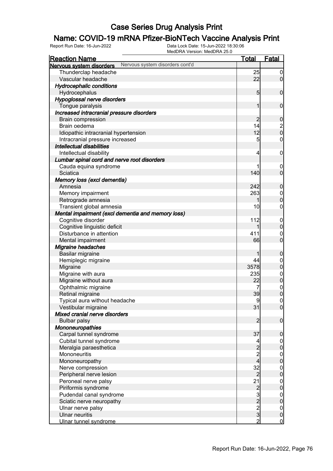## **Name: COVID-19 mRNA Pfizer-BioNTech Vaccine Analysis Print**<br>Report Run Date: 16-Jun-2022<br>Data Lock Date: 15-Jun-2022 18:30:06

| <b>Reaction Name</b>                                                | <b>Total</b>        | <b>Fatal</b>                           |
|---------------------------------------------------------------------|---------------------|----------------------------------------|
| Nervous system disorders cont'd<br>Nervous system disorders         |                     |                                        |
| Thunderclap headache                                                | 25                  | $\overline{0}$                         |
| Vascular headache                                                   | 22                  | $\overline{0}$                         |
| <b>Hydrocephalic conditions</b>                                     |                     |                                        |
| Hydrocephalus                                                       | 5 <sub>5</sub>      | $\mathbf 0$                            |
| Hypoglossal nerve disorders                                         |                     |                                        |
| Tongue paralysis                                                    | 1                   | $\mathbf 0$                            |
| Increased intracranial pressure disorders                           |                     |                                        |
| <b>Brain compression</b>                                            | $\overline{2}$      | $\mathbf 0$                            |
| Brain oedema                                                        | 14                  |                                        |
| Idiopathic intracranial hypertension                                | 12                  | $\begin{bmatrix} 2 \\ 0 \end{bmatrix}$ |
|                                                                     | 5                   | $\mathbf 0$                            |
| Intracranial pressure increased<br><b>Intellectual disabilities</b> |                     |                                        |
|                                                                     |                     |                                        |
| Intellectual disability                                             | 4                   | $\boldsymbol{0}$                       |
| Lumbar spinal cord and nerve root disorders                         |                     |                                        |
| Cauda equina syndrome                                               |                     | $\mathbf 0$                            |
| Sciatica                                                            | 140                 | $\mathbf 0$                            |
| Memory loss (excl dementia)                                         |                     |                                        |
| Amnesia                                                             | 242                 | $\boldsymbol{0}$                       |
| Memory impairment                                                   | 263                 | $\mathbf 0$                            |
| Retrograde amnesia                                                  | 1                   | $\overline{0}$                         |
| Transient global amnesia                                            | 10                  | $\mathbf 0$                            |
| Mental impairment (excl dementia and memory loss)                   |                     |                                        |
| Cognitive disorder                                                  | 112                 | $\mathbf 0$                            |
| Cognitive linguistic deficit                                        |                     | $\mathbf 0$                            |
| Disturbance in attention                                            | 411                 | $\mathbf 0$                            |
| Mental impairment                                                   | 66                  | $\overline{0}$                         |
| Migraine headaches                                                  |                     |                                        |
| Basilar migraine                                                    |                     | $\boldsymbol{0}$                       |
| Hemiplegic migraine                                                 | 44                  | $\mathbf 0$                            |
| Migraine                                                            | 3578                | $\overline{0}$                         |
| Migraine with aura                                                  | 235                 | $\boldsymbol{0}$                       |
| Migraine without aura                                               | 22                  | $\overline{0}$                         |
| Ophthalmic migraine                                                 | 7                   | $\begin{matrix} 0 \\ 0 \end{matrix}$   |
| Retinal migraine                                                    | 39                  |                                        |
| Typical aura without headache                                       | $\overline{9}$      | $\boldsymbol{0}$                       |
| Vestibular migraine                                                 | 31                  | $\overline{0}$                         |
| Mixed cranial nerve disorders                                       |                     |                                        |
| <b>Bulbar palsy</b>                                                 | $\overline{2}$      | $\boldsymbol{0}$                       |
| Mononeuropathies                                                    |                     |                                        |
| Carpal tunnel syndrome                                              | 37                  | $\mathbf 0$                            |
| Cubital tunnel syndrome                                             | 4                   | $\overline{0}$                         |
| Meralgia paraesthetica                                              | $\overline{c}$      | $\overline{0}$                         |
| Mononeuritis                                                        | $\overline{c}$      |                                        |
| Mononeuropathy                                                      | 4                   | $\begin{matrix} 0 \\ 0 \end{matrix}$   |
| Nerve compression                                                   | 32                  |                                        |
| Peripheral nerve lesion                                             | $\overline{2}$      | $0\atop 0$                             |
| Peroneal nerve palsy                                                | 21                  |                                        |
| Piriformis syndrome                                                 |                     | $0\atop 0$                             |
| Pudendal canal syndrome                                             |                     |                                        |
| Sciatic nerve neuropathy                                            | $2$ $3$ $2$ $3$ $3$ | $0\atop 0$                             |
| Ulnar nerve palsy                                                   |                     | $\boldsymbol{0}$                       |
| <b>Ulnar neuritis</b>                                               |                     | $\mathbf 0$                            |
| Ulnar tunnel syndrome                                               | $\overline{2}$      | $\overline{0}$                         |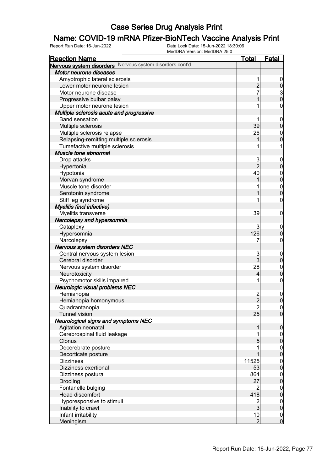#### Name: COVID-19 mRNA Pfizer-BioNTech Vaccine Analysis Print

| <b>Reaction Name</b>                                     | <u>Total</u>            | <u>Fatal</u>                         |
|----------------------------------------------------------|-------------------------|--------------------------------------|
| Nervous system disorders Nervous system disorders cont'd |                         |                                      |
| Motor neurone diseases                                   |                         |                                      |
| Amyotrophic lateral sclerosis                            | 1                       |                                      |
| Lower motor neurone lesion                               | $\overline{c}$          | $\overline{0}$                       |
| Motor neurone disease                                    | 7                       |                                      |
| Progressive bulbar palsy                                 |                         | $\frac{3}{0}$                        |
| Upper motor neurone lesion                               |                         | 0                                    |
| Multiple sclerosis acute and progressive                 |                         |                                      |
| <b>Band sensation</b>                                    |                         | $\mathbf 0$                          |
| Multiple sclerosis                                       | 39                      | $\overline{0}$                       |
| Multiple sclerosis relapse                               | 26                      | $\mathbf 0$                          |
| Relapsing-remitting multiple sclerosis                   |                         | $\overline{0}$                       |
| Tumefactive multiple sclerosis                           |                         |                                      |
| Muscle tone abnormal                                     |                         |                                      |
| Drop attacks                                             | 3                       | $\overline{0}$                       |
| Hypertonia                                               | $\overline{2}$          | $\overline{0}$                       |
| Hypotonia                                                | 40                      | $\boldsymbol{0}$                     |
| Morvan syndrome                                          |                         | $\overline{0}$                       |
| Muscle tone disorder                                     |                         |                                      |
| Serotonin syndrome                                       |                         | $\begin{matrix} 0 \\ 0 \end{matrix}$ |
| Stiff leg syndrome                                       |                         | 0                                    |
|                                                          |                         |                                      |
| Myelitis (incl infective)                                | 39                      | 0                                    |
| Myelitis transverse                                      |                         |                                      |
| Narcolepsy and hypersomnia                               |                         |                                      |
| Cataplexy                                                | 3                       | $\overline{0}$<br>$\overline{0}$     |
| Hypersomnia                                              | 126                     |                                      |
| Narcolepsy                                               |                         | 0                                    |
| Nervous system disorders NEC                             |                         |                                      |
| Central nervous system lesion                            | 3<br>$\overline{3}$     | $\mathbf 0$<br>$\overline{0}$        |
| Cerebral disorder                                        |                         |                                      |
| Nervous system disorder                                  | 28                      | $\mathbf 0$<br>$\overline{0}$        |
| Neurotoxicity                                            | 4                       |                                      |
| Psychomotor skills impaired                              |                         | $\mathbf 0$                          |
| Neurologic visual problems NEC                           |                         |                                      |
| Hemianopia                                               | $\frac{2}{2}$           | $\overline{0}$                       |
| Hemianopia homonymous                                    |                         | $\mathbf 0$                          |
| Quadrantanopia                                           | $\overline{\mathbf{c}}$ | 0                                    |
| <b>Tunnel vision</b>                                     | 25                      | $\overline{0}$                       |
| Neurological signs and symptoms NEC                      |                         |                                      |
| Agitation neonatal                                       |                         | $\mathbf 0$                          |
| Cerebrospinal fluid leakage                              |                         | $\begin{matrix} 0 \\ 0 \end{matrix}$ |
| Clonus                                                   | 5                       |                                      |
| Decerebrate posture                                      |                         | $\begin{matrix} 0 \\ 0 \end{matrix}$ |
| Decorticate posture                                      |                         |                                      |
| <b>Dizziness</b>                                         | 11525                   | $\begin{matrix} 0 \\ 0 \end{matrix}$ |
| Dizziness exertional                                     | 53                      |                                      |
| Dizziness postural                                       | 864                     | $\begin{matrix} 0 \\ 0 \end{matrix}$ |
| Drooling                                                 | 27                      |                                      |
| Fontanelle bulging                                       | $\overline{2}$          | $\begin{matrix} 0 \\ 0 \end{matrix}$ |
| Head discomfort                                          | 418                     |                                      |
| Hyporesponsive to stimuli                                | $\frac{2}{3}$           | $\boldsymbol{0}$                     |
| Inability to crawl                                       |                         | $\overline{0}$                       |
| Infant irritability                                      | 10                      | $\overline{0}$                       |
| <b>Meningism</b>                                         | $\overline{2}$          | $\mathbf 0$                          |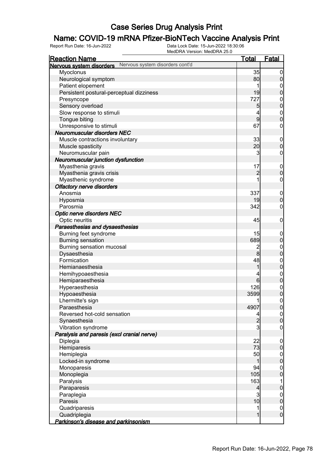## **Name: COVID-19 mRNA Pfizer-BioNTech Vaccine Analysis Print**<br>Report Run Date: 16-Jun-2022<br>Data Lock Date: 15-Jun-2022 18:30:06

| <u>Reaction Name</u>                                        | <b>Total</b>   | <b>Fatal</b>                         |
|-------------------------------------------------------------|----------------|--------------------------------------|
| Nervous system disorders cont'd<br>Nervous system disorders |                |                                      |
| Myoclonus                                                   | 35             | $\overline{0}$                       |
| Neurological symptom                                        | 80             | $\pmb{0}$                            |
| Patient elopement                                           | 1              | 0                                    |
| Persistent postural-perceptual dizziness                    | 19             | $\mathbf 0$                          |
| Presyncope                                                  | 727            | $\boldsymbol{0}$                     |
| Sensory overload                                            | 5              | $\overline{0}$                       |
| Slow response to stimuli                                    | 4              |                                      |
| Tongue biting                                               | $\overline{9}$ | $\begin{matrix}0\\0\end{matrix}$     |
| Unresponsive to stimuli                                     | 67             | $\boldsymbol{0}$                     |
| <b>Neuromuscular disorders NEC</b>                          |                |                                      |
| Muscle contractions involuntary                             | 33             | $\mathbf 0$                          |
| Muscle spasticity                                           | 20             | $\mathbf 0$                          |
| Neuromuscular pain                                          | 3              | $\boldsymbol{0}$                     |
| Neuromuscular junction dysfunction                          |                |                                      |
|                                                             | 17             |                                      |
| Myasthenia gravis                                           |                | $\mathbf 0$                          |
| Myasthenia gravis crisis                                    | $\overline{c}$ | $\mathbf 0$                          |
| Myasthenic syndrome                                         |                | $\boldsymbol{0}$                     |
| <b>Olfactory nerve disorders</b>                            |                |                                      |
| Anosmia                                                     | 337            | $\mathbf 0$                          |
| Hyposmia                                                    | 19             | $\mathbf 0$                          |
| Parosmia                                                    | 342            | $\boldsymbol{0}$                     |
| <b>Optic nerve disorders NEC</b>                            |                |                                      |
| Optic neuritis                                              | 45             | $\mathbf 0$                          |
| Paraesthesias and dysaesthesias                             |                |                                      |
| Burning feet syndrome                                       | 15             | $\mathbf 0$                          |
| <b>Burning sensation</b>                                    | 689            | $\pmb{0}$                            |
| Burning sensation mucosal                                   | $\overline{c}$ | $\boldsymbol{0}$                     |
| Dysaesthesia                                                | $\bf{8}$       | $\overline{0}$                       |
| Formication                                                 | 48             | $0\atop 0$                           |
| Hemianaesthesia                                             | 1              |                                      |
| Hemihypoaesthesia                                           | 4              | $0$<br>0                             |
| Hemiparaesthesia                                            | 6              |                                      |
| Hyperaesthesia                                              | 126            | $\begin{matrix} 0 \\ 0 \end{matrix}$ |
| Hypoaesthesia                                               | 3599           |                                      |
| Lhermitte's sign                                            | 1              | $\pmb{0}$                            |
| Paraesthesia                                                | 4907           | 0                                    |
| Reversed hot-cold sensation                                 | 4              | 0                                    |
| Synaesthesia                                                | $\overline{c}$ | $\pmb{0}$                            |
| Vibration syndrome                                          | 3              | $\mathbf 0$                          |
| Paralysis and paresis (excl cranial nerve)                  |                |                                      |
| Diplegia                                                    | 22             | $\mathbf 0$                          |
| Hemiparesis                                                 | 73             | $\pmb{0}$                            |
| Hemiplegia                                                  | 50             | $\overline{0}$                       |
| Locked-in syndrome                                          | 1              | $\mathbf 0$                          |
| Monoparesis                                                 | 94             | $\overline{0}$                       |
| Monoplegia                                                  | 105            | $\overline{0}$                       |
| Paralysis                                                   | 163            | 1                                    |
| Paraparesis                                                 | $\overline{4}$ | $\pmb{0}$                            |
| Paraplegia                                                  | 3              | $\overline{0}$                       |
| Paresis                                                     | 10             | $\pmb{0}$                            |
| Quadriparesis                                               | 1              | $\overline{0}$                       |
| Quadriplegia                                                | 1              | $\mathbf 0$                          |
| Parkinson's disease and parkinsonism                        |                |                                      |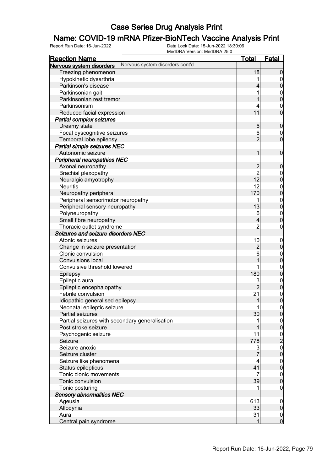## **Name: COVID-19 mRNA Pfizer-BioNTech Vaccine Analysis Print**<br>Report Run Date: 16-Jun-2022<br>Data Lock Date: 15-Jun-2022 18:30:06

| <b>Reaction Name</b>                                        | <u>Total</u>                           | <b>Fatal</b>     |
|-------------------------------------------------------------|----------------------------------------|------------------|
| Nervous system disorders cont'd<br>Nervous system disorders |                                        |                  |
| Freezing phenomenon                                         | 18                                     | $\boldsymbol{0}$ |
| Hypokinetic dysarthria                                      |                                        | $\overline{0}$   |
| Parkinson's disease                                         | 4                                      | $\pmb{0}$        |
| Parkinsonian gait                                           |                                        | $\boldsymbol{0}$ |
| Parkinsonian rest tremor                                    |                                        | $\overline{0}$   |
| Parkinsonism                                                |                                        | $\mathbf 0$      |
| Reduced facial expression                                   | 11                                     | $\mathbf 0$      |
| <b>Partial complex seizures</b>                             |                                        |                  |
| Dreamy state                                                | $6\phantom{.0}$                        | $\boldsymbol{0}$ |
| Focal dyscognitive seizures                                 | 6                                      | $\mathbf 0$      |
| Temporal lobe epilepsy                                      | $\overline{2}$                         | $\mathbf 0$      |
| Partial simple seizures NEC                                 |                                        |                  |
| Autonomic seizure                                           | 1                                      | $\mathbf 0$      |
| Peripheral neuropathies NEC                                 |                                        |                  |
| Axonal neuropathy                                           | $\overline{c}$                         | $\boldsymbol{0}$ |
| <b>Brachial plexopathy</b>                                  |                                        | $\boldsymbol{0}$ |
| Neuralgic amyotrophy                                        | $\begin{array}{c} 2 \\ 12 \end{array}$ | $\mathbf 0$      |
| <b>Neuritis</b>                                             | 12                                     | $\boldsymbol{0}$ |
| Neuropathy peripheral                                       | 170                                    | $\mathbf 0$      |
| Peripheral sensorimotor neuropathy                          |                                        | $\boldsymbol{0}$ |
| Peripheral sensory neuropathy                               | 13                                     | $\mathbf 0$      |
| Polyneuropathy                                              | 6                                      | $\boldsymbol{0}$ |
| Small fibre neuropathy                                      | 4                                      | $\overline{0}$   |
| Thoracic outlet syndrome                                    | $\overline{c}$                         | $\boldsymbol{0}$ |
| Seizures and seizure disorders NEC                          |                                        |                  |
| Atonic seizures                                             | 10                                     | $\mathbf 0$      |
| Change in seizure presentation                              | $\overline{c}$                         | $\boldsymbol{0}$ |
| Clonic convulsion                                           | 6                                      | $\boldsymbol{0}$ |
| <b>Convulsions local</b>                                    |                                        | $\overline{0}$   |
| Convulsive threshold lowered                                |                                        | $\boldsymbol{0}$ |
| Epilepsy                                                    | 180                                    | $\boldsymbol{0}$ |
| Epileptic aura                                              | 3                                      | $\boldsymbol{0}$ |
| Epileptic encephalopathy                                    | $\overline{2}$                         | $\overline{0}$   |
| Febrile convulsion                                          | 21                                     | $\boldsymbol{0}$ |
| Idiopathic generalised epilepsy                             | 1                                      | $\overline{0}$   |
| Neonatal epileptic seizure                                  | 1                                      | 0                |
| Partial seizures                                            | 30                                     | $\overline{0}$   |
| Partial seizures with secondary generalisation              |                                        | $\overline{0}$   |
| Post stroke seizure                                         |                                        | $\mathbf 0$      |
| Psychogenic seizure                                         | 11                                     |                  |
| Seizure                                                     | 778                                    | $\frac{0}{2}$    |
| Seizure anoxic                                              | 3                                      | $\mathbf{0}$     |
| Seizure cluster                                             |                                        | $\overline{0}$   |
| Seizure like phenomena                                      | 4                                      | $\boldsymbol{0}$ |
| Status epilepticus                                          | 41                                     | $\mathbf 0$      |
| Tonic clonic movements                                      | 7                                      | $\boldsymbol{0}$ |
| Tonic convulsion                                            | 39                                     | $\mathbf 0$      |
| Tonic posturing                                             |                                        | $\mathbf 0$      |
| <b>Sensory abnormalities NEC</b>                            |                                        |                  |
| Ageusia                                                     | 613                                    | $\overline{0}$   |
| Allodynia                                                   | 33                                     | $\overline{0}$   |
| Aura                                                        | 31                                     | $\overline{0}$   |
| Central pain syndrome                                       | 1                                      | $\overline{0}$   |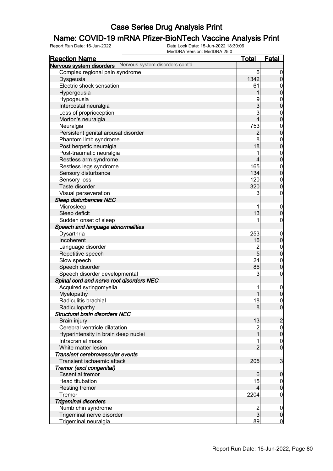## **Name: COVID-19 mRNA Pfizer-BioNTech Vaccine Analysis Print**<br>Report Run Date: 16-Jun-2022<br>Data Lock Date: 15-Jun-2022 18:30:06

| <b>Reaction Name</b>                                     | <u>Total</u>            | <b>Fatal</b>                       |
|----------------------------------------------------------|-------------------------|------------------------------------|
| Nervous system disorders Nervous system disorders cont'd |                         |                                    |
| Complex regional pain syndrome                           | 6                       | $\overline{0}$                     |
| Dysgeusia                                                | 1342                    | $\pmb{0}$                          |
| Electric shock sensation                                 | 61                      | $\mathbf 0$                        |
| Hypergeusia                                              | 1                       | $\overline{0}$                     |
| Hypogeusia                                               | 9                       |                                    |
| Intercostal neuralgia                                    | 3                       | $0$<br>0                           |
| Loss of proprioception                                   | 3                       |                                    |
| Morton's neuralgia                                       | $\overline{\mathbf{4}}$ | $0$<br>0                           |
| Neuralgia                                                | 753                     |                                    |
| Persistent genital arousal disorder                      | $\overline{c}$          | $0$<br>0                           |
| Phantom limb syndrome                                    | 8                       |                                    |
| Post herpetic neuralgia                                  | 18                      | $0$ 0                              |
| Post-traumatic neuralgia                                 | 1                       |                                    |
| Restless arm syndrome                                    | 4                       | $0$ 0                              |
| Restless legs syndrome                                   | 165                     |                                    |
| Sensory disturbance                                      | 134                     | $0$<br>0                           |
|                                                          | 120                     |                                    |
| Sensory loss<br>Taste disorder                           | 320                     | $\boldsymbol{0}$<br>$\overline{0}$ |
|                                                          |                         |                                    |
| Visual perseveration                                     | 3                       | $\boldsymbol{0}$                   |
| Sleep disturbances NEC                                   |                         |                                    |
| Microsleep                                               |                         | $\mathbf 0$                        |
| Sleep deficit                                            | 13                      | $\mathbf 0$                        |
| Sudden onset of sleep                                    |                         | $\pmb{0}$                          |
| Speech and language abnormalities                        |                         |                                    |
| Dysarthria                                               | 253                     | $\mathbf 0$                        |
| Incoherent                                               | 16                      | $\mathbf 0$                        |
| Language disorder                                        | $\overline{c}$          | $0$<br>0                           |
| Repetitive speech                                        | $\overline{5}$          |                                    |
| Slow speech                                              | 24                      | $\boldsymbol{0}$                   |
| Speech disorder                                          | 86                      | $\overline{0}$                     |
| Speech disorder developmental                            | 3                       | $\boldsymbol{0}$                   |
| Spinal cord and nerve root disorders NEC                 |                         |                                    |
| Acquired syringomyelia                                   | 1                       | $\boldsymbol{0}$                   |
| Myelopathy                                               |                         | $\overline{0}$                     |
| Radiculitis brachial                                     | 18                      | $\mathbf 0$                        |
| Radiculopathy                                            | 8                       | 0                                  |
| <b>Structural brain disorders NEC</b>                    |                         |                                    |
| <b>Brain injury</b>                                      | 13                      | $\overline{c}$                     |
| Cerebral ventricle dilatation                            | $\overline{c}$          | $\overline{0}$                     |
| Hyperintensity in brain deep nuclei                      | $\overline{1}$          | $\mathbf 0$                        |
| Intracranial mass                                        | 1                       | $\boldsymbol{0}$                   |
| White matter lesion                                      | $\overline{2}$          | $\overline{0}$                     |
| Transient cerebrovascular events                         |                         |                                    |
| Transient ischaemic attack                               | 205                     | 3                                  |
| Tremor (excl congenital)                                 |                         |                                    |
| <b>Essential tremor</b>                                  | 6                       | $\boldsymbol{0}$                   |
| Head titubation                                          | 15                      | $\overline{0}$                     |
| <b>Resting tremor</b>                                    | 4                       | $\pmb{0}$                          |
| Tremor                                                   | 2204                    | $\mathbf 0$                        |
| <b>Trigeminal disorders</b>                              |                         |                                    |
| Numb chin syndrome                                       | $\overline{c}$          | $\mathbf 0$                        |
| Trigeminal nerve disorder                                | $\overline{3}$          | $\pmb{0}$                          |
| Trigeminal neuralgia                                     | 89                      | $\overline{0}$                     |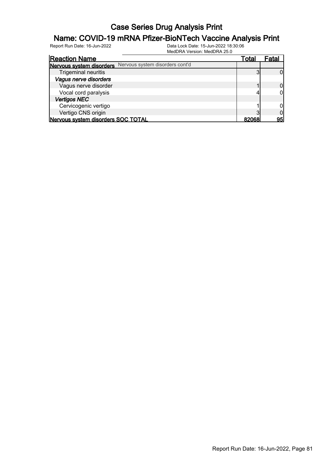## **Name: COVID-19 mRNA Pfizer-BioNTech Vaccine Analysis Print**<br>Report Run Date: 16-Jun-2022<br>Data Lock Date: 15-Jun-2022 18:30:06

|                                    | 181999181 89191911.181999181 20.9 |              |       |
|------------------------------------|-----------------------------------|--------------|-------|
| <b>Reaction Name</b>               |                                   | Total        | Fatal |
| Nervous system disorders           | Nervous system disorders cont'd   |              |       |
| <b>Trigeminal neuritis</b>         |                                   |              |       |
| Vagus nerve disorders              |                                   |              |       |
| Vagus nerve disorder               |                                   |              |       |
| Vocal cord paralysis               |                                   |              |       |
| <b>Vertigos NEC</b>                |                                   |              |       |
| Cervicogenic vertigo               |                                   |              |       |
| Vertigo CNS origin                 |                                   |              |       |
| Nervous system disorders SOC TOTAL |                                   | <b>ROOGR</b> | 95    |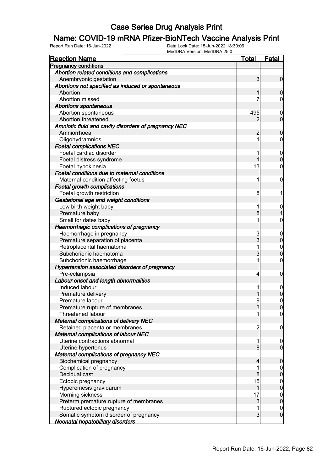## **Name: COVID-19 mRNA Pfizer-BioNTech Vaccine Analysis Print**<br>Report Run Date: 16-Jun-2022<br>Data Lock Date: 15-Jun-2022 18:30:06

| <b>Reaction Name</b>                                 | <u>Total</u>   | <b>Fatal</b>                         |
|------------------------------------------------------|----------------|--------------------------------------|
| <b>Pregnancy conditions</b>                          |                |                                      |
| Abortion related conditions and complications        |                |                                      |
| Anembryonic gestation                                | $\overline{3}$ | $\mathbf 0$                          |
| Abortions not specified as induced or spontaneous    |                |                                      |
| Abortion                                             |                | $\boldsymbol{0}$                     |
| Abortion missed                                      |                | $\mathbf 0$                          |
| <b>Abortions spontaneous</b>                         |                |                                      |
| Abortion spontaneous                                 | 495            | $\mathbf 0$                          |
| Abortion threatened                                  | 2              | $\overline{0}$                       |
| Amniotic fluid and cavity disorders of pregnancy NEC |                |                                      |
| Amniorrhoea                                          | $\overline{c}$ | $\boldsymbol{0}$                     |
| Oligohydramnios                                      | 1              | $\mathbf 0$                          |
| <b>Foetal complications NEC</b>                      |                |                                      |
| Foetal cardiac disorder                              |                | $\mathbf 0$                          |
| Foetal distress syndrome                             | 1              | $\boldsymbol{0}$                     |
| Foetal hypokinesia                                   | 13             | $\mathbf 0$                          |
| Foetal conditions due to maternal conditions         |                |                                      |
| Maternal condition affecting foetus                  | 1              | $\mathbf 0$                          |
| <b>Foetal growth complications</b>                   |                |                                      |
| Foetal growth restriction                            | 8              | 1                                    |
| Gestational age and weight conditions                |                |                                      |
| Low birth weight baby                                | 1              | 0                                    |
| Premature baby                                       | 8              |                                      |
| Small for dates baby                                 | 1              | 0                                    |
| Haemorrhagic complications of pregnancy              |                |                                      |
| Haemorrhage in pregnancy                             | 3              | $\mathbf 0$                          |
| Premature separation of placenta                     | $\overline{3}$ | $\pmb{0}$                            |
| Retroplacental haematoma                             | 1              | $\mathbf{0}$                         |
| Subchorionic haematoma                               | 3              | $\mathbf 0$                          |
| Subchorionic haemorrhage                             | 1              | $\mathbf 0$                          |
| Hypertension associated disorders of pregnancy       |                |                                      |
| Pre-eclampsia                                        | $\overline{4}$ | $\mathbf 0$                          |
| Labour onset and length abnormalities                |                |                                      |
| Induced labour                                       | 1              |                                      |
| Premature delivery                                   |                | $\mathbf 0$<br>$\mathbf 0$           |
| Premature labour                                     | 9              | $\mathbf 0$                          |
| Premature rupture of membranes                       | $\mathbf{3}$   |                                      |
| Threatened labour                                    |                | 0 <br>$\overline{0}$                 |
| <b>Maternal complications of delivery NEC</b>        |                |                                      |
| Retained placenta or membranes                       | $\overline{c}$ |                                      |
| <b>Maternal complications of labour NEC</b>          |                | $\mathbf 0$                          |
| Uterine contractions abnormal                        | 1              |                                      |
|                                                      | 8 <sup>1</sup> | $\mathbf 0$<br>$\overline{0}$        |
| Uterine hypertonus                                   |                |                                      |
| <b>Maternal complications of pregnancy NEC</b>       |                |                                      |
| <b>Biochemical pregnancy</b>                         | $\overline{4}$ | $\boldsymbol{0}$                     |
| Complication of pregnancy                            | 1              | $\boldsymbol{0}$                     |
| Decidual cast                                        | 8              | $\pmb{0}$                            |
| Ectopic pregnancy                                    | 15             | $0$<br>0                             |
| Hyperemesis gravidarum                               | $\mathbf{1}$   |                                      |
| Morning sickness                                     | 17             | $0$<br>0                             |
| Preterm premature rupture of membranes               | $\mathbf{3}$   |                                      |
| Ruptured ectopic pregnancy                           | 1              | $\begin{matrix} 0 \\ 0 \end{matrix}$ |
| Somatic symptom disorder of pregnancy                | $\overline{3}$ |                                      |
| Neonatal hepatobiliary disorders                     |                |                                      |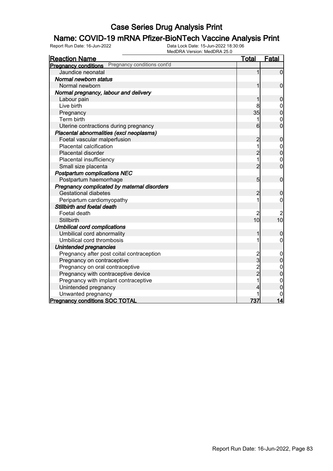## **Name: COVID-19 mRNA Pfizer-BioNTech Vaccine Analysis Print**<br>Report Run Date: 16-Jun-2022<br>Data Lock Date: 15-Jun-2022 18:30:06

| <b>Reaction Name</b>                                       | <u>Total</u>   | <b>Fatal</b>            |
|------------------------------------------------------------|----------------|-------------------------|
| Pregnancy conditions cont'd<br><b>Pregnancy conditions</b> |                |                         |
| Jaundice neonatal                                          | 1              | $\mathbf 0$             |
| Normal newborn status                                      |                |                         |
| Normal newborn                                             | 1              | $\mathbf 0$             |
| Normal pregnancy, labour and delivery                      |                |                         |
| Labour pain                                                | 1              | $\boldsymbol{0}$        |
| Live birth                                                 | 8              | $\mathbf 0$             |
| Pregnancy                                                  | 35             | $\overline{0}$          |
| Term birth                                                 | 1              | $\boldsymbol{0}$        |
| Uterine contractions during pregnancy                      | 6              | $\overline{0}$          |
| Placental abnormalities (excl neoplasms)                   |                |                         |
| Foetal vascular malperfusion                               | $\overline{c}$ | $\boldsymbol{0}$        |
| Placental calcification                                    | 1              | $0\atop 0$              |
| Placental disorder                                         | $\overline{c}$ |                         |
| Placental insufficiency                                    | 1              | $\mathbf 0$             |
| Small size placenta                                        | $\overline{c}$ | $\overline{0}$          |
| <b>Postpartum complications NEC</b>                        |                |                         |
| Postpartum haemorrhage                                     | 5              | $\mathbf 0$             |
| Pregnancy complicated by maternal disorders                |                |                         |
| <b>Gestational diabetes</b>                                | $\overline{c}$ | $\mathbf 0$             |
| Peripartum cardiomyopathy                                  | 1              | $\overline{0}$          |
| Stillbirth and foetal death                                |                |                         |
| Foetal death                                               | 2              | $\overline{\mathbf{c}}$ |
| Stillbirth                                                 | 10             | 10                      |
| <b>Umbilical cord complications</b>                        |                |                         |
| Umbilical cord abnormality                                 | 1              | $\mathbf 0$             |
| Umbilical cord thrombosis                                  | 1              | $\mathbf 0$             |
| Unintended pregnancies                                     |                |                         |
| Pregnancy after post coital contraception                  | $\overline{c}$ | $\mathbf 0$             |
| Pregnancy on contraceptive                                 | $\frac{1}{3}$  | $\mathbf 0$             |
| Pregnancy on oral contraceptive                            | $\frac{2}{2}$  | $\mathbf{0}$            |
| Pregnancy with contraceptive device                        |                | $\overline{0}$          |
| Pregnancy with implant contraceptive                       | $\overline{1}$ | $\mathbf{0}$            |
| Unintended pregnancy                                       | 4              | 0                       |
| Unwanted pregnancy                                         |                |                         |
| <b>Pregnancy conditions SOC TOTAL</b>                      | 737            |                         |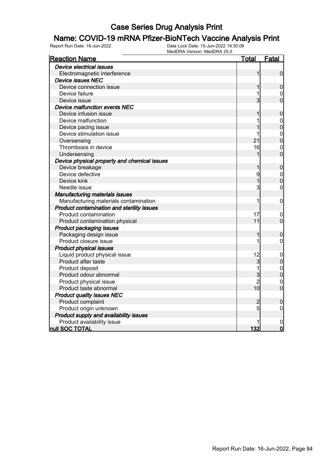## **Name: COVID-19 mRNA Pfizer-BioNTech Vaccine Analysis Print**<br>Report Run Date: 16-Jun-2022<br>Data Lock Date: 15-Jun-2022 18:30:06

| <b>Reaction Name</b>                         | <u>Total</u>   | <u>Fatal</u>     |
|----------------------------------------------|----------------|------------------|
| Device electrical issues                     |                |                  |
| Electromagnetic interference                 | 1              | $\overline{0}$   |
| <b>Device issues NEC</b>                     |                |                  |
| Device connection issue                      | 1              | $\mathbf 0$      |
| Device failure                               |                | $\mathbf 0$      |
| Device issue                                 | $\overline{3}$ | $\overline{0}$   |
| Device malfunction events NEC                |                |                  |
| Device infusion issue                        |                | $\mathbf 0$      |
| Device malfunction                           |                | $\mathbf{0}$     |
| Device pacing issue                          |                | $\overline{0}$   |
| Device stimulation issue                     | 1              | $\mathbf{0}$     |
| Oversensing                                  | 21             | $\overline{0}$   |
| Thrombosis in device                         | 16             | $\mathbf{0}$     |
| Undersensing                                 |                | $\overline{0}$   |
| Device physical property and chemical issues |                |                  |
| Device breakage                              | 1              | $\mathbf 0$      |
| Device defective                             | 9              |                  |
| Device kink                                  | 1              | $0\atop 0$       |
| Needle issue                                 | 3              | $\mathbf 0$      |
| <b>Manufacturing materials issues</b>        |                |                  |
| Manufacturing materials contamination        | 1              | $\pmb{0}$        |
| Product contamination and sterility issues   |                |                  |
| Product contamination                        | 17             | $\mathbf 0$      |
| Product contamination physical               | 11             | $\mathbf 0$      |
| Product packaging issues                     |                |                  |
| Packaging design issue                       | 1              | $\boldsymbol{0}$ |
| Product closure issue                        | 1              | 0                |
| <b>Product physical issues</b>               |                |                  |
| Liquid product physical issue                | 12             | $\boldsymbol{0}$ |
| Product after taste                          | $\overline{3}$ | $\pmb{0}$        |
| Product deposit                              | 1              | $\mathbf{0}$     |
| Product odour abnormal                       | 3              | $\overline{0}$   |
| Product physical issue                       | $\overline{2}$ | $\mathbf{0}$     |
| Product taste abnormal                       | 10             | $\overline{0}$   |
| <b>Product quality issues NEC</b>            |                |                  |
| Product complaint                            | $\overline{c}$ | $\mathbf 0$      |
| Product origin unknown                       | 5              | $\pmb{0}$        |
| Product supply and availability issues       |                |                  |
| Product availability issue                   |                | 0                |
| null SOC TOTAL                               | 132            | $\mathbf 0$      |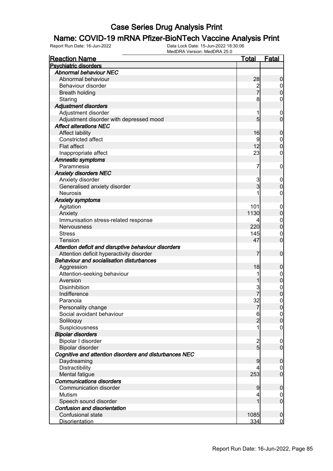## **Name: COVID-19 mRNA Pfizer-BioNTech Vaccine Analysis Print**<br>Report Run Date: 16-Jun-2022<br>Data Lock Date: 15-Jun-2022 18:30:06

| <b>Reaction Name</b>                                   | <b>Total</b>    | <b>Fatal</b>     |
|--------------------------------------------------------|-----------------|------------------|
| <b>Psychiatric disorders</b>                           |                 |                  |
| <b>Abnormal behaviour NEC</b>                          |                 |                  |
| Abnormal behaviour                                     | 28              | $\boldsymbol{0}$ |
| Behaviour disorder                                     | $\frac{2}{7}$   | $\overline{0}$   |
| <b>Breath holding</b>                                  |                 | $\mathbf 0$      |
| Staring                                                | 8               | 0                |
| <b>Adjustment disorders</b>                            |                 |                  |
| Adjustment disorder                                    | 1               | $\boldsymbol{0}$ |
| Adjustment disorder with depressed mood                | $5\overline{)}$ | $\mathbf 0$      |
| <b>Affect alterations NEC</b>                          |                 |                  |
| <b>Affect lability</b>                                 | 16              | $\mathbf 0$      |
| Constricted affect                                     | 9               | $\mathbf 0$      |
| <b>Flat affect</b>                                     | 12              | $\boldsymbol{0}$ |
| Inappropriate affect                                   | 23              | 0                |
| <b>Amnestic symptoms</b>                               |                 |                  |
| Paramnesia                                             | 7               | $\mathbf 0$      |
| <b>Anxiety disorders NEC</b>                           |                 |                  |
| Anxiety disorder                                       | 3               | $\mathbf 0$      |
| Generalised anxiety disorder                           | $\overline{3}$  | $\mathbf 0$      |
| <b>Neurosis</b>                                        |                 | $\mathbf 0$      |
| <b>Anxiety symptoms</b>                                |                 |                  |
| Agitation                                              | 101             | $\mathbf 0$      |
| Anxiety                                                | 1130            | $\pmb{0}$        |
| Immunisation stress-related response                   | 4               | $\mathbf 0$      |
| <b>Nervousness</b>                                     | 220             | $\mathbf 0$      |
| <b>Stress</b>                                          | 145             | $\mathbf 0$      |
| <b>Tension</b>                                         | 47              | $\mathbf 0$      |
| Attention deficit and disruptive behaviour disorders   |                 |                  |
| Attention deficit hyperactivity disorder               | 7               | $\mathbf 0$      |
| <b>Behaviour and socialisation disturbances</b>        |                 |                  |
| Aggression                                             | 18              | $\mathbf 0$      |
| Attention-seeking behaviour                            |                 | $\boldsymbol{0}$ |
| Aversion                                               |                 | $\mathbf 0$      |
| <b>Disinhibition</b>                                   | 3               |                  |
| Indifference                                           |                 | $0\atop 0$       |
| Paranoia                                               | 32              | $\mathbf 0$      |
| Personality change                                     | 7               | 0                |
| Social avoidant behaviour                              | 6               | 0                |
| Soliloquy                                              | $\overline{2}$  | $\pmb{0}$        |
| Suspiciousness                                         |                 | $\mathbf 0$      |
| <b>Bipolar disorders</b>                               |                 |                  |
| Bipolar I disorder                                     |                 | $\mathbf 0$      |
| Bipolar disorder                                       | $\frac{2}{5}$   | $\overline{0}$   |
| Cognitive and attention disorders and disturbances NEC |                 |                  |
| Daydreaming                                            | 9               | $\boldsymbol{0}$ |
| Distractibility                                        | 4               | $\overline{0}$   |
| Mental fatigue                                         | 253             | $\overline{0}$   |
| <b>Communications disorders</b>                        |                 |                  |
| Communication disorder                                 | $\overline{9}$  | $\boldsymbol{0}$ |
| Mutism                                                 | 4               | $\overline{0}$   |
| Speech sound disorder                                  |                 | $\boldsymbol{0}$ |
| <b>Confusion and disorientation</b>                    |                 |                  |
| Confusional state                                      | 1085            | $\boldsymbol{0}$ |
| <b>Disorientation</b>                                  | 334             | $\overline{0}$   |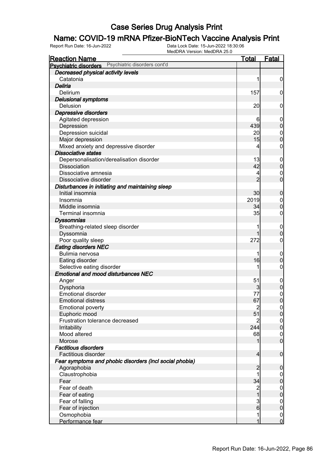## **Name: COVID-19 mRNA Pfizer-BioNTech Vaccine Analysis Print**<br>Report Run Date: 16-Jun-2022<br>Data Lock Date: 15-Jun-2022 18:30:06

| <b>Reaction Name</b>                                         | <u>Total</u>                              | <b>Fatal</b>                     |
|--------------------------------------------------------------|-------------------------------------------|----------------------------------|
| Psychiatric disorders cont'd<br><b>Psychiatric disorders</b> |                                           |                                  |
| Decreased physical activity levels                           |                                           |                                  |
| Catatonia                                                    | 1                                         | $\boldsymbol{0}$                 |
| Deliria                                                      |                                           |                                  |
| Delirium                                                     | 157                                       | 0                                |
| <b>Delusional symptoms</b>                                   |                                           |                                  |
| Delusion                                                     | 20                                        | 0                                |
| Depressive disorders                                         |                                           |                                  |
| Agitated depression                                          | 6                                         | $\mathbf 0$                      |
| Depression                                                   | 439                                       | $\mathbf 0$                      |
| Depression suicidal                                          | 2이                                        | $\mathbf{0}$                     |
| Major depression                                             | 15                                        | $\overline{0}$                   |
| Mixed anxiety and depressive disorder                        | 4                                         | $\mathbf 0$                      |
| <b>Dissociative states</b>                                   |                                           |                                  |
| Depersonalisation/derealisation disorder                     | 13                                        | $\boldsymbol{0}$                 |
| <b>Dissociation</b>                                          | 42                                        | $\mathbf 0$                      |
| Dissociative amnesia                                         | 4                                         | $\mathbf{0}$                     |
| Dissociative disorder                                        | $\overline{2}$                            | $\overline{0}$                   |
| Disturbances in initiating and maintaining sleep             |                                           |                                  |
| Initial insomnia                                             | 30                                        | $\mathbf 0$                      |
| Insomnia                                                     | 2019                                      | $\boldsymbol{0}$                 |
| Middle insomnia                                              | 34                                        | $\overline{0}$                   |
| <b>Terminal insomnia</b>                                     | 35                                        | $\mathbf 0$                      |
| <b>Dyssomnias</b>                                            |                                           |                                  |
| Breathing-related sleep disorder                             | 1                                         | $\boldsymbol{0}$                 |
| Dyssomnia                                                    | 1                                         | $\overline{0}$                   |
| Poor quality sleep                                           | 272                                       | $\mathbf 0$                      |
| <b>Eating disorders NEC</b>                                  |                                           |                                  |
| Bulimia nervosa                                              | 1                                         | $\mathbf 0$                      |
| Eating disorder                                              | 16                                        | $\mathbf 0$                      |
| Selective eating disorder                                    | 1                                         | 0                                |
| <b>Emotional and mood disturbances NEC</b>                   |                                           |                                  |
| Anger                                                        | 51                                        | $\boldsymbol{0}$                 |
| Dysphoria                                                    | $\overline{\mathbf{3}}$                   | $\mathbf 0$                      |
| <b>Emotional disorder</b>                                    | 77                                        | $\begin{matrix}0\\0\end{matrix}$ |
| <b>Emotional distress</b>                                    | 67                                        |                                  |
| <b>Emotional poverty</b>                                     | $\overline{2}$                            | $\Omega$                         |
| Euphoric mood                                                | 51                                        | $\overline{0}$                   |
| Frustration tolerance decreased                              | $\overline{2}$                            | $\boldsymbol{0}$                 |
| Irritability                                                 | 244                                       | $\overline{0}$                   |
| Mood altered                                                 | 68                                        | $\boldsymbol{0}$                 |
| Morose                                                       | 1                                         | $\overline{0}$                   |
| <b>Factitious disorders</b>                                  |                                           |                                  |
| Factitious disorder                                          | $\overline{4}$                            | $\boldsymbol{0}$                 |
| Fear symptoms and phobic disorders (incl social phobia)      |                                           |                                  |
| Agoraphobia                                                  | $\overline{c}$<br>1                       | $\mathbf 0$                      |
| Claustrophobia                                               |                                           | $\overline{0}$                   |
| Fear<br>Fear of death                                        | 34                                        | $\pmb{0}$                        |
|                                                              | $\overline{\mathbf{c}}$<br>$\overline{1}$ | $\boldsymbol{0}$                 |
| Fear of eating                                               |                                           | $\pmb{0}$                        |
| Fear of falling                                              | $\frac{3}{6}$                             | $\boldsymbol{0}$<br>$\pmb{0}$    |
| Fear of injection<br>Osmophobia                              | 1                                         |                                  |
| Performance fear                                             | 1                                         | $\begin{matrix}0\\0\end{matrix}$ |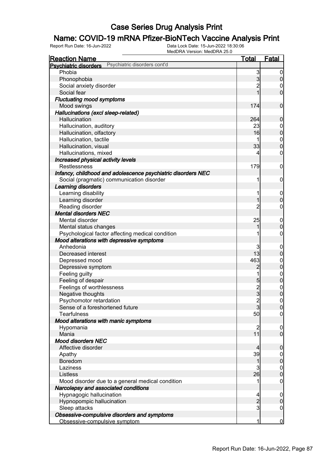## **Name: COVID-19 mRNA Pfizer-BioNTech Vaccine Analysis Print**<br>Report Run Date: 16-Jun-2022<br>Data Lock Date: 15-Jun-2022 18:30:06

| <b>Reaction Name</b>                                         | <b>Total</b>   | <b>Fatal</b>     |
|--------------------------------------------------------------|----------------|------------------|
| Psychiatric disorders cont'd<br><b>Psychiatric disorders</b> |                |                  |
| Phobia                                                       | 3              | $\boldsymbol{0}$ |
| Phonophobia                                                  | $\overline{3}$ | $\pmb{0}$        |
| Social anxiety disorder                                      | $\overline{c}$ | 0                |
| Social fear                                                  | 1              | $\mathbf 0$      |
| <b>Fluctuating mood symptoms</b>                             |                |                  |
| Mood swings                                                  | 174            | $\mathbf 0$      |
| Hallucinations (excl sleep-related)                          |                |                  |
| Hallucination                                                | 264            | $\mathbf 0$      |
| Hallucination, auditory                                      | 23             | $\mathbf 0$      |
| Hallucination, olfactory                                     | 16             | $\mathbf 0$      |
| Hallucination, tactile                                       |                | $\boldsymbol{0}$ |
| Hallucination, visual                                        | 33             | $\mathbf 0$      |
| Hallucinations, mixed                                        | 4              | 0                |
| Increased physical activity levels                           |                |                  |
| <b>Restlessness</b>                                          | 179            | $\mathbf 0$      |
| Infancy, childhood and adolescence psychiatric disorders NEC |                |                  |
| Social (pragmatic) communication disorder                    | 1              | $\mathbf 0$      |
| Learning disorders                                           |                |                  |
| Learning disability                                          | 1              | $\mathbf 0$      |
| Learning disorder                                            | 1              | $\boldsymbol{0}$ |
| Reading disorder                                             | 2              | 0                |
| <b>Mental disorders NEC</b>                                  |                |                  |
| Mental disorder                                              | 25             | $\mathbf 0$      |
| Mental status changes                                        |                | $\mathbf 0$      |
| Psychological factor affecting medical condition             |                | $\boldsymbol{0}$ |
| Mood alterations with depressive symptoms                    |                |                  |
| Anhedonia                                                    | 3              | $\mathbf 0$      |
| Decreased interest                                           | 13             | $\mathbf 0$      |
| Depressed mood                                               | 463            | $\boldsymbol{0}$ |
| Depressive symptom                                           | $\overline{c}$ | $\mathbf 0$      |
| Feeling guilty                                               | 1              | $\mathbf{0}$     |
| Feeling of despair                                           | 5              | $\mathbf 0$      |
| Feelings of worthlessness                                    |                |                  |
| Negative thoughts                                            | 2<br>3         | $0\atop 0$       |
| Psychomotor retardation                                      | $\overline{2}$ | $\pmb{0}$        |
| Sense of a foreshortened future                              | $\mathbf{3}$   | 0                |
| <b>Tearfulness</b>                                           | 50             | $\overline{0}$   |
| Mood alterations with manic symptoms                         |                |                  |
| Hypomania                                                    | $\overline{c}$ | $\mathbf 0$      |
| Mania                                                        | 11             | $\overline{0}$   |
| <b>Mood disorders NEC</b>                                    |                |                  |
| Affective disorder                                           | 4              | $\mathbf 0$      |
| Apathy                                                       | 39             | $\mathbf 0$      |
| Boredom                                                      | 1              | $\pmb{0}$        |
| Laziness                                                     | 3              | $\boldsymbol{0}$ |
| Listless                                                     | 26             | $\mathbf 0$      |
| Mood disorder due to a general medical condition             | 1              | $\mathbf 0$      |
| Narcolepsy and associated conditions                         |                |                  |
| Hypnagogic hallucination                                     | 4              | $\mathbf 0$      |
| Hypnopompic hallucination                                    | $\overline{c}$ | $\boldsymbol{0}$ |
| Sleep attacks                                                | 3              | $\mathbf 0$      |
| Obsessive-compulsive disorders and symptoms                  |                |                  |
| Obsessive-compulsive symptom                                 | 1              | $\overline{0}$   |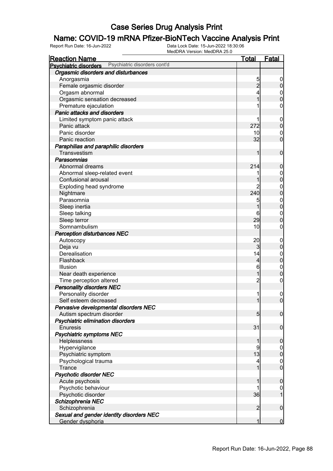## **Name: COVID-19 mRNA Pfizer-BioNTech Vaccine Analysis Print**<br>Report Run Date: 16-Jun-2022<br>Data Lock Date: 15-Jun-2022 18:30:06

| <b>Reaction Name</b>                                         | <u>Total</u>   | <u>Fatal</u>     |
|--------------------------------------------------------------|----------------|------------------|
| Psychiatric disorders cont'd<br><b>Psychiatric disorders</b> |                |                  |
| Orgasmic disorders and disturbances                          |                |                  |
| Anorgasmia                                                   | 5              | $\overline{0}$   |
| Female orgasmic disorder                                     | $\overline{2}$ | $\pmb{0}$        |
| Orgasm abnormal                                              |                |                  |
| Orgasmic sensation decreased                                 | 1              | $0$<br>0         |
| Premature ejaculation                                        |                | 0                |
| <b>Panic attacks and disorders</b>                           |                |                  |
| Limited symptom panic attack                                 | 1              | $\boldsymbol{0}$ |
| Panic attack                                                 | 272            | $\pmb{0}$        |
| Panic disorder                                               | 10             | $\mathbf 0$      |
| Panic reaction                                               | 32             | $\overline{0}$   |
| Paraphilias and paraphilic disorders                         |                |                  |
| Transvestism                                                 | 1              | $\mathbf 0$      |
| Parasomnias                                                  |                |                  |
| Abnormal dreams                                              | 214            | $\mathbf 0$      |
| Abnormal sleep-related event                                 |                | $\boldsymbol{0}$ |
| Confusional arousal                                          | 1              | $\mathbf 0$      |
| Exploding head syndrome                                      |                | $\mathbf{0}$     |
| Nightmare                                                    | 240            | $\overline{0}$   |
| Parasomnia                                                   | 5              | $\mathbf{0}$     |
| Sleep inertia                                                | 1              | $\overline{0}$   |
| Sleep talking                                                | 6              | $\mathbf{0}$     |
| Sleep terror                                                 | 29             | $\overline{0}$   |
| Somnambulism                                                 | 10             | 0                |
| <b>Perception disturbances NEC</b>                           |                |                  |
| Autoscopy                                                    | 20             | $\boldsymbol{0}$ |
| Deja vu                                                      | $\mathbf{3}$   | $\pmb{0}$        |
| Derealisation                                                | 14             | $\boldsymbol{0}$ |
| Flashback                                                    | $\overline{4}$ | $\overline{0}$   |
| Illusion                                                     | 6              | $\boldsymbol{0}$ |
| Near death experience                                        | 1              | $\mathbf 0$      |
| Time perception altered                                      | $\overline{c}$ | $\pmb{0}$        |
| <b>Personality disorders NEC</b>                             |                |                  |
| Personality disorder                                         | 1              | $\mathbf 0$      |
| Self esteem decreased                                        | 1              | $\overline{0}$   |
| Pervasive developmental disorders NEC                        |                |                  |
| Autism spectrum disorder                                     | 5              | $\boldsymbol{0}$ |
| Psychiatric elimination disorders                            |                |                  |
| <b>Enuresis</b>                                              | 31             | $\mathbf 0$      |
| <b>Psychiatric symptoms NEC</b>                              |                |                  |
| Helplessness                                                 | 1              | $\mathbf 0$      |
| Hypervigilance                                               | 9              | $\overline{0}$   |
| Psychiatric symptom                                          | 13             | $\mathbf 0$      |
| Psychological trauma                                         | 4              | $\boldsymbol{0}$ |
| Trance                                                       | 1              | $\overline{0}$   |
| <b>Psychotic disorder NEC</b>                                |                |                  |
| Acute psychosis                                              | 1              | $\boldsymbol{0}$ |
| Psychotic behaviour                                          |                | $\overline{0}$   |
| Psychotic disorder                                           | 36             | $\mathbf{1}$     |
| Schizophrenia NEC                                            |                |                  |
| Schizophrenia                                                | $\overline{2}$ | $\boldsymbol{0}$ |
| Sexual and gender identity disorders NEC                     |                |                  |
| Gender dysphoria                                             | 1              | $\mathbf 0$      |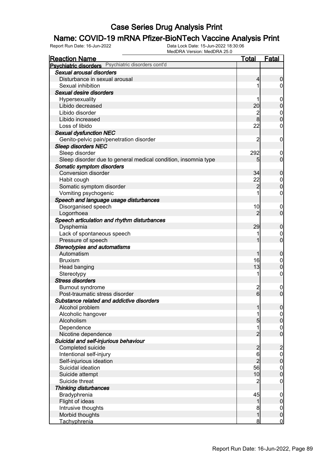# **Name: COVID-19 mRNA Pfizer-BioNTech Vaccine Analysis Print**<br>Report Run Date: 16-Jun-2022<br>Data Lock Date: 15-Jun-2022 18:30:06

| <b>Reaction Name</b>                  |                                                                | <b>Total</b>            | <b>Fatal</b>     |
|---------------------------------------|----------------------------------------------------------------|-------------------------|------------------|
|                                       | Psychiatric disorders Psychiatric disorders cont'd             |                         |                  |
| Sexual arousal disorders              |                                                                |                         |                  |
| Disturbance in sexual arousal         |                                                                | 4                       | $\boldsymbol{0}$ |
| Sexual inhibition                     |                                                                |                         | $\overline{0}$   |
| Sexual desire disorders               |                                                                |                         |                  |
| Hypersexuality                        |                                                                |                         | $\mathbf 0$      |
| Libido decreased                      |                                                                | 20                      | $\mathbf 0$      |
| Libido disorder                       |                                                                |                         | $\mathbf 0$      |
| Libido increased                      |                                                                | $\frac{2}{8}$           | $\mathbf 0$      |
| Loss of libido                        |                                                                | 22                      | $\mathbf 0$      |
| <b>Sexual dysfunction NEC</b>         |                                                                |                         |                  |
|                                       | Genito-pelvic pain/penetration disorder                        | 2                       | $\mathbf 0$      |
| <b>Sleep disorders NEC</b>            |                                                                |                         |                  |
| Sleep disorder                        |                                                                | 292                     | $\mathbf 0$      |
|                                       | Sleep disorder due to general medical condition, insomnia type | 5                       | $\mathbf 0$      |
| Somatic symptom disorders             |                                                                |                         |                  |
| <b>Conversion disorder</b>            |                                                                | 34                      | $\mathbf 0$      |
| Habit cough                           |                                                                | 22                      | $\mathbf 0$      |
| Somatic symptom disorder              |                                                                | $\overline{2}$          | $\mathbf 0$      |
| Vomiting psychogenic                  |                                                                |                         | $\mathbf 0$      |
|                                       | Speech and language usage disturbances                         |                         |                  |
| Disorganised speech                   |                                                                | 10                      | $\mathbf 0$      |
| Logorrhoea                            |                                                                | $\overline{2}$          | $\mathbf 0$      |
|                                       | Speech articulation and rhythm disturbances                    |                         |                  |
| Dysphemia                             |                                                                | 29                      | $\mathbf 0$      |
| Lack of spontaneous speech            |                                                                |                         | 0                |
| Pressure of speech                    |                                                                |                         | $\mathbf 0$      |
| <b>Stereotypies and automatisms</b>   |                                                                |                         |                  |
| Automatism                            |                                                                | 1                       | $\mathbf 0$      |
| <b>Bruxism</b>                        |                                                                | 16                      | $\mathbf 0$      |
| Head banging                          |                                                                | 13                      | $\mathbf 0$      |
| Stereotypy                            |                                                                | 1                       | $\boldsymbol{0}$ |
| <b>Stress disorders</b>               |                                                                |                         |                  |
| Burnout syndrome                      |                                                                | $\overline{\mathbf{c}}$ | $\overline{0}$   |
| Post-traumatic stress disorder        |                                                                | $6 \mid$                | $\mathbf 0$      |
|                                       | Substance related and addictive disorders                      |                         |                  |
| Alcohol problem                       |                                                                | 1                       | $\overline{0}$   |
| Alcoholic hangover                    |                                                                |                         | $\overline{0}$   |
| Alcoholism                            |                                                                | 5                       | $\mathbf 0$      |
| Dependence                            |                                                                | 1                       | $\boldsymbol{0}$ |
| Nicotine dependence                   |                                                                | $\overline{2}$          | $\overline{0}$   |
| Suicidal and self-injurious behaviour |                                                                |                         |                  |
| Completed suicide                     |                                                                | $\overline{c}$          | $\overline{c}$   |
| Intentional self-injury               |                                                                | 6                       | $\mathbf 0$      |
| Self-injurious ideation               |                                                                | $\overline{2}$          | $\pmb{0}$        |
| Suicidal ideation                     |                                                                | 56                      | $\boldsymbol{0}$ |
| Suicide attempt                       |                                                                | 10                      | $\overline{0}$   |
| Suicide threat                        |                                                                | $\overline{c}$          | $\mathbf 0$      |
| <b>Thinking disturbances</b>          |                                                                |                         |                  |
| Bradyphrenia                          |                                                                | 45                      | $\mathbf 0$      |
| Flight of ideas                       |                                                                | 1                       | $\pmb{0}$        |
| Intrusive thoughts                    |                                                                | 8                       | $\overline{0}$   |
| Morbid thoughts                       |                                                                | 1                       | $\pmb{0}$        |
| Tachyphrenia                          |                                                                | 8                       | $\mathbf 0$      |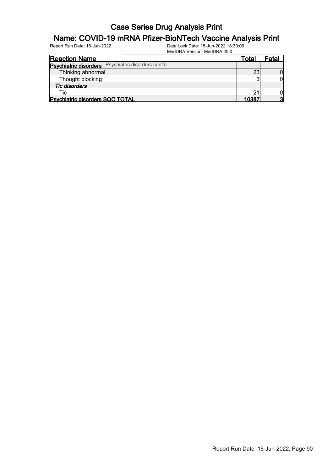## **Name: COVID-19 mRNA Pfizer-BioNTech Vaccine Analysis Print**<br>Report Run Date: 16-Jun-2022<br>Data Lock Date: 15-Jun-2022 18:30:06

| <b>Reaction Name</b>                               | Total | Fatal |
|----------------------------------------------------|-------|-------|
| Psychiatric disorders Psychiatric disorders cont'd |       |       |
| Thinking abnormal                                  | 23    |       |
| Thought blocking                                   |       |       |
| <b>Tic disorders</b>                               |       |       |
| Tic                                                | 21    |       |
| <b>Psychiatric disorders SOC TOTAL</b>             | 10387 |       |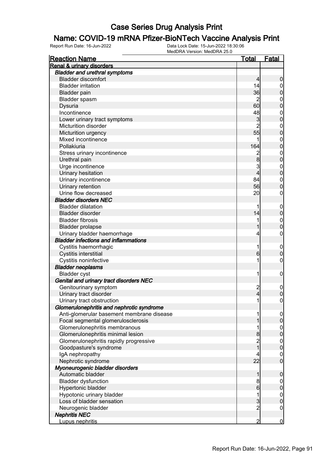## **Name: COVID-19 mRNA Pfizer-BioNTech Vaccine Analysis Print**<br>Report Run Date: 16-Jun-2022<br>Data Lock Date: 15-Jun-2022 18:30:06

| <b>Reaction Name</b>                        | <u>Total</u>     | <u>Fatal</u>                     |
|---------------------------------------------|------------------|----------------------------------|
| Renal & urinary disorders                   |                  |                                  |
| <b>Bladder and urethral symptoms</b>        |                  |                                  |
| <b>Bladder discomfort</b>                   | 4                | $\boldsymbol{0}$                 |
| <b>Bladder irritation</b>                   | 14               | $\overline{0}$                   |
| <b>Bladder pain</b>                         | 36               | $\overline{0}$                   |
| Bladder spasm                               | $\overline{2}$   | $\mathbf{0}$                     |
| Dysuria                                     | 60               | $\overline{0}$                   |
| Incontinence                                | 48               | $\mathbf{0}$                     |
| Lower urinary tract symptoms                | 3                | $\overline{0}$                   |
| <b>Micturition disorder</b>                 | $\overline{2}$   | $\mathbf{0}$                     |
| Micturition urgency                         | 55               | $\overline{0}$                   |
| Mixed incontinence                          | 1                | $\mathbf{0}$                     |
| Pollakiuria                                 | 164              | $\overline{0}$                   |
| Stress urinary incontinence                 | $\overline{c}$   |                                  |
| Urethral pain                               | 8                | $\begin{matrix}0\\0\end{matrix}$ |
| Urge incontinence                           | 3                |                                  |
|                                             | 4                | $\begin{matrix}0\\0\end{matrix}$ |
| Urinary hesitation                          |                  |                                  |
| Urinary incontinence                        | 84               | $\mathbf{0}$<br>$\overline{0}$   |
| Urinary retention                           | 56               |                                  |
| Urine flow decreased                        | 20               | $\mathbf 0$                      |
| <b>Bladder disorders NEC</b>                |                  |                                  |
| <b>Bladder dilatation</b>                   | 1                | $\boldsymbol{0}$                 |
| Bladder disorder                            | 14               | $\mathbf 0$                      |
| <b>Bladder fibrosis</b>                     | 1                | $\mathbf{0}$                     |
| <b>Bladder prolapse</b>                     |                  | $\overline{0}$                   |
| Urinary bladder haemorrhage                 | 4                | $\mathbf 0$                      |
| <b>Bladder infections and inflammations</b> |                  |                                  |
| Cystitis haemorrhagic                       | 1                | $\mathbf 0$                      |
| Cystitis interstitial                       | $6 \overline{6}$ | $\overline{0}$                   |
| Cystitis noninfective                       | 1                | $\mathbf 0$                      |
| <b>Bladder neoplasms</b>                    |                  |                                  |
| <b>Bladder cyst</b>                         | 1                | $\mathbf 0$                      |
| Genital and urinary tract disorders NEC     |                  |                                  |
| Genitourinary symptom                       | $\overline{c}$   | $\mathbf 0$                      |
| Urinary tract disorder                      | 4                | $\mathbf 0$                      |
| Urinary tract obstruction                   | 1                | $\mathbf 0$                      |
| Glomerulonephritis and nephrotic syndrome   |                  |                                  |
| Anti-glomerular basement membrane disease   | 1                | $\overline{0}$                   |
| Focal segmental glomerulosclerosis          |                  | $\overline{0}$                   |
| Glomerulonephritis membranous               | 1                | $\mathbf 0$                      |
| Glomerulonephritis minimal lesion           | 8                | $\mathbf 0$                      |
| Glomerulonephritis rapidly progressive      |                  | $\mathbf{0}$                     |
| Goodpasture's syndrome                      | $\frac{2}{1}$    | $\overline{0}$                   |
| IgA nephropathy                             | 4                | $\mathbf 0$                      |
| Nephrotic syndrome                          | 22               | $\overline{0}$                   |
| Myoneurogenic bladder disorders             |                  |                                  |
| Automatic bladder                           | 1                | 0                                |
| <b>Bladder dysfunction</b>                  | 8                | $\mathbf 0$                      |
| Hypertonic bladder                          | $6 \mid$         | $\mathbf 0$                      |
| Hypotonic urinary bladder                   | 1                | $\mathbf 0$                      |
| Loss of bladder sensation                   | $\overline{3}$   | $\mathbf 0$                      |
| Neurogenic bladder                          | $\overline{2}$   | $\boldsymbol{0}$                 |
| <b>Nephritis NEC</b>                        |                  |                                  |
| Lupus nephritis                             | $\overline{2}$   | $\overline{0}$                   |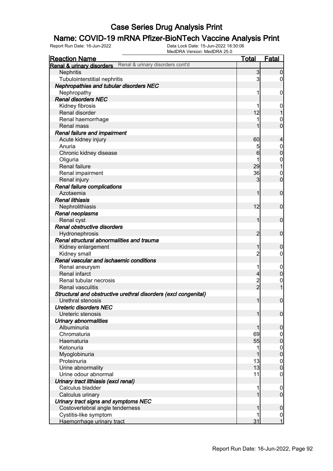#### Name: COVID-19 mRNA Pfizer-BioNTech Vaccine Analysis Print

Report Run Date: 16-Jun-2022 Data Lock Date: 15-Jun-2022 18:30:06

| Fatal<br><b>Reaction Name</b><br><u>Total</u><br>Renal & urinary disorders cont'd<br><b>Renal &amp; urinary disorders</b><br>3<br>Nephritis<br>3<br>Tubulointerstitial nephritis<br>Nephropathies and tubular disorders NEC<br>Nephropathy<br>1<br><b>Renal disorders NEC</b> | $\overline{0}$<br>0<br>$\mathbf 0$<br>$\mathbf 0$<br>$\overline{1}$<br>$\mathbf 0$<br>$\overline{0}$ |
|-------------------------------------------------------------------------------------------------------------------------------------------------------------------------------------------------------------------------------------------------------------------------------|------------------------------------------------------------------------------------------------------|
|                                                                                                                                                                                                                                                                               |                                                                                                      |
|                                                                                                                                                                                                                                                                               |                                                                                                      |
|                                                                                                                                                                                                                                                                               |                                                                                                      |
|                                                                                                                                                                                                                                                                               |                                                                                                      |
|                                                                                                                                                                                                                                                                               |                                                                                                      |
|                                                                                                                                                                                                                                                                               |                                                                                                      |
|                                                                                                                                                                                                                                                                               |                                                                                                      |
| Kidney fibrosis                                                                                                                                                                                                                                                               |                                                                                                      |
| 12<br>Renal disorder                                                                                                                                                                                                                                                          |                                                                                                      |
| Renal haemorrhage                                                                                                                                                                                                                                                             |                                                                                                      |
| Renal mass                                                                                                                                                                                                                                                                    |                                                                                                      |
| <b>Renal failure and impairment</b>                                                                                                                                                                                                                                           |                                                                                                      |
| 60<br>Acute kidney injury                                                                                                                                                                                                                                                     | $\overline{4}$                                                                                       |
| Anuria<br>5                                                                                                                                                                                                                                                                   | $\overline{0}$                                                                                       |
| 6<br>Chronic kidney disease                                                                                                                                                                                                                                                   | $\mathbf 0$                                                                                          |
| Oliguria<br>1                                                                                                                                                                                                                                                                 | $\boldsymbol{0}$                                                                                     |
| 29<br>Renal failure                                                                                                                                                                                                                                                           | $\overline{1}$                                                                                       |
| Renal impairment<br>36                                                                                                                                                                                                                                                        | $\mathbf 0$                                                                                          |
| 3<br>Renal injury                                                                                                                                                                                                                                                             | $\overline{0}$                                                                                       |
| Renal failure complications                                                                                                                                                                                                                                                   |                                                                                                      |
| Azotaemia<br>1                                                                                                                                                                                                                                                                | $\mathbf 0$                                                                                          |
| <b>Renal lithiasis</b>                                                                                                                                                                                                                                                        |                                                                                                      |
| 12<br>Nephrolithiasis                                                                                                                                                                                                                                                         | $\mathbf 0$                                                                                          |
| Renal neoplasms                                                                                                                                                                                                                                                               |                                                                                                      |
| Renal cyst<br>1                                                                                                                                                                                                                                                               | $\mathbf 0$                                                                                          |
| Renal obstructive disorders                                                                                                                                                                                                                                                   |                                                                                                      |
| $\overline{2}$<br>Hydronephrosis                                                                                                                                                                                                                                              | $\mathbf 0$                                                                                          |
| Renal structural abnormalities and trauma                                                                                                                                                                                                                                     |                                                                                                      |
| Kidney enlargement<br>1                                                                                                                                                                                                                                                       | $\mathbf 0$                                                                                          |
| $\overline{c}$<br>Kidney small                                                                                                                                                                                                                                                | $\mathbf 0$                                                                                          |
| Renal vascular and ischaemic conditions                                                                                                                                                                                                                                       |                                                                                                      |
| Renal aneurysm                                                                                                                                                                                                                                                                | $\mathbf 0$                                                                                          |
| Renal infarct<br>4                                                                                                                                                                                                                                                            | $\boldsymbol{0}$                                                                                     |
| $\overline{c}$<br>Renal tubular necrosis                                                                                                                                                                                                                                      | $\mathbf 0$                                                                                          |
| $\overline{2}$<br><b>Renal vasculitis</b>                                                                                                                                                                                                                                     | $\overline{1}$                                                                                       |
| Structural and obstructive urethral disorders (excl congenital)                                                                                                                                                                                                               |                                                                                                      |
| $\overline{1}$<br>Urethral stenosis                                                                                                                                                                                                                                           | $\mathbf 0$                                                                                          |
| Ureteric disorders NEC                                                                                                                                                                                                                                                        |                                                                                                      |
| Ureteric stenosis                                                                                                                                                                                                                                                             | $\overline{0}$                                                                                       |
| Urinary abnormalities                                                                                                                                                                                                                                                         |                                                                                                      |
| Albuminuria                                                                                                                                                                                                                                                                   | $\overline{0}$                                                                                       |
| Chromaturia<br>69                                                                                                                                                                                                                                                             | 0                                                                                                    |
| 55<br>Haematuria                                                                                                                                                                                                                                                              | $\boldsymbol{0}$                                                                                     |
| Ketonuria                                                                                                                                                                                                                                                                     | $\boldsymbol{0}$                                                                                     |
| Myoglobinuria                                                                                                                                                                                                                                                                 | $\overline{0}$                                                                                       |
| 13<br>Proteinuria                                                                                                                                                                                                                                                             | 0                                                                                                    |
| 13<br>Urine abnormality                                                                                                                                                                                                                                                       | $\overline{0}$                                                                                       |
| Urine odour abnormal<br>11                                                                                                                                                                                                                                                    | 0                                                                                                    |
| Urinary tract lithiasis (excl renal)                                                                                                                                                                                                                                          |                                                                                                      |
| Calculus bladder                                                                                                                                                                                                                                                              | 0                                                                                                    |
| Calculus urinary                                                                                                                                                                                                                                                              | $\mathbf 0$                                                                                          |
| Urinary tract signs and symptoms NEC                                                                                                                                                                                                                                          |                                                                                                      |
| Costovertebral angle tenderness                                                                                                                                                                                                                                               | $\boldsymbol{0}$                                                                                     |
| Cystitis-like symptom                                                                                                                                                                                                                                                         | $\mathbf 0$                                                                                          |
| 31<br>Haemorrhage urinary tract                                                                                                                                                                                                                                               | $\overline{1}$                                                                                       |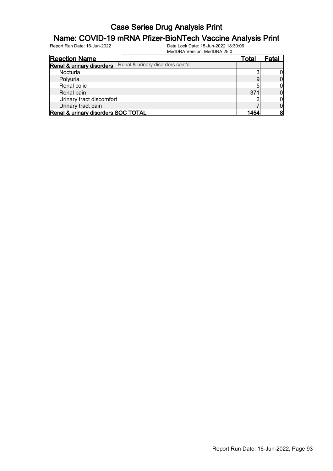## **Name: COVID-19 mRNA Pfizer-BioNTech Vaccine Analysis Print**<br>Report Run Date: 16-Jun-2022<br>Data Lock Date: 15-Jun-2022 18:30:06

| <b>Reaction Name</b>                |                                  | Total | -atal |
|-------------------------------------|----------------------------------|-------|-------|
| Renal & urinary disorders           | Renal & urinary disorders cont'd |       |       |
| Nocturia                            |                                  |       |       |
| Polyuria                            |                                  |       |       |
| Renal colic                         |                                  | ц     |       |
| Renal pain                          |                                  | 371   |       |
| Urinary tract discomfort            |                                  |       |       |
| Urinary tract pain                  |                                  |       |       |
| Renal & urinary disorders SOC TOTAL |                                  | 1454  |       |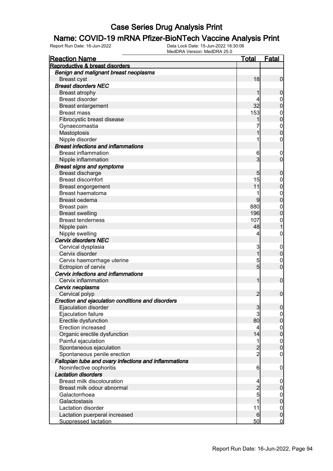# **Name: COVID-19 mRNA Pfizer-BioNTech Vaccine Analysis Print**<br>Report Run Date: 16-Jun-2022<br>Data Lock Date: 15-Jun-2022 18:30:06

| <b>Reaction Name</b>                                  | <u>Total</u>    | <b>Fatal</b>     |
|-------------------------------------------------------|-----------------|------------------|
| Reproductive & breast disorders                       |                 |                  |
| Benign and malignant breast neoplasms                 |                 |                  |
| <b>Breast cyst</b>                                    | 18              | $\mathbf 0$      |
| <b>Breast disorders NEC</b>                           |                 |                  |
| <b>Breast atrophy</b>                                 |                 | $\boldsymbol{0}$ |
| <b>Breast disorder</b>                                |                 | $\mathbf 0$      |
| <b>Breast enlargement</b>                             | 32              | $\mathbf 0$      |
| <b>Breast mass</b>                                    | 153             | $\boldsymbol{0}$ |
| Fibrocystic breast disease                            |                 | $\mathbf 0$      |
| Gynaecomastia                                         |                 | $\boldsymbol{0}$ |
| Mastoptosis                                           |                 | $\overline{0}$   |
| Nipple disorder                                       |                 | $\mathbf 0$      |
| <b>Breast infections and inflammations</b>            |                 |                  |
| <b>Breast inflammation</b>                            | 6               | $\overline{0}$   |
| Nipple inflammation                                   | 3               | $\mathbf 0$      |
| <b>Breast signs and symptoms</b>                      |                 |                  |
| Breast discharge                                      | 5               | $\boldsymbol{0}$ |
| <b>Breast discomfort</b>                              | 15              | $\mathbf 0$      |
| <b>Breast engorgement</b>                             | 11              | $\mathbf 0$      |
| <b>Breast haematoma</b>                               |                 | $\boldsymbol{0}$ |
| Breast oedema                                         | 9               | $\mathbf 0$      |
| <b>Breast pain</b>                                    | 880             | $\boldsymbol{0}$ |
| <b>Breast swelling</b>                                | 196             | $\mathbf 0$      |
| <b>Breast tenderness</b>                              | 107             | $\mathbf{0}$     |
| Nipple pain                                           | 48              | $\overline{1}$   |
| Nipple swelling                                       | 4               | $\boldsymbol{0}$ |
| <b>Cervix disorders NEC</b>                           |                 |                  |
| Cervical dysplasia                                    | 3               | $\mathbf 0$      |
| Cervix disorder                                       | 1               | $\pmb{0}$        |
| Cervix haemorrhage uterine                            | 5               | $\mathbf 0$      |
| Ectropion of cervix                                   | 5               | $\mathbf 0$      |
| Cervix infections and inflammations                   |                 |                  |
| Cervix inflammation                                   | 1               | $\boldsymbol{0}$ |
| Cervix neoplasms                                      |                 |                  |
| Cervical polyp                                        | $\overline{2}$  | $\mathbf 0$      |
| Erection and ejaculation conditions and disorders     |                 |                  |
| Ejaculation disorder                                  | $\mathbf{3}$    | 0                |
| Ejaculation failure                                   | 3               | $\overline{0}$   |
| Erectile dysfunction                                  | 80              | $\pmb{0}$        |
| Erection increased                                    | 4               | $\boldsymbol{0}$ |
| Organic erectile dysfunction                          | 14              | $\overline{0}$   |
| Painful ejaculation                                   | 1               | $\boldsymbol{0}$ |
| Spontaneous ejaculation                               |                 | $\mathbf 0$      |
| Spontaneous penile erection                           | $\frac{2}{2}$   | $\mathbf 0$      |
| Fallopian tube and ovary infections and inflammations |                 |                  |
| Noninfective oophoritis                               | $6 \overline{}$ | $\mathbf 0$      |
| <b>Lactation disorders</b>                            |                 |                  |
| Breast milk discolouration                            | 4               | $\mathbf 0$      |
| Breast milk odour abnormal                            |                 | $\pmb{0}$        |
| Galactorrhoea                                         | $\frac{2}{5}$   | $\mathbf 0$      |
| Galactostasis                                         | 1               | $\mathbf 0$      |
| Lactation disorder                                    | 11              | $\boldsymbol{0}$ |
| Lactation puerperal increased                         | 6               | $\pmb{0}$        |
| <b>Suppressed lactation</b>                           | 50              | $\overline{0}$   |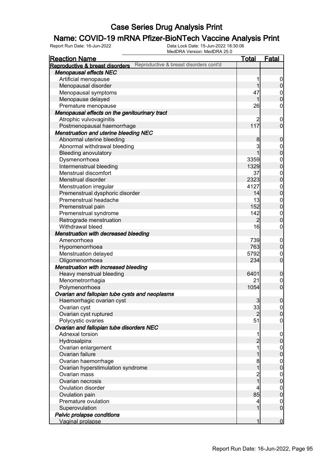## **Name: COVID-19 mRNA Pfizer-BioNTech Vaccine Analysis Print**<br>Report Run Date: 16-Jun-2022<br>Data Lock Date: 15-Jun-2022 18:30:06

| Reproductive & breast disorders cont'd<br>Reproductive & breast disorders<br><b>Menopausal effects NEC</b><br>Artificial menopause<br>1<br>1<br>Menopausal disorder<br>Menopausal symptoms<br>47<br>$0\atop 0$<br>Menopause delayed<br>1<br>26<br>Premature menopause<br>$\boldsymbol{0}$<br>Menopausal effects on the genitourinary tract<br>Atrophic vulvovaginitis<br>2<br>$\mathbf 0$<br>117<br>Postmenopausal haemorrhage<br>Menstruation and uterine bleeding NEC<br>Abnormal uterine bleeding<br>8<br>$\boldsymbol{0}$<br>3<br>Abnormal withdrawal bleeding<br>$0\atop 0$<br>1<br><b>Bleeding anovulatory</b><br>Dysmenorrhoea<br>3359<br>$0$<br>0<br>1329<br>Intermenstrual bleeding<br>Menstrual discomfort<br>37<br>$0$<br>0<br>2323<br>Menstrual disorder<br>4127<br>$0\atop 0$<br>Menstruation irregular<br>14<br>Premenstrual dysphoric disorder<br>Premenstrual headache<br>13<br>$0$<br>0<br>152<br>Premenstrual pain<br>142<br>Premenstrual syndrome<br>$\boldsymbol{0}$<br>$\overline{0}$<br>Retrograde menstruation<br>$\overline{2}$<br>16<br>Withdrawal bleed<br>$\boldsymbol{0}$<br><b>Menstruation with decreased bleeding</b><br>739<br>Amenorrhoea<br>$\mathbf 0$<br>$\pmb{0}$<br>763<br>Hypomenorrhoea<br>Menstruation delayed<br>5792<br>$\mathbf 0$<br>$\overline{0}$<br>Oligomenorrhoea<br>234<br>Menstruation with increased bleeding<br>Heavy menstrual bleeding<br>6401<br>$\boldsymbol{0}$<br>Menometrorrhagia<br>21<br>$\overline{0}$<br>$\mathbf 0$<br>1054<br>Polymenorrhoea<br>Ovarian and fallopian tube cysts and neoplasms<br>$\boldsymbol{0}$<br>$\overline{3}$<br>Haemorrhagic ovarian cyst<br>Ovarian cyst<br>33<br> 0 <br>$\overline{0}$<br>Ovarian cyst ruptured<br>$\overline{2}$<br>Polycystic ovaries<br>51<br>$\mathbf 0$<br>Ovarian and fallopian tube disorders NEC<br>Adnexal torsion<br>1<br>$\mathbf 0$<br>$\overline{c}$<br>$\pmb{0}$<br>Hydrosalpinx<br>1<br>Ovarian enlargement<br>$\boldsymbol{0}$<br>$\mathbf 0$<br>Ovarian failure<br>1<br>Ovarian haemorrhage<br>8<br>$\boldsymbol{0}$<br>$\mathbf 0$<br>1<br>Ovarian hyperstimulation syndrome<br>Ovarian mass<br>$\overline{c}$<br>$\boldsymbol{0}$<br>$\overline{1}$<br>$\mathbf 0$<br>Ovarian necrosis<br>4<br>$\boldsymbol{0}$<br>Ovulation disorder<br>$\mathbf 0$<br>85<br>Ovulation pain<br>Premature ovulation<br>4<br>$\overline{0}$<br>$\boldsymbol{0}$<br>1<br>Superovulation<br>Pelvic prolapse conditions | <b>Reaction Name</b> | <b>Total</b> | <b>Fatal</b> |
|-------------------------------------------------------------------------------------------------------------------------------------------------------------------------------------------------------------------------------------------------------------------------------------------------------------------------------------------------------------------------------------------------------------------------------------------------------------------------------------------------------------------------------------------------------------------------------------------------------------------------------------------------------------------------------------------------------------------------------------------------------------------------------------------------------------------------------------------------------------------------------------------------------------------------------------------------------------------------------------------------------------------------------------------------------------------------------------------------------------------------------------------------------------------------------------------------------------------------------------------------------------------------------------------------------------------------------------------------------------------------------------------------------------------------------------------------------------------------------------------------------------------------------------------------------------------------------------------------------------------------------------------------------------------------------------------------------------------------------------------------------------------------------------------------------------------------------------------------------------------------------------------------------------------------------------------------------------------------------------------------------------------------------------------------------------------------------------------------------------------------------------------------------------------------------------------------------------------------------------------------------------------------------------------------------------------------------------------------------------------------------------------------------------------------------------|----------------------|--------------|--------------|
|                                                                                                                                                                                                                                                                                                                                                                                                                                                                                                                                                                                                                                                                                                                                                                                                                                                                                                                                                                                                                                                                                                                                                                                                                                                                                                                                                                                                                                                                                                                                                                                                                                                                                                                                                                                                                                                                                                                                                                                                                                                                                                                                                                                                                                                                                                                                                                                                                                     |                      |              |              |
|                                                                                                                                                                                                                                                                                                                                                                                                                                                                                                                                                                                                                                                                                                                                                                                                                                                                                                                                                                                                                                                                                                                                                                                                                                                                                                                                                                                                                                                                                                                                                                                                                                                                                                                                                                                                                                                                                                                                                                                                                                                                                                                                                                                                                                                                                                                                                                                                                                     |                      |              |              |
|                                                                                                                                                                                                                                                                                                                                                                                                                                                                                                                                                                                                                                                                                                                                                                                                                                                                                                                                                                                                                                                                                                                                                                                                                                                                                                                                                                                                                                                                                                                                                                                                                                                                                                                                                                                                                                                                                                                                                                                                                                                                                                                                                                                                                                                                                                                                                                                                                                     |                      |              | 0            |
|                                                                                                                                                                                                                                                                                                                                                                                                                                                                                                                                                                                                                                                                                                                                                                                                                                                                                                                                                                                                                                                                                                                                                                                                                                                                                                                                                                                                                                                                                                                                                                                                                                                                                                                                                                                                                                                                                                                                                                                                                                                                                                                                                                                                                                                                                                                                                                                                                                     |                      |              | $\mathbf 0$  |
|                                                                                                                                                                                                                                                                                                                                                                                                                                                                                                                                                                                                                                                                                                                                                                                                                                                                                                                                                                                                                                                                                                                                                                                                                                                                                                                                                                                                                                                                                                                                                                                                                                                                                                                                                                                                                                                                                                                                                                                                                                                                                                                                                                                                                                                                                                                                                                                                                                     |                      |              |              |
|                                                                                                                                                                                                                                                                                                                                                                                                                                                                                                                                                                                                                                                                                                                                                                                                                                                                                                                                                                                                                                                                                                                                                                                                                                                                                                                                                                                                                                                                                                                                                                                                                                                                                                                                                                                                                                                                                                                                                                                                                                                                                                                                                                                                                                                                                                                                                                                                                                     |                      |              |              |
|                                                                                                                                                                                                                                                                                                                                                                                                                                                                                                                                                                                                                                                                                                                                                                                                                                                                                                                                                                                                                                                                                                                                                                                                                                                                                                                                                                                                                                                                                                                                                                                                                                                                                                                                                                                                                                                                                                                                                                                                                                                                                                                                                                                                                                                                                                                                                                                                                                     |                      |              |              |
|                                                                                                                                                                                                                                                                                                                                                                                                                                                                                                                                                                                                                                                                                                                                                                                                                                                                                                                                                                                                                                                                                                                                                                                                                                                                                                                                                                                                                                                                                                                                                                                                                                                                                                                                                                                                                                                                                                                                                                                                                                                                                                                                                                                                                                                                                                                                                                                                                                     |                      |              |              |
|                                                                                                                                                                                                                                                                                                                                                                                                                                                                                                                                                                                                                                                                                                                                                                                                                                                                                                                                                                                                                                                                                                                                                                                                                                                                                                                                                                                                                                                                                                                                                                                                                                                                                                                                                                                                                                                                                                                                                                                                                                                                                                                                                                                                                                                                                                                                                                                                                                     |                      |              |              |
|                                                                                                                                                                                                                                                                                                                                                                                                                                                                                                                                                                                                                                                                                                                                                                                                                                                                                                                                                                                                                                                                                                                                                                                                                                                                                                                                                                                                                                                                                                                                                                                                                                                                                                                                                                                                                                                                                                                                                                                                                                                                                                                                                                                                                                                                                                                                                                                                                                     |                      |              | $\mathbf 0$  |
|                                                                                                                                                                                                                                                                                                                                                                                                                                                                                                                                                                                                                                                                                                                                                                                                                                                                                                                                                                                                                                                                                                                                                                                                                                                                                                                                                                                                                                                                                                                                                                                                                                                                                                                                                                                                                                                                                                                                                                                                                                                                                                                                                                                                                                                                                                                                                                                                                                     |                      |              |              |
|                                                                                                                                                                                                                                                                                                                                                                                                                                                                                                                                                                                                                                                                                                                                                                                                                                                                                                                                                                                                                                                                                                                                                                                                                                                                                                                                                                                                                                                                                                                                                                                                                                                                                                                                                                                                                                                                                                                                                                                                                                                                                                                                                                                                                                                                                                                                                                                                                                     |                      |              |              |
|                                                                                                                                                                                                                                                                                                                                                                                                                                                                                                                                                                                                                                                                                                                                                                                                                                                                                                                                                                                                                                                                                                                                                                                                                                                                                                                                                                                                                                                                                                                                                                                                                                                                                                                                                                                                                                                                                                                                                                                                                                                                                                                                                                                                                                                                                                                                                                                                                                     |                      |              |              |
|                                                                                                                                                                                                                                                                                                                                                                                                                                                                                                                                                                                                                                                                                                                                                                                                                                                                                                                                                                                                                                                                                                                                                                                                                                                                                                                                                                                                                                                                                                                                                                                                                                                                                                                                                                                                                                                                                                                                                                                                                                                                                                                                                                                                                                                                                                                                                                                                                                     |                      |              |              |
|                                                                                                                                                                                                                                                                                                                                                                                                                                                                                                                                                                                                                                                                                                                                                                                                                                                                                                                                                                                                                                                                                                                                                                                                                                                                                                                                                                                                                                                                                                                                                                                                                                                                                                                                                                                                                                                                                                                                                                                                                                                                                                                                                                                                                                                                                                                                                                                                                                     |                      |              |              |
|                                                                                                                                                                                                                                                                                                                                                                                                                                                                                                                                                                                                                                                                                                                                                                                                                                                                                                                                                                                                                                                                                                                                                                                                                                                                                                                                                                                                                                                                                                                                                                                                                                                                                                                                                                                                                                                                                                                                                                                                                                                                                                                                                                                                                                                                                                                                                                                                                                     |                      |              |              |
|                                                                                                                                                                                                                                                                                                                                                                                                                                                                                                                                                                                                                                                                                                                                                                                                                                                                                                                                                                                                                                                                                                                                                                                                                                                                                                                                                                                                                                                                                                                                                                                                                                                                                                                                                                                                                                                                                                                                                                                                                                                                                                                                                                                                                                                                                                                                                                                                                                     |                      |              |              |
|                                                                                                                                                                                                                                                                                                                                                                                                                                                                                                                                                                                                                                                                                                                                                                                                                                                                                                                                                                                                                                                                                                                                                                                                                                                                                                                                                                                                                                                                                                                                                                                                                                                                                                                                                                                                                                                                                                                                                                                                                                                                                                                                                                                                                                                                                                                                                                                                                                     |                      |              |              |
|                                                                                                                                                                                                                                                                                                                                                                                                                                                                                                                                                                                                                                                                                                                                                                                                                                                                                                                                                                                                                                                                                                                                                                                                                                                                                                                                                                                                                                                                                                                                                                                                                                                                                                                                                                                                                                                                                                                                                                                                                                                                                                                                                                                                                                                                                                                                                                                                                                     |                      |              |              |
|                                                                                                                                                                                                                                                                                                                                                                                                                                                                                                                                                                                                                                                                                                                                                                                                                                                                                                                                                                                                                                                                                                                                                                                                                                                                                                                                                                                                                                                                                                                                                                                                                                                                                                                                                                                                                                                                                                                                                                                                                                                                                                                                                                                                                                                                                                                                                                                                                                     |                      |              |              |
|                                                                                                                                                                                                                                                                                                                                                                                                                                                                                                                                                                                                                                                                                                                                                                                                                                                                                                                                                                                                                                                                                                                                                                                                                                                                                                                                                                                                                                                                                                                                                                                                                                                                                                                                                                                                                                                                                                                                                                                                                                                                                                                                                                                                                                                                                                                                                                                                                                     |                      |              |              |
|                                                                                                                                                                                                                                                                                                                                                                                                                                                                                                                                                                                                                                                                                                                                                                                                                                                                                                                                                                                                                                                                                                                                                                                                                                                                                                                                                                                                                                                                                                                                                                                                                                                                                                                                                                                                                                                                                                                                                                                                                                                                                                                                                                                                                                                                                                                                                                                                                                     |                      |              |              |
|                                                                                                                                                                                                                                                                                                                                                                                                                                                                                                                                                                                                                                                                                                                                                                                                                                                                                                                                                                                                                                                                                                                                                                                                                                                                                                                                                                                                                                                                                                                                                                                                                                                                                                                                                                                                                                                                                                                                                                                                                                                                                                                                                                                                                                                                                                                                                                                                                                     |                      |              |              |
|                                                                                                                                                                                                                                                                                                                                                                                                                                                                                                                                                                                                                                                                                                                                                                                                                                                                                                                                                                                                                                                                                                                                                                                                                                                                                                                                                                                                                                                                                                                                                                                                                                                                                                                                                                                                                                                                                                                                                                                                                                                                                                                                                                                                                                                                                                                                                                                                                                     |                      |              |              |
|                                                                                                                                                                                                                                                                                                                                                                                                                                                                                                                                                                                                                                                                                                                                                                                                                                                                                                                                                                                                                                                                                                                                                                                                                                                                                                                                                                                                                                                                                                                                                                                                                                                                                                                                                                                                                                                                                                                                                                                                                                                                                                                                                                                                                                                                                                                                                                                                                                     |                      |              |              |
|                                                                                                                                                                                                                                                                                                                                                                                                                                                                                                                                                                                                                                                                                                                                                                                                                                                                                                                                                                                                                                                                                                                                                                                                                                                                                                                                                                                                                                                                                                                                                                                                                                                                                                                                                                                                                                                                                                                                                                                                                                                                                                                                                                                                                                                                                                                                                                                                                                     |                      |              |              |
|                                                                                                                                                                                                                                                                                                                                                                                                                                                                                                                                                                                                                                                                                                                                                                                                                                                                                                                                                                                                                                                                                                                                                                                                                                                                                                                                                                                                                                                                                                                                                                                                                                                                                                                                                                                                                                                                                                                                                                                                                                                                                                                                                                                                                                                                                                                                                                                                                                     |                      |              |              |
|                                                                                                                                                                                                                                                                                                                                                                                                                                                                                                                                                                                                                                                                                                                                                                                                                                                                                                                                                                                                                                                                                                                                                                                                                                                                                                                                                                                                                                                                                                                                                                                                                                                                                                                                                                                                                                                                                                                                                                                                                                                                                                                                                                                                                                                                                                                                                                                                                                     |                      |              |              |
|                                                                                                                                                                                                                                                                                                                                                                                                                                                                                                                                                                                                                                                                                                                                                                                                                                                                                                                                                                                                                                                                                                                                                                                                                                                                                                                                                                                                                                                                                                                                                                                                                                                                                                                                                                                                                                                                                                                                                                                                                                                                                                                                                                                                                                                                                                                                                                                                                                     |                      |              |              |
|                                                                                                                                                                                                                                                                                                                                                                                                                                                                                                                                                                                                                                                                                                                                                                                                                                                                                                                                                                                                                                                                                                                                                                                                                                                                                                                                                                                                                                                                                                                                                                                                                                                                                                                                                                                                                                                                                                                                                                                                                                                                                                                                                                                                                                                                                                                                                                                                                                     |                      |              |              |
|                                                                                                                                                                                                                                                                                                                                                                                                                                                                                                                                                                                                                                                                                                                                                                                                                                                                                                                                                                                                                                                                                                                                                                                                                                                                                                                                                                                                                                                                                                                                                                                                                                                                                                                                                                                                                                                                                                                                                                                                                                                                                                                                                                                                                                                                                                                                                                                                                                     |                      |              |              |
|                                                                                                                                                                                                                                                                                                                                                                                                                                                                                                                                                                                                                                                                                                                                                                                                                                                                                                                                                                                                                                                                                                                                                                                                                                                                                                                                                                                                                                                                                                                                                                                                                                                                                                                                                                                                                                                                                                                                                                                                                                                                                                                                                                                                                                                                                                                                                                                                                                     |                      |              |              |
|                                                                                                                                                                                                                                                                                                                                                                                                                                                                                                                                                                                                                                                                                                                                                                                                                                                                                                                                                                                                                                                                                                                                                                                                                                                                                                                                                                                                                                                                                                                                                                                                                                                                                                                                                                                                                                                                                                                                                                                                                                                                                                                                                                                                                                                                                                                                                                                                                                     |                      |              |              |
|                                                                                                                                                                                                                                                                                                                                                                                                                                                                                                                                                                                                                                                                                                                                                                                                                                                                                                                                                                                                                                                                                                                                                                                                                                                                                                                                                                                                                                                                                                                                                                                                                                                                                                                                                                                                                                                                                                                                                                                                                                                                                                                                                                                                                                                                                                                                                                                                                                     |                      |              |              |
|                                                                                                                                                                                                                                                                                                                                                                                                                                                                                                                                                                                                                                                                                                                                                                                                                                                                                                                                                                                                                                                                                                                                                                                                                                                                                                                                                                                                                                                                                                                                                                                                                                                                                                                                                                                                                                                                                                                                                                                                                                                                                                                                                                                                                                                                                                                                                                                                                                     |                      |              |              |
|                                                                                                                                                                                                                                                                                                                                                                                                                                                                                                                                                                                                                                                                                                                                                                                                                                                                                                                                                                                                                                                                                                                                                                                                                                                                                                                                                                                                                                                                                                                                                                                                                                                                                                                                                                                                                                                                                                                                                                                                                                                                                                                                                                                                                                                                                                                                                                                                                                     |                      |              |              |
|                                                                                                                                                                                                                                                                                                                                                                                                                                                                                                                                                                                                                                                                                                                                                                                                                                                                                                                                                                                                                                                                                                                                                                                                                                                                                                                                                                                                                                                                                                                                                                                                                                                                                                                                                                                                                                                                                                                                                                                                                                                                                                                                                                                                                                                                                                                                                                                                                                     |                      |              |              |
|                                                                                                                                                                                                                                                                                                                                                                                                                                                                                                                                                                                                                                                                                                                                                                                                                                                                                                                                                                                                                                                                                                                                                                                                                                                                                                                                                                                                                                                                                                                                                                                                                                                                                                                                                                                                                                                                                                                                                                                                                                                                                                                                                                                                                                                                                                                                                                                                                                     |                      |              |              |
|                                                                                                                                                                                                                                                                                                                                                                                                                                                                                                                                                                                                                                                                                                                                                                                                                                                                                                                                                                                                                                                                                                                                                                                                                                                                                                                                                                                                                                                                                                                                                                                                                                                                                                                                                                                                                                                                                                                                                                                                                                                                                                                                                                                                                                                                                                                                                                                                                                     |                      |              |              |
|                                                                                                                                                                                                                                                                                                                                                                                                                                                                                                                                                                                                                                                                                                                                                                                                                                                                                                                                                                                                                                                                                                                                                                                                                                                                                                                                                                                                                                                                                                                                                                                                                                                                                                                                                                                                                                                                                                                                                                                                                                                                                                                                                                                                                                                                                                                                                                                                                                     |                      |              |              |
|                                                                                                                                                                                                                                                                                                                                                                                                                                                                                                                                                                                                                                                                                                                                                                                                                                                                                                                                                                                                                                                                                                                                                                                                                                                                                                                                                                                                                                                                                                                                                                                                                                                                                                                                                                                                                                                                                                                                                                                                                                                                                                                                                                                                                                                                                                                                                                                                                                     |                      |              |              |
|                                                                                                                                                                                                                                                                                                                                                                                                                                                                                                                                                                                                                                                                                                                                                                                                                                                                                                                                                                                                                                                                                                                                                                                                                                                                                                                                                                                                                                                                                                                                                                                                                                                                                                                                                                                                                                                                                                                                                                                                                                                                                                                                                                                                                                                                                                                                                                                                                                     |                      |              |              |
|                                                                                                                                                                                                                                                                                                                                                                                                                                                                                                                                                                                                                                                                                                                                                                                                                                                                                                                                                                                                                                                                                                                                                                                                                                                                                                                                                                                                                                                                                                                                                                                                                                                                                                                                                                                                                                                                                                                                                                                                                                                                                                                                                                                                                                                                                                                                                                                                                                     |                      |              |              |
|                                                                                                                                                                                                                                                                                                                                                                                                                                                                                                                                                                                                                                                                                                                                                                                                                                                                                                                                                                                                                                                                                                                                                                                                                                                                                                                                                                                                                                                                                                                                                                                                                                                                                                                                                                                                                                                                                                                                                                                                                                                                                                                                                                                                                                                                                                                                                                                                                                     |                      |              |              |
|                                                                                                                                                                                                                                                                                                                                                                                                                                                                                                                                                                                                                                                                                                                                                                                                                                                                                                                                                                                                                                                                                                                                                                                                                                                                                                                                                                                                                                                                                                                                                                                                                                                                                                                                                                                                                                                                                                                                                                                                                                                                                                                                                                                                                                                                                                                                                                                                                                     |                      |              |              |
|                                                                                                                                                                                                                                                                                                                                                                                                                                                                                                                                                                                                                                                                                                                                                                                                                                                                                                                                                                                                                                                                                                                                                                                                                                                                                                                                                                                                                                                                                                                                                                                                                                                                                                                                                                                                                                                                                                                                                                                                                                                                                                                                                                                                                                                                                                                                                                                                                                     |                      |              |              |
|                                                                                                                                                                                                                                                                                                                                                                                                                                                                                                                                                                                                                                                                                                                                                                                                                                                                                                                                                                                                                                                                                                                                                                                                                                                                                                                                                                                                                                                                                                                                                                                                                                                                                                                                                                                                                                                                                                                                                                                                                                                                                                                                                                                                                                                                                                                                                                                                                                     |                      |              |              |
|                                                                                                                                                                                                                                                                                                                                                                                                                                                                                                                                                                                                                                                                                                                                                                                                                                                                                                                                                                                                                                                                                                                                                                                                                                                                                                                                                                                                                                                                                                                                                                                                                                                                                                                                                                                                                                                                                                                                                                                                                                                                                                                                                                                                                                                                                                                                                                                                                                     |                      |              |              |
|                                                                                                                                                                                                                                                                                                                                                                                                                                                                                                                                                                                                                                                                                                                                                                                                                                                                                                                                                                                                                                                                                                                                                                                                                                                                                                                                                                                                                                                                                                                                                                                                                                                                                                                                                                                                                                                                                                                                                                                                                                                                                                                                                                                                                                                                                                                                                                                                                                     |                      |              |              |
|                                                                                                                                                                                                                                                                                                                                                                                                                                                                                                                                                                                                                                                                                                                                                                                                                                                                                                                                                                                                                                                                                                                                                                                                                                                                                                                                                                                                                                                                                                                                                                                                                                                                                                                                                                                                                                                                                                                                                                                                                                                                                                                                                                                                                                                                                                                                                                                                                                     |                      |              |              |
|                                                                                                                                                                                                                                                                                                                                                                                                                                                                                                                                                                                                                                                                                                                                                                                                                                                                                                                                                                                                                                                                                                                                                                                                                                                                                                                                                                                                                                                                                                                                                                                                                                                                                                                                                                                                                                                                                                                                                                                                                                                                                                                                                                                                                                                                                                                                                                                                                                     |                      |              |              |
|                                                                                                                                                                                                                                                                                                                                                                                                                                                                                                                                                                                                                                                                                                                                                                                                                                                                                                                                                                                                                                                                                                                                                                                                                                                                                                                                                                                                                                                                                                                                                                                                                                                                                                                                                                                                                                                                                                                                                                                                                                                                                                                                                                                                                                                                                                                                                                                                                                     |                      |              |              |
|                                                                                                                                                                                                                                                                                                                                                                                                                                                                                                                                                                                                                                                                                                                                                                                                                                                                                                                                                                                                                                                                                                                                                                                                                                                                                                                                                                                                                                                                                                                                                                                                                                                                                                                                                                                                                                                                                                                                                                                                                                                                                                                                                                                                                                                                                                                                                                                                                                     |                      |              |              |
|                                                                                                                                                                                                                                                                                                                                                                                                                                                                                                                                                                                                                                                                                                                                                                                                                                                                                                                                                                                                                                                                                                                                                                                                                                                                                                                                                                                                                                                                                                                                                                                                                                                                                                                                                                                                                                                                                                                                                                                                                                                                                                                                                                                                                                                                                                                                                                                                                                     | Vaginal prolapse     | 1            | $\mathbf 0$  |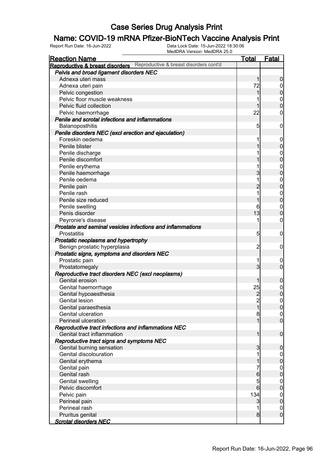## **Name: COVID-19 mRNA Pfizer-BioNTech Vaccine Analysis Print**<br>Report Run Date: 16-Jun-2022<br>Data Lock Date: 15-Jun-2022 18:30:06

| <b>Reaction Name</b>                                                   | <b>Total</b>        | Fatal                              |
|------------------------------------------------------------------------|---------------------|------------------------------------|
| Reproductive & breast disorders Reproductive & breast disorders cont'd |                     |                                    |
| Pelvis and broad ligament disorders NEC                                |                     |                                    |
| Adnexa uteri mass                                                      | 1                   | $\mathbf 0$                        |
| Adnexa uteri pain                                                      | 72                  | $\overline{0}$                     |
| Pelvic congestion                                                      | 1                   | $\mathbf 0$                        |
| Pelvic floor muscle weakness                                           |                     | $\boldsymbol{0}$                   |
| Pelvic fluid collection                                                |                     | $\overline{0}$                     |
| Pelvic haemorrhage                                                     | 22                  | $\mathbf 0$                        |
| Penile and scrotal infections and inflammations                        |                     |                                    |
| Balanoposthitis                                                        | $\overline{5}$      | $\mathbf 0$                        |
| Penile disorders NEC (excl erection and ejaculation)                   |                     |                                    |
| Foreskin oedema                                                        |                     | $\mathbf 0$                        |
| Penile blister                                                         |                     | $\boldsymbol{0}$                   |
| Penile discharge                                                       |                     |                                    |
| Penile discomfort                                                      |                     | $\boldsymbol{0}$<br>$\overline{0}$ |
| Penile erythema                                                        |                     |                                    |
|                                                                        | 3                   | $\boldsymbol{0}$<br>$\overline{0}$ |
| Penile haemorrhage                                                     |                     |                                    |
| Penile oedema                                                          | 1<br>$\overline{2}$ | $\boldsymbol{0}$<br>$\overline{0}$ |
| Penile pain                                                            |                     |                                    |
| Penile rash                                                            | 1                   | $\mathbf{0}$                       |
| Penile size reduced                                                    | 1                   | $\overline{0}$                     |
| Penile swelling                                                        | 6                   | $\boldsymbol{0}$                   |
| Penis disorder                                                         | 13                  | $\mathbf 0$                        |
| Peyronie's disease                                                     | 1                   | $\boldsymbol{0}$                   |
| Prostate and seminal vesicles infections and inflammations             |                     |                                    |
| <b>Prostatitis</b>                                                     | 5                   | $\mathbf 0$                        |
| Prostatic neoplasms and hypertrophy                                    |                     |                                    |
| Benign prostatic hyperplasia                                           | $\overline{c}$      | $\mathbf 0$                        |
| Prostatic signs, symptoms and disorders NEC                            |                     |                                    |
| Prostatic pain                                                         | 1                   | $\mathbf 0$                        |
| Prostatomegaly                                                         | 3                   | $\overline{0}$                     |
| Reproductive tract disorders NEC (excl neoplasms)                      |                     |                                    |
| Genital erosion                                                        | 1                   | $\mathbf 0$                        |
| Genital haemorrhage                                                    | 25                  | $\boldsymbol{0}$                   |
| Genital hypoaesthesia                                                  | $\overline{c}$      | $\overline{0}$                     |
| <b>Genital lesion</b>                                                  | $\overline{2}$      | $\boldsymbol{0}$                   |
| Genital paraesthesia                                                   | 1                   | 0                                  |
| Genital ulceration                                                     | 8                   | 0                                  |
| Perineal ulceration                                                    | 1                   | $\overline{0}$                     |
| Reproductive tract infections and inflammations NEC                    |                     |                                    |
| Genital tract inflammation                                             | 1                   | $\overline{0}$                     |
| Reproductive tract signs and symptoms NEC                              |                     |                                    |
| Genital burning sensation                                              | 3                   | $\mathbf 0$                        |
| Genital discolouration                                                 |                     | $\overline{0}$                     |
| Genital erythema                                                       |                     | $\mathbf 0$                        |
| Genital pain                                                           |                     |                                    |
| Genital rash                                                           | 6                   | $0$<br>0                           |
| Genital swelling                                                       | 5                   | $\boldsymbol{0}$                   |
| Pelvic discomfort                                                      | 6                   | $\mathbf 0$                        |
| Pelvic pain                                                            | 134                 | $\boldsymbol{0}$                   |
| Perineal pain                                                          | 3                   | $\mathbf 0$                        |
| Perineal rash                                                          | 1                   | $\overline{0}$                     |
| Pruritus genital                                                       | 8                   | $\overline{0}$                     |
| <b>Scrotal disorders NEC</b>                                           |                     |                                    |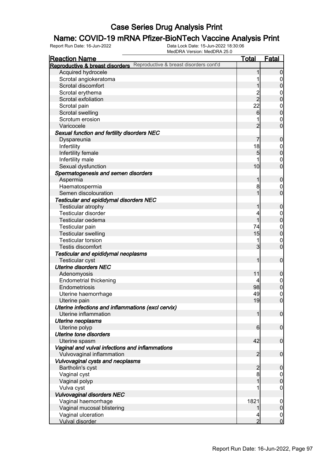## **Name: COVID-19 mRNA Pfizer-BioNTech Vaccine Analysis Print**<br>Report Run Date: 16-Jun-2022<br>Data Lock Date: 15-Jun-2022 18:30:06

| <b>Reaction Name</b>                                                      | <b>Total</b>    | Fatal                           |
|---------------------------------------------------------------------------|-----------------|---------------------------------|
| Reproductive & breast disorders cont'd<br>Reproductive & breast disorders |                 |                                 |
| Acquired hydrocele                                                        |                 | $\boldsymbol{0}$                |
| Scrotal angiokeratoma                                                     |                 | 0                               |
| Scrotal discomfort                                                        |                 | $\overline{0}$                  |
| Scrotal erythema                                                          |                 | $\mathbf 0$                     |
| Scrotal exfoliation                                                       | $\frac{2}{2}$   | $\mathbf 0$                     |
| Scrotal pain                                                              | 22              | $\boldsymbol{0}$                |
| Scrotal swelling                                                          | $6 \overline{}$ | $\overline{0}$                  |
| Scrotum erosion                                                           |                 | $\mathbf 0$                     |
| Varicocele                                                                | $\overline{2}$  | $\mathbf 0$                     |
| Sexual function and fertility disorders NEC                               |                 |                                 |
| Dyspareunia                                                               | 7               | $\boldsymbol{0}$                |
| Infertility                                                               | 18              | $\mathbf 0$                     |
| Infertility female                                                        | $\overline{5}$  | $\overline{0}$                  |
| Infertility male                                                          |                 | $\mathbf 0$                     |
| Sexual dysfunction                                                        | 10              | $\mathbf 0$                     |
| Spermatogenesis and semen disorders                                       |                 |                                 |
| Aspermia                                                                  | 1               | $\boldsymbol{0}$                |
| Haematospermia                                                            | 8               | $\mathbf 0$                     |
| Semen discolouration                                                      |                 | $\mathbf 0$                     |
| Testicular and epididymal disorders NEC                                   |                 |                                 |
| Testicular atrophy                                                        |                 | $\boldsymbol{0}$                |
| <b>Testicular disorder</b>                                                | 4               |                                 |
| Testicular oedema                                                         | 1               | $\boldsymbol{0}$<br>$\mathbf 0$ |
|                                                                           | 74              |                                 |
| Testicular pain                                                           | 15              | $\boldsymbol{0}$<br>$\mathbf 0$ |
| <b>Testicular swelling</b><br><b>Testicular torsion</b>                   |                 |                                 |
| Testis discomfort                                                         | $\overline{3}$  | $\mathbf 0$<br>$\mathbf 0$      |
|                                                                           |                 |                                 |
| Testicular and epididymal neoplasms                                       | 1               |                                 |
| <b>Testicular cyst</b>                                                    |                 | $\boldsymbol{0}$                |
| <b>Uterine disorders NEC</b>                                              |                 |                                 |
| Adenomyosis                                                               | 11              | $\boldsymbol{0}$                |
| <b>Endometrial thickening</b>                                             |                 | $\boldsymbol{0}$                |
| Endometriosis                                                             | 98              | $\mathbf 0$                     |
| Uterine haemorrhage                                                       | 49              | $\mathbf 0$                     |
| Uterine pain                                                              | 19              | $\overline{0}$                  |
| Uterine infections and inflammations (excl cervix)                        |                 |                                 |
| Uterine inflammation                                                      | 1               | $\overline{0}$                  |
| Uterine neoplasms                                                         |                 |                                 |
| Uterine polyp                                                             | $6 \mid$        | $\overline{0}$                  |
| <b>Uterine tone disorders</b>                                             |                 |                                 |
| Uterine spasm                                                             | 42              | $\overline{0}$                  |
| Vaginal and vulval infections and inflammations                           |                 |                                 |
| Vulvovaginal inflammation                                                 | $\overline{2}$  | $\mathbf 0$                     |
| Vulvovaginal cysts and neoplasms                                          |                 |                                 |
| Bartholin's cyst                                                          | $\overline{2}$  | $\boldsymbol{0}$                |
| Vaginal cyst                                                              | 8               | $\mathbf 0$                     |
| Vaginal polyp                                                             |                 | $\overline{0}$                  |
| Vulva cyst                                                                |                 | 0                               |
| <b>Vulvovaginal disorders NEC</b>                                         |                 |                                 |
| Vaginal haemorrhage                                                       | 1821            | $\mathbf 0$                     |
| Vaginal mucosal blistering                                                |                 | $\pmb{0}$                       |
| Vaginal ulceration                                                        |                 | $\overline{0}$                  |
| <b>Vulval disorder</b>                                                    | $\overline{2}$  | $\mathbf 0$                     |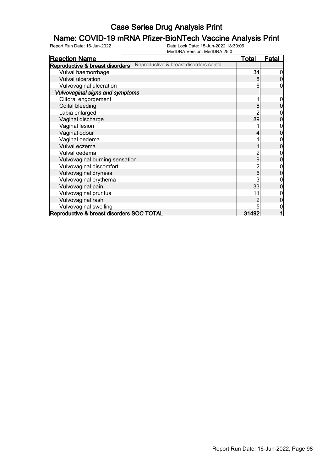# **Name: COVID-19 mRNA Pfizer-BioNTech Vaccine Analysis Print**<br>Report Run Date: 16-Jun-2022<br>Data Lock Date: 15-Jun-2022 18:30:06

| <b>Reaction Name</b>                                                      | <u>Total</u> | <b>Fatal</b> |
|---------------------------------------------------------------------------|--------------|--------------|
| Reproductive & breast disorders cont'd<br>Reproductive & breast disorders |              |              |
| Vulval haemorrhage                                                        | 34           | 0            |
| <b>Vulval ulceration</b>                                                  | 8            |              |
| Vulvovaginal ulceration                                                   | 6            |              |
| Vulvovaginal signs and symptoms                                           |              |              |
| Clitoral engorgement                                                      |              | 0            |
| Coital bleeding                                                           | 8            |              |
| Labia enlarged                                                            |              |              |
| Vaginal discharge                                                         | 89           |              |
| Vaginal lesion                                                            |              |              |
| Vaginal odour                                                             |              |              |
| Vaginal oedema                                                            |              |              |
| Vulval eczema                                                             |              | 0            |
| Vulval oedema                                                             |              |              |
| Vulvovaginal burning sensation                                            | 9            | 0            |
| Vulvovaginal discomfort                                                   |              |              |
| Vulvovaginal dryness                                                      | 6            | 0            |
| Vulvovaginal erythema                                                     | 3            |              |
| Vulvovaginal pain                                                         | 33           | 0            |
| Vulvovaginal pruritus                                                     | 11           |              |
| Vulvovaginal rash                                                         |              | 0            |
| Vulvovaginal swelling                                                     | 5            |              |
| Reproductive & breast disorders SOC TOTAL                                 | 31492        |              |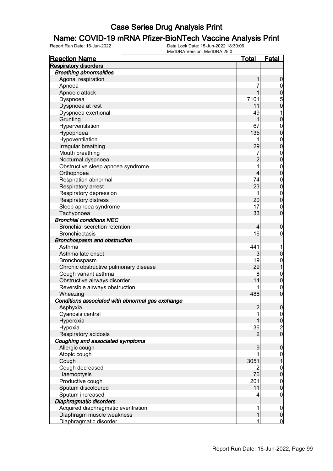## **Name: COVID-19 mRNA Pfizer-BioNTech Vaccine Analysis Print**<br>Report Run Date: 16-Jun-2022<br>Data Lock Date: 15-Jun-2022 18:30:06

| <b>Reaction Name</b>                             | <u>Total</u>   | <b>Fatal</b>                         |
|--------------------------------------------------|----------------|--------------------------------------|
| <b>Respiratory disorders</b>                     |                |                                      |
| <b>Breathing abnormalities</b>                   |                |                                      |
| Agonal respiration                               | 1              | $\boldsymbol{0}$                     |
| Apnoea                                           | 7              |                                      |
| Apnoeic attack                                   | 1              | 0<br>0<br>0<br>0                     |
| Dyspnoea                                         | 7101           |                                      |
| Dyspnoea at rest                                 | 11             |                                      |
| Dyspnoea exertional                              | 49             | $\mathbf 1$                          |
| Grunting                                         | 1              | $\overline{0}$                       |
| Hyperventilation                                 | 67             |                                      |
| Hypopnoea                                        | 135            | $\begin{matrix}0\\0\end{matrix}$     |
| Hypoventilation                                  | 1              |                                      |
| Irregular breathing                              | 29             | $\begin{matrix}0\\0\end{matrix}$     |
| Mouth breathing                                  | 7              |                                      |
| Nocturnal dyspnoea                               | $\overline{2}$ | $\begin{matrix}0\\0\end{matrix}$     |
| Obstructive sleep apnoea syndrome                | $\overline{1}$ |                                      |
| Orthopnoea                                       | 4              | $\begin{matrix}0\\0\end{matrix}$     |
| Respiration abnormal                             | 74             |                                      |
| Respiratory arrest                               | 23             | $\begin{matrix}0\\0\end{matrix}$     |
| Respiratory depression                           | 1              |                                      |
| Respiratory distress                             | 20             | $\begin{matrix}0\\0\end{matrix}$     |
|                                                  | 17             |                                      |
| Sleep apnoea syndrome                            | 33             | $\begin{matrix}0\\0\end{matrix}$     |
| Tachypnoea<br><b>Bronchial conditions NEC</b>    |                |                                      |
|                                                  |                |                                      |
| <b>Bronchial secretion retention</b>             | 4              | $\boldsymbol{0}$                     |
| <b>Bronchiectasis</b>                            | 16             | $\mathbf 0$                          |
| Bronchospasm and obstruction                     |                |                                      |
| Asthma                                           | 441            | 1                                    |
| Asthma late onset                                | 3              | $\mathbf 0$                          |
| Bronchospasm                                     | 19             | $\begin{matrix} 0 \\ 1 \end{matrix}$ |
| Chronic obstructive pulmonary disease            | 29             |                                      |
| Cough variant asthma                             | 8              | $\begin{matrix}0\\0\end{matrix}$     |
| Obstructive airways disorder                     | 14             |                                      |
| Reversible airways obstruction                   | 1              | $\begin{matrix} 0 \\ 0 \end{matrix}$ |
| Wheezing                                         | 488            |                                      |
| Conditions associated with abnormal gas exchange |                |                                      |
| Asphyxia                                         | 2              | 0                                    |
| Cyanosis central                                 | 1              | $\overline{0}$                       |
| Hyperoxia                                        |                | $\bf{0}$                             |
| Hypoxia                                          | 36             | $\frac{2}{0}$                        |
| Respiratory acidosis                             | 2              |                                      |
| Coughing and associated symptoms                 |                |                                      |
| Allergic cough                                   | 9              | $\mathbf 0$                          |
| Atopic cough                                     |                | $\boldsymbol{0}$                     |
| Cough                                            | 3051           | $\mathbf{1}$                         |
| Cough decreased                                  | 2              |                                      |
| Haemoptysis                                      | 76             | $0\atop 0$                           |
| Productive cough                                 | 201            |                                      |
| Sputum discoloured                               | 11             | $0$<br>0                             |
| Sputum increased                                 | 4              | $\mathbf 0$                          |
| Diaphragmatic disorders                          |                |                                      |
| Acquired diaphragmatic eventration               | 1              | $\mathbf 0$                          |
| Diaphragm muscle weakness                        | 1              | $\boldsymbol{0}$                     |
| Diaphragmatic disorder                           | 1              | $\overline{0}$                       |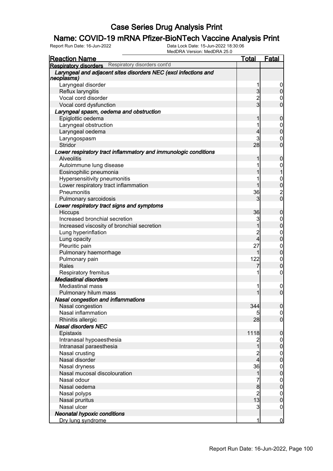# **Name: COVID-19 mRNA Pfizer-BioNTech Vaccine Analysis Print**<br>Report Run Date: 16-Jun-2022<br>Data Lock Date: 15-Jun-2022 18:30:06

| <u>Reaction Name</u>                                                          | <b>Total</b>            | Fatal            |
|-------------------------------------------------------------------------------|-------------------------|------------------|
| <b>Respiratory disorders</b> Respiratory disorders cont'd                     |                         |                  |
| Laryngeal and adjacent sites disorders NEC (excl infections and<br>neoplasms) |                         |                  |
| Laryngeal disorder                                                            | 1                       | $\boldsymbol{0}$ |
| Reflux laryngitis                                                             | 3                       | $\overline{0}$   |
| Vocal cord disorder                                                           | $\overline{c}$          | 0                |
| Vocal cord dysfunction                                                        | $\overline{3}$          | $\overline{0}$   |
| Laryngeal spasm, oedema and obstruction                                       |                         |                  |
| Epiglottic oedema                                                             | 1                       | $\mathbf 0$      |
| Laryngeal obstruction                                                         | 1                       | $\boldsymbol{0}$ |
| Laryngeal oedema                                                              | 4                       | $\overline{0}$   |
| Laryngospasm                                                                  | 3                       | $\boldsymbol{0}$ |
| Stridor                                                                       | 28                      | $\overline{0}$   |
| Lower respiratory tract inflammatory and immunologic conditions               |                         |                  |
| <b>Alveolitis</b>                                                             | 1                       | 0                |
| Autoimmune lung disease                                                       | 1                       | $\mathbf 0$      |
| Eosinophilic pneumonia                                                        | 1                       |                  |
| Hypersensitivity pneumonitis                                                  | 1                       | $\mathbf{0}$     |
| Lower respiratory tract inflammation                                          |                         | $\overline{0}$   |
| Pneumonitis                                                                   | 36                      |                  |
| Pulmonary sarcoidosis                                                         | 3                       | $\frac{2}{0}$    |
| Lower respiratory tract signs and symptoms                                    |                         |                  |
| Hiccups                                                                       | 36                      | 0                |
| Increased bronchial secretion                                                 | 3                       | $\boldsymbol{0}$ |
| Increased viscosity of bronchial secretion                                    | $\overline{1}$          | $\overline{0}$   |
| Lung hyperinflation                                                           | $\overline{c}$          | $\mathbf 0$      |
| Lung opacity                                                                  | 4                       | $\overline{0}$   |
| Pleuritic pain                                                                | 27                      | $\mathbf 0$      |
| Pulmonary haemorrhage                                                         | 1                       | $\overline{0}$   |
| Pulmonary pain                                                                | 122                     | $\mathbf 0$      |
| Rales                                                                         | 7                       | $\overline{0}$   |
| Respiratory fremitus                                                          | 1                       | $\mathbf 0$      |
| <b>Mediastinal disorders</b>                                                  |                         |                  |
| <b>Mediastinal mass</b>                                                       | 1                       | $\boldsymbol{0}$ |
| Pulmonary hilum mass                                                          | 1                       | $\overline{0}$   |
| <b>Nasal congestion and inflammations</b>                                     |                         |                  |
| Nasal congestion                                                              | 344                     | 0                |
| Nasal inflammation                                                            | 5                       | $\overline{0}$   |
| Rhinitis allergic                                                             | 28                      | $\overline{0}$   |
| <b>Nasal disorders NEC</b>                                                    |                         |                  |
| Epistaxis                                                                     | 1118                    | $\mathbf 0$      |
| Intranasal hypoaesthesia                                                      | $\overline{c}$          | $\mathbf 0$      |
| Intranasal paraesthesia                                                       | 1                       | $\boldsymbol{0}$ |
| Nasal crusting                                                                | $\overline{c}$          | $\mathbf{0}$     |
| Nasal disorder                                                                | $\overline{\mathbf{4}}$ | $\overline{0}$   |
| Nasal dryness                                                                 | 36                      | $\mathbf{0}$     |
| Nasal mucosal discolouration                                                  | 1                       | $\overline{0}$   |
| Nasal odour                                                                   | 7                       | $\mathbf{0}$     |
| Nasal oedema                                                                  | 8                       | $\overline{0}$   |
| Nasal polyps                                                                  | $\overline{2}$          | $\mathbf{0}$     |
| Nasal pruritus                                                                | 13                      | $\mathbf 0$      |
| Nasal ulcer                                                                   | 3                       | $\mathbf 0$      |
| <b>Neonatal hypoxic conditions</b>                                            |                         |                  |
| Dry lung syndrome                                                             | 1                       | $\overline{0}$   |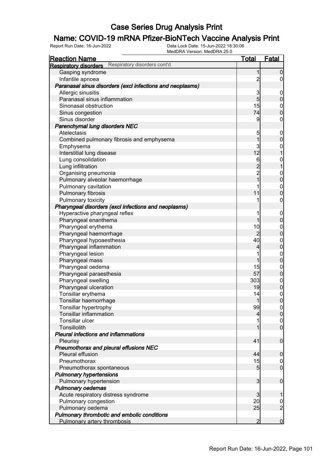## **Name: COVID-19 mRNA Pfizer-BioNTech Vaccine Analysis Print**<br>Report Run Date: 16-Jun-2022<br>Data Lock Date: 15-Jun-2022 18:30:06

| <b>Reaction Name</b>                                         | <b>Total</b>    | <b>Fatal</b>                         |
|--------------------------------------------------------------|-----------------|--------------------------------------|
| Respiratory disorders cont'd<br><b>Respiratory disorders</b> |                 |                                      |
| Gasping syndrome                                             | 1               | $\mathbf 0$                          |
| Infantile apnoea                                             | $\overline{c}$  | $\overline{0}$                       |
| Paranasal sinus disorders (excl infections and neoplasms)    |                 |                                      |
| Allergic sinusitis                                           | 3               | $\mathbf 0$                          |
| Paranasal sinus inflammation                                 | $\overline{5}$  | $\pmb{0}$                            |
| Sinonasal obstruction                                        | 15              | $\boldsymbol{0}$                     |
| Sinus congestion                                             | 74              | $\overline{0}$                       |
| Sinus disorder                                               | 9               | $\mathbf 0$                          |
| Parenchymal lung disorders NEC                               |                 |                                      |
| Atelectasis                                                  | 5               | $\mathbf 0$                          |
| Combined pulmonary fibrosis and emphysema                    | $\overline{1}$  | $\pmb{0}$                            |
| Emphysema                                                    | 3               | $\boldsymbol{0}$                     |
| Interstitial lung disease                                    | 12              | $\overline{1}$                       |
| Lung consolidation                                           | 6               | $\mathbf{0}$                         |
| Lung infiltration                                            | $\overline{c}$  | $\overline{1}$                       |
| Organising pneumonia                                         | $\overline{c}$  |                                      |
| Pulmonary alveolar haemorrhage                               | $\overline{1}$  | $0\atop 0$                           |
| Pulmonary cavitation                                         | 1               |                                      |
| Pulmonary fibrosis                                           | 11              | $0\atop 0$                           |
| Pulmonary toxicity                                           |                 | 0                                    |
| Pharyngeal disorders (excl infections and neoplasms)         |                 |                                      |
| Hyperactive pharyngeal reflex                                |                 | $\mathbf 0$                          |
| Pharyngeal enanthema                                         | 1               | $\overline{0}$                       |
| Pharyngeal erythema                                          | 10              |                                      |
| Pharyngeal haemorrhage                                       | $\overline{2}$  | $0\atop 0$                           |
| Pharyngeal hypoaesthesia                                     | 40              |                                      |
| Pharyngeal inflammation                                      | 4               | $0$<br>0                             |
| Pharyngeal lesion                                            |                 |                                      |
| Pharyngeal mass                                              | 1               | $0\atop 0$                           |
| Pharyngeal oedema                                            | 15              |                                      |
| Pharyngeal paraesthesia                                      | 57              | $0\atop 0$                           |
| Pharyngeal swelling                                          | 303             |                                      |
| Pharyngeal ulceration                                        | 19              | $\begin{matrix} 0 \\ 0 \end{matrix}$ |
| Tonsillar erythema                                           | 14              |                                      |
| Tonsillar haemorrhage                                        | $\mathbf{1}$    | $\begin{matrix} 0 \\ 0 \end{matrix}$ |
| Tonsillar hypertrophy                                        | 99              |                                      |
| <b>Tonsillar inflammation</b>                                | 4               | $\frac{0}{0}$                        |
| Tonsillar ulcer                                              |                 |                                      |
| Tonsillolith                                                 |                 | $\begin{matrix} 0 \\ 0 \end{matrix}$ |
| Pleural infections and inflammations                         |                 |                                      |
| Pleurisy                                                     | 41              | $\mathbf 0$                          |
| Pneumothorax and pleural effusions NEC                       |                 |                                      |
| Pleural effusion                                             | 44              | $\mathbf 0$                          |
| Pneumothorax                                                 | 15              | $\overline{0}$                       |
| Pneumothorax spontaneous                                     | $5\overline{)}$ | $\overline{0}$                       |
| <b>Pulmonary hypertensions</b>                               |                 |                                      |
| Pulmonary hypertension                                       | $\overline{3}$  | $\boldsymbol{0}$                     |
| <b>Pulmonary oedemas</b>                                     |                 |                                      |
| Acute respiratory distress syndrome                          | $\mathbf{3}$    | 1                                    |
| Pulmonary congestion                                         | 20              | $\mathbf 0$                          |
| Pulmonary oedema                                             | 25              | $\overline{2}$                       |
| Pulmonary thrombotic and embolic conditions                  |                 |                                      |
| Pulmonary artery thrombosis                                  | $\overline{2}$  | $\mathbf 0$                          |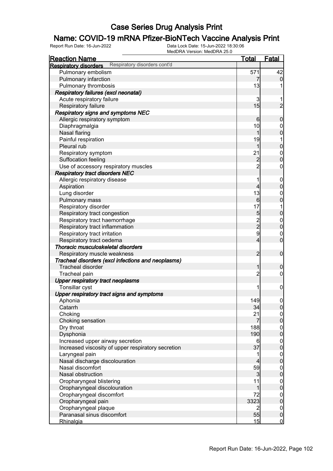## **Name: COVID-19 mRNA Pfizer-BioNTech Vaccine Analysis Print**<br>Report Run Date: 16-Jun-2022<br>Data Lock Date: 15-Jun-2022 18:30:06

| <b>Reaction Name</b>                                         | <u>Total</u>            | <b>Fatal</b>                         |
|--------------------------------------------------------------|-------------------------|--------------------------------------|
| Respiratory disorders cont'd<br><b>Respiratory disorders</b> |                         |                                      |
| Pulmonary embolism                                           | 571                     | 42                                   |
| Pulmonary infarction                                         | 7                       | $\mathbf 0$                          |
| Pulmonary thrombosis                                         | 13                      |                                      |
| Respiratory failures (excl neonatal)                         |                         |                                      |
| Acute respiratory failure                                    | 3                       |                                      |
| Respiratory failure                                          | 15                      | $\overline{2}$                       |
| Respiratory signs and symptoms NEC                           |                         |                                      |
| Allergic respiratory symptom                                 | 6                       | $\mathbf 0$                          |
| Diaphragmalgia                                               | 10                      | $\mathbf 0$                          |
| Nasal flaring                                                | 1                       | $\overline{0}$                       |
| Painful respiration                                          | 19                      | 1                                    |
| Pleural rub                                                  | 1                       | $\mathbf 0$                          |
| Respiratory symptom                                          | 21                      | $\mathbf{0}$                         |
| Suffocation feeling                                          | $\overline{c}$          | $\overline{0}$                       |
| Use of accessory respiratory muscles                         | $\overline{2}$          | $\boldsymbol{0}$                     |
| <b>Respiratory tract disorders NEC</b>                       |                         |                                      |
| Allergic respiratory disease                                 | 1                       | $\mathbf 0$                          |
| Aspiration                                                   | 4                       | $\mathbf 0$                          |
| Lung disorder                                                | 13                      | $\mathbf 0$                          |
| Pulmonary mass                                               | 6                       | $\overline{0}$                       |
| Respiratory disorder                                         | 17                      | 1                                    |
| Respiratory tract congestion                                 | 5                       | $\mathbf 0$                          |
| Respiratory tract haemorrhage                                |                         |                                      |
| Respiratory tract inflammation                               | $\frac{2}{2}$           | $0$<br>0                             |
| Respiratory tract irritation                                 | 9                       | $\mathbf 0$                          |
| Respiratory tract oedema                                     | 4                       | $\overline{0}$                       |
| Thoracic musculoskeletal disorders                           |                         |                                      |
| Respiratory muscle weakness                                  | $\overline{2}$          | $\mathbf 0$                          |
| Tracheal disorders (excl infections and neoplasms)           |                         |                                      |
| <b>Tracheal disorder</b>                                     | 1                       | $\boldsymbol{0}$                     |
| Tracheal pain                                                | $\overline{c}$          | $\boldsymbol{0}$                     |
| <b>Upper respiratory tract neoplasms</b>                     |                         |                                      |
| Tonsillar cyst                                               | 1                       | $\mathbf 0$                          |
| Upper respiratory tract signs and symptoms                   |                         |                                      |
| Aphonia                                                      | 149                     | $\mathbf 0$                          |
| Catarrh                                                      | 34                      | 0                                    |
| Choking                                                      | 21                      | $\Omega$                             |
| Choking sensation                                            | 7                       | $\overline{0}$                       |
| Dry throat                                                   | 188                     | $\begin{matrix} 0 \\ 0 \end{matrix}$ |
| Dysphonia                                                    | 190                     |                                      |
| Increased upper airway secretion                             | 6                       | $\begin{matrix} 0 \\ 0 \end{matrix}$ |
| Increased viscosity of upper respiratory secretion           | 37                      |                                      |
| Laryngeal pain                                               | 1                       | $\begin{matrix} 0 \\ 0 \end{matrix}$ |
| Nasal discharge discolouration                               | 4                       |                                      |
| Nasal discomfort                                             | 59                      | $0\atop 0$                           |
| Nasal obstruction                                            | 3                       |                                      |
| Oropharyngeal blistering                                     | 11                      | $0\atop 0$                           |
| Oropharyngeal discolouration                                 | 1                       |                                      |
| Oropharyngeal discomfort                                     | 72                      | $\begin{matrix} 0 \\ 0 \end{matrix}$ |
| Oropharyngeal pain                                           | 3323                    |                                      |
| Oropharyngeal plaque                                         | $\overline{\mathbf{c}}$ | $\overline{0}$                       |
| Paranasal sinus discomfort                                   | 55                      | $\mathbf 0$                          |
| Rhinalgia                                                    | 15                      | $\overline{0}$                       |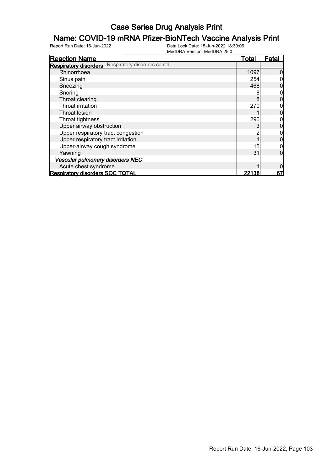# **Name: COVID-19 mRNA Pfizer-BioNTech Vaccine Analysis Print**<br>Report Run Date: 16-Jun-2022<br>Data Lock Date: 15-Jun-2022 18:30:06

| <b>Reaction Name</b>                                         | Total | Fatal |
|--------------------------------------------------------------|-------|-------|
| Respiratory disorders cont'd<br><b>Respiratory disorders</b> |       |       |
| Rhinorrhoea                                                  | 1097  |       |
| Sinus pain                                                   | 254   |       |
| Sneezing                                                     | 468   |       |
| Snoring                                                      | 8     |       |
| Throat clearing                                              | 8     |       |
| Throat irritation                                            | 270   |       |
| Throat lesion                                                |       |       |
| Throat tightness                                             | 296   |       |
| Upper airway obstruction                                     |       |       |
| Upper respiratory tract congestion                           |       |       |
| Upper respiratory tract irritation                           |       |       |
| Upper-airway cough syndrome                                  | 15    |       |
| Yawning                                                      | 31    |       |
| Vascular pulmonary disorders NEC                             |       |       |
| Acute chest syndrome                                         |       |       |
| <b>Respiratory disorders SOC TOTAL</b>                       | 22138 | 67    |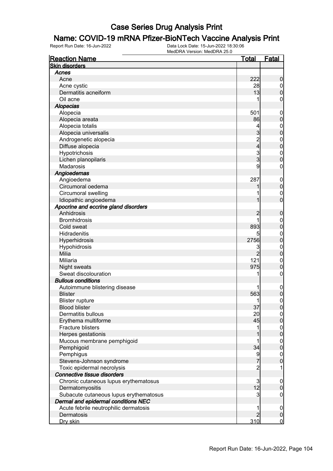# **Name: COVID-19 mRNA Pfizer-BioNTech Vaccine Analysis Print**<br>Report Run Date: 16-Jun-2022<br>Data Lock Date: 15-Jun-2022 18:30:06

| <b>Reaction Name</b>                   | <u>Total</u>            | <b>Fatal</b>          |
|----------------------------------------|-------------------------|-----------------------|
| <b>Skin disorders</b>                  |                         |                       |
| Acnes                                  |                         |                       |
| Acne                                   | 222                     | 0                     |
| Acne cystic                            | 28                      | 0                     |
| Dermatitis acneiform                   | 13                      | 0                     |
| Oil acne                               | 1                       | 0                     |
| <b>Alopecias</b>                       |                         |                       |
| Alopecia                               | 501                     | 0                     |
| Alopecia areata                        | 86                      | 0                     |
| Alopecia totalis                       | 4                       | 0                     |
| Alopecia universalis                   | 3                       | 0                     |
| Androgenetic alopecia                  | $\overline{\mathbf{c}}$ | $\mathbf{0}$          |
| Diffuse alopecia                       | 4                       | 0                     |
| Hypotrichosis                          |                         | $\mathbf{0}$          |
| Lichen planopilaris                    | 3<br>3                  | O                     |
| Madarosis                              | 9                       | 0                     |
| Angioedemas                            |                         |                       |
| Angioedema                             | 287                     |                       |
| Circumoral oedema                      |                         | $\boldsymbol{0}$<br>0 |
|                                        |                         |                       |
| Circumoral swelling                    |                         | $\mathbf 0$           |
| Idiopathic angioedema                  |                         | 0                     |
| Apocrine and eccrine gland disorders   |                         |                       |
| Anhidrosis                             |                         | 0                     |
| <b>Bromhidrosis</b>                    |                         | 0                     |
| Cold sweat                             | 893                     | 0                     |
| Hidradenitis                           | 5                       | $\mathbf 0$           |
| Hyperhidrosis                          | 2756                    | $\overline{0}$        |
| Hypohidrosis                           | 3                       | $\mathbf{0}$          |
| Milia                                  | $\overline{2}$          | O                     |
| Miliaria                               | 121                     | $\mathbf 0$           |
| Night sweats                           | 975                     | 0                     |
| Sweat discolouration                   | 1                       | 0                     |
| <b>Bullous conditions</b>              |                         |                       |
| Autoimmune blistering disease          |                         | 0                     |
| <b>Blister</b>                         | 563                     | 0                     |
| <b>Blister rupture</b>                 | 1                       | 0                     |
| <b>Blood blister</b>                   | 37                      | U                     |
| Dermatitis bullous                     | 20                      | $\overline{0}$        |
| Erythema multiforme                    | 45                      | 0                     |
| <b>Fracture blisters</b>               | 1                       | $\boldsymbol{0}$      |
| Herpes gestationis                     |                         | $\overline{0}$        |
| Mucous membrane pemphigoid             |                         | $\boldsymbol{0}$      |
| Pemphigoid                             | 34                      | $\mathbf 0$           |
| Pemphigus                              | 9                       | $\boldsymbol{0}$      |
| Stevens-Johnson syndrome               |                         | $\overline{0}$        |
| Toxic epidermal necrolysis             | 2                       | 1                     |
| Connective tissue disorders            |                         |                       |
| Chronic cutaneous lupus erythematosus  | 3                       | $\mathbf 0$           |
| Dermatomyositis                        | 12                      | $\mathbf 0$           |
| Subacute cutaneous lupus erythematosus | $\overline{3}$          | $\mathbf 0$           |
| Dermal and epidermal conditions NEC    |                         |                       |
| Acute febrile neutrophilic dermatosis  | 1                       | $\overline{0}$        |
| Dermatosis                             | 2                       | 0                     |
| Dry skin                               | 310                     | $\overline{0}$        |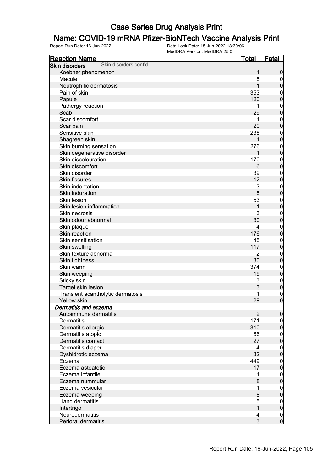# **Name: COVID-19 mRNA Pfizer-BioNTech Vaccine Analysis Print**<br>Report Run Date: 16-Jun-2022<br>Data Lock Date: 15-Jun-2022 18:30:06

| <b>Reaction Name</b>                           | <u>Total</u>   | <b>Fatal</b>                         |
|------------------------------------------------|----------------|--------------------------------------|
| Skin disorders cont'd<br><b>Skin disorders</b> |                |                                      |
| Koebner phenomenon                             | 1              | $\boldsymbol{0}$                     |
| Macule                                         | 5              | $\boldsymbol{0}$                     |
| Neutrophilic dermatosis                        | 1              | $\overline{0}$                       |
| Pain of skin                                   | 353            | $\boldsymbol{0}$                     |
| Papule                                         | 120            | $\overline{0}$                       |
| Pathergy reaction                              | 1              | $\mathbf{0}$                         |
| Scab                                           | 29             | $\overline{0}$                       |
| Scar discomfort                                | 1              | $\boldsymbol{0}$                     |
| Scar pain                                      | 20             | $\overline{0}$                       |
| Sensitive skin                                 | 238            | $\boldsymbol{0}$                     |
| Shagreen skin                                  |                | $\overline{0}$                       |
| Skin burning sensation                         | 276            | $\boldsymbol{0}$                     |
| Skin degenerative disorder                     | 1              | $\overline{0}$                       |
| Skin discolouration                            | 170            | $\boldsymbol{0}$                     |
| Skin discomfort                                | 6              | $\overline{0}$                       |
| Skin disorder                                  | 39             | $\mathbf{0}$                         |
| <b>Skin fissures</b>                           | 12             | $\overline{0}$                       |
| Skin indentation                               | 3              | $\boldsymbol{0}$                     |
| Skin induration                                | 5              | $\overline{0}$                       |
| Skin lesion                                    | 53             |                                      |
| Skin lesion inflammation                       | 1              | $\boldsymbol{0}$<br>$\overline{0}$   |
| Skin necrosis                                  | 3              |                                      |
| Skin odour abnormal                            | 30             | $\boldsymbol{0}$                     |
|                                                |                | $\overline{0}$                       |
| Skin plaque<br>Skin reaction                   | 4<br>176       | $\mathbf{0}$                         |
|                                                |                | $\overline{0}$                       |
| Skin sensitisation                             | 45             | $\mathbf{0}$                         |
| Skin swelling                                  | 117            | $\overline{0}$                       |
| Skin texture abnormal                          | 2              | $\mathbf{0}$                         |
| Skin tightness                                 | 30             | $\overline{0}$                       |
| Skin warm                                      | 374            | $\mathbf{0}$                         |
| Skin weeping                                   | 19             | $\mathbf 0$                          |
| Sticky skin                                    | 3              | $\boldsymbol{0}$                     |
| Target skin lesion                             | 3              | $\mathbf 0$                          |
| Transient acantholytic dermatosis              |                | $\begin{matrix} 0 \\ 0 \end{matrix}$ |
| <b>Yellow skin</b>                             | 29             |                                      |
| Dermatitis and eczema                          |                |                                      |
| Autoimmune dermatitis                          | $\overline{c}$ | $\overline{0}$                       |
| Dermatitis                                     | 171            | $\overline{0}$                       |
| Dermatitis allergic                            | 310            | $\mathbf 0$                          |
| Dermatitis atopic                              | 66             | $\boldsymbol{0}$                     |
| Dermatitis contact                             | 27             | $\overline{0}$                       |
| Dermatitis diaper                              | 4              | $\boldsymbol{0}$                     |
| Dyshidrotic eczema                             | 32             | $\mathbf 0$                          |
| Eczema                                         | 449            | $\boldsymbol{0}$                     |
| Eczema asteatotic                              | 17             | $\mathbf 0$                          |
| Eczema infantile                               | 1              | $\boldsymbol{0}$                     |
| Eczema nummular                                | 8              | $\mathbf 0$                          |
| Eczema vesicular                               | 1              | $\boldsymbol{0}$                     |
| Eczema weeping                                 | 8              | $\mathbf 0$                          |
| Hand dermatitis                                | 5              | $\boldsymbol{0}$                     |
| Intertrigo                                     | $\overline{1}$ | $\mathbf 0$                          |
| Neurodermatitis                                | 4              |                                      |
| Perioral dermatitis                            | $\overline{3}$ | $\begin{matrix} 0 \\ 0 \end{matrix}$ |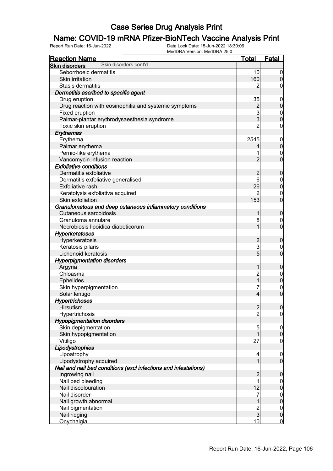## **Name: COVID-19 mRNA Pfizer-BioNTech Vaccine Analysis Print**<br>Report Run Date: 16-Jun-2022<br>Data Lock Date: 15-Jun-2022 18:30:06

| <u>Reaction Name</u>                                            | <b>Total</b>                          | <b>Fatal</b>     |
|-----------------------------------------------------------------|---------------------------------------|------------------|
| Skin disorders cont'd<br><b>Skin disorders</b>                  |                                       |                  |
| Seborrhoeic dermatitis                                          | 10                                    | $\boldsymbol{0}$ |
| Skin irritation                                                 | 160                                   | $\boldsymbol{0}$ |
| Stasis dermatitis                                               | 2                                     | 0                |
| Dermatitis ascribed to specific agent                           |                                       |                  |
| Drug eruption                                                   | 35                                    | $\mathbf 0$      |
| Drug reaction with eosinophilia and systemic symptoms           |                                       | $\pmb{0}$        |
| Fixed eruption                                                  | $\begin{array}{c} 2 \\ 3 \end{array}$ | $\boldsymbol{0}$ |
| Palmar-plantar erythrodysaesthesia syndrome                     |                                       | $\mathbf 0$      |
| Toxic skin eruption                                             | $\overline{2}$                        | $\boldsymbol{0}$ |
| Erythemas                                                       |                                       |                  |
| Erythema                                                        | 2545                                  | $\mathbf 0$      |
| Palmar erythema                                                 | 4                                     | $\pmb{0}$        |
| Pernio-like erythema                                            | 1                                     | $\mathbf 0$      |
| Vancomycin infusion reaction                                    | $\overline{2}$                        | $\mathbf 0$      |
| <b>Exfoliative conditions</b>                                   |                                       |                  |
| Dermatitis exfoliative                                          | $\overline{c}$                        | $\mathbf 0$      |
| Dermatitis exfoliative generalised                              | 6                                     | $\mathbf 0$      |
| <b>Exfoliative rash</b>                                         | 26                                    | $\pmb{0}$        |
| Keratolysis exfoliativa acquired                                | 2                                     | $\mathbf 0$      |
| Skin exfoliation                                                | 153                                   | $\mathbf 0$      |
| Granulomatous and deep cutaneous inflammatory conditions        |                                       |                  |
| Cutaneous sarcoidosis                                           | 1                                     | $\mathbf 0$      |
| Granuloma annulare                                              | 8                                     | $\mathbf 0$      |
| Necrobiosis lipoidica diabeticorum                              | 1                                     | $\mathbf 0$      |
| <b>Hyperkeratoses</b>                                           |                                       |                  |
| Hyperkeratosis                                                  | $\overline{c}$                        | $\mathbf 0$      |
| Keratosis pilaris                                               | 3                                     | 0                |
| Lichenoid keratosis                                             | $5\overline{)}$                       | $\mathbf 0$      |
| <b>Hyperpigmentation disorders</b>                              |                                       |                  |
| Argyria                                                         | 1                                     | $\mathbf 0$      |
| Chloasma                                                        |                                       | $\mathbf 0$      |
| <b>Ephelides</b>                                                | 2<br>1                                | $\mathbf 0$      |
| Skin hyperpigmentation                                          | 7                                     | $\boldsymbol{0}$ |
| Solar lentigo                                                   | $\overline{4}$                        | $\overline{0}$   |
| <b>Hypertrichoses</b>                                           |                                       |                  |
| Hirsutism                                                       | $\overline{2}$                        | 0                |
| Hypertrichosis                                                  | $\overline{2}$                        | $\overline{0}$   |
| <b>Hypopigmentation disorders</b>                               |                                       |                  |
| Skin depigmentation                                             | 5                                     | $\mathbf 0$      |
| Skin hypopigmentation                                           | $\overline{1}$                        | $\mathbf 0$      |
| Vitiligo                                                        | 27                                    | $\mathbf 0$      |
| Lipodystrophies                                                 |                                       |                  |
| Lipoatrophy                                                     | 4                                     | $\mathbf 0$      |
| Lipodystrophy acquired                                          | 1                                     | $\overline{0}$   |
| Nail and nail bed conditions (excl infections and infestations) |                                       |                  |
| Ingrowing nail                                                  | $\overline{c}$                        | $\mathbf 0$      |
| Nail bed bleeding                                               | 1                                     | $\overline{0}$   |
| Nail discolouration                                             | 12                                    | $\mathbf 0$      |
| Nail disorder                                                   | 7                                     |                  |
| Nail growth abnormal                                            | $\mathbf 1$                           | $0$<br>0         |
| Nail pigmentation                                               |                                       | $\boldsymbol{0}$ |
| Nail ridging                                                    | $\frac{2}{3}$                         | $\pmb{0}$        |
| Onychalgia                                                      | 10                                    | $\overline{0}$   |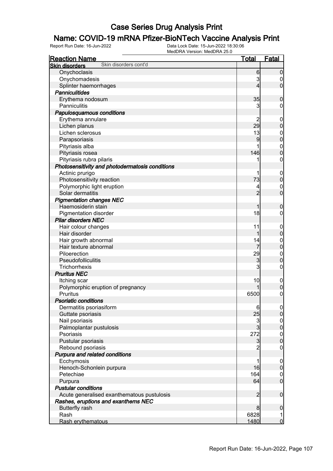#### Name: COVID-19 mRNA Pfizer-BioNTech Vaccine Analysis Print

| <b>Reaction Name</b>                            | <b>Total</b>   | <b>Fatal</b>                         |
|-------------------------------------------------|----------------|--------------------------------------|
| Skin disorders cont'd<br><b>Skin disorders</b>  |                |                                      |
| Onychoclasis                                    | 6              | $\mathbf 0$                          |
| Onychomadesis                                   | 3              | 0                                    |
| Splinter haemorrhages                           | 4              | $\overline{0}$                       |
| <b>Panniculitides</b>                           |                |                                      |
| Erythema nodosum                                | 35             | $\boldsymbol{0}$                     |
| Panniculitis                                    | 3              | 0                                    |
| Papulosquamous conditions                       |                |                                      |
| Erythema annulare                               |                | $\overline{0}$                       |
| Lichen planus                                   | 29             | $\mathbf 0$                          |
| Lichen sclerosus                                | 13             | $\mathbf 0$                          |
| Parapsoriasis                                   | 9              | $\mathbf 0$                          |
| Pityriasis alba                                 |                | $\boldsymbol{0}$                     |
| Pityriasis rosea                                | 146            | $\mathbf 0$                          |
| Pityriasis rubra pilaris                        |                | $\mathbf 0$                          |
| Photosensitivity and photodermatosis conditions |                |                                      |
| Actinic prurigo                                 |                | $\boldsymbol{0}$                     |
| Photosensitivity reaction                       | 73             | $\mathbf 0$                          |
| Polymorphic light eruption                      |                | $\mathbf 0$                          |
| Solar dermatitis                                | $\overline{2}$ | $\mathbf 0$                          |
| <b>Pigmentation changes NEC</b>                 |                |                                      |
| Haemosiderin stain                              |                | $\boldsymbol{0}$                     |
| <b>Pigmentation disorder</b>                    | 18             | 0                                    |
| <b>Pilar disorders NEC</b>                      |                |                                      |
| Hair colour changes                             | 11             | $\boldsymbol{0}$                     |
| Hair disorder                                   | 1              | $\mathbf 0$                          |
| Hair growth abnormal                            | 14             | $\mathbf 0$                          |
| Hair texture abnormal                           |                | $\mathbf 0$                          |
| Piloerection                                    | 29             | $\mathbf 0$                          |
| Pseudofolliculitis                              | 3              | $\mathbf 0$                          |
| Trichorrhexis                                   | 3              | 0                                    |
| <b>Pruritus NEC</b>                             |                |                                      |
| Itching scar                                    | 10             | $\mathbf 0$                          |
| Polymorphic eruption of pregnancy               |                | $\mathbf 0$                          |
| <b>Pruritus</b>                                 | 6500           | $\boldsymbol{0}$                     |
| <b>Psoriatic conditions</b>                     |                |                                      |
| Dermatitis psoriasiform                         | 6              | 0                                    |
| Guttate psoriasis                               | 25             | 0                                    |
| Nail psoriasis                                  |                |                                      |
| Palmoplantar pustulosis                         | $\frac{3}{3}$  | $\begin{matrix} 0 \\ 0 \end{matrix}$ |
| Psoriasis                                       | 272            |                                      |
| Pustular psoriasis                              | $\mathbf{3}$   | $0$<br>0                             |
| Rebound psoriasis                               | $\overline{c}$ | $\mathbf 0$                          |
| Purpura and related conditions                  |                |                                      |
| Ecchymosis                                      | 1              | $\mathbf 0$                          |
| Henoch-Schonlein purpura                        | 16             | $\pmb{0}$                            |
| Petechiae                                       | 164            | $\overline{0}$                       |
| Purpura                                         | 64             | $\mathbf 0$                          |
| <b>Pustular conditions</b>                      |                |                                      |
| Acute generalised exanthematous pustulosis      | $\overline{2}$ | $\boldsymbol{0}$                     |
| Rashes, eruptions and exanthems NEC             |                |                                      |
| <b>Butterfly rash</b>                           | 8              | $\boldsymbol{0}$                     |
| Rash                                            | 6828           | 1                                    |
| Rash erythematous                               | 1480           | $\mathbf 0$                          |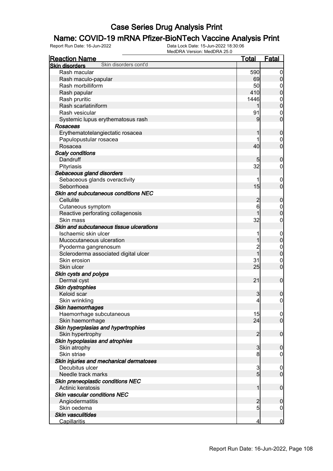## **Name: COVID-19 mRNA Pfizer-BioNTech Vaccine Analysis Print**<br>Report Run Date: 16-Jun-2022<br>Data Lock Date: 15-Jun-2022 18:30:06

| <b>Reaction Name</b>                           | <b>Total</b>    | <b>Fatal</b>     |
|------------------------------------------------|-----------------|------------------|
| Skin disorders cont'd<br><b>Skin disorders</b> |                 |                  |
| Rash macular                                   | 590             | $\boldsymbol{0}$ |
| Rash maculo-papular                            | 69              | $\boldsymbol{0}$ |
| Rash morbilliform                              | 50              | 0                |
| Rash papular                                   | 410             | $\mathbf 0$      |
| Rash pruritic                                  | 1446            | $\mathbf 0$      |
| Rash scarlatiniform                            |                 | $\mathbf 0$      |
| Rash vesicular                                 | 91              | $\mathbf 0$      |
| Systemic lupus erythematosus rash              | 9               | $\mathbf 0$      |
| Rosaceas                                       |                 |                  |
| Erythematotelangiectatic rosacea               |                 | $\mathbf 0$      |
| Papulopustular rosacea                         |                 | $\mathbf 0$      |
| Rosacea                                        | 40              | $\mathbf 0$      |
| <b>Scaly conditions</b>                        |                 |                  |
| Dandruff                                       |                 |                  |
|                                                | 5<br>32         | $\mathbf 0$      |
| Pityriasis                                     |                 | $\mathbf 0$      |
| Sebaceous gland disorders                      |                 |                  |
| Sebaceous glands overactivity                  |                 | $\overline{0}$   |
| Seborrhoea                                     | 15              | $\mathbf 0$      |
| Skin and subcutaneous conditions NEC           |                 |                  |
| Cellulite                                      | $\overline{c}$  | $\mathbf 0$      |
| Cutaneous symptom                              | 6               | $\mathbf 0$      |
| Reactive perforating collagenosis              |                 | $\mathbf 0$      |
| Skin mass                                      | 32              | $\boldsymbol{0}$ |
| Skin and subcutaneous tissue ulcerations       |                 |                  |
| Ischaemic skin ulcer                           |                 | $\mathbf 0$      |
| Mucocutaneous ulceration                       |                 | $\pmb{0}$        |
| Pyoderma gangrenosum                           | $\overline{c}$  | $\boldsymbol{0}$ |
| Scleroderma associated digital ulcer           | 1               | $\mathbf 0$      |
| Skin erosion                                   | 31              | $\mathbf 0$      |
| Skin ulcer                                     | 25              | $\mathbf 0$      |
| Skin cysts and polyps                          |                 |                  |
| Dermal cyst                                    | 21              | $\boldsymbol{0}$ |
| Skin dystrophies                               |                 |                  |
| Keloid scar                                    | 3               | $\boldsymbol{0}$ |
| Skin wrinkling                                 | $\overline{4}$  | $\mathbf 0$      |
| Skin haemorrhages                              |                 |                  |
| Haemorrhage subcutaneous                       | 15              | $\overline{0}$   |
| Skin haemorrhage                               | 24              | $\overline{0}$   |
| Skin hyperplasias and hypertrophies            |                 |                  |
| Skin hypertrophy                               | $\overline{2}$  | $\mathbf 0$      |
| Skin hypoplasias and atrophies                 |                 |                  |
| Skin atrophy                                   | 3               | $\mathbf 0$      |
| Skin striae                                    | 8               | $\mathbf 0$      |
| Skin injuries and mechanical dermatoses        |                 |                  |
| Decubitus ulcer                                | 3               | $\mathbf 0$      |
| Needle track marks                             | $5\overline{)}$ | $\mathbf 0$      |
| Skin preneoplastic conditions NEC              |                 |                  |
| Actinic keratosis                              | 1               | $\boldsymbol{0}$ |
| <b>Skin vascular conditions NEC</b>            |                 |                  |
| Angiodermatitis                                | $\overline{c}$  | $\mathbf 0$      |
| Skin oedema                                    | 5               | $\boldsymbol{0}$ |
| <b>Skin vasculitides</b>                       |                 |                  |
| <b>Capillaritis</b>                            | 4               | $\overline{0}$   |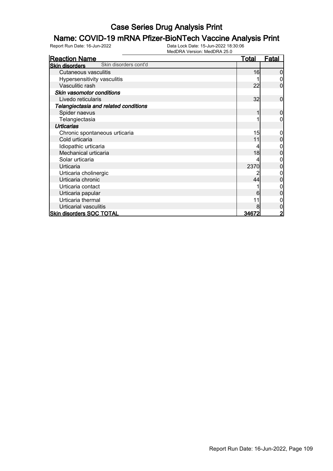# **Name: COVID-19 mRNA Pfizer-BioNTech Vaccine Analysis Print**<br>Report Run Date: 16-Jun-2022<br>Data Lock Date: 15-Jun-2022 18:30:06

| <b>Reaction Name</b>                           | <u>Total</u> | <b>Fatal</b> |
|------------------------------------------------|--------------|--------------|
| Skin disorders cont'd<br><b>Skin disorders</b> |              |              |
| <b>Cutaneous vasculitis</b>                    | 16           |              |
| Hypersensitivity vasculitis                    |              |              |
| Vasculitic rash                                | 22           | 0            |
| Skin vasomotor conditions                      |              |              |
| Livedo reticularis                             | 32           | 0            |
| Telangiectasia and related conditions          |              |              |
| Spider naevus                                  |              | 0            |
| Telangiectasia                                 |              |              |
| <b>Urticarias</b>                              |              |              |
| Chronic spontaneous urticaria                  | 15           |              |
| Cold urticaria                                 | 11           |              |
| Idiopathic urticaria                           |              |              |
| Mechanical urticaria                           | 18           |              |
| Solar urticaria                                |              |              |
| Urticaria                                      | 2370         | 0            |
| Urticaria cholinergic                          |              |              |
| Urticaria chronic                              | 44           |              |
| Urticaria contact                              |              |              |
| Urticaria papular                              | 6            |              |
| Urticaria thermal                              |              |              |
| Urticarial vasculitis                          |              |              |
| <b>Skin disorders SOC TOTAL</b>                | <u>34672</u> |              |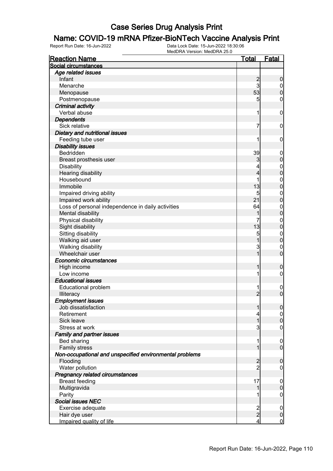# **Name: COVID-19 mRNA Pfizer-BioNTech Vaccine Analysis Print**<br>Report Run Date: 16-Jun-2022<br>Data Lock Date: 15-Jun-2022 18:30:06

| <b>Reaction Name</b>                                    | <b>Total</b>            | <b>Fatal</b>                     |
|---------------------------------------------------------|-------------------------|----------------------------------|
| Social circumstances                                    |                         |                                  |
| Age related issues                                      |                         |                                  |
| Infant                                                  | $\frac{2}{3}$           | $\boldsymbol{0}$                 |
| Menarche                                                |                         | $\boldsymbol{0}$                 |
| Menopause                                               | 53                      | $\overline{0}$                   |
| Postmenopause                                           | 5                       | $\mathbf 0$                      |
| <b>Criminal activity</b>                                |                         |                                  |
| Verbal abuse                                            | 1                       | $\boldsymbol{0}$                 |
| <b>Dependents</b>                                       |                         |                                  |
| Sick relative                                           | 7                       | $\mathbf 0$                      |
| Dietary and nutritional issues                          |                         |                                  |
| Feeding tube user                                       | 1                       | $\mathbf 0$                      |
| <b>Disability issues</b>                                |                         |                                  |
| Bedridden                                               | 39                      | $\mathbf 0$                      |
| Breast prosthesis user                                  | 3                       | $\mathbf 0$                      |
| <b>Disability</b>                                       | 4                       |                                  |
| <b>Hearing disability</b>                               | $\overline{\mathbf{4}}$ | $\begin{matrix}0\\0\end{matrix}$ |
| Housebound                                              | 1                       |                                  |
| Immobile                                                | 13                      | $0\atop 0$                       |
| Impaired driving ability                                | 5                       | $\boldsymbol{0}$                 |
| Impaired work ability                                   | 21                      | $\overline{0}$                   |
| Loss of personal independence in daily activities       | 64                      | $\boldsymbol{0}$                 |
| Mental disability                                       | 1                       | $\overline{0}$                   |
| Physical disability                                     | 7                       | $\boldsymbol{0}$                 |
| Sight disability                                        | 13                      | $\overline{0}$                   |
| Sitting disability                                      | $\overline{5}$          | $\boldsymbol{0}$                 |
| Walking aid user                                        | $\overline{1}$          | $\overline{0}$                   |
| Walking disability                                      | $\overline{3}$          | $\mathbf 0$                      |
| Wheelchair user                                         | $\overline{1}$          | $\overline{0}$                   |
| Economic circumstances                                  |                         |                                  |
| High income                                             | 1                       | $\boldsymbol{0}$                 |
| Low income                                              | 1                       | $\boldsymbol{0}$                 |
| <b>Educational issues</b>                               |                         |                                  |
| Educational problem                                     | 1                       | $\boldsymbol{0}$                 |
| Illiteracy                                              | $\overline{2}$          | $\overline{0}$                   |
| <b>Employment issues</b>                                |                         |                                  |
| Job dissatisfaction                                     | 1                       | 0                                |
| Retirement                                              | 4                       | 0                                |
| Sick leave                                              | 1                       | $\mathbf 0$                      |
| Stress at work                                          | 3                       | $\mathbf 0$                      |
| <b>Family and partner issues</b>                        |                         |                                  |
| Bed sharing                                             | 1                       | $\mathbf 0$                      |
| <b>Family stress</b>                                    | 1                       | $\boldsymbol{0}$                 |
| Non-occupational and unspecified environmental problems |                         |                                  |
| Flooding                                                | $\overline{c}$          | $\boldsymbol{0}$                 |
| Water pollution                                         | $\overline{2}$          | $\mathbf 0$                      |
| Pregnancy related circumstances                         |                         |                                  |
| <b>Breast feeding</b>                                   | 17                      | $\mathbf 0$                      |
| Multigravida                                            | 1                       | $\mathbf 0$                      |
| Parity                                                  |                         | $\mathbf 0$                      |
| Social issues NEC                                       |                         |                                  |
| Exercise adequate                                       |                         | $\mathbf 0$                      |
| Hair dye user                                           | $\frac{2}{2}$           | $\pmb{0}$                        |
| Impaired quality of life                                | $\overline{\mathbf{r}}$ | $\overline{0}$                   |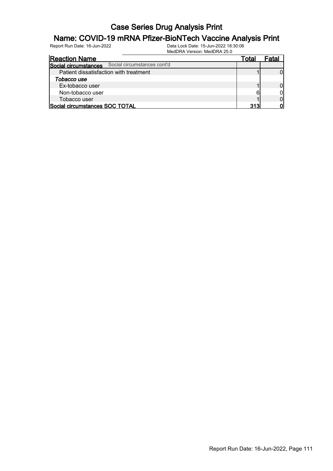### **Name: COVID-19 mRNA Pfizer-BioNTech Vaccine Analysis Print**<br>Report Run Date: 16-Jun-2022<br>Data Lock Date: 15-Jun-2022 18:30:06

| <b>Reaction Name</b>                   |                             | Tota. |  |
|----------------------------------------|-----------------------------|-------|--|
| Social circumstances                   | Social circumstances cont'd |       |  |
| Patient dissatisfaction with treatment |                             |       |  |
| Tobacco use                            |                             |       |  |
| Ex-tobacco user                        |                             |       |  |
| Non-tobacco user                       |                             |       |  |
| Tobacco user                           |                             |       |  |
| Social circumstances SOC TOTAL         |                             | 313   |  |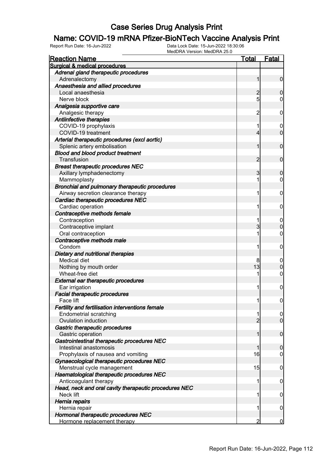### **Name: COVID-19 mRNA Pfizer-BioNTech Vaccine Analysis Print**<br>Report Run Date: 16-Jun-2022<br>Data Lock Date: 15-Jun-2022 18:30:06

| <b>Reaction Name</b>                                  | <b>Total</b>   | <b>Fatal</b>     |
|-------------------------------------------------------|----------------|------------------|
| <b>Surgical &amp; medical procedures</b>              |                |                  |
| Adrenal gland therapeutic procedures                  |                |                  |
| Adrenalectomy                                         | 1              | $\mathbf 0$      |
| Anaesthesia and allied procedures                     |                |                  |
| Local anaesthesia                                     | $\overline{c}$ | $\mathbf 0$      |
| Nerve block                                           | 5              | 0                |
| Analgesia supportive care                             |                |                  |
| Analgesic therapy                                     | $\overline{c}$ | $\mathbf 0$      |
| Antiinfective therapies                               |                |                  |
| COVID-19 prophylaxis                                  | 1              | $\mathbf 0$      |
| COVID-19 treatment                                    | 4              | $\mathbf 0$      |
| Arterial therapeutic procedures (excl aortic)         |                |                  |
| Splenic artery embolisation                           | 1              | $\mathbf 0$      |
| <b>Blood and blood product treatment</b>              |                |                  |
| Transfusion                                           | $\overline{c}$ | $\mathbf 0$      |
| <b>Breast therapeutic procedures NEC</b>              |                |                  |
| Axillary lymphadenectomy                              | 3              | $\mathbf 0$      |
| Mammoplasty                                           | 1              | 0                |
| Bronchial and pulmonary therapeutic procedures        |                |                  |
| Airway secretion clearance therapy                    | 1              | $\mathbf 0$      |
| Cardiac therapeutic procedures NEC                    |                |                  |
| Cardiac operation                                     | 1              | $\mathbf 0$      |
| Contraceptive methods female                          |                |                  |
| Contraception                                         | 1              | 0                |
| Contraceptive implant                                 | 3              | $\boldsymbol{0}$ |
| Oral contraception                                    | 1              | $\mathbf 0$      |
| Contraceptive methods male                            |                |                  |
| Condom                                                | 1              | $\mathbf 0$      |
| Dietary and nutritional therapies                     |                |                  |
| <b>Medical diet</b>                                   | 8              | $\boldsymbol{0}$ |
| Nothing by mouth order                                | 13             | $\boldsymbol{0}$ |
| Wheat-free diet                                       | 1              | $\mathbf 0$      |
| <b>External ear therapeutic procedures</b>            |                |                  |
| Ear irrigation                                        | 1              | $\mathbf 0$      |
| <b>Facial therapeutic procedures</b>                  |                |                  |
| Face lift                                             | 11             | $\mathbf 0$      |
| Fertility and fertilisation interventions female      |                |                  |
| <b>Endometrial scratching</b>                         | 1              | $\overline{0}$   |
| Ovulation induction                                   | $\overline{2}$ | $\overline{0}$   |
| Gastric therapeutic procedures                        |                |                  |
| Gastric operation                                     | 1              | $\mathbf 0$      |
| Gastrointestinal therapeutic procedures NEC           |                |                  |
| Intestinal anastomosis                                | 1              | $\mathbf 0$      |
| Prophylaxis of nausea and vomiting                    | 16             | $\mathbf 0$      |
| Gynaecological therapeutic procedures NEC             |                |                  |
| Menstrual cycle management                            | 15             | $\mathbf 0$      |
| Haematological therapeutic procedures NEC             |                |                  |
| Anticoagulant therapy                                 | 1              | $\boldsymbol{0}$ |
| Head, neck and oral cavity therapeutic procedures NEC |                |                  |
| Neck lift                                             | 1              | $\boldsymbol{0}$ |
| Hernia repairs                                        |                |                  |
| Hernia repair                                         | 1              | $\mathbf 0$      |
| Hormonal therapeutic procedures NEC                   |                |                  |
| Hormone replacement therapy                           | 2              | $\overline{0}$   |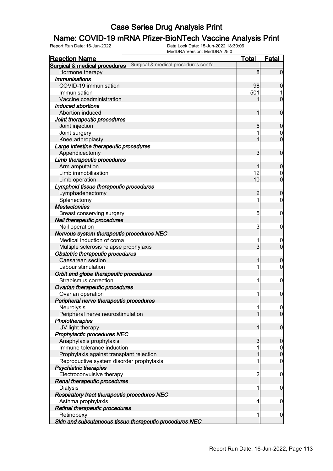### **Name: COVID-19 mRNA Pfizer-BioNTech Vaccine Analysis Print**<br>Report Run Date: 16-Jun-2022<br>Data Lock Date: 15-Jun-2022 18:30:06

| <b>Reaction Name</b>                                    |                                      | <b>Total</b>   | Fatal            |
|---------------------------------------------------------|--------------------------------------|----------------|------------------|
| Surgical & medical procedures                           | Surgical & medical procedures cont'd |                |                  |
| Hormone therapy                                         |                                      | 8              | $\overline{0}$   |
| <b>Immunisations</b>                                    |                                      |                |                  |
| COVID-19 immunisation                                   |                                      | 98             | $\mathbf 0$      |
| Immunisation                                            |                                      | 501            |                  |
| Vaccine coadministration                                |                                      |                | $\overline{0}$   |
| Induced abortions                                       |                                      |                |                  |
| Abortion induced                                        |                                      |                | $\mathbf 0$      |
| Joint therapeutic procedures                            |                                      |                |                  |
| Joint injection                                         |                                      | 6              | $\boldsymbol{0}$ |
| Joint surgery                                           |                                      |                | $\mathbf 0$      |
| Knee arthroplasty                                       |                                      |                | $\overline{0}$   |
| Large intestine therapeutic procedures                  |                                      |                |                  |
| Appendicectomy                                          |                                      | 3              | $\mathbf 0$      |
| Limb therapeutic procedures                             |                                      |                |                  |
| Arm amputation                                          |                                      |                | $\boldsymbol{0}$ |
| Limb immobilisation                                     |                                      | 12             | 0                |
| Limb operation                                          |                                      | 10             | $\mathbf 0$      |
| Lymphoid tissue therapeutic procedures                  |                                      |                |                  |
| Lymphadenectomy                                         |                                      | $\overline{2}$ | $\boldsymbol{0}$ |
| Splenectomy                                             |                                      | 1              | 0                |
| <b>Mastectomies</b>                                     |                                      |                |                  |
| Breast conserving surgery                               |                                      | 5              | $\mathbf 0$      |
| Nail therapeutic procedures                             |                                      |                |                  |
| Nail operation                                          |                                      | 3              | $\mathbf 0$      |
| Nervous system therapeutic procedures NEC               |                                      |                |                  |
| Medical induction of coma                               |                                      |                | $\boldsymbol{0}$ |
| Multiple sclerosis relapse prophylaxis                  |                                      | 3              | $\mathbf 0$      |
| Obstetric therapeutic procedures                        |                                      |                |                  |
| Caesarean section                                       |                                      |                | $\mathbf 0$      |
| Labour stimulation                                      |                                      |                | 0                |
| Orbit and globe therapeutic procedures                  |                                      |                |                  |
| Strabismus correction                                   |                                      |                | $\mathbf 0$      |
| Ovarian therapeutic procedures                          |                                      |                |                  |
| Ovarian operation                                       |                                      |                | $\mathbf 0$      |
| Peripheral nerve therapeutic procedures                 |                                      |                |                  |
| Neurolysis                                              |                                      |                | 0                |
| Peripheral nerve neurostimulation                       |                                      |                | $\overline{0}$   |
| <b>Phototherapies</b>                                   |                                      |                |                  |
| UV light therapy                                        |                                      |                | $\mathbf 0$      |
| Prophylactic procedures NEC                             |                                      |                |                  |
| Anaphylaxis prophylaxis                                 |                                      | 3              | $\boldsymbol{0}$ |
| Immune tolerance induction                              |                                      |                | $\mathbf 0$      |
| Prophylaxis against transplant rejection                |                                      |                | $\mathbf 0$      |
| Reproductive system disorder prophylaxis                |                                      |                | $\boldsymbol{0}$ |
| Psychiatric therapies                                   |                                      |                |                  |
| Electroconvulsive therapy                               |                                      | $\overline{c}$ | $\mathbf 0$      |
| Renal therapeutic procedures                            |                                      |                |                  |
| <b>Dialysis</b>                                         |                                      |                | $\mathbf 0$      |
| Respiratory tract therapeutic procedures NEC            |                                      |                |                  |
| Asthma prophylaxis                                      |                                      | 4              | $\mathbf 0$      |
| Retinal therapeutic procedures                          |                                      |                |                  |
| Retinopexy                                              |                                      |                | $\mathbf 0$      |
| Skin and subcutaneous tissue therapeutic procedures NEC |                                      |                |                  |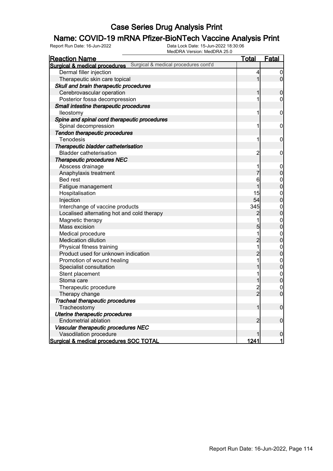#### Name: COVID-19 mRNA Pfizer-BioNTech Vaccine Analysis Print

Report Run Date: 16-Jun-2022 Data Lock Date: 15-Jun-2022 18:30:06

|                                              | MedDRA Version: MedDRA 25.0          |                         |                                      |
|----------------------------------------------|--------------------------------------|-------------------------|--------------------------------------|
| <b>Reaction Name</b>                         |                                      | <u>Total</u>            | <b>Fatal</b>                         |
| <b>Surgical &amp; medical procedures</b>     | Surgical & medical procedures cont'd |                         |                                      |
| Dermal filler injection                      |                                      | 4                       | $\boldsymbol{0}$                     |
| Therapeutic skin care topical                |                                      | 1                       | $\overline{0}$                       |
| Skull and brain therapeutic procedures       |                                      |                         |                                      |
| Cerebrovascular operation                    |                                      | 1                       | $\mathbf 0$                          |
| Posterior fossa decompression                |                                      | 1                       | 0                                    |
| Small intestine therapeutic procedures       |                                      |                         |                                      |
| lleostomy                                    |                                      | 1                       | $\mathbf 0$                          |
| Spine and spinal cord therapeutic procedures |                                      |                         |                                      |
| Spinal decompression                         |                                      | 1                       | $\mathbf 0$                          |
| Tendon therapeutic procedures                |                                      |                         |                                      |
| Tenodesis                                    |                                      | 1                       | $\mathbf 0$                          |
| Therapeutic bladder catheterisation          |                                      |                         |                                      |
| <b>Bladder catheterisation</b>               |                                      | $\overline{c}$          | $\mathbf 0$                          |
| <b>Therapeutic procedures NEC</b>            |                                      |                         |                                      |
| Abscess drainage                             |                                      | 1                       | $\mathbf 0$                          |
| Anaphylaxis treatment                        |                                      | 7                       | $\boldsymbol{0}$                     |
| <b>Bed rest</b>                              |                                      | 6                       | $0$<br>0                             |
| Fatigue management                           |                                      | 1                       |                                      |
| Hospitalisation                              |                                      | 15                      | $0$<br>0                             |
| Injection                                    |                                      | 54                      |                                      |
| Interchange of vaccine products              |                                      | 345                     | $0$<br>0                             |
| Localised alternating hot and cold therapy   |                                      | $\overline{c}$          |                                      |
| Magnetic therapy                             |                                      | 1                       | $0$<br>0                             |
| Mass excision                                |                                      | 5                       |                                      |
| Medical procedure                            |                                      | 1                       | $0$<br>0                             |
| Medication dilution                          |                                      | $\overline{c}$          |                                      |
| Physical fitness training                    |                                      | 1                       | $0$<br>0                             |
| Product used for unknown indication          |                                      | $\overline{c}$          |                                      |
| Promotion of wound healing                   |                                      | 1                       | $0$<br>0                             |
| Specialist consultation                      |                                      |                         |                                      |
| Stent placement                              |                                      |                         | $\begin{matrix} 0 \\ 0 \end{matrix}$ |
| Stoma care                                   |                                      | 1                       |                                      |
| Therapeutic procedure                        |                                      | $\overline{\mathbf{c}}$ | $\boldsymbol{0}$                     |
| Therapy change                               |                                      | $\overline{2}$          | $\overline{0}$                       |
| Tracheal therapeutic procedures              |                                      |                         |                                      |
| Tracheostomy                                 |                                      | 1                       | $\overline{0}$                       |
| Uterine therapeutic procedures               |                                      |                         |                                      |
| <b>Endometrial ablation</b>                  |                                      | $\overline{2}$          | $\overline{0}$                       |
| Vascular therapeutic procedures NEC          |                                      |                         |                                      |
| Vasodilation procedure                       |                                      |                         | $\mathbf 0$                          |
| Surgical & medical procedures SOC TOTAL      |                                      | 1241                    | 1                                    |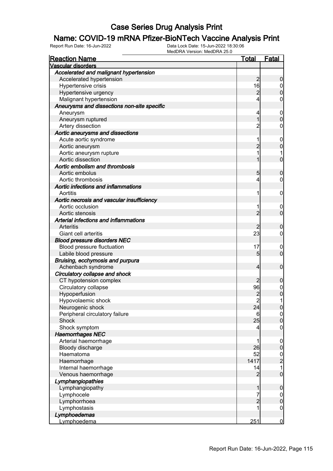# **Name: COVID-19 mRNA Pfizer-BioNTech Vaccine Analysis Print**<br>Report Run Date: 16-Jun-2022<br>Data Lock Date: 15-Jun-2022 18:30:06

| <b>Reaction Name</b>                        | Total          | <b>Fatal</b>     |
|---------------------------------------------|----------------|------------------|
| <b>Vascular disorders</b>                   |                |                  |
| Accelerated and malignant hypertension      |                |                  |
| Accelerated hypertension                    | 2              | 0                |
| Hypertensive crisis                         | 16             | $\mathbf 0$      |
| Hypertensive urgency                        | 2              | 0                |
| Malignant hypertension                      | 4              | 0                |
| Aneurysms and dissections non-site specific |                |                  |
| Aneurysm                                    | 4              | $\overline{0}$   |
| Aneurysm ruptured                           |                | 0                |
| Artery dissection                           | 2              | 0                |
| Aortic aneurysms and dissections            |                |                  |
| Acute aortic syndrome                       | 1              | 0                |
| Aortic aneurysm                             | 2              | 0                |
| Aortic aneurysm rupture                     | 1              |                  |
| Aortic dissection                           |                | 0                |
| Aortic embolism and thrombosis              |                |                  |
| Aortic embolus                              | 5              | 0                |
| Aortic thrombosis                           | 4              | 0                |
| Aortic infections and inflammations         |                |                  |
|                                             |                |                  |
| Aortitis                                    | 1              | 0                |
| Aortic necrosis and vascular insufficiency  |                |                  |
| Aortic occlusion                            | 1              | 0                |
| Aortic stenosis                             | $\overline{2}$ | 0                |
| Arterial infections and inflammations       |                |                  |
| <b>Arteritis</b>                            | 2              | 0                |
| Giant cell arteritis                        | 23             | 0                |
| <b>Blood pressure disorders NEC</b>         |                |                  |
| Blood pressure fluctuation                  | 17             | $\overline{0}$   |
| Labile blood pressure                       | 5              | $\overline{0}$   |
| Bruising, ecchymosis and purpura            |                |                  |
| Achenbach syndrome                          | 4              | $\mathbf 0$      |
| Circulatory collapse and shock              |                |                  |
| CT hypotension complex                      | 2              | 0                |
| Circulatory collapse                        | 96             | 0                |
| Hypoperfusion                               | 2              | 0                |
| Hypovolaemic shock                          | $\overline{c}$ | 1                |
| Neurogenic shock                            | 24             | $\overline{0}$   |
| Peripheral circulatory failure              | 6              | $\overline{0}$   |
| Shock                                       | 25             | $\mathbf 0$      |
| Shock symptom                               | 4              | $\mathbf 0$      |
| <b>Haemorrhages NEC</b>                     |                |                  |
| Arterial haemorrhage                        | 1              | $\mathbf 0$      |
| Bloody discharge                            | 26             | $\boldsymbol{0}$ |
| Haematoma                                   | 52             | $\frac{0}{2}$    |
| Haemorrhage                                 | 1417           |                  |
| Internal haemorrhage                        | 14             | 1                |
| Venous haemorrhage                          | 2              | $\mathbf 0$      |
| Lymphangiopathies                           |                |                  |
| Lymphangiopathy                             | 1              | $\mathbf 0$      |
| Lymphocele                                  | 7              | $\mathbf 0$      |
| Lymphorrhoea                                | $\overline{2}$ | $\boldsymbol{0}$ |
| Lymphostasis                                | 1              | $\boldsymbol{0}$ |
| Lymphoedemas                                |                |                  |
| Lymphoedema                                 | 251            | $\overline{0}$   |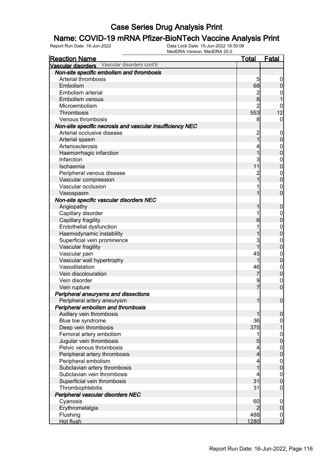# **Name: COVID-19 mRNA Pfizer-BioNTech Vaccine Analysis Print**<br>Report Run Date: 16-Jun-2022<br>Data Lock Date: 15-Jun-2022 18:30:06

| <b>Reaction Name</b>                                      | <u>Total</u>             | <b>Fatal</b>        |
|-----------------------------------------------------------|--------------------------|---------------------|
| Vascular disorders Vascular disorders cont'd              |                          |                     |
| Non-site specific embolism and thrombosis                 |                          |                     |
| Arterial thrombosis                                       | 5                        | 0                   |
| Embolism                                                  | 68                       | $\mathsf{O}\xspace$ |
| Embolism arterial                                         | $\overline{c}$           | 0                   |
| Embolism venous                                           | 8                        |                     |
| Microembolism                                             | $\overline{2}$           | 0                   |
| Thrombosis                                                | 553                      | 12                  |
| Venous thrombosis                                         | 8                        | $\overline{0}$      |
| Non-site specific necrosis and vascular insufficiency NEC |                          |                     |
| Arterial occlusive disease                                | $\overline{c}$           | $\mathbf 0$         |
| Arterial spasm                                            | $\overline{1}$           | $\pmb{0}$           |
| Arteriosclerosis                                          | 4                        | $\boldsymbol{0}$    |
| Haemorrhagic infarction                                   | 1                        | $\overline{0}$      |
| Infarction                                                | 3                        | $\mathbf{0}$        |
| Ischaemia                                                 | 11                       | $\overline{0}$      |
| Peripheral venous disease                                 | $\overline{c}$           | $\boldsymbol{0}$    |
| Vascular compression                                      | 1                        | $\mathbf 0$         |
| Vascular occlusion                                        |                          | $\mathbf 0$         |
| Vasospasm                                                 | 1                        | $\overline{0}$      |
| Non-site specific vascular disorders NEC                  |                          |                     |
| Angiopathy                                                | 1                        | $\mathbf 0$         |
| Capillary disorder                                        | 1                        | $\overline{0}$      |
| Capillary fragility                                       | 6                        | $\overline{0}$      |
| Endothelial dysfunction                                   |                          | $\mathbf{0}$        |
| Haemodynamic instability                                  | 1                        | $\overline{0}$      |
| Superficial vein prominence                               | 3                        | $\mathbf{0}$        |
| Vascular fragility                                        | $\overline{1}$           | $\mathbf 0$         |
| Vascular pain                                             | 45                       | $\mathbf{0}$        |
| Vascular wall hypertrophy                                 | 1                        | $\overline{0}$      |
| Vasodilatation                                            | 46                       | $\mathbf{0}$        |
| Vein discolouration                                       | $\overline{7}$           | $\mathbf 0$         |
| Vein disorder                                             | 9                        | $\mathbf 0$         |
| Vein rupture                                              | $\overline{7}$           | $\boldsymbol{0}$    |
| Peripheral aneurysms and dissections                      |                          |                     |
| Peripheral artery aneurysm                                | 1                        | $\boldsymbol{0}$    |
| Peripheral embolism and thrombosis                        |                          |                     |
| Axillary vein thrombosis                                  | 1                        | $\overline{0}$      |
| Blue toe syndrome                                         | 36                       | $\overline{0}$      |
| Deep vein thrombosis                                      | 375                      | $\overline{1}$      |
| Femoral artery embolism                                   | 1                        |                     |
| Jugular vein thrombosis                                   | 5                        | $0$<br>0            |
| Pelvic venous thrombosis                                  | $\overline{\mathcal{L}}$ | $\boldsymbol{0}$    |
| Peripheral artery thrombosis                              | $\overline{4}$           | $\overline{0}$      |
| Peripheral embolism                                       | 4                        | $\boldsymbol{0}$    |
| Subclavian artery thrombosis                              | $\overline{1}$           | $\overline{0}$      |
| Subclavian vein thrombosis                                | 4                        | $\boldsymbol{0}$    |
| Superficial vein thrombosis                               | 31                       | $\overline{0}$      |
| Thrombophlebitis                                          | 31                       | $\mathbf 0$         |
| Peripheral vascular disorders NEC                         |                          |                     |
| Cyanosis                                                  | 60                       | $\mathbf 0$         |
| Erythromelalgia                                           | $\overline{2}$           | $\pmb{0}$           |
| Flushing                                                  | 488                      | $\overline{0}$      |
| Hot flush                                                 | 1280                     | $\overline{0}$      |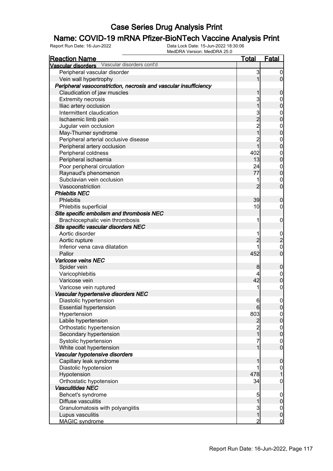# **Name: COVID-19 mRNA Pfizer-BioNTech Vaccine Analysis Print**<br>Report Run Date: 16-Jun-2022<br>Data Lock Date: 15-Jun-2022 18:30:06

| <b>Reaction Name</b>                                             | <u>Total</u>   | <b>Fatal</b>     |
|------------------------------------------------------------------|----------------|------------------|
| Vascular disorders Vascular disorders cont'd                     |                |                  |
| Peripheral vascular disorder                                     | 3              | $\boldsymbol{0}$ |
| Vein wall hypertrophy                                            | 1              | $\mathbf 0$      |
| Peripheral vasoconstriction, necrosis and vascular insufficiency |                |                  |
| Claudication of jaw muscles                                      |                | 0                |
| <b>Extremity necrosis</b>                                        | 3              | 0                |
| Iliac artery occlusion                                           |                | $\overline{0}$   |
| Intermittent claudication                                        | 3              | $\mathbf 0$      |
| Ischaemic limb pain                                              | $\overline{2}$ | $\overline{0}$   |
| Jugular vein occlusion                                           | $\overline{c}$ | $\mathbf 0$      |
| May-Thurner syndrome                                             | $\overline{1}$ | $\overline{0}$   |
| Peripheral arterial occlusive disease                            | $\overline{c}$ | $\mathbf 0$      |
| Peripheral artery occlusion                                      | 1              | $\overline{0}$   |
| Peripheral coldness                                              | 402            | $\mathbf 0$      |
| Peripheral ischaemia                                             | 13             | $\overline{0}$   |
| Poor peripheral circulation                                      | 24             | $\boldsymbol{0}$ |
| Raynaud's phenomenon                                             | 77             | $\overline{0}$   |
| Subclavian vein occlusion                                        | 1              | $\mathbf 0$      |
| Vasoconstriction                                                 | $\overline{2}$ | $\overline{0}$   |
| <b>Phlebitis NEC</b>                                             |                |                  |
| <b>Phlebitis</b>                                                 | 39             | $\mathbf 0$      |
| Phlebitis superficial                                            | 10             | $\mathbf 0$      |
| Site specific embolism and thrombosis NEC                        |                |                  |
| Brachiocephalic vein thrombosis                                  | 1              | $\mathbf 0$      |
| Site specific vascular disorders NEC                             |                |                  |
| Aortic disorder                                                  | 1              |                  |
| Aortic rupture                                                   | $\overline{2}$ | $\frac{0}{2}$    |
| Inferior vena cava dilatation                                    |                | $\mathbf{0}$     |
| Pallor                                                           | 452            | $\overline{0}$   |
| Varicose veins NEC                                               |                |                  |
| Spider vein                                                      | 8              | $\boldsymbol{0}$ |
| Varicophlebitis                                                  | 4              | $\mathbf 0$      |
| Varicose vein                                                    | 42             | $\overline{0}$   |
| Varicose vein ruptured                                           | 1              | $\mathbf 0$      |
| Vascular hypertensive disorders NEC                              |                |                  |
| Diastolic hypertension                                           | $6 \,$         | $\boldsymbol{0}$ |
| <b>Essential hypertension</b>                                    | 6              | 0                |
| Hypertension                                                     | 803            | $\overline{0}$   |
| Labile hypertension                                              | $\overline{2}$ | $\boldsymbol{0}$ |
| Orthostatic hypertension                                         | $\overline{c}$ | $\overline{0}$   |
| Secondary hypertension                                           | $\mathbf{1}$   | $\overline{0}$   |
| Systolic hypertension                                            | 7              | $\mathbf 0$      |
| White coat hypertension                                          | 1              | $\overline{0}$   |
| Vascular hypotensive disorders                                   |                |                  |
| Capillary leak syndrome                                          |                | $\mathbf 0$      |
| Diastolic hypotension                                            | 1              | $\overline{0}$   |
| Hypotension                                                      | 478            | $\overline{1}$   |
| Orthostatic hypotension                                          | 34             | $\boldsymbol{0}$ |
| <b>Vasculitides NEC</b>                                          |                |                  |
| Behcet's syndrome                                                | 5              | $\boldsymbol{0}$ |
| Diffuse vasculitis                                               | 1              | $\mathbf 0$      |
| Granulomatosis with polyangiitis                                 | $\mathbf{3}$   | $\overline{0}$   |
| Lupus vasculitis                                                 | $\mathbf 1$    | $\mathbf 0$      |
| MAGIC syndrome                                                   | $\overline{2}$ | $\mathbf 0$      |